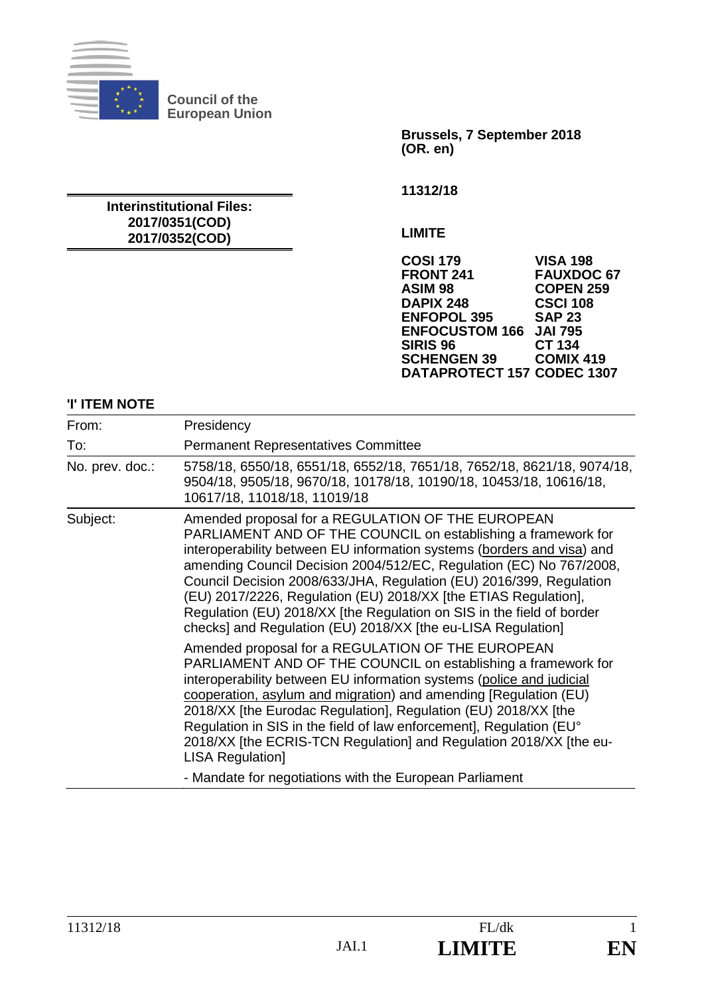

**Council of the European Union** 

**Interinstitutional Files: 2017/0351(COD) 2017/0352(COD)** 

**Brussels, 7 September 2018 (OR. en)** 

**11312/18** 

**LIMITE** 

**COSI 179 VISA 198 FRONT 241 FAUXDOC 67 ASIM 98 COPEN 259 DAPIX 248 CSCI 10<br>
ENFOPOL 395 SAP 23 ENFOPOL 395 ENFOCUSTOM 166 JAI 795 SIRIS 96 CT 134<br>
SCHENGEN 39 COMIX 419 SCHENGEN 39 DATAPROTECT 157 CODEC 1307**

#### **'I' ITEM NOTE**

| From:           | Presidency                                                                                                                                                                                                                                                                                                                                                                                                                                                                                                                                             |
|-----------------|--------------------------------------------------------------------------------------------------------------------------------------------------------------------------------------------------------------------------------------------------------------------------------------------------------------------------------------------------------------------------------------------------------------------------------------------------------------------------------------------------------------------------------------------------------|
| To:             | <b>Permanent Representatives Committee</b>                                                                                                                                                                                                                                                                                                                                                                                                                                                                                                             |
| No. prev. doc.: | 5758/18, 6550/18, 6551/18, 6552/18, 7651/18, 7652/18, 8621/18, 9074/18,<br>9504/18, 9505/18, 9670/18, 10178/18, 10190/18, 10453/18, 10616/18,<br>10617/18, 11018/18, 11019/18                                                                                                                                                                                                                                                                                                                                                                          |
| Subject:        | Amended proposal for a REGULATION OF THE EUROPEAN<br>PARLIAMENT AND OF THE COUNCIL on establishing a framework for<br>interoperability between EU information systems (borders and visa) and<br>amending Council Decision 2004/512/EC, Regulation (EC) No 767/2008,<br>Council Decision 2008/633/JHA, Regulation (EU) 2016/399, Regulation<br>(EU) 2017/2226, Regulation (EU) 2018/XX [the ETIAS Regulation],<br>Regulation (EU) 2018/XX [the Regulation on SIS in the field of border<br>checks] and Regulation (EU) 2018/XX [the eu-LISA Regulation] |
|                 | Amended proposal for a REGULATION OF THE EUROPEAN<br>PARLIAMENT AND OF THE COUNCIL on establishing a framework for<br>interoperability between EU information systems (police and judicial<br>cooperation, asylum and migration) and amending [Regulation (EU)<br>2018/XX [the Eurodac Regulation], Regulation (EU) 2018/XX [the<br>Regulation in SIS in the field of law enforcement], Regulation (EU°<br>2018/XX [the ECRIS-TCN Regulation] and Regulation 2018/XX [the eu-<br><b>LISA Regulation]</b>                                               |
|                 | - Mandate for negotiations with the European Parliament                                                                                                                                                                                                                                                                                                                                                                                                                                                                                                |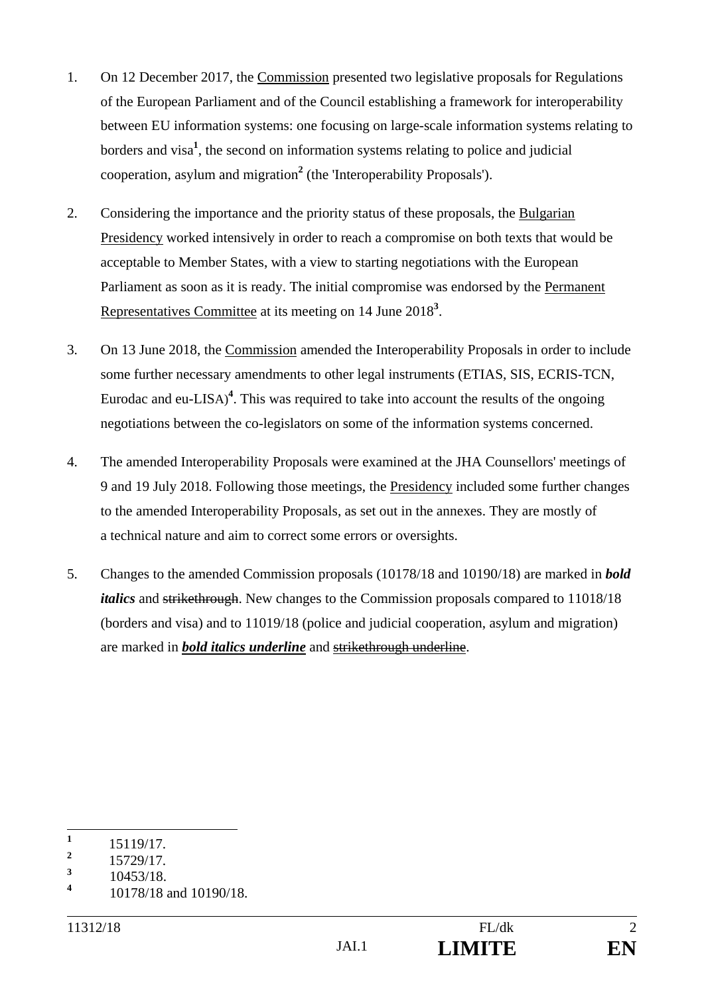- 1. On 12 December 2017, the Commission presented two legislative proposals for Regulations of the European Parliament and of the Council establishing a framework for interoperability between EU information systems: one focusing on large-scale information systems relating to borders and visa**<sup>1</sup>** , the second on information systems relating to police and judicial cooperation, asylum and migration**<sup>2</sup>** (the 'Interoperability Proposals').
- 2. Considering the importance and the priority status of these proposals, the Bulgarian Presidency worked intensively in order to reach a compromise on both texts that would be acceptable to Member States, with a view to starting negotiations with the European Parliament as soon as it is ready. The initial compromise was endorsed by the Permanent Representatives Committee at its meeting on 14 June 2018<sup>3</sup>.
- 3. On 13 June 2018, the Commission amended the Interoperability Proposals in order to include some further necessary amendments to other legal instruments (ETIAS, SIS, ECRIS-TCN, Eurodac and eu-LISA)<sup>4</sup>. This was required to take into account the results of the ongoing negotiations between the co-legislators on some of the information systems concerned.
- 4. The amended Interoperability Proposals were examined at the JHA Counsellors' meetings of 9 and 19 July 2018. Following those meetings, the Presidency included some further changes to the amended Interoperability Proposals, as set out in the annexes. They are mostly of a technical nature and aim to correct some errors or oversights.
- 5. Changes to the amended Commission proposals (10178/18 and 10190/18) are marked in *bold italics* and strikethrough. New changes to the Commission proposals compared to 11018/18 (borders and visa) and to 11019/18 (police and judicial cooperation, asylum and migration) are marked in *bold italics underline* and strikethrough underline.

 **1** 15119/17.

**<sup>2</sup>** 15729/17.

**<sup>3</sup>** 10453/18.

**<sup>4</sup>** 10178/18 and 10190/18.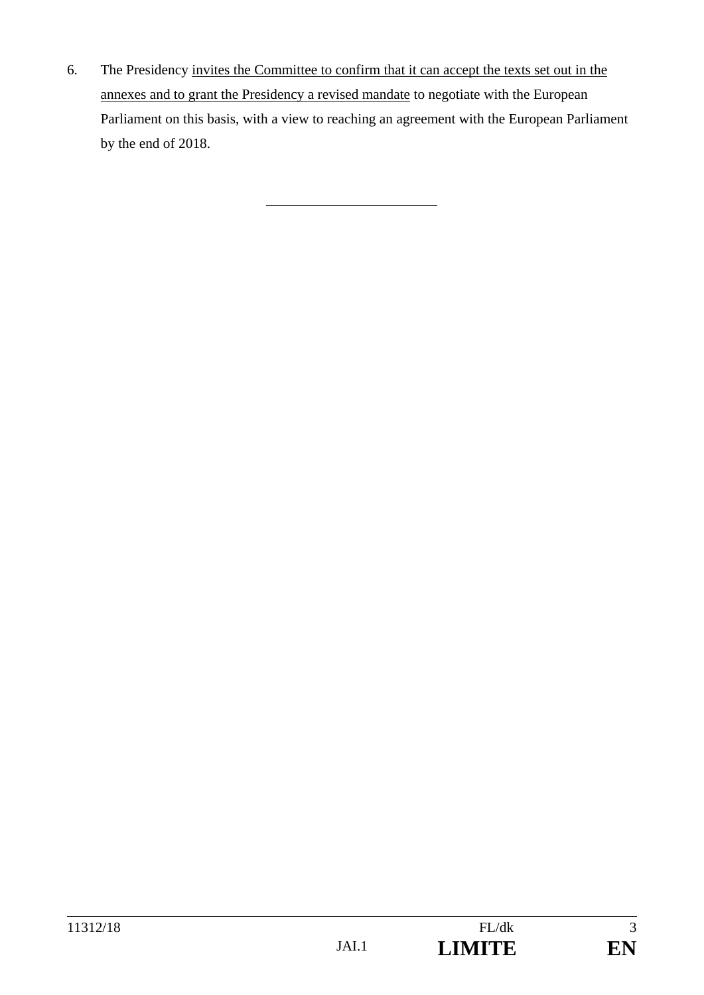6. The Presidency invites the Committee to confirm that it can accept the texts set out in the annexes and to grant the Presidency a revised mandate to negotiate with the European Parliament on this basis, with a view to reaching an agreement with the European Parliament by the end of 2018.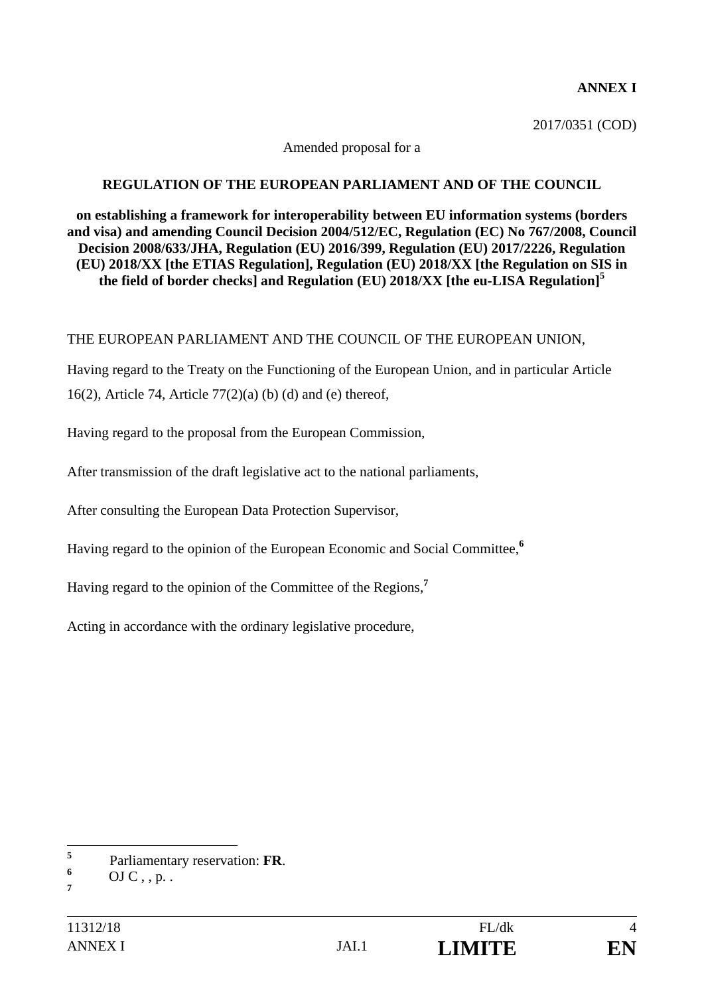#### **ANNEX I**

2017/0351 (COD)

#### Amended proposal for a

#### **REGULATION OF THE EUROPEAN PARLIAMENT AND OF THE COUNCIL**

**on establishing a framework for interoperability between EU information systems (borders and visa) and amending Council Decision 2004/512/EC, Regulation (EC) No 767/2008, Council Decision 2008/633/JHA, Regulation (EU) 2016/399, Regulation (EU) 2017/2226, Regulation (EU) 2018/XX [the ETIAS Regulation], Regulation (EU) 2018/XX [the Regulation on SIS in the field of border checks] and Regulation (EU) 2018/XX [the eu-LISA Regulation]<sup>5</sup>**

#### THE EUROPEAN PARLIAMENT AND THE COUNCIL OF THE EUROPEAN UNION,

Having regard to the Treaty on the Functioning of the European Union, and in particular Article 16(2), Article 74, Article 77(2)(a) (b) (d) and (e) thereof,

Having regard to the proposal from the European Commission,

After transmission of the draft legislative act to the national parliaments,

After consulting the European Data Protection Supervisor,

Having regard to the opinion of the European Economic and Social Committee,**<sup>6</sup>**

Having regard to the opinion of the Committee of the Regions,**<sup>7</sup>**

Acting in accordance with the ordinary legislative procedure,

 **5** Parliamentary reservation: **FR**. **<sup>6</sup>**

OJ  $C$ , , p. . **7**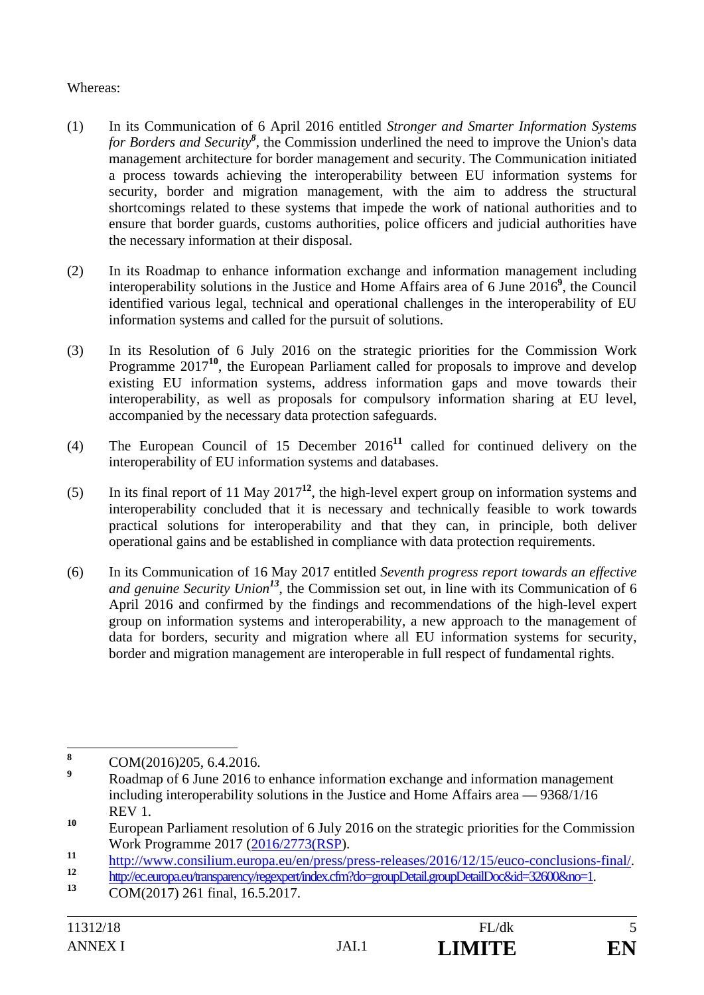#### Whereas:

- (1) In its Communication of 6 April 2016 entitled *Stronger and Smarter Information Systems for Borders and Security<sup>8</sup>* , the Commission underlined the need to improve the Union's data management architecture for border management and security. The Communication initiated a process towards achieving the interoperability between EU information systems for security, border and migration management, with the aim to address the structural shortcomings related to these systems that impede the work of national authorities and to ensure that border guards, customs authorities, police officers and judicial authorities have the necessary information at their disposal.
- (2) In its Roadmap to enhance information exchange and information management including interoperability solutions in the Justice and Home Affairs area of 6 June 2016**<sup>9</sup>** , the Council identified various legal, technical and operational challenges in the interoperability of EU information systems and called for the pursuit of solutions.
- (3) In its Resolution of 6 July 2016 on the strategic priorities for the Commission Work Programme 2017<sup>10</sup>, the European Parliament called for proposals to improve and develop existing EU information systems, address information gaps and move towards their interoperability, as well as proposals for compulsory information sharing at EU level, accompanied by the necessary data protection safeguards.
- (4) The European Council of 15 December 2016**<sup>11</sup>** called for continued delivery on the interoperability of EU information systems and databases.
- (5) In its final report of 11 May 2017**<sup>12</sup>**, the high-level expert group on information systems and interoperability concluded that it is necessary and technically feasible to work towards practical solutions for interoperability and that they can, in principle, both deliver operational gains and be established in compliance with data protection requirements.
- (6) In its Communication of 16 May 2017 entitled *Seventh progress report towards an effective and genuine Security Union<sup>13</sup>*, the Commission set out, in line with its Communication of 6 April 2016 and confirmed by the findings and recommendations of the high-level expert group on information systems and interoperability, a new approach to the management of data for borders, security and migration where all EU information systems for security, border and migration management are interoperable in full respect of fundamental rights.

 **8** COM(2016)205, 6.4.2016.

**<sup>9</sup>** Roadmap of 6 June 2016 to enhance information exchange and information management including interoperability solutions in the Justice and Home Affairs area — 9368/1/16 REV 1.

**<sup>10</sup>** European Parliament resolution of 6 July 2016 on the strategic priorities for the Commission Work Programme 2017 (2016/2773(RSP).

http://www.consilium.europa.eu/en/press/press-releases/2016/12/15/euco-conclusions-final/<br>
http://ec.europa.eu/transparency/regexpert/index.cfm?do=groupDetail.groupDetailDoc&id=32600&no=1.<br>
COM(2017) 261 final, 16.5.2017.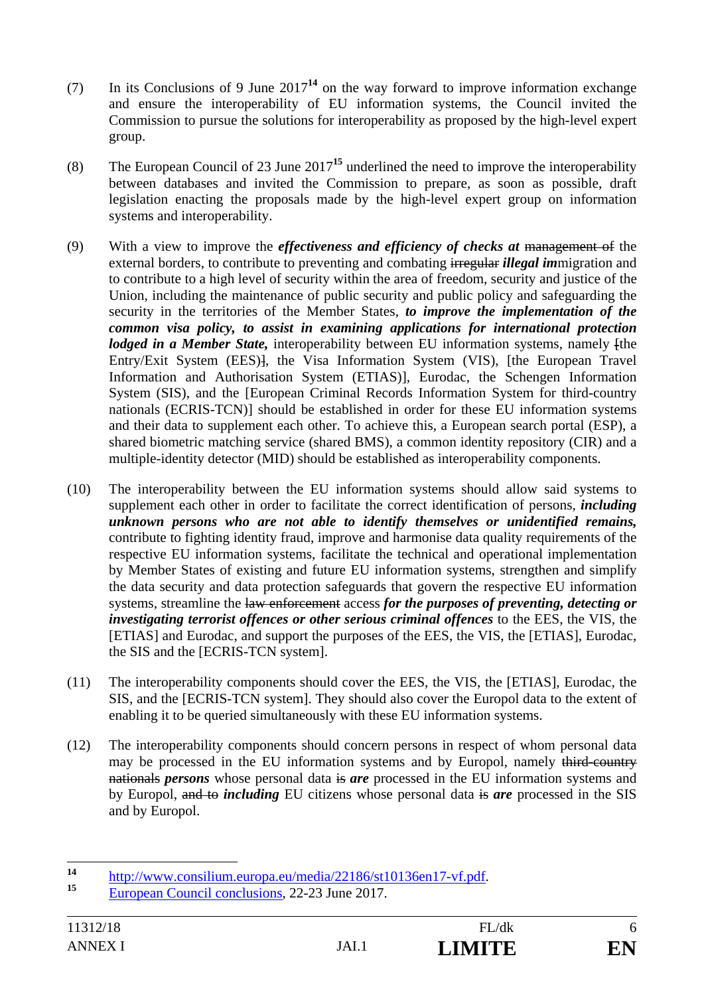- (7) In its Conclusions of 9 June 2017**<sup>14</sup>** on the way forward to improve information exchange and ensure the interoperability of EU information systems, the Council invited the Commission to pursue the solutions for interoperability as proposed by the high-level expert group.
- (8) The European Council of 23 June 2017**<sup>15</sup>** underlined the need to improve the interoperability between databases and invited the Commission to prepare, as soon as possible, draft legislation enacting the proposals made by the high-level expert group on information systems and interoperability.
- (9) With a view to improve the *effectiveness and efficiency of checks at* management of the external borders, to contribute to preventing and combating irregular *illegal im*migration and to contribute to a high level of security within the area of freedom, security and justice of the Union, including the maintenance of public security and public policy and safeguarding the security in the territories of the Member States, *to improve the implementation of the common visa policy, to assist in examining applications for international protection lodged in a Member State*, interoperability between EU information systems, namely *fthe* Entry/Exit System (EES)], the Visa Information System (VIS), [the European Travel Information and Authorisation System (ETIAS)], Eurodac, the Schengen Information System (SIS), and the [European Criminal Records Information System for third-country nationals (ECRIS-TCN)] should be established in order for these EU information systems and their data to supplement each other. To achieve this, a European search portal (ESP), a shared biometric matching service (shared BMS), a common identity repository (CIR) and a multiple-identity detector (MID) should be established as interoperability components.
- (10) The interoperability between the EU information systems should allow said systems to supplement each other in order to facilitate the correct identification of persons, *including unknown persons who are not able to identify themselves or unidentified remains,*  contribute to fighting identity fraud, improve and harmonise data quality requirements of the respective EU information systems, facilitate the technical and operational implementation by Member States of existing and future EU information systems, strengthen and simplify the data security and data protection safeguards that govern the respective EU information systems, streamline the law enforcement access *for the purposes of preventing, detecting or investigating terrorist offences or other serious criminal offences* to the EES, the VIS, the [ETIAS] and Eurodac, and support the purposes of the EES, the VIS, the [ETIAS], Eurodac, the SIS and the [ECRIS-TCN system].
- (11) The interoperability components should cover the EES, the VIS, the [ETIAS], Eurodac, the SIS, and the [ECRIS-TCN system]. They should also cover the Europol data to the extent of enabling it to be queried simultaneously with these EU information systems.
- (12) The interoperability components should concern persons in respect of whom personal data may be processed in the EU information systems and by Europol, namely third-country nationals *persons* whose personal data is *are* processed in the EU information systems and by Europol, and to *including* EU citizens whose personal data is *are* processed in the SIS and by Europol.

 $14$ 14 http://www.consilium.europa.eu/media/22186/st10136en17-vf.pdf.<br>
European Council conclusions, 22-23 June 2017.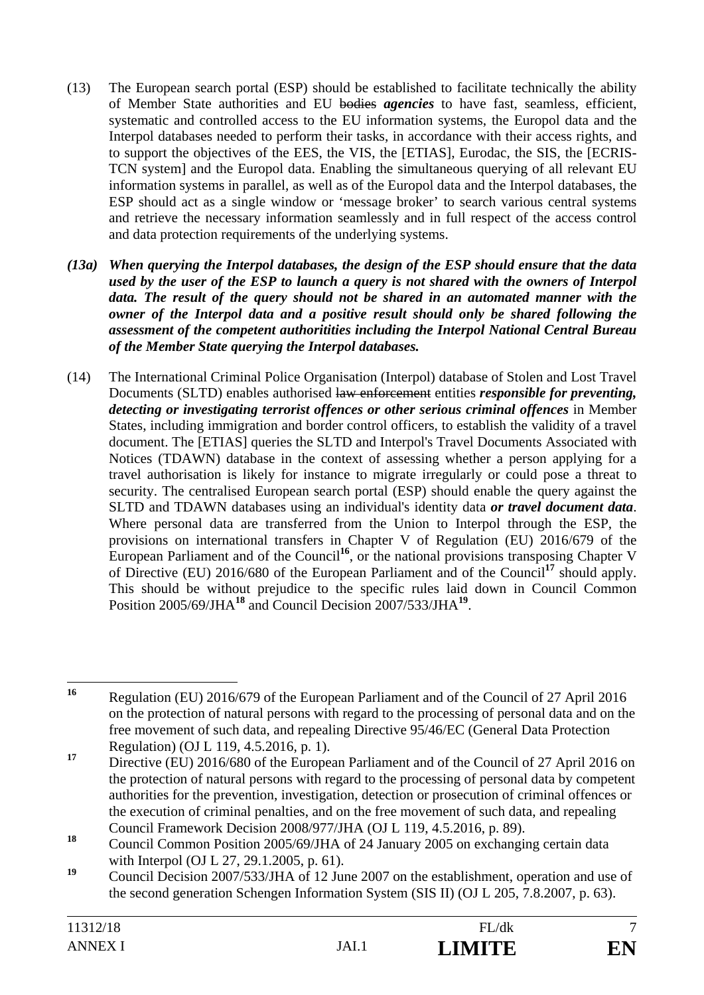- (13) The European search portal (ESP) should be established to facilitate technically the ability of Member State authorities and EU bodies *agencies* to have fast, seamless, efficient, systematic and controlled access to the EU information systems, the Europol data and the Interpol databases needed to perform their tasks, in accordance with their access rights, and to support the objectives of the EES, the VIS, the [ETIAS], Eurodac, the SIS, the [ECRIS-TCN system] and the Europol data. Enabling the simultaneous querying of all relevant EU information systems in parallel, as well as of the Europol data and the Interpol databases, the ESP should act as a single window or 'message broker' to search various central systems and retrieve the necessary information seamlessly and in full respect of the access control and data protection requirements of the underlying systems.
- *(13a) When querying the Interpol databases, the design of the ESP should ensure that the data used by the user of the ESP to launch a query is not shared with the owners of Interpol data. The result of the query should not be shared in an automated manner with the owner of the Interpol data and a positive result should only be shared following the assessment of the competent authoritities including the Interpol National Central Bureau of the Member State querying the Interpol databases.*
- (14) The International Criminal Police Organisation (Interpol) database of Stolen and Lost Travel Documents (SLTD) enables authorised law enforcement entities *responsible for preventing, detecting or investigating terrorist offences or other serious criminal offences* in Member States, including immigration and border control officers, to establish the validity of a travel document. The [ETIAS] queries the SLTD and Interpol's Travel Documents Associated with Notices (TDAWN) database in the context of assessing whether a person applying for a travel authorisation is likely for instance to migrate irregularly or could pose a threat to security. The centralised European search portal (ESP) should enable the query against the SLTD and TDAWN databases using an individual's identity data *or travel document data*. Where personal data are transferred from the Union to Interpol through the ESP, the provisions on international transfers in Chapter V of Regulation (EU) 2016/679 of the European Parliament and of the Council<sup>16</sup>, or the national provisions transposing Chapter V of Directive (EU) 2016/680 of the European Parliament and of the Council**<sup>17</sup>** should apply. This should be without prejudice to the specific rules laid down in Council Common Position 2005/69/JHA**<sup>18</sup>** and Council Decision 2007/533/JHA**<sup>19</sup>**.

 $16$ **<sup>16</sup>** Regulation (EU) 2016/679 of the European Parliament and of the Council of 27 April 2016 on the protection of natural persons with regard to the processing of personal data and on the free movement of such data, and repealing Directive 95/46/EC (General Data Protection Regulation) (OJ L 119, 4.5.2016, p. 1).

<sup>&</sup>lt;sup>17</sup> Directive (EU) 2016/680 of the European Parliament and of the Council of 27 April 2016 on the protection of natural persons with regard to the processing of personal data by competent authorities for the prevention, investigation, detection or prosecution of criminal offences or the execution of criminal penalties, and on the free movement of such data, and repealing Council Framework Decision 2008/977/JHA (OJ L 119, 4.5.2016, p. 89).

<sup>&</sup>lt;sup>18</sup> Council Common Position 2005/69/JHA of 24 January 2005 on exchanging certain data with Interpol (OJ L 27, 29.1.2005, p. 61).

<sup>&</sup>lt;sup>19</sup> Council Decision 2007/533/JHA of 12 June 2007 on the establishment, operation and use of the second generation Schengen Information System (SIS II) (OJ L 205, 7.8.2007, p. 63).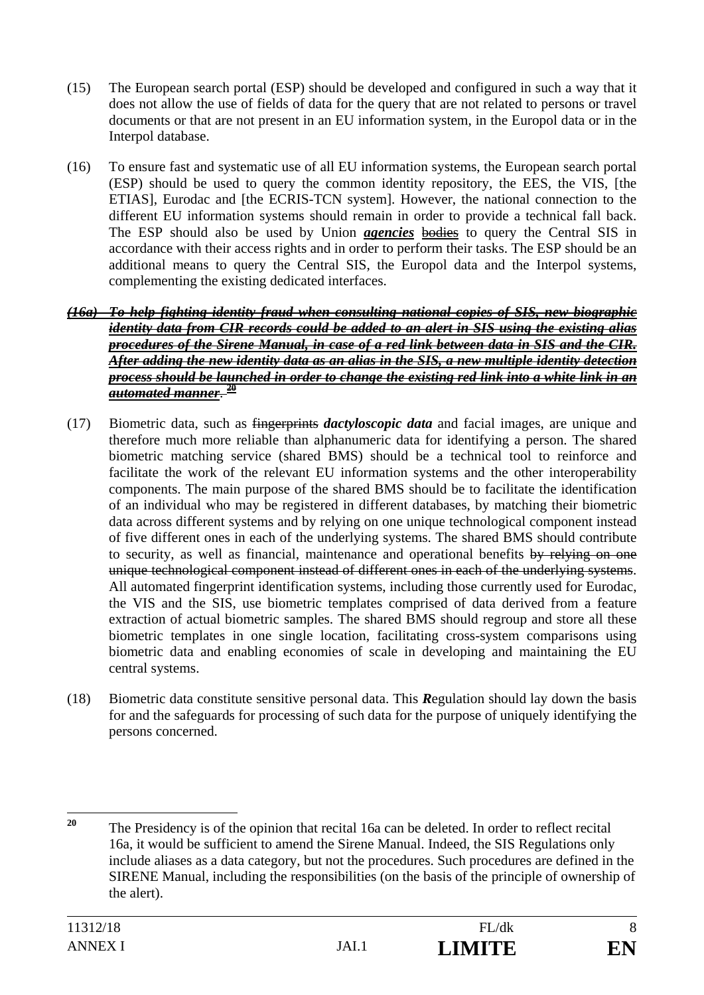- (15) The European search portal (ESP) should be developed and configured in such a way that it does not allow the use of fields of data for the query that are not related to persons or travel documents or that are not present in an EU information system, in the Europol data or in the Interpol database.
- (16) To ensure fast and systematic use of all EU information systems, the European search portal (ESP) should be used to query the common identity repository, the EES, the VIS, [the ETIAS], Eurodac and [the ECRIS-TCN system]. However, the national connection to the different EU information systems should remain in order to provide a technical fall back. The ESP should also be used by Union *agencies* bodies to query the Central SIS in accordance with their access rights and in order to perform their tasks. The ESP should be an additional means to query the Central SIS, the Europol data and the Interpol systems, complementing the existing dedicated interfaces.

#### *(16a) To help fighting identity fraud when consulting national copies of SIS, new biographic identity data from CIR records could be added to an alert in SIS using the existing alias procedures of the Sirene Manual, in case of a red link between data in SIS and the CIR. After adding the new identity data as an alias in the SIS, a new multiple identity detection process should be launched in order to change the existing red link into a white link in an automated manner*. **<sup>20</sup>**

- (17) Biometric data, such as fingerprints *dactyloscopic data* and facial images, are unique and therefore much more reliable than alphanumeric data for identifying a person. The shared biometric matching service (shared BMS) should be a technical tool to reinforce and facilitate the work of the relevant EU information systems and the other interoperability components. The main purpose of the shared BMS should be to facilitate the identification of an individual who may be registered in different databases, by matching their biometric data across different systems and by relying on one unique technological component instead of five different ones in each of the underlying systems. The shared BMS should contribute to security, as well as financial, maintenance and operational benefits by relying on one unique technological component instead of different ones in each of the underlying systems. All automated fingerprint identification systems, including those currently used for Eurodac, the VIS and the SIS, use biometric templates comprised of data derived from a feature extraction of actual biometric samples. The shared BMS should regroup and store all these biometric templates in one single location, facilitating cross-system comparisons using biometric data and enabling economies of scale in developing and maintaining the EU central systems.
- (18) Biometric data constitute sensitive personal data. This *R*egulation should lay down the basis for and the safeguards for processing of such data for the purpose of uniquely identifying the persons concerned.

 $20$ **<sup>20</sup>** The Presidency is of the opinion that recital 16a can be deleted. In order to reflect recital 16a, it would be sufficient to amend the Sirene Manual. Indeed, the SIS Regulations only include aliases as a data category, but not the procedures. Such procedures are defined in the SIRENE Manual, including the responsibilities (on the basis of the principle of ownership of the alert).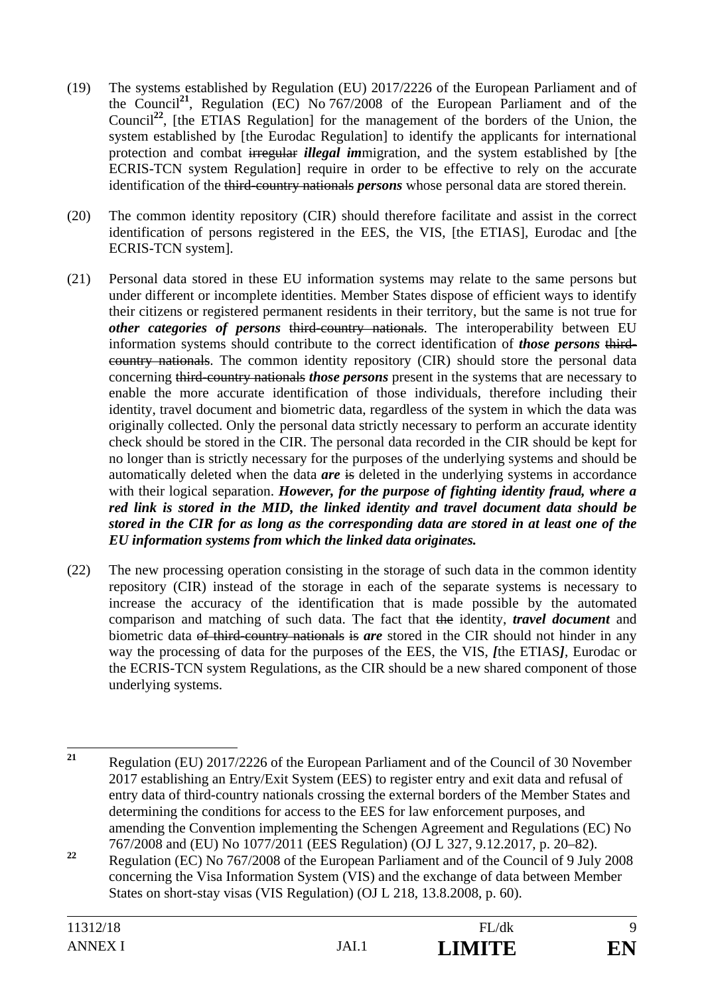- (19) The systems established by Regulation (EU) 2017/2226 of the European Parliament and of the Council**<sup>21</sup>**, Regulation (EC) No 767/2008 of the European Parliament and of the Council<sup>22</sup>, [the ETIAS Regulation] for the management of the borders of the Union, the system established by [the Eurodac Regulation] to identify the applicants for international protection and combat irregular *illegal im*migration, and the system established by [the ECRIS-TCN system Regulation] require in order to be effective to rely on the accurate identification of the third-country nationals *persons* whose personal data are stored therein.
- (20) The common identity repository (CIR) should therefore facilitate and assist in the correct identification of persons registered in the EES, the VIS, [the ETIAS], Eurodac and [the ECRIS-TCN system].
- (21) Personal data stored in these EU information systems may relate to the same persons but under different or incomplete identities. Member States dispose of efficient ways to identify their citizens or registered permanent residents in their territory, but the same is not true for *other categories of persons* third-country nationals. The interoperability between EU information systems should contribute to the correct identification of *those persons* thirdcountry nationals. The common identity repository (CIR) should store the personal data concerning third-country nationals *those persons* present in the systems that are necessary to enable the more accurate identification of those individuals, therefore including their identity, travel document and biometric data, regardless of the system in which the data was originally collected. Only the personal data strictly necessary to perform an accurate identity check should be stored in the CIR. The personal data recorded in the CIR should be kept for no longer than is strictly necessary for the purposes of the underlying systems and should be automatically deleted when the data *are* is deleted in the underlying systems in accordance with their logical separation. *However, for the purpose of fighting identity fraud, where a red link is stored in the MID, the linked identity and travel document data should be stored in the CIR for as long as the corresponding data are stored in at least one of the EU information systems from which the linked data originates.*
- (22) The new processing operation consisting in the storage of such data in the common identity repository (CIR) instead of the storage in each of the separate systems is necessary to increase the accuracy of the identification that is made possible by the automated comparison and matching of such data. The fact that the identity, *travel document* and biometric data of third-country nationals is *are* stored in the CIR should not hinder in any way the processing of data for the purposes of the EES, the VIS, *[*the ETIAS*]*, Eurodac or the ECRIS-TCN system Regulations, as the CIR should be a new shared component of those underlying systems.

 $21$ **<sup>21</sup>** Regulation (EU) 2017/2226 of the European Parliament and of the Council of 30 November 2017 establishing an Entry/Exit System (EES) to register entry and exit data and refusal of entry data of third-country nationals crossing the external borders of the Member States and determining the conditions for access to the EES for law enforcement purposes, and amending the Convention implementing the Schengen Agreement and Regulations (EC) No 767/2008 and (EU) No 1077/2011 (EES Regulation) (OJ L 327, 9.12.2017, p. 20–82).

**<sup>22</sup>** Regulation (EC) No 767/2008 of the European Parliament and of the Council of 9 July 2008 concerning the Visa Information System (VIS) and the exchange of data between Member States on short-stay visas (VIS Regulation) (OJ L 218, 13.8.2008, p. 60).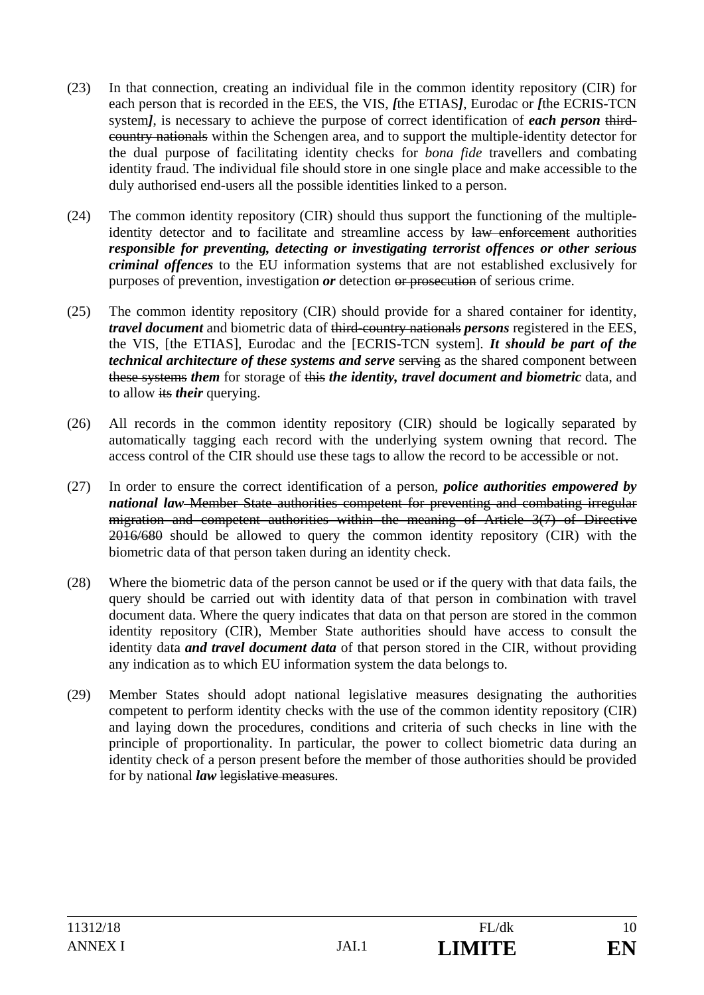- (23) In that connection, creating an individual file in the common identity repository (CIR) for each person that is recorded in the EES, the VIS, *[*the ETIAS*]*, Eurodac or *[*the ECRIS-TCN system*]*, is necessary to achieve the purpose of correct identification of *each person* thirdcountry nationals within the Schengen area, and to support the multiple-identity detector for the dual purpose of facilitating identity checks for *bona fide* travellers and combating identity fraud. The individual file should store in one single place and make accessible to the duly authorised end-users all the possible identities linked to a person.
- (24) The common identity repository (CIR) should thus support the functioning of the multipleidentity detector and to facilitate and streamline access by law enforcement authorities *responsible for preventing, detecting or investigating terrorist offences or other serious criminal offences* to the EU information systems that are not established exclusively for purposes of prevention, investigation *or* detection or prosecution of serious crime.
- (25) The common identity repository (CIR) should provide for a shared container for identity, *travel document* and biometric data of third-country nationals *persons* registered in the EES, the VIS, [the ETIAS], Eurodac and the [ECRIS-TCN system]. *It should be part of the technical architecture of these systems and serve serving as the shared component between* these systems *them* for storage of this *the identity, travel document and biometric* data, and to allow its *their* querying.
- (26) All records in the common identity repository (CIR) should be logically separated by automatically tagging each record with the underlying system owning that record. The access control of the CIR should use these tags to allow the record to be accessible or not.
- (27) In order to ensure the correct identification of a person, *police authorities empowered by national law* Member State authorities competent for preventing and combating irregular migration and competent authorities within the meaning of Article 3(7) of Directive 2016/680 should be allowed to query the common identity repository (CIR) with the biometric data of that person taken during an identity check.
- (28) Where the biometric data of the person cannot be used or if the query with that data fails, the query should be carried out with identity data of that person in combination with travel document data. Where the query indicates that data on that person are stored in the common identity repository (CIR), Member State authorities should have access to consult the identity data *and travel document data* of that person stored in the CIR, without providing any indication as to which EU information system the data belongs to.
- (29) Member States should adopt national legislative measures designating the authorities competent to perform identity checks with the use of the common identity repository (CIR) and laying down the procedures, conditions and criteria of such checks in line with the principle of proportionality. In particular, the power to collect biometric data during an identity check of a person present before the member of those authorities should be provided for by national *law* legislative measures.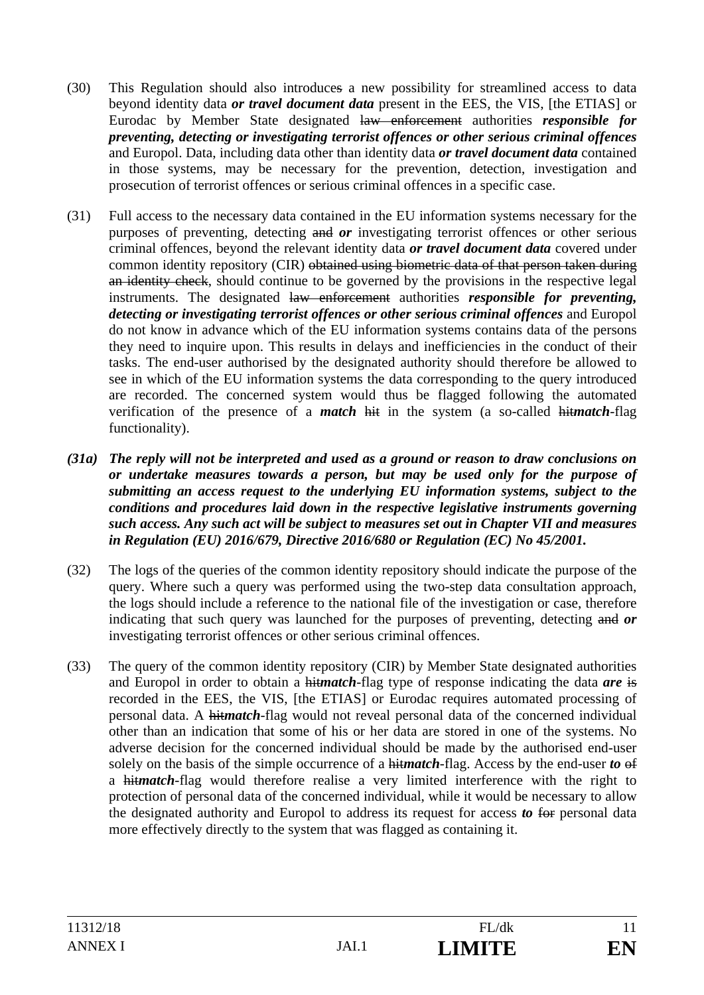- (30) This Regulation should also introduces a new possibility for streamlined access to data beyond identity data *or travel document data* present in the EES, the VIS, [the ETIAS] or Eurodac by Member State designated law enforcement authorities *responsible for preventing, detecting or investigating terrorist offences or other serious criminal offences* and Europol. Data, including data other than identity data *or travel document data* contained in those systems, may be necessary for the prevention, detection, investigation and prosecution of terrorist offences or serious criminal offences in a specific case.
- (31) Full access to the necessary data contained in the EU information systems necessary for the purposes of preventing, detecting and *or* investigating terrorist offences or other serious criminal offences, beyond the relevant identity data *or travel document data* covered under common identity repository (CIR) obtained using biometric data of that person taken during an identity check, should continue to be governed by the provisions in the respective legal instruments. The designated law enforcement authorities *responsible for preventing, detecting or investigating terrorist offences or other serious criminal offences* and Europol do not know in advance which of the EU information systems contains data of the persons they need to inquire upon. This results in delays and inefficiencies in the conduct of their tasks. The end-user authorised by the designated authority should therefore be allowed to see in which of the EU information systems the data corresponding to the query introduced are recorded. The concerned system would thus be flagged following the automated verification of the presence of a *match* hit in the system (a so-called hit*match*-flag functionality).
- *(31a) The reply will not be interpreted and used as a ground or reason to draw conclusions on or undertake measures towards a person, but may be used only for the purpose of submitting an access request to the underlying EU information systems, subject to the conditions and procedures laid down in the respective legislative instruments governing such access. Any such act will be subject to measures set out in Chapter VII and measures in Regulation (EU) 2016/679, Directive 2016/680 or Regulation (EC) No 45/2001.*
- (32) The logs of the queries of the common identity repository should indicate the purpose of the query. Where such a query was performed using the two-step data consultation approach, the logs should include a reference to the national file of the investigation or case, therefore indicating that such query was launched for the purposes of preventing, detecting and *or* investigating terrorist offences or other serious criminal offences.
- (33) The query of the common identity repository (CIR) by Member State designated authorities and Europol in order to obtain a hit*match*-flag type of response indicating the data *are* is recorded in the EES, the VIS, [the ETIAS] or Eurodac requires automated processing of personal data. A hit*match*-flag would not reveal personal data of the concerned individual other than an indication that some of his or her data are stored in one of the systems. No adverse decision for the concerned individual should be made by the authorised end-user solely on the basis of the simple occurrence of a hit*match*-flag. Access by the end-user *to* of a hit*match*-flag would therefore realise a very limited interference with the right to protection of personal data of the concerned individual, while it would be necessary to allow the designated authority and Europol to address its request for access *to* for personal data more effectively directly to the system that was flagged as containing it.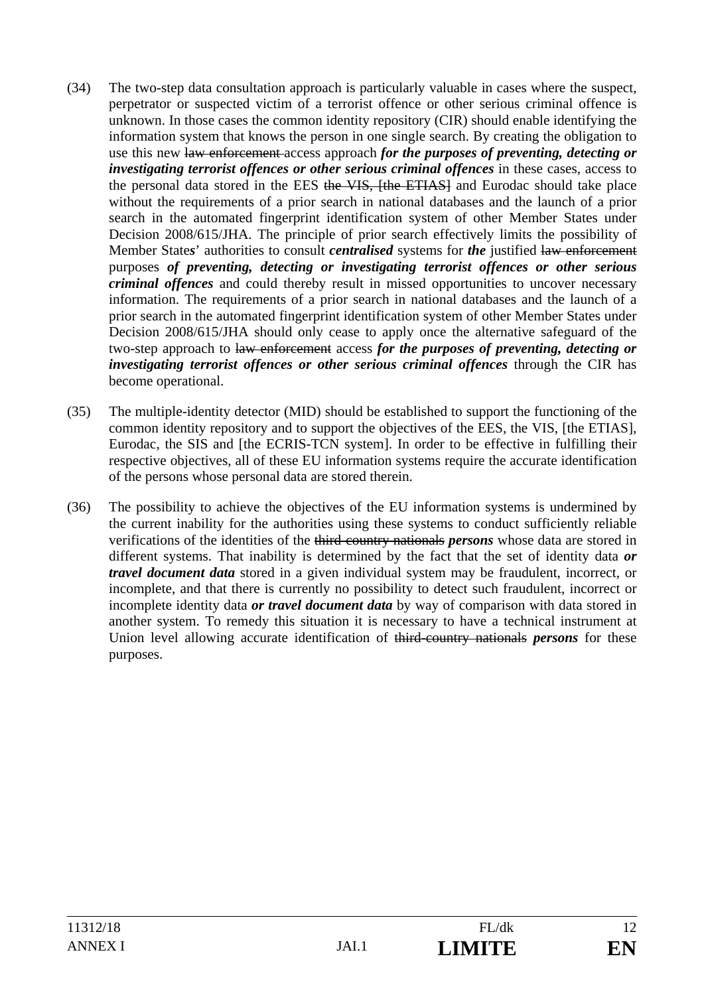- (34) The two-step data consultation approach is particularly valuable in cases where the suspect, perpetrator or suspected victim of a terrorist offence or other serious criminal offence is unknown. In those cases the common identity repository (CIR) should enable identifying the information system that knows the person in one single search. By creating the obligation to use this new law enforcement access approach *for the purposes of preventing, detecting or investigating terrorist offences or other serious criminal offences* in these cases, access to the personal data stored in the EES the VIS, [the ETIAS] and Eurodac should take place without the requirements of a prior search in national databases and the launch of a prior search in the automated fingerprint identification system of other Member States under Decision 2008/615/JHA. The principle of prior search effectively limits the possibility of Member State*s*' authorities to consult *centralised* systems for *the* justified law enforcement purposes *of preventing, detecting or investigating terrorist offences or other serious criminal offences* and could thereby result in missed opportunities to uncover necessary information. The requirements of a prior search in national databases and the launch of a prior search in the automated fingerprint identification system of other Member States under Decision 2008/615/JHA should only cease to apply once the alternative safeguard of the two-step approach to law enforcement access *for the purposes of preventing, detecting or investigating terrorist offences or other serious criminal offences* through the CIR has become operational.
- (35) The multiple-identity detector (MID) should be established to support the functioning of the common identity repository and to support the objectives of the EES, the VIS, [the ETIAS], Eurodac, the SIS and [the ECRIS-TCN system]. In order to be effective in fulfilling their respective objectives, all of these EU information systems require the accurate identification of the persons whose personal data are stored therein.
- (36) The possibility to achieve the objectives of the EU information systems is undermined by the current inability for the authorities using these systems to conduct sufficiently reliable verifications of the identities of the third-country nationals *persons* whose data are stored in different systems. That inability is determined by the fact that the set of identity data *or travel document data* stored in a given individual system may be fraudulent, incorrect, or incomplete, and that there is currently no possibility to detect such fraudulent, incorrect or incomplete identity data *or travel document data* by way of comparison with data stored in another system. To remedy this situation it is necessary to have a technical instrument at Union level allowing accurate identification of third-country nationals *persons* for these purposes.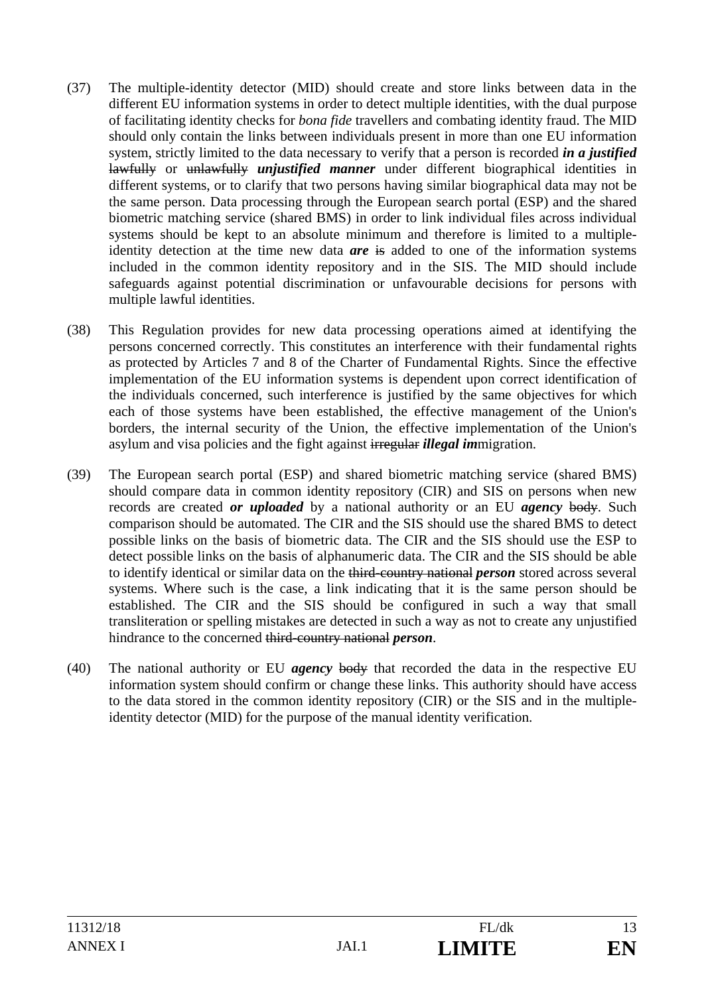- (37) The multiple-identity detector (MID) should create and store links between data in the different EU information systems in order to detect multiple identities, with the dual purpose of facilitating identity checks for *bona fide* travellers and combating identity fraud. The MID should only contain the links between individuals present in more than one EU information system, strictly limited to the data necessary to verify that a person is recorded *in a justified*  lawfully or unlawfully *unjustified manner* under different biographical identities in different systems, or to clarify that two persons having similar biographical data may not be the same person. Data processing through the European search portal (ESP) and the shared biometric matching service (shared BMS) in order to link individual files across individual systems should be kept to an absolute minimum and therefore is limited to a multipleidentity detection at the time new data *are* is added to one of the information systems included in the common identity repository and in the SIS. The MID should include safeguards against potential discrimination or unfavourable decisions for persons with multiple lawful identities.
- (38) This Regulation provides for new data processing operations aimed at identifying the persons concerned correctly. This constitutes an interference with their fundamental rights as protected by Articles 7 and 8 of the Charter of Fundamental Rights. Since the effective implementation of the EU information systems is dependent upon correct identification of the individuals concerned, such interference is justified by the same objectives for which each of those systems have been established, the effective management of the Union's borders, the internal security of the Union, the effective implementation of the Union's asylum and visa policies and the fight against irregular *illegal im*migration.
- (39) The European search portal (ESP) and shared biometric matching service (shared BMS) should compare data in common identity repository (CIR) and SIS on persons when new records are created *or uploaded* by a national authority or an EU *agency* body. Such comparison should be automated. The CIR and the SIS should use the shared BMS to detect possible links on the basis of biometric data. The CIR and the SIS should use the ESP to detect possible links on the basis of alphanumeric data. The CIR and the SIS should be able to identify identical or similar data on the third-country national *person* stored across several systems. Where such is the case, a link indicating that it is the same person should be established. The CIR and the SIS should be configured in such a way that small transliteration or spelling mistakes are detected in such a way as not to create any unjustified hindrance to the concerned third-country national *person*.
- (40) The national authority or EU *agency* body that recorded the data in the respective EU information system should confirm or change these links. This authority should have access to the data stored in the common identity repository (CIR) or the SIS and in the multipleidentity detector (MID) for the purpose of the manual identity verification.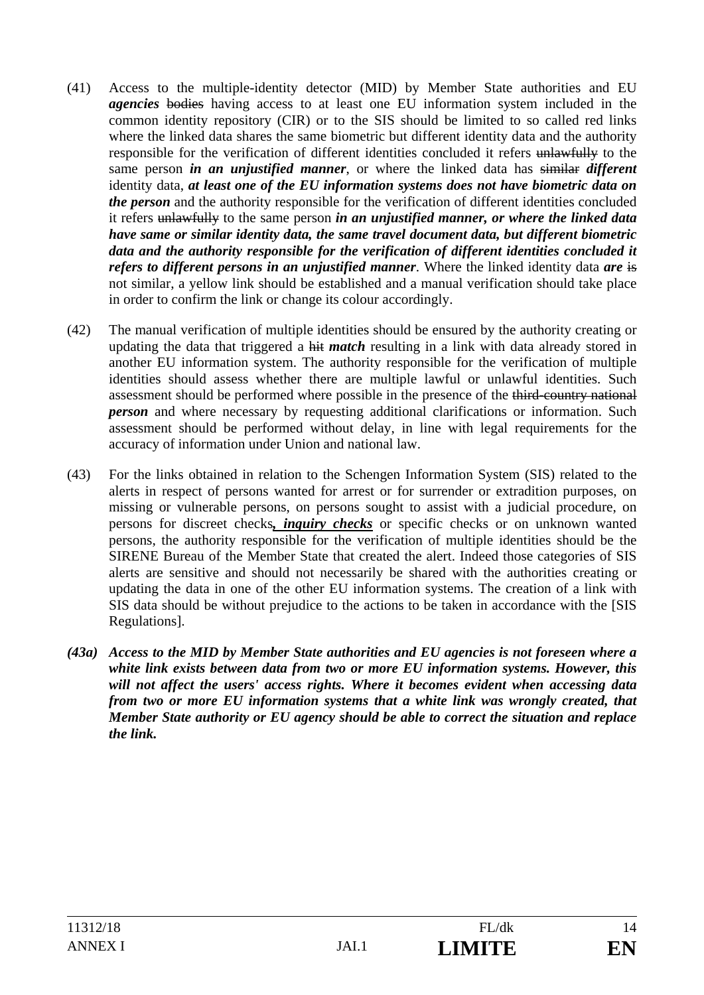- (41) Access to the multiple-identity detector (MID) by Member State authorities and EU *agencies* bodies having access to at least one EU information system included in the common identity repository (CIR) or to the SIS should be limited to so called red links where the linked data shares the same biometric but different identity data and the authority responsible for the verification of different identities concluded it refers unlawfully to the same person *in an unjustified manner*, or where the linked data has similar *different*  identity data, *at least one of the EU information systems does not have biometric data on the person* and the authority responsible for the verification of different identities concluded it refers unlawfully to the same person *in an unjustified manner, or where the linked data have same or similar identity data, the same travel document data, but different biometric data and the authority responsible for the verification of different identities concluded it refers to different persons in an unjustified manner*. Where the linked identity data *are* is not similar, a yellow link should be established and a manual verification should take place in order to confirm the link or change its colour accordingly.
- (42) The manual verification of multiple identities should be ensured by the authority creating or updating the data that triggered a hit *match* resulting in a link with data already stored in another EU information system. The authority responsible for the verification of multiple identities should assess whether there are multiple lawful or unlawful identities. Such assessment should be performed where possible in the presence of the third-country national *person* and where necessary by requesting additional clarifications or information. Such assessment should be performed without delay, in line with legal requirements for the accuracy of information under Union and national law.
- (43) For the links obtained in relation to the Schengen Information System (SIS) related to the alerts in respect of persons wanted for arrest or for surrender or extradition purposes, on missing or vulnerable persons, on persons sought to assist with a judicial procedure, on persons for discreet checks*, inquiry checks* or specific checks or on unknown wanted persons, the authority responsible for the verification of multiple identities should be the SIRENE Bureau of the Member State that created the alert. Indeed those categories of SIS alerts are sensitive and should not necessarily be shared with the authorities creating or updating the data in one of the other EU information systems. The creation of a link with SIS data should be without prejudice to the actions to be taken in accordance with the [SIS Regulations].
- *(43a) Access to the MID by Member State authorities and EU agencies is not foreseen where a white link exists between data from two or more EU information systems. However, this will not affect the users' access rights. Where it becomes evident when accessing data from two or more EU information systems that a white link was wrongly created, that Member State authority or EU agency should be able to correct the situation and replace the link.*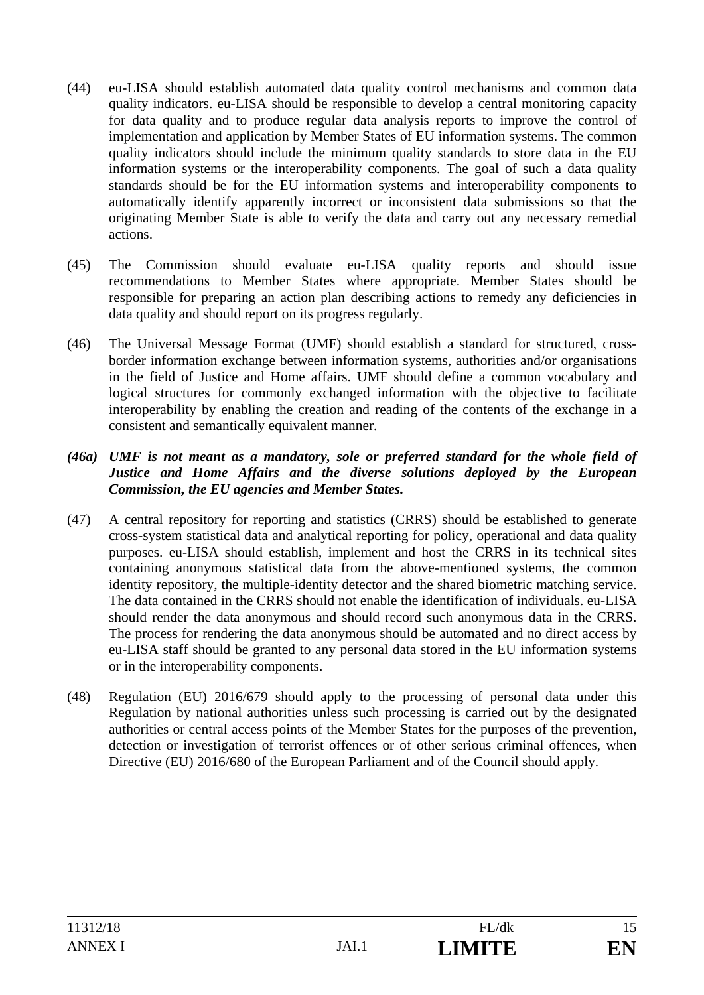- (44) eu-LISA should establish automated data quality control mechanisms and common data quality indicators. eu-LISA should be responsible to develop a central monitoring capacity for data quality and to produce regular data analysis reports to improve the control of implementation and application by Member States of EU information systems. The common quality indicators should include the minimum quality standards to store data in the EU information systems or the interoperability components. The goal of such a data quality standards should be for the EU information systems and interoperability components to automatically identify apparently incorrect or inconsistent data submissions so that the originating Member State is able to verify the data and carry out any necessary remedial actions.
- (45) The Commission should evaluate eu-LISA quality reports and should issue recommendations to Member States where appropriate. Member States should be responsible for preparing an action plan describing actions to remedy any deficiencies in data quality and should report on its progress regularly.
- (46) The Universal Message Format (UMF) should establish a standard for structured, crossborder information exchange between information systems, authorities and/or organisations in the field of Justice and Home affairs. UMF should define a common vocabulary and logical structures for commonly exchanged information with the objective to facilitate interoperability by enabling the creation and reading of the contents of the exchange in a consistent and semantically equivalent manner.

#### *(46a) UMF is not meant as a mandatory, sole or preferred standard for the whole field of Justice and Home Affairs and the diverse solutions deployed by the European Commission, the EU agencies and Member States.*

- (47) A central repository for reporting and statistics (CRRS) should be established to generate cross-system statistical data and analytical reporting for policy, operational and data quality purposes. eu-LISA should establish, implement and host the CRRS in its technical sites containing anonymous statistical data from the above-mentioned systems, the common identity repository, the multiple-identity detector and the shared biometric matching service. The data contained in the CRRS should not enable the identification of individuals. eu-LISA should render the data anonymous and should record such anonymous data in the CRRS. The process for rendering the data anonymous should be automated and no direct access by eu-LISA staff should be granted to any personal data stored in the EU information systems or in the interoperability components.
- (48) Regulation (EU) 2016/679 should apply to the processing of personal data under this Regulation by national authorities unless such processing is carried out by the designated authorities or central access points of the Member States for the purposes of the prevention, detection or investigation of terrorist offences or of other serious criminal offences, when Directive (EU) 2016/680 of the European Parliament and of the Council should apply.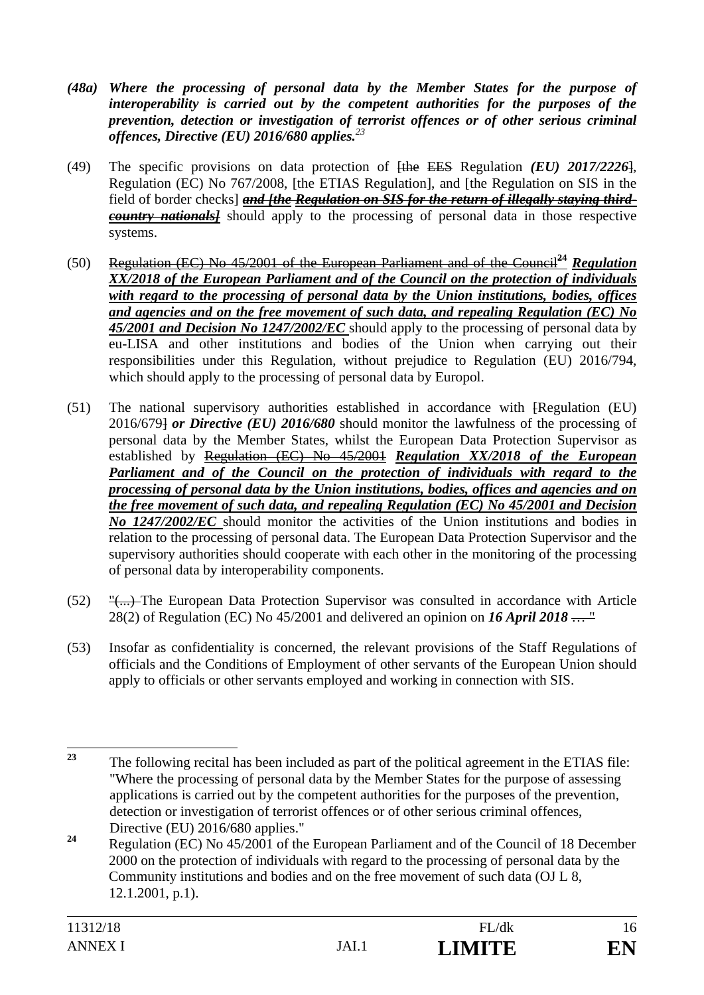- *(48a) Where the processing of personal data by the Member States for the purpose of interoperability is carried out by the competent authorities for the purposes of the prevention, detection or investigation of terrorist offences or of other serious criminal offences, Directive (EU) 2016/680 applies.<sup>23</sup>*
- (49) The specific provisions on data protection of [the EES Regulation *(EU) 2017/2226*], Regulation (EC) No 767/2008, [the ETIAS Regulation], and [the Regulation on SIS in the field of border checks] *and [the Regulation on SIS for the return of illegally staying thirdcountry nationals]* should apply to the processing of personal data in those respective systems.
- (50) Regulation (EC) No 45/2001 of the European Parliament and of the Council**<sup>24</sup>** *Regulation XX/2018 of the European Parliament and of the Council on the protection of individuals with regard to the processing of personal data by the Union institutions, bodies, offices and agencies and on the free movement of such data, and repealing Regulation (EC) No 45/2001 and Decision No 1247/2002/EC* should apply to the processing of personal data by eu-LISA and other institutions and bodies of the Union when carrying out their responsibilities under this Regulation, without prejudice to Regulation (EU) 2016/794, which should apply to the processing of personal data by Europol.
- (51) The national supervisory authorities established in accordance with [Regulation (EU) 2016/679] *or Directive (EU) 2016/680* should monitor the lawfulness of the processing of personal data by the Member States, whilst the European Data Protection Supervisor as established by Regulation (EC) No 45/2001 *Regulation XX/2018 of the European Parliament and of the Council on the protection of individuals with regard to the processing of personal data by the Union institutions, bodies, offices and agencies and on the free movement of such data, and repealing Regulation (EC) No 45/2001 and Decision No 1247/2002/EC* should monitor the activities of the Union institutions and bodies in relation to the processing of personal data. The European Data Protection Supervisor and the supervisory authorities should cooperate with each other in the monitoring of the processing of personal data by interoperability components.
- (52) "(...) The European Data Protection Supervisor was consulted in accordance with Article 28(2) of Regulation (EC) No 45/2001 and delivered an opinion on *16 April 2018* … "
- (53) Insofar as confidentiality is concerned, the relevant provisions of the Staff Regulations of officials and the Conditions of Employment of other servants of the European Union should apply to officials or other servants employed and working in connection with SIS.

<sup>23</sup> **<sup>23</sup>** The following recital has been included as part of the political agreement in the ETIAS file: "Where the processing of personal data by the Member States for the purpose of assessing applications is carried out by the competent authorities for the purposes of the prevention, detection or investigation of terrorist offences or of other serious criminal offences, Directive (EU) 2016/680 applies."

**<sup>24</sup>** Regulation (EC) No 45/2001 of the European Parliament and of the Council of 18 December 2000 on the protection of individuals with regard to the processing of personal data by the Community institutions and bodies and on the free movement of such data (OJ L 8, 12.1.2001, p.1).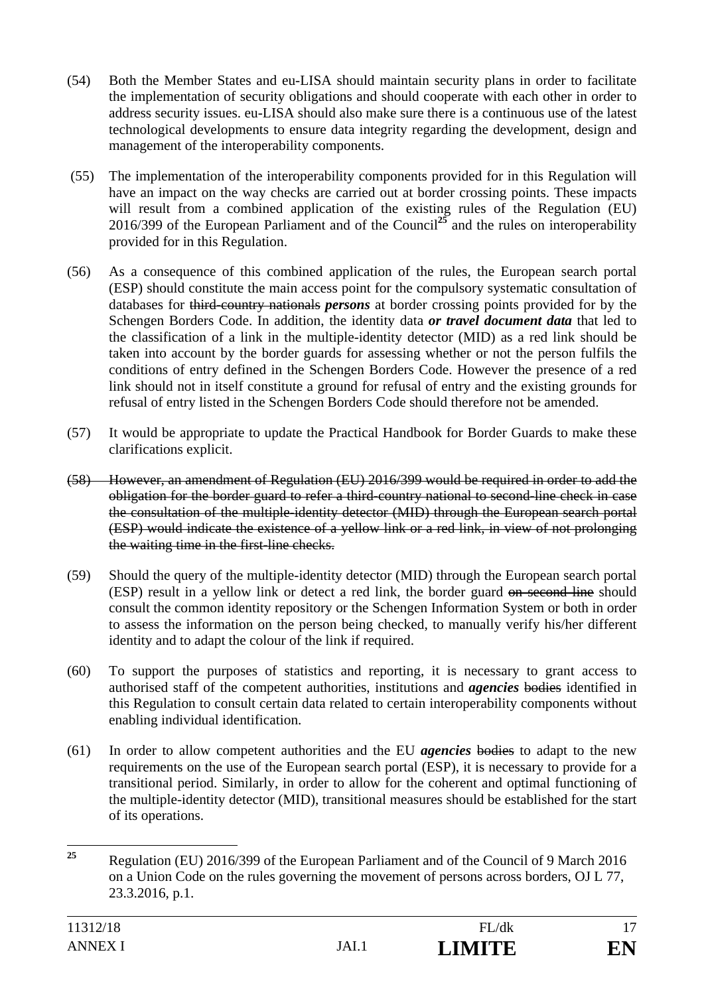- (54) Both the Member States and eu-LISA should maintain security plans in order to facilitate the implementation of security obligations and should cooperate with each other in order to address security issues. eu-LISA should also make sure there is a continuous use of the latest technological developments to ensure data integrity regarding the development, design and management of the interoperability components.
- (55) The implementation of the interoperability components provided for in this Regulation will have an impact on the way checks are carried out at border crossing points. These impacts will result from a combined application of the existing rules of the Regulation (EU) 2016/399 of the European Parliament and of the Council**<sup>25</sup>** and the rules on interoperability provided for in this Regulation.
- (56) As a consequence of this combined application of the rules, the European search portal (ESP) should constitute the main access point for the compulsory systematic consultation of databases for third-country nationals *persons* at border crossing points provided for by the Schengen Borders Code. In addition, the identity data *or travel document data* that led to the classification of a link in the multiple-identity detector (MID) as a red link should be taken into account by the border guards for assessing whether or not the person fulfils the conditions of entry defined in the Schengen Borders Code. However the presence of a red link should not in itself constitute a ground for refusal of entry and the existing grounds for refusal of entry listed in the Schengen Borders Code should therefore not be amended.
- (57) It would be appropriate to update the Practical Handbook for Border Guards to make these clarifications explicit.
- (58) However, an amendment of Regulation (EU) 2016/399 would be required in order to add the obligation for the border guard to refer a third-country national to second-line check in case the consultation of the multiple-identity detector (MID) through the European search portal (ESP) would indicate the existence of a yellow link or a red link, in view of not prolonging the waiting time in the first-line checks.
- (59) Should the query of the multiple-identity detector (MID) through the European search portal (ESP) result in a yellow link or detect a red link, the border guard on second line should consult the common identity repository or the Schengen Information System or both in order to assess the information on the person being checked, to manually verify his/her different identity and to adapt the colour of the link if required.
- (60) To support the purposes of statistics and reporting, it is necessary to grant access to authorised staff of the competent authorities, institutions and *agencies* bodies identified in this Regulation to consult certain data related to certain interoperability components without enabling individual identification.
- (61) In order to allow competent authorities and the EU *agencies* bodies to adapt to the new requirements on the use of the European search portal (ESP), it is necessary to provide for a transitional period. Similarly, in order to allow for the coherent and optimal functioning of the multiple-identity detector (MID), transitional measures should be established for the start of its operations.

<sup>25</sup> **<sup>25</sup>** Regulation (EU) 2016/399 of the European Parliament and of the Council of 9 March 2016 on a Union Code on the rules governing the movement of persons across borders, OJ L 77, 23.3.2016, p.1.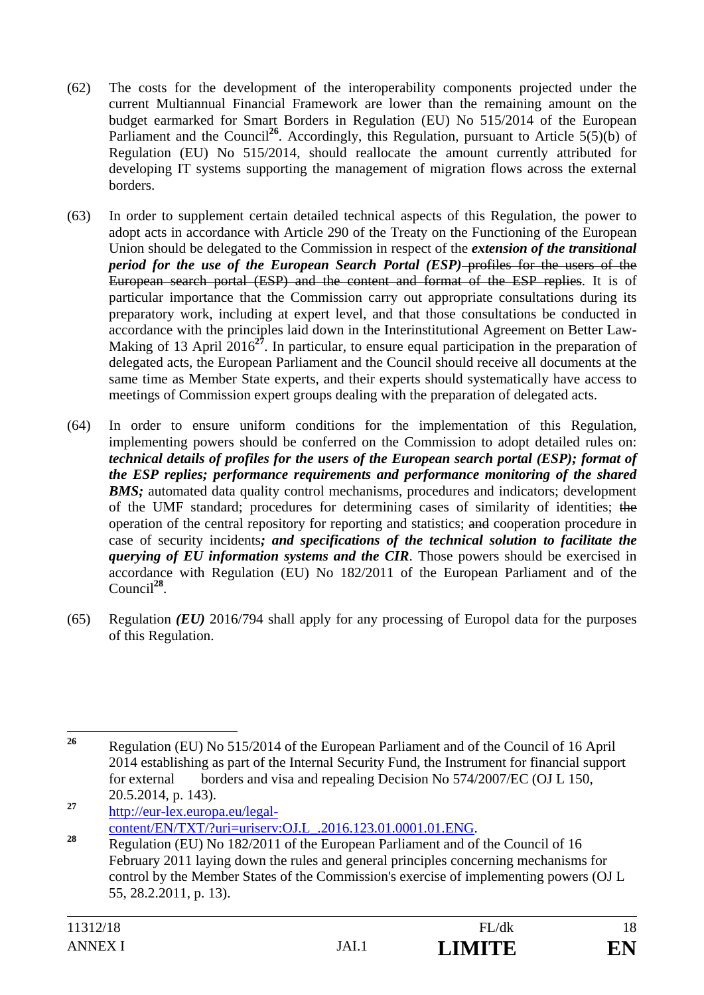- (62) The costs for the development of the interoperability components projected under the current Multiannual Financial Framework are lower than the remaining amount on the budget earmarked for Smart Borders in Regulation (EU) No 515/2014 of the European Parliament and the Council<sup>26</sup>. Accordingly, this Regulation, pursuant to Article 5(5)(b) of Regulation (EU) No 515/2014, should reallocate the amount currently attributed for developing IT systems supporting the management of migration flows across the external borders.
- (63) In order to supplement certain detailed technical aspects of this Regulation, the power to adopt acts in accordance with Article 290 of the Treaty on the Functioning of the European Union should be delegated to the Commission in respect of the *extension of the transitional period for the use of the European Search Portal (ESP)–profiles for the users of the* European search portal (ESP) and the content and format of the ESP replies. It is of particular importance that the Commission carry out appropriate consultations during its preparatory work, including at expert level, and that those consultations be conducted in accordance with the principles laid down in the Interinstitutional Agreement on Better Law-Making of 13 April 2016<sup>27</sup>. In particular, to ensure equal participation in the preparation of delegated acts, the European Parliament and the Council should receive all documents at the same time as Member State experts, and their experts should systematically have access to meetings of Commission expert groups dealing with the preparation of delegated acts.
- (64) In order to ensure uniform conditions for the implementation of this Regulation, implementing powers should be conferred on the Commission to adopt detailed rules on: *technical details of profiles for the users of the European search portal (ESP); format of the ESP replies; performance requirements and performance monitoring of the shared BMS*; automated data quality control mechanisms, procedures and indicators; development of the UMF standard; procedures for determining cases of similarity of identities; the operation of the central repository for reporting and statistics; and cooperation procedure in case of security incidents*; and specifications of the technical solution to facilitate the querying of EU information systems and the CIR*. Those powers should be exercised in accordance with Regulation (EU) No 182/2011 of the European Parliament and of the Council**<sup>28</sup>**.
- (65) Regulation *(EU)* 2016/794 shall apply for any processing of Europol data for the purposes of this Regulation.

**<sup>27</sup>** http://eur-lex.europa.eu/legal-

 $26$ **<sup>26</sup>** Regulation (EU) No 515/2014 of the European Parliament and of the Council of 16 April 2014 establishing as part of the Internal Security Fund, the Instrument for financial support for external borders and visa and repealing Decision No 574/2007/EC (OJ L 150, 20.5.2014, p. 143).

<sup>28</sup> content/EN/TXT/?uri=uriserv:OJ.L\_.2016.123.01.0001.01.ENG.<br>Regulation (EU) No 182/2011 of the European Parliament and of the Council of 16 February 2011 laying down the rules and general principles concerning mechanisms for control by the Member States of the Commission's exercise of implementing powers (OJ L 55, 28.2.2011, p. 13).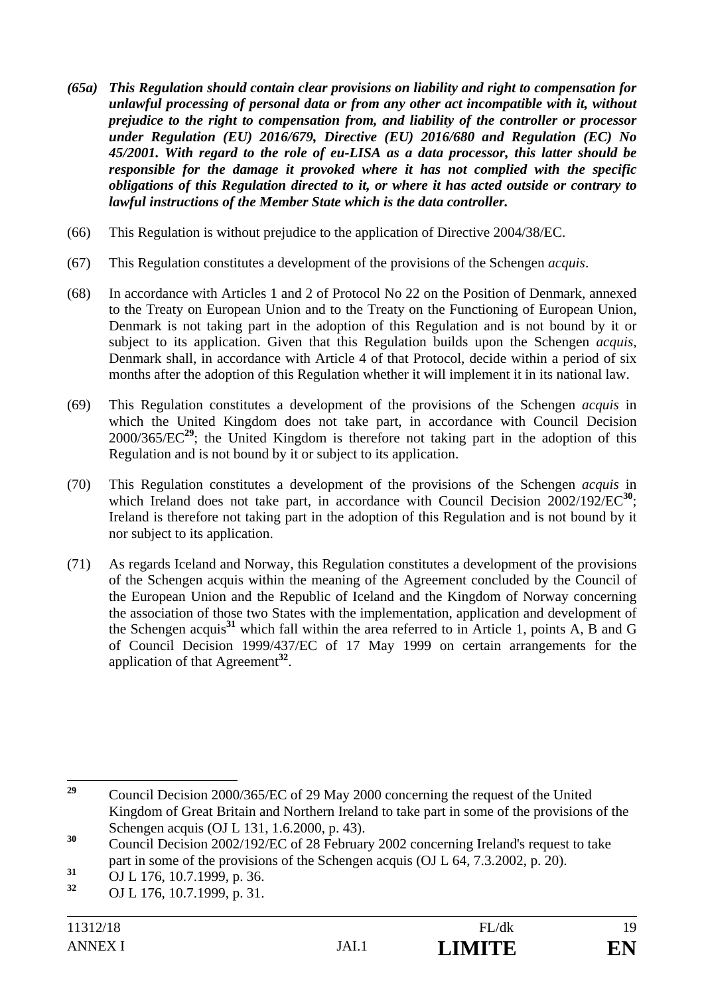- *(65a) This Regulation should contain clear provisions on liability and right to compensation for unlawful processing of personal data or from any other act incompatible with it, without prejudice to the right to compensation from, and liability of the controller or processor under Regulation (EU) 2016/679, Directive (EU) 2016/680 and Regulation (EC) No 45/2001. With regard to the role of eu-LISA as a data processor, this latter should be responsible for the damage it provoked where it has not complied with the specific obligations of this Regulation directed to it, or where it has acted outside or contrary to lawful instructions of the Member State which is the data controller.*
- (66) This Regulation is without prejudice to the application of Directive 2004/38/EC.
- (67) This Regulation constitutes a development of the provisions of the Schengen *acquis*.
- (68) In accordance with Articles 1 and 2 of Protocol No 22 on the Position of Denmark, annexed to the Treaty on European Union and to the Treaty on the Functioning of European Union, Denmark is not taking part in the adoption of this Regulation and is not bound by it or subject to its application. Given that this Regulation builds upon the Schengen *acquis*, Denmark shall, in accordance with Article 4 of that Protocol, decide within a period of six months after the adoption of this Regulation whether it will implement it in its national law.
- (69) This Regulation constitutes a development of the provisions of the Schengen *acquis* in which the United Kingdom does not take part, in accordance with Council Decision 2000/365/EC**<sup>29</sup>**; the United Kingdom is therefore not taking part in the adoption of this Regulation and is not bound by it or subject to its application.
- (70) This Regulation constitutes a development of the provisions of the Schengen *acquis* in which Ireland does not take part, in accordance with Council Decision 2002/192/EC<sup>30</sup>; Ireland is therefore not taking part in the adoption of this Regulation and is not bound by it nor subject to its application.
- (71) As regards Iceland and Norway, this Regulation constitutes a development of the provisions of the Schengen acquis within the meaning of the Agreement concluded by the Council of the European Union and the Republic of Iceland and the Kingdom of Norway concerning the association of those two States with the implementation, application and development of the Schengen acquis**<sup>31</sup>** which fall within the area referred to in Article 1, points A, B and G of Council Decision 1999/437/EC of 17 May 1999 on certain arrangements for the application of that Agreement**<sup>32</sup>**.

 $29$ **<sup>29</sup>** Council Decision 2000/365/EC of 29 May 2000 concerning the request of the United Kingdom of Great Britain and Northern Ireland to take part in some of the provisions of the Schengen acquis (OJ L 131, 1.6.2000, p. 43).

<sup>&</sup>lt;sup>30</sup> Council Decision 2002/192/EC of 28 February 2002 concerning Ireland's request to take part in some of the provisions of the Schengen acquis (OJ L 64, 7.3.2002, p. 20).

**<sup>31</sup>** OJ L 176, 10.7.1999, p. 36.

**<sup>32</sup>** OJ L 176, 10.7.1999, p. 31.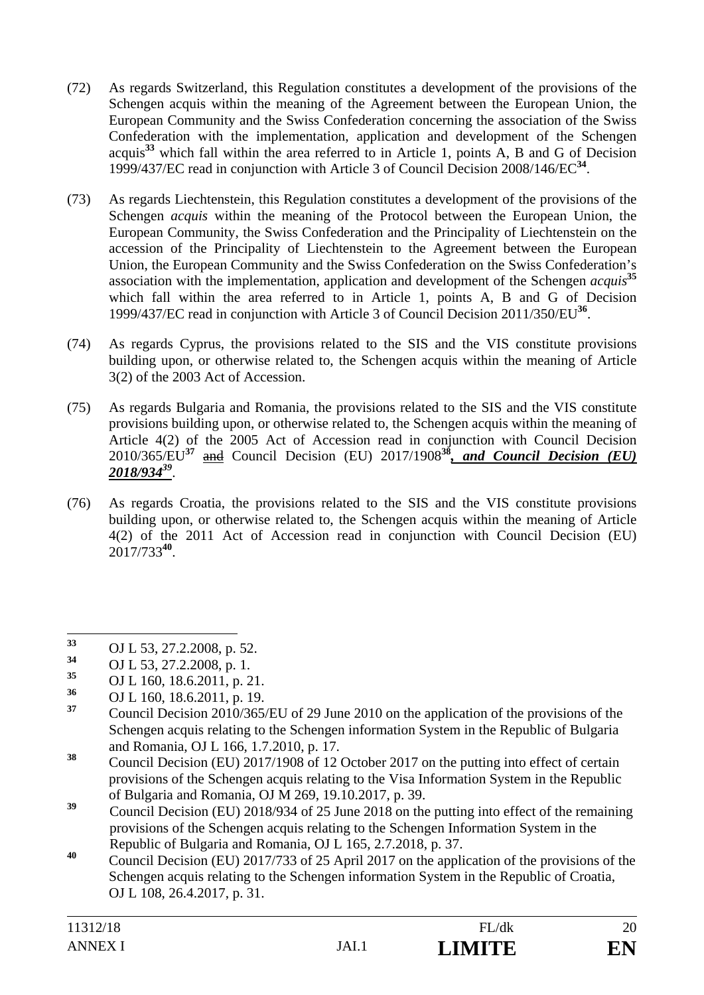- (72) As regards Switzerland, this Regulation constitutes a development of the provisions of the Schengen acquis within the meaning of the Agreement between the European Union, the European Community and the Swiss Confederation concerning the association of the Swiss Confederation with the implementation, application and development of the Schengen acquis**<sup>33</sup>** which fall within the area referred to in Article 1, points A, B and G of Decision 1999/437/EC read in conjunction with Article 3 of Council Decision 2008/146/EC**<sup>34</sup>**.
- (73) As regards Liechtenstein, this Regulation constitutes a development of the provisions of the Schengen *acquis* within the meaning of the Protocol between the European Union, the European Community, the Swiss Confederation and the Principality of Liechtenstein on the accession of the Principality of Liechtenstein to the Agreement between the European Union, the European Community and the Swiss Confederation on the Swiss Confederation's association with the implementation, application and development of the Schengen *acquis***<sup>35</sup>** which fall within the area referred to in Article 1, points A, B and G of Decision 1999/437/EC read in conjunction with Article 3 of Council Decision 2011/350/EU**<sup>36</sup>**.
- (74) As regards Cyprus, the provisions related to the SIS and the VIS constitute provisions building upon, or otherwise related to, the Schengen acquis within the meaning of Article 3(2) of the 2003 Act of Accession.
- (75) As regards Bulgaria and Romania, the provisions related to the SIS and the VIS constitute provisions building upon, or otherwise related to, the Schengen acquis within the meaning of Article 4(2) of the 2005 Act of Accession read in conjunction with Council Decision 2010/365/EU**<sup>37</sup>** and Council Decision (EU) 2017/1908**<sup>38</sup>***, and Council Decision (EU) 2018/93439*.
- (76) As regards Croatia, the provisions related to the SIS and the VIS constitute provisions building upon, or otherwise related to, the Schengen acquis within the meaning of Article 4(2) of the 2011 Act of Accession read in conjunction with Council Decision (EU) 2017/733**<sup>40</sup>**.

**<sup>36</sup>** OJ L 160, 18.6.2011, p. 19.

- **<sup>38</sup>** Council Decision (EU) 2017/1908 of 12 October 2017 on the putting into effect of certain provisions of the Schengen acquis relating to the Visa Information System in the Republic of Bulgaria and Romania, OJ M 269, 19.10.2017, p. 39.
- <sup>39</sup> Council Decision (EU) 2018/934 of 25 June 2018 on the putting into effect of the remaining provisions of the Schengen acquis relating to the Schengen Information System in the Republic of Bulgaria and Romania, OJ L 165, 2.7.2018, p. 37.
- **<sup>40</sup>** Council Decision (EU) 2017/733 of 25 April 2017 on the application of the provisions of the Schengen acquis relating to the Schengen information System in the Republic of Croatia, OJ L 108, 26.4.2017, p. 31.

 $33$ **<sup>33</sup>** OJ L 53, 27.2.2008, p. 52.

**<sup>34</sup>** OJ L 53, 27.2.2008, p. 1.

<sup>&</sup>lt;sup>35</sup> OJ L 160, 18.6.2011, p. 21.<br>
OJ L 160, 18.6.2011, p. 10

**<sup>37</sup>** Council Decision 2010/365/EU of 29 June 2010 on the application of the provisions of the Schengen acquis relating to the Schengen information System in the Republic of Bulgaria and Romania, OJ L 166, 1.7.2010, p. 17.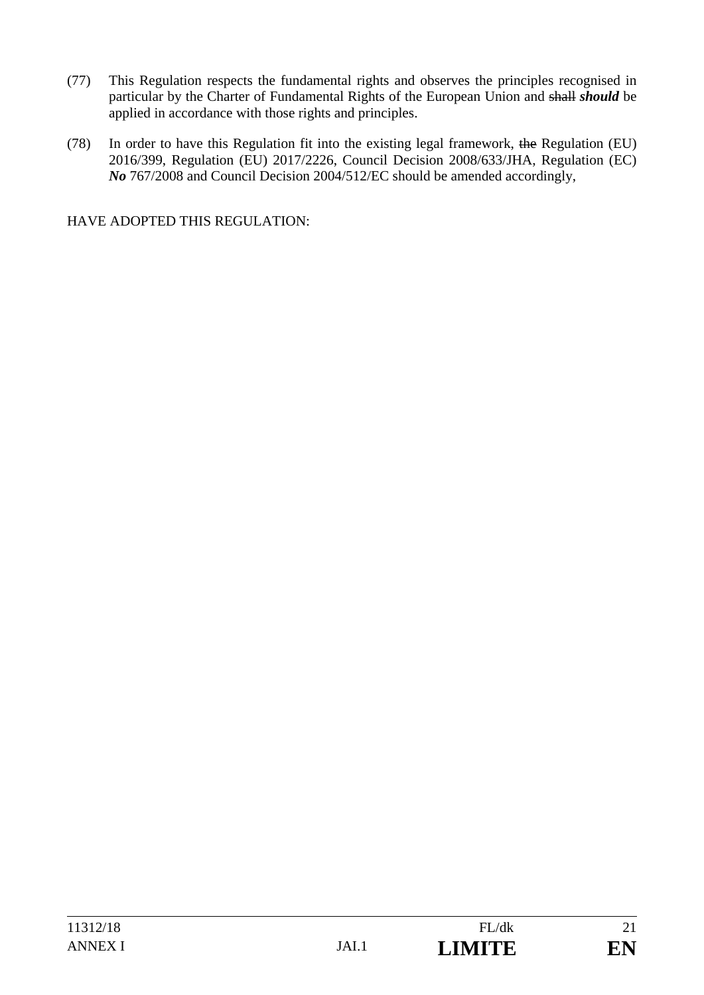- (77) This Regulation respects the fundamental rights and observes the principles recognised in particular by the Charter of Fundamental Rights of the European Union and shall *should* be applied in accordance with those rights and principles.
- (78) In order to have this Regulation fit into the existing legal framework, the Regulation (EU) 2016/399, Regulation (EU) 2017/2226, Council Decision 2008/633/JHA, Regulation (EC) *No* 767/2008 and Council Decision 2004/512/EC should be amended accordingly,

HAVE ADOPTED THIS REGULATION: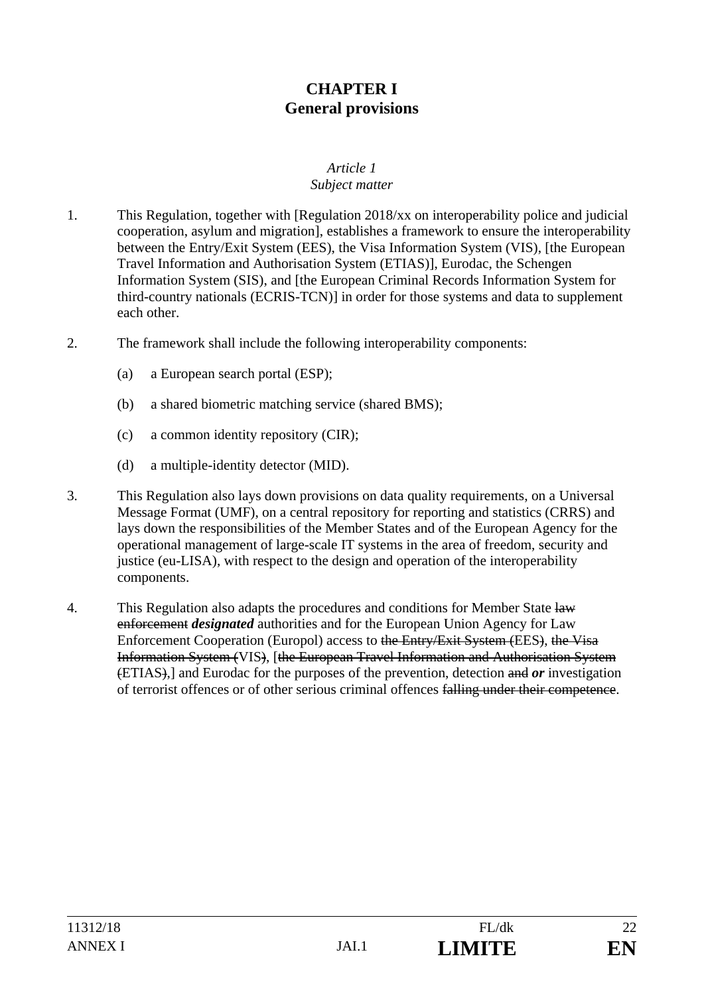# **CHAPTER I General provisions**

# *Article 1*

# *Subject matter*

- 1. This Regulation, together with [Regulation 2018/xx on interoperability police and judicial cooperation, asylum and migration], establishes a framework to ensure the interoperability between the Entry/Exit System (EES), the Visa Information System (VIS), [the European Travel Information and Authorisation System (ETIAS)], Eurodac, the Schengen Information System (SIS), and [the European Criminal Records Information System for third-country nationals (ECRIS-TCN)] in order for those systems and data to supplement each other.
- 2. The framework shall include the following interoperability components:
	- (a) a European search portal (ESP);
	- (b) a shared biometric matching service (shared BMS);
	- (c) a common identity repository (CIR);
	- (d) a multiple-identity detector (MID).
- 3. This Regulation also lays down provisions on data quality requirements, on a Universal Message Format (UMF), on a central repository for reporting and statistics (CRRS) and lays down the responsibilities of the Member States and of the European Agency for the operational management of large-scale IT systems in the area of freedom, security and justice (eu-LISA), with respect to the design and operation of the interoperability components.
- 4. This Regulation also adapts the procedures and conditions for Member State law enforcement *designated* authorities and for the European Union Agency for Law Enforcement Cooperation (Europol) access to the Entry/Exit System (EES), the Visa Information System (VIS), [the European Travel Information and Authorisation System (ETIAS),] and Eurodac for the purposes of the prevention, detection and *or* investigation of terrorist offences or of other serious criminal offences falling under their competence.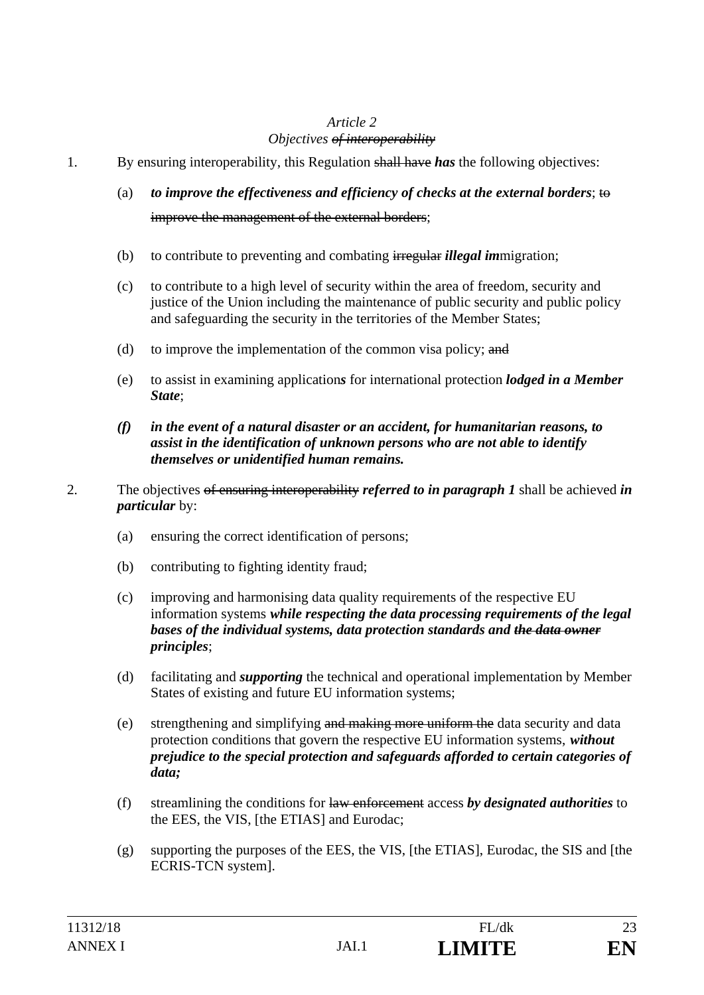## *Article 2 Objectives of interoperability*

- 1. By ensuring interoperability, this Regulation shall have *has* the following objectives:
	- (a) *to improve the effectiveness and efficiency of checks at the external borders*; to improve the management of the external borders;
	- (b) to contribute to preventing and combating irregular *illegal im*migration;
	- (c) to contribute to a high level of security within the area of freedom, security and justice of the Union including the maintenance of public security and public policy and safeguarding the security in the territories of the Member States;
	- (d) to improve the implementation of the common visa policy;  $\frac{d}{dt}$
	- (e) to assist in examining application*s* for international protection *lodged in a Member State*;
	- *(f) in the event of a natural disaster or an accident, for humanitarian reasons, to assist in the identification of unknown persons who are not able to identify themselves or unidentified human remains.*
- 2. The objectives of ensuring interoperability *referred to in paragraph 1* shall be achieved *in particular* by:
	- (a) ensuring the correct identification of persons;
	- (b) contributing to fighting identity fraud;
	- (c) improving and harmonising data quality requirements of the respective EU information systems *while respecting the data processing requirements of the legal bases of the individual systems, data protection standards and the data owner principles*;
	- (d) facilitating and *supporting* the technical and operational implementation by Member States of existing and future EU information systems;
	- (e) strengthening and simplifying and making more uniform the data security and data protection conditions that govern the respective EU information systems, *without prejudice to the special protection and safeguards afforded to certain categories of data;*
	- (f) streamlining the conditions for law enforcement access *by designated authorities* to the EES, the VIS, [the ETIAS] and Eurodac;
	- (g) supporting the purposes of the EES, the VIS, [the ETIAS], Eurodac, the SIS and [the ECRIS-TCN system].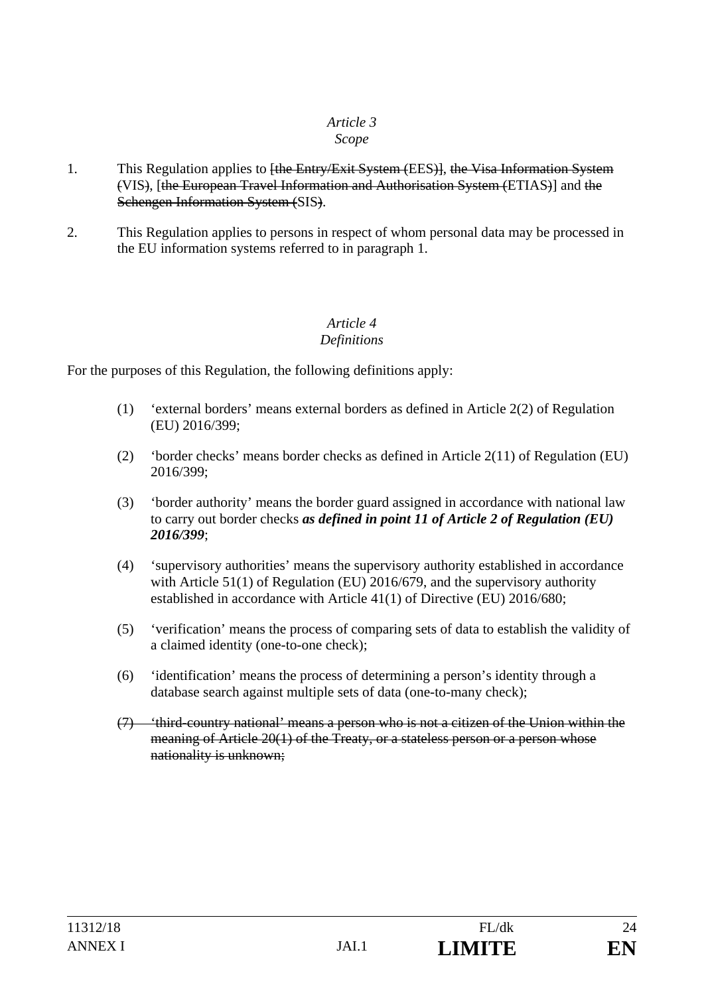# *Article 3*

# *Scope*

- 1. This Regulation applies to <del>[the Entry/Exit System (EES)]</del>, the Visa Information System (VIS), [the European Travel Information and Authorisation System (ETIAS)] and the Schengen Information System (SIS).
- 2. This Regulation applies to persons in respect of whom personal data may be processed in the EU information systems referred to in paragraph 1.

## *Article 4 Definitions*

For the purposes of this Regulation, the following definitions apply:

- (1) 'external borders' means external borders as defined in Article 2(2) of Regulation (EU) 2016/399;
- (2) 'border checks' means border checks as defined in Article 2(11) of Regulation (EU) 2016/399;
- (3) 'border authority' means the border guard assigned in accordance with national law to carry out border checks *as defined in point 11 of Article 2 of Regulation (EU) 2016/399*;
- (4) 'supervisory authorities' means the supervisory authority established in accordance with Article 51(1) of Regulation (EU) 2016/679, and the supervisory authority established in accordance with Article 41(1) of Directive (EU) 2016/680;
- (5) 'verification' means the process of comparing sets of data to establish the validity of a claimed identity (one-to-one check);
- (6) 'identification' means the process of determining a person's identity through a database search against multiple sets of data (one-to-many check);
- (7) 'third-country national' means a person who is not a citizen of the Union within the meaning of Article 20(1) of the Treaty, or a stateless person or a person whose nationality is unknown;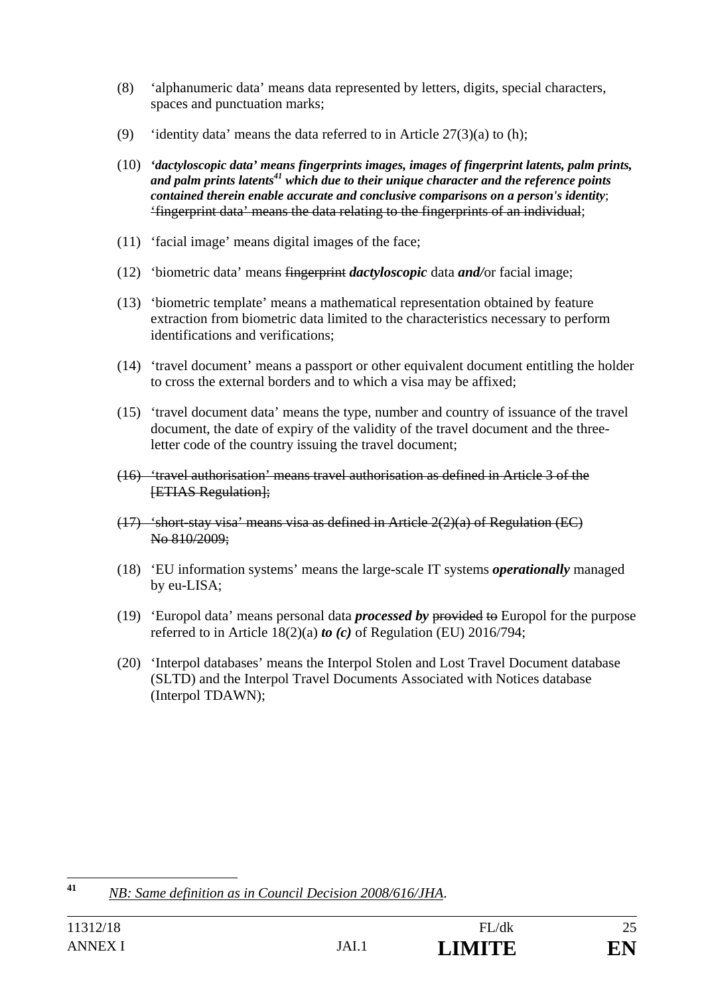- (8) 'alphanumeric data' means data represented by letters, digits, special characters, spaces and punctuation marks;
- (9) 'identity data' means the data referred to in Article  $27(3)(a)$  to (h);
- (10) *'dactyloscopic data' means fingerprints images, images of fingerprint latents, palm prints,*  and palm prints latents<sup>41</sup> which due to their unique character and the reference points *contained therein enable accurate and conclusive comparisons on a person's identity*; 'fingerprint data' means the data relating to the fingerprints of an individual;
- (11) 'facial image' means digital images of the face;
- (12) 'biometric data' means fingerprint *dactyloscopic* data *and/*or facial image;
- (13) 'biometric template' means a mathematical representation obtained by feature extraction from biometric data limited to the characteristics necessary to perform identifications and verifications;
- (14) 'travel document' means a passport or other equivalent document entitling the holder to cross the external borders and to which a visa may be affixed;
- (15) 'travel document data' means the type, number and country of issuance of the travel document, the date of expiry of the validity of the travel document and the threeletter code of the country issuing the travel document;
- (16) 'travel authorisation' means travel authorisation as defined in Article 3 of the **[ETIAS Regulation]:**
- $(17)$  'short-stay visa' means visa as defined in Article  $2(2)(a)$  of Regulation (EC) No 810/2009;
- (18) 'EU information systems' means the large-scale IT systems *operationally* managed by eu-LISA;
- (19) 'Europol data' means personal data *processed by* provided to Europol for the purpose referred to in Article 18(2)(a) *to (c)* of Regulation (EU) 2016/794;
- (20) 'Interpol databases' means the Interpol Stolen and Lost Travel Document database (SLTD) and the Interpol Travel Documents Associated with Notices database (Interpol TDAWN);

 $41$ **<sup>41</sup>** *NB: Same definition as in Council Decision 2008/616/JHA*.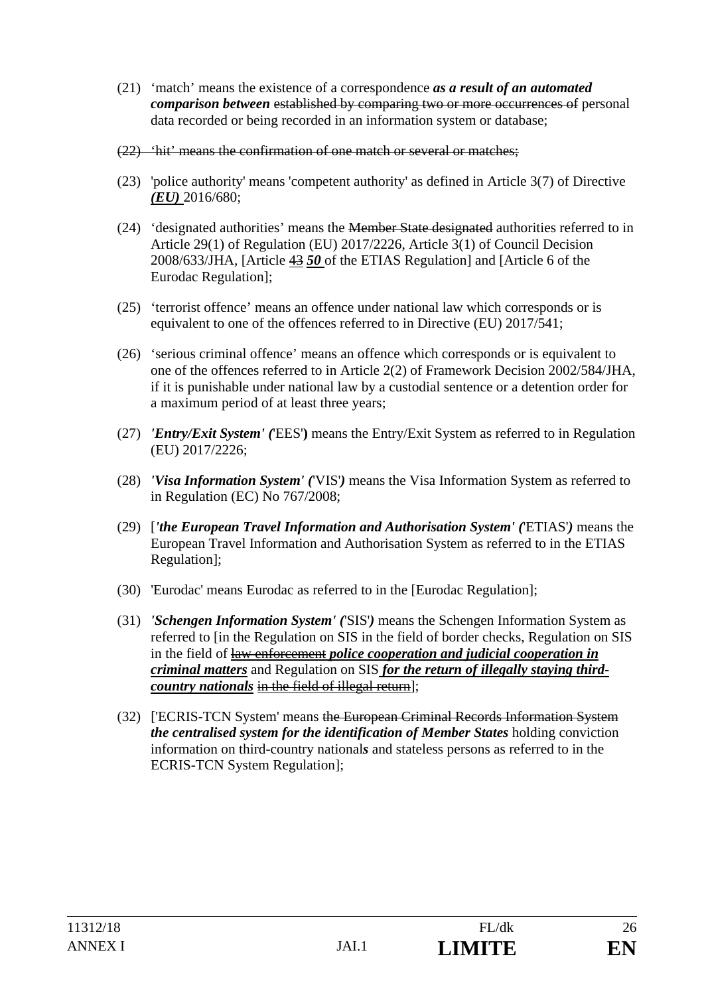- (21) 'match' means the existence of a correspondence *as a result of an automated comparison between* established by comparing two or more occurrences of personal data recorded or being recorded in an information system or database;
- (22) 'hit' means the confirmation of one match or several or matches;
- (23) 'police authority' means 'competent authority' as defined in Article 3(7) of Directive *(EU)* 2016/680;
- (24) 'designated authorities' means the Member State designated authorities referred to in Article 29(1) of Regulation (EU) 2017/2226, Article 3(1) of Council Decision 2008/633/JHA, [Article 43 *50* of the ETIAS Regulation] and [Article 6 of the Eurodac Regulation];
- (25) 'terrorist offence' means an offence under national law which corresponds or is equivalent to one of the offences referred to in Directive (EU) 2017/541;
- (26) 'serious criminal offence' means an offence which corresponds or is equivalent to one of the offences referred to in Article 2(2) of Framework Decision 2002/584/JHA, if it is punishable under national law by a custodial sentence or a detention order for a maximum period of at least three years;
- (27) *'Entry/Exit System' (*'EES'**)** means the Entry/Exit System as referred to in Regulation (EU) 2017/2226;
- (28) *'Visa Information System' (*'VIS'*)* means the Visa Information System as referred to in Regulation (EC) No 767/2008;
- (29) [*'the European Travel Information and Authorisation System' (*'ETIAS'*)* means the European Travel Information and Authorisation System as referred to in the ETIAS Regulation];
- (30) 'Eurodac' means Eurodac as referred to in the [Eurodac Regulation];
- (31) *'Schengen Information System' (*'SIS'*)* means the Schengen Information System as referred to [in the Regulation on SIS in the field of border checks, Regulation on SIS in the field of law enforcement *police cooperation and judicial cooperation in criminal matters* and Regulation on SIS *for the return of illegally staying thirdcountry nationals* in the field of illegal return];
- (32) ['ECRIS-TCN System' means the European Criminal Records Information System *the centralised system for the identification of Member States* holding conviction information on third-country national*s* and stateless persons as referred to in the ECRIS-TCN System Regulation];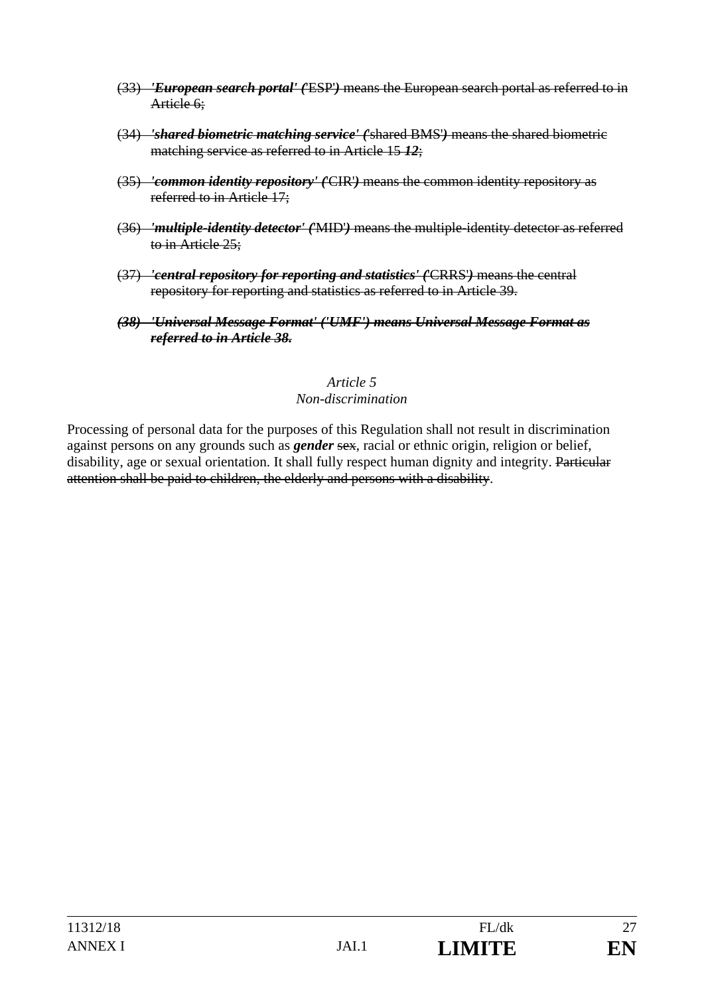- (33) *'European search portal' (*'ESP'*)* means the European search portal as referred to in Article 6:
- (34) *'shared biometric matching service' (*'shared BMS'*)* means the shared biometric matching service as referred to in Article 15 *12*;
- (35) *'common identity repository' (*'CIR'*)* means the common identity repository as referred to in Article 17;
- (36) *'multiple-identity detector' (*'MID'*)* means the multiple-identity detector as referred to in Article 25;
- (37) *'central repository for reporting and statistics' (*'CRRS'*)* means the central repository for reporting and statistics as referred to in Article 39.
- *(38) 'Universal Message Format' ('UMF') means Universal Message Format as referred to in Article 38.*

#### *Article 5 Non-discrimination*

Processing of personal data for the purposes of this Regulation shall not result in discrimination against persons on any grounds such as *gender* sex, racial or ethnic origin, religion or belief, disability, age or sexual orientation. It shall fully respect human dignity and integrity. Particular attention shall be paid to children, the elderly and persons with a disability.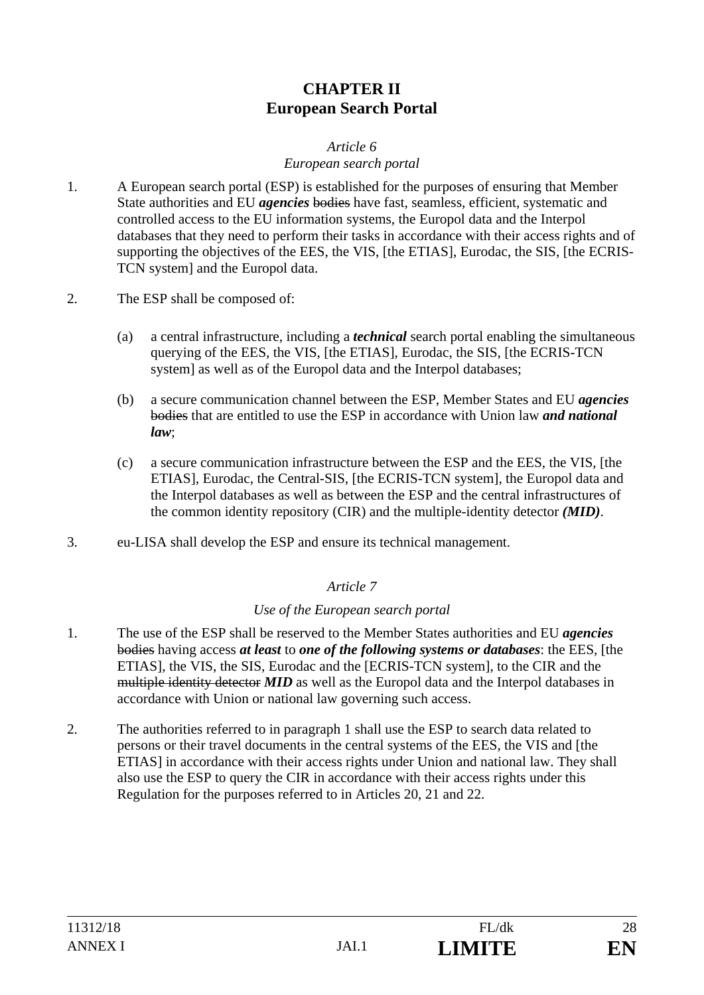# **CHAPTER II European Search Portal**

# *Article 6*

# *European search portal*

- 1. A European search portal (ESP) is established for the purposes of ensuring that Member State authorities and EU *agencies* bodies have fast, seamless, efficient, systematic and controlled access to the EU information systems, the Europol data and the Interpol databases that they need to perform their tasks in accordance with their access rights and of supporting the objectives of the EES, the VIS, [the ETIAS], Eurodac, the SIS, [the ECRIS-TCN system] and the Europol data.
- 2. The ESP shall be composed of:
	- (a) a central infrastructure, including a *technical* search portal enabling the simultaneous querying of the EES, the VIS, [the ETIAS], Eurodac, the SIS, [the ECRIS-TCN system] as well as of the Europol data and the Interpol databases;
	- (b) a secure communication channel between the ESP, Member States and EU *agencies* bodies that are entitled to use the ESP in accordance with Union law *and national law*;
	- (c) a secure communication infrastructure between the ESP and the EES, the VIS, [the ETIAS], Eurodac, the Central-SIS, [the ECRIS-TCN system], the Europol data and the Interpol databases as well as between the ESP and the central infrastructures of the common identity repository (CIR) and the multiple-identity detector *(MID)*.
- 3. eu-LISA shall develop the ESP and ensure its technical management.

## *Article 7*

## *Use of the European search portal*

- 1. The use of the ESP shall be reserved to the Member States authorities and EU *agencies* bodies having access *at least* to *one of the following systems or databases*: the EES, [the ETIAS], the VIS, the SIS, Eurodac and the [ECRIS-TCN system], to the CIR and the multiple identity detector *MID* as well as the Europol data and the Interpol databases in accordance with Union or national law governing such access.
- 2. The authorities referred to in paragraph 1 shall use the ESP to search data related to persons or their travel documents in the central systems of the EES, the VIS and [the ETIAS] in accordance with their access rights under Union and national law. They shall also use the ESP to query the CIR in accordance with their access rights under this Regulation for the purposes referred to in Articles 20, 21 and 22.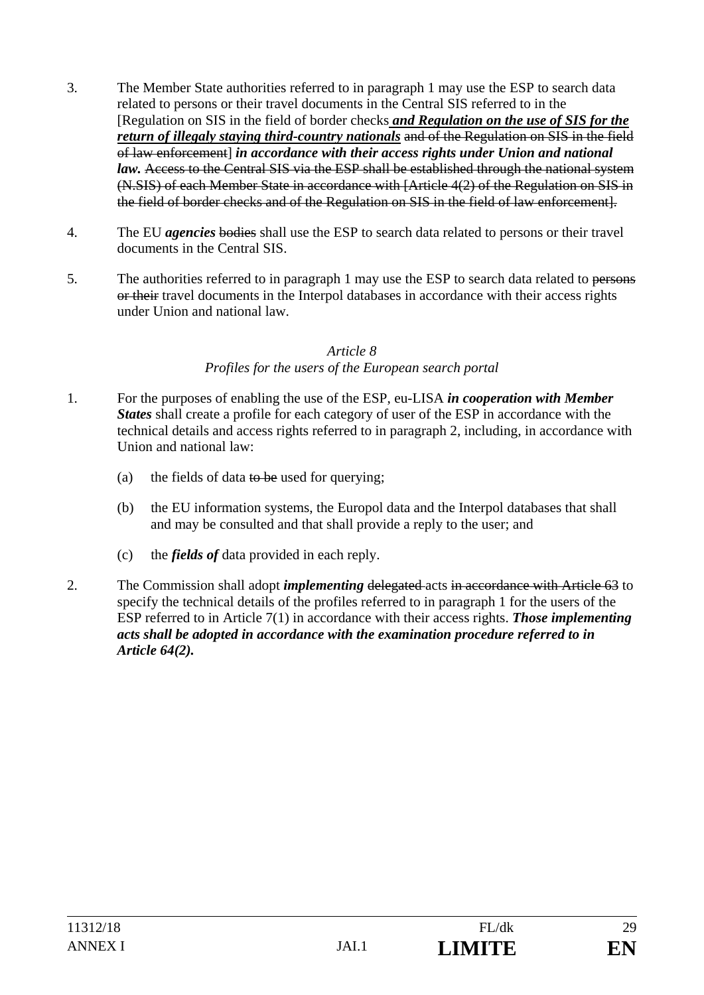- 3. The Member State authorities referred to in paragraph 1 may use the ESP to search data related to persons or their travel documents in the Central SIS referred to in the [Regulation on SIS in the field of border checks *and Regulation on the use of SIS for the return of illegaly staying third-country nationals* and of the Regulation on SIS in the field of law enforcement] *in accordance with their access rights under Union and national law.* Access to the Central SIS via the ESP shall be established through the national system (N.SIS) of each Member State in accordance with [Article 4(2) of the Regulation on SIS in the field of border checks and of the Regulation on SIS in the field of law enforcement].
- 4. The EU *agencies* bodies shall use the ESP to search data related to persons or their travel documents in the Central SIS.
- 5. The authorities referred to in paragraph 1 may use the ESP to search data related to persons or their travel documents in the Interpol databases in accordance with their access rights under Union and national law.

#### *Article 8 Profiles for the users of the European search portal*

- 1. For the purposes of enabling the use of the ESP, eu-LISA *in cooperation with Member States* shall create a profile for each category of user of the ESP in accordance with the technical details and access rights referred to in paragraph 2, including, in accordance with Union and national law:
	- (a) the fields of data to be used for querying;
	- (b) the EU information systems, the Europol data and the Interpol databases that shall and may be consulted and that shall provide a reply to the user; and
	- (c) the *fields of* data provided in each reply.
- 2. The Commission shall adopt *implementing* delegated acts in accordance with Article 63 to specify the technical details of the profiles referred to in paragraph 1 for the users of the ESP referred to in Article 7(1) in accordance with their access rights. *Those implementing acts shall be adopted in accordance with the examination procedure referred to in Article 64(2).*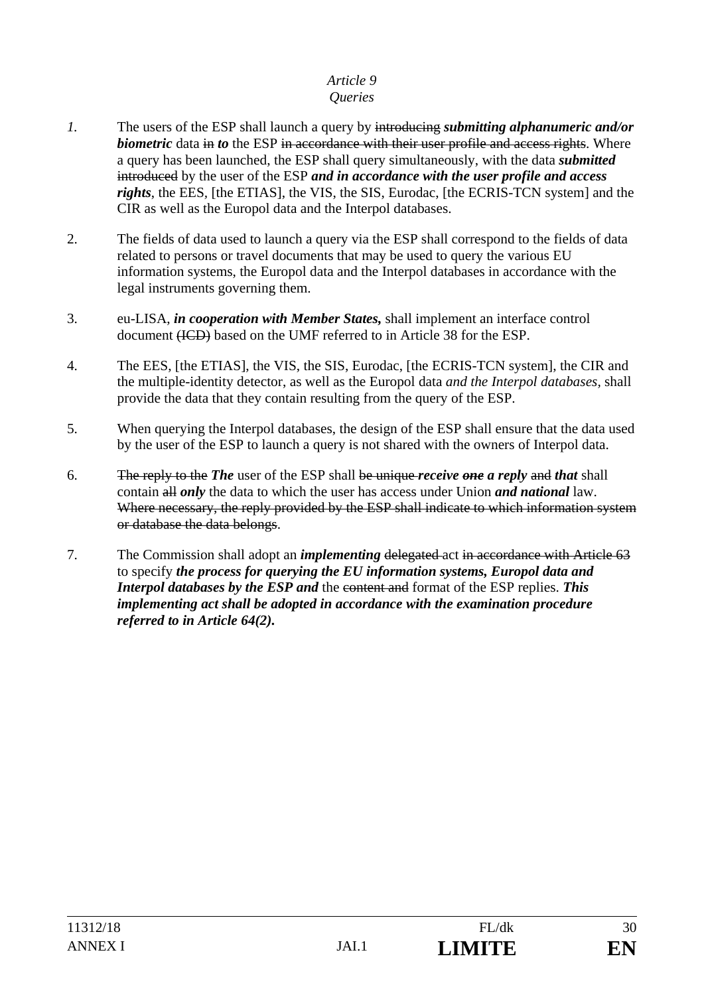# *Article 9*

# *Queries*

- *1.* The users of the ESP shall launch a query by introducing *submitting alphanumeric and/or biometric* data in *to* the ESP in accordance with their user profile and access rights. Where a query has been launched, the ESP shall query simultaneously, with the data *submitted* introduced by the user of the ESP *and in accordance with the user profile and access rights*, the EES*,* [the ETIAS], the VIS, the SIS, Eurodac, [the ECRIS-TCN system] and the CIR as well as the Europol data and the Interpol databases.
- 2. The fields of data used to launch a query via the ESP shall correspond to the fields of data related to persons or travel documents that may be used to query the various EU information systems, the Europol data and the Interpol databases in accordance with the legal instruments governing them.
- 3. eu-LISA, *in cooperation with Member States,* shall implement an interface control document (ICD) based on the UMF referred to in Article 38 for the ESP.
- 4. The EES, [the ETIAS], the VIS, the SIS, Eurodac, [the ECRIS-TCN system], the CIR and the multiple-identity detector, as well as the Europol data *and the Interpol databases,* shall provide the data that they contain resulting from the query of the ESP.
- 5. When querying the Interpol databases, the design of the ESP shall ensure that the data used by the user of the ESP to launch a query is not shared with the owners of Interpol data.
- 6. The reply to the *The* user of the ESP shall be unique *receive one a reply* and *that* shall contain all *only* the data to which the user has access under Union *and national* law. Where necessary, the reply provided by the ESP shall indicate to which information system or database the data belongs.
- 7. The Commission shall adopt an *implementing* delegated act in accordance with Article 63 to specify *the process for querying the EU information systems, Europol data and Interpol databases by the ESP and* the content and format of the ESP replies. *This implementing act shall be adopted in accordance with the examination procedure referred to in Article 64(2).*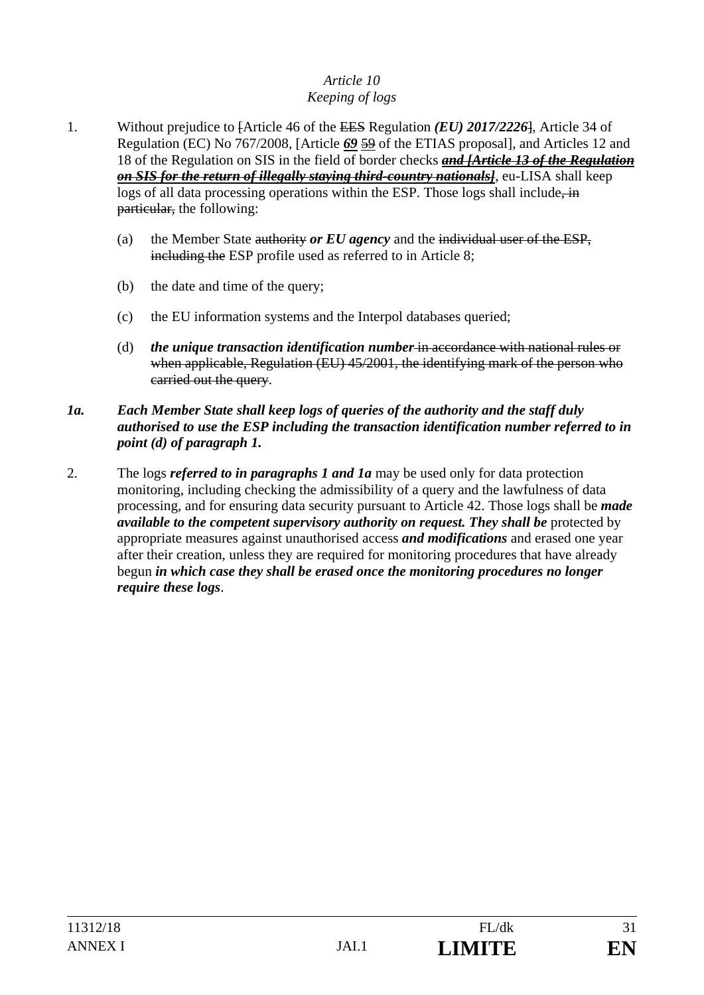# *Article 10 Keeping of logs*

- 1. Without prejudice to [Article 46 of the EES Regulation *(EU) 2017/2226*], Article 34 of Regulation (EC) No 767/2008, [Article *69* 59 of the ETIAS proposal], and Articles 12 and 18 of the Regulation on SIS in the field of border checks *and [Article 13 of the Regulation on SIS for the return of illegally staying third-country nationals]*, eu-LISA shall keep logs of all data processing operations within the ESP. Those logs shall include, in particular, the following:
	- (a) the Member State authority *or EU agency* and the individual user of the ESP, including the ESP profile used as referred to in Article 8;
	- (b) the date and time of the query;
	- (c) the EU information systems and the Interpol databases queried;
	- (d) *the unique transaction identification number* in accordance with national rules or when applicable, Regulation (EU) 45/2001, the identifying mark of the person who carried out the query.
- *1a. Each Member State shall keep logs of queries of the authority and the staff duly authorised to use the ESP including the transaction identification number referred to in point (d) of paragraph 1.*
- 2. The logs *referred to in paragraphs 1 and 1a* may be used only for data protection monitoring, including checking the admissibility of a query and the lawfulness of data processing, and for ensuring data security pursuant to Article 42. Those logs shall be *made available to the competent supervisory authority on request. They shall be* protected by appropriate measures against unauthorised access *and modifications* and erased one year after their creation, unless they are required for monitoring procedures that have already begun *in which case they shall be erased once the monitoring procedures no longer require these logs*.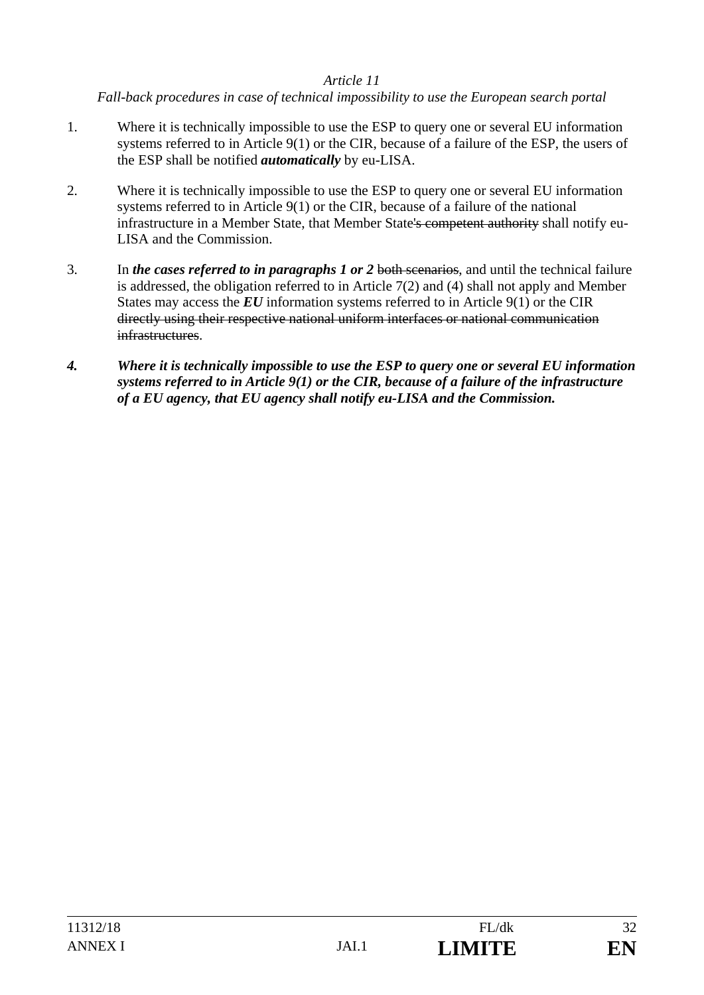# *Article 11*

*Fall-back procedures in case of technical impossibility to use the European search portal* 

- 1. Where it is technically impossible to use the ESP to query one or several EU information systems referred to in Article 9(1) or the CIR, because of a failure of the ESP, the users of the ESP shall be notified *automatically* by eu-LISA.
- 2. Where it is technically impossible to use the ESP to query one or several EU information systems referred to in Article 9(1) or the CIR, because of a failure of the national infrastructure in a Member State, that Member State's competent authority shall notify eu-LISA and the Commission.
- 3. In *the cases referred to in paragraphs 1 or 2* both scenarios, and until the technical failure is addressed, the obligation referred to in Article 7(2) and (4) shall not apply and Member States may access the *EU* information systems referred to in Article 9(1) or the CIR directly using their respective national uniform interfaces or national communication infrastructures.
- *4. Where it is technically impossible to use the ESP to query one or several EU information systems referred to in Article 9(1) or the CIR, because of a failure of the infrastructure of a EU agency, that EU agency shall notify eu-LISA and the Commission.*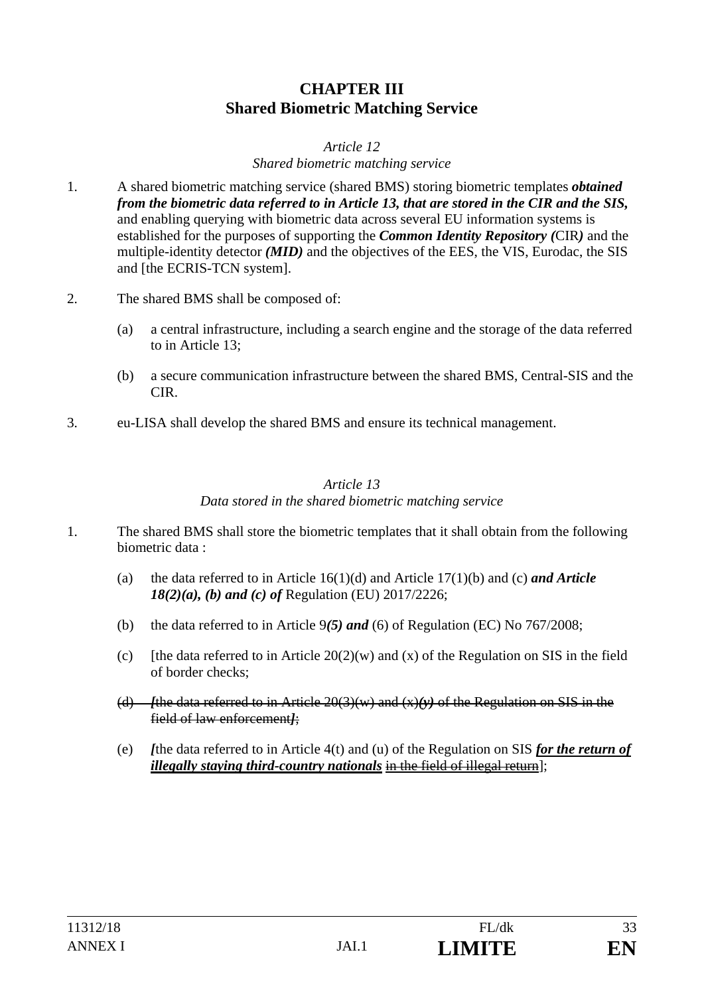# **CHAPTER III Shared Biometric Matching Service**

#### *Article 12 Shared biometric matching service*

- 1. A shared biometric matching service (shared BMS) storing biometric templates *obtained from the biometric data referred to in Article 13, that are stored in the CIR and the SIS,* and enabling querying with biometric data across several EU information systems is established for the purposes of supporting the *Common Identity Repository (*CIR*)* and the multiple-identity detector *(MID)* and the objectives of the EES, the VIS, Eurodac, the SIS and [the ECRIS-TCN system].
- 2. The shared BMS shall be composed of:
	- (a) a central infrastructure, including a search engine and the storage of the data referred to in Article 13;
	- (b) a secure communication infrastructure between the shared BMS, Central-SIS and the CIR.
- 3. eu-LISA shall develop the shared BMS and ensure its technical management.

## *Article 13 Data stored in the shared biometric matching service*

- 1. The shared BMS shall store the biometric templates that it shall obtain from the following biometric data :
	- (a) the data referred to in Article 16(1)(d) and Article 17(1)(b) and (c) *and Article 18(2)(a), (b) and (c) of* Regulation (EU) 2017/2226;
	- (b) the data referred to in Article 9*(5) and* (6) of Regulation (EC) No 767/2008;
	- (c) Ithe data referred to in Article  $20(2)(w)$  and (x) of the Regulation on SIS in the field of border checks;
	- (d) *f*the data referred to in Article  $20(3)(w)$  and  $(x)(y)$  of the Regulation on SIS in the field of law enforcement*]*;
	- (e) *[*the data referred to in Article 4(t) and (u) of the Regulation on SIS *for the return of illegally staying third-country nationals* in the field of illegal return];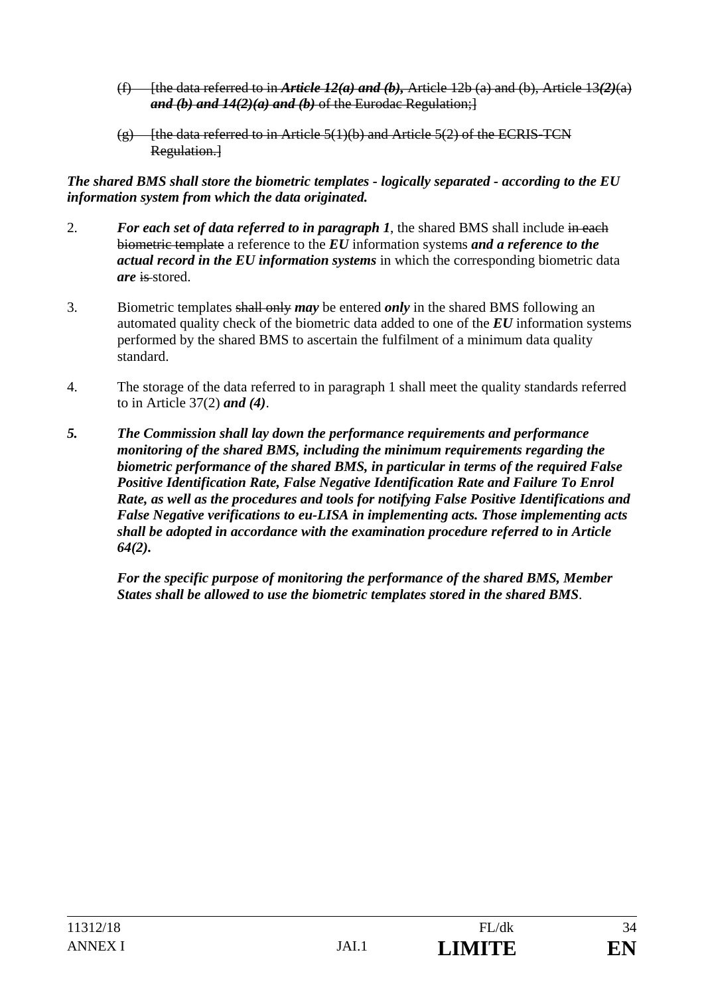- (f) [the data referred to in *Article 12(a) and (b),* Article 12b (a) and (b), Article 13*(2)*(a) *and (b) and 14(2)(a) and (b)* of the Eurodac Regulation;]
- $(g)$  [the data referred to in Article 5(1)(b) and Article 5(2) of the ECRIS-TCN Regulation.<sup>1</sup>

*The shared BMS shall store the biometric templates - logically separated - according to the EU information system from which the data originated.*

- 2. *For each set of data referred to in paragraph 1*, the shared BMS shall include in each biometric template a reference to the *EU* information systems *and a reference to the actual record in the EU information systems* in which the corresponding biometric data *are* is stored.
- 3. Biometric templates shall only *may* be entered *only* in the shared BMS following an automated quality check of the biometric data added to one of the *EU* information systems performed by the shared BMS to ascertain the fulfilment of a minimum data quality standard.
- 4. The storage of the data referred to in paragraph 1 shall meet the quality standards referred to in Article 37(2) *and (4)*.
- *5. The Commission shall lay down the performance requirements and performance monitoring of the shared BMS, including the minimum requirements regarding the biometric performance of the shared BMS, in particular in terms of the required False Positive Identification Rate, False Negative Identification Rate and Failure To Enrol Rate, as well as the procedures and tools for notifying False Positive Identifications and False Negative verifications to eu-LISA in implementing acts. Those implementing acts shall be adopted in accordance with the examination procedure referred to in Article 64(2).*

 *For the specific purpose of monitoring the performance of the shared BMS, Member States shall be allowed to use the biometric templates stored in the shared BMS*.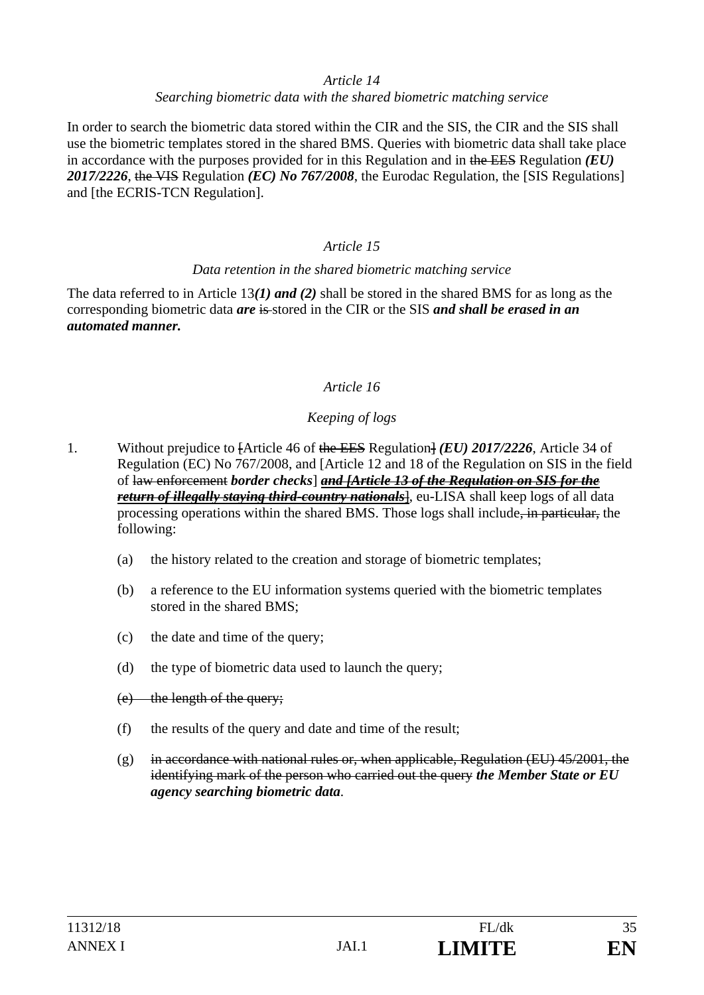#### *Article 14*

#### *Searching biometric data with the shared biometric matching service*

In order to search the biometric data stored within the CIR and the SIS, the CIR and the SIS shall use the biometric templates stored in the shared BMS. Queries with biometric data shall take place in accordance with the purposes provided for in this Regulation and in the EES Regulation *(EU) 2017/2226*, the VIS Regulation *(EC) No 767/2008*, the Eurodac Regulation, the [SIS Regulations] and [the ECRIS-TCN Regulation].

# *Article 15*

#### *Data retention in the shared biometric matching service*

The data referred to in Article 13*(1) and (2)* shall be stored in the shared BMS for as long as the corresponding biometric data *are* is stored in the CIR or the SIS *and shall be erased in an automated manner.* 

# *Article 16*

# *Keeping of logs*

- 1. Without prejudice to [Article 46 of the EES Regulation] *(EU) 2017/2226*, Article 34 of Regulation (EC) No 767/2008, and [Article 12 and 18 of the Regulation on SIS in the field of law enforcement *border checks*] *and [Article 13 of the Regulation on SIS for the return of illegally staying third-country nationals*], eu-LISA shall keep logs of all data processing operations within the shared BMS. Those logs shall include, in particular, the following:
	- (a) the history related to the creation and storage of biometric templates;
	- (b) a reference to the EU information systems queried with the biometric templates stored in the shared BMS;
	- (c) the date and time of the query;
	- (d) the type of biometric data used to launch the query;
	- (e) the length of the query;
	- (f) the results of the query and date and time of the result;
	- $(g)$  in accordance with national rules or, when applicable, Regulation (EU) 45/2001, the identifying mark of the person who carried out the query *the Member State or EU agency searching biometric data*.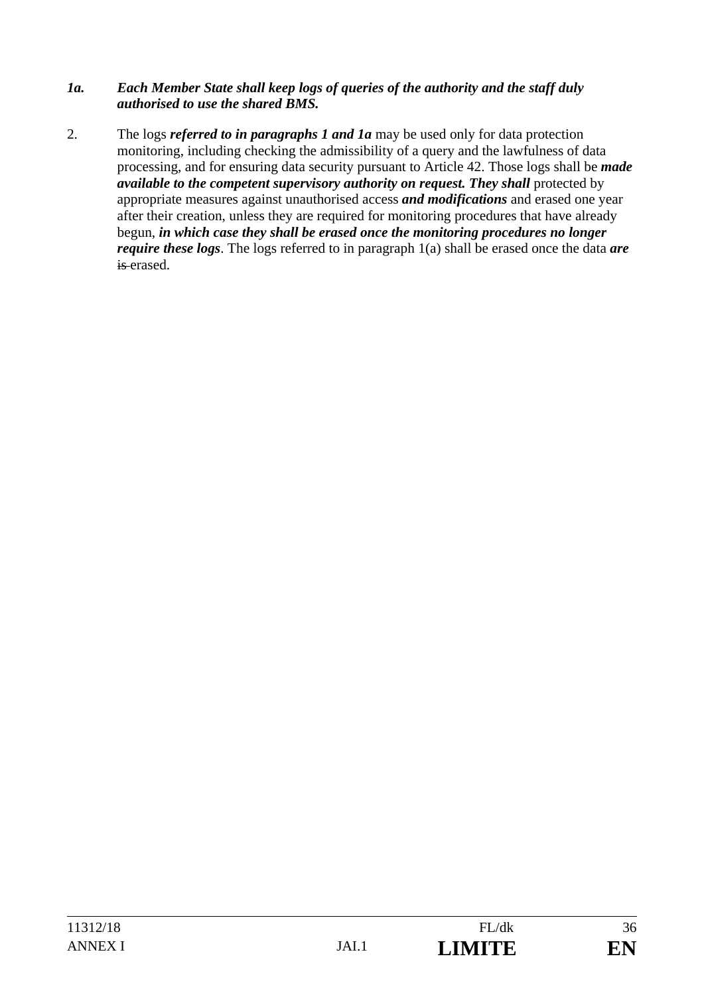#### *1a. Each Member State shall keep logs of queries of the authority and the staff duly authorised to use the shared BMS.*

2. The logs *referred to in paragraphs 1 and 1a* may be used only for data protection monitoring, including checking the admissibility of a query and the lawfulness of data processing, and for ensuring data security pursuant to Article 42. Those logs shall be *made available to the competent supervisory authority on request. They shall protected by* appropriate measures against unauthorised access *and modifications* and erased one year after their creation, unless they are required for monitoring procedures that have already begun, *in which case they shall be erased once the monitoring procedures no longer require these logs*. The logs referred to in paragraph 1(a) shall be erased once the data *are* is erased.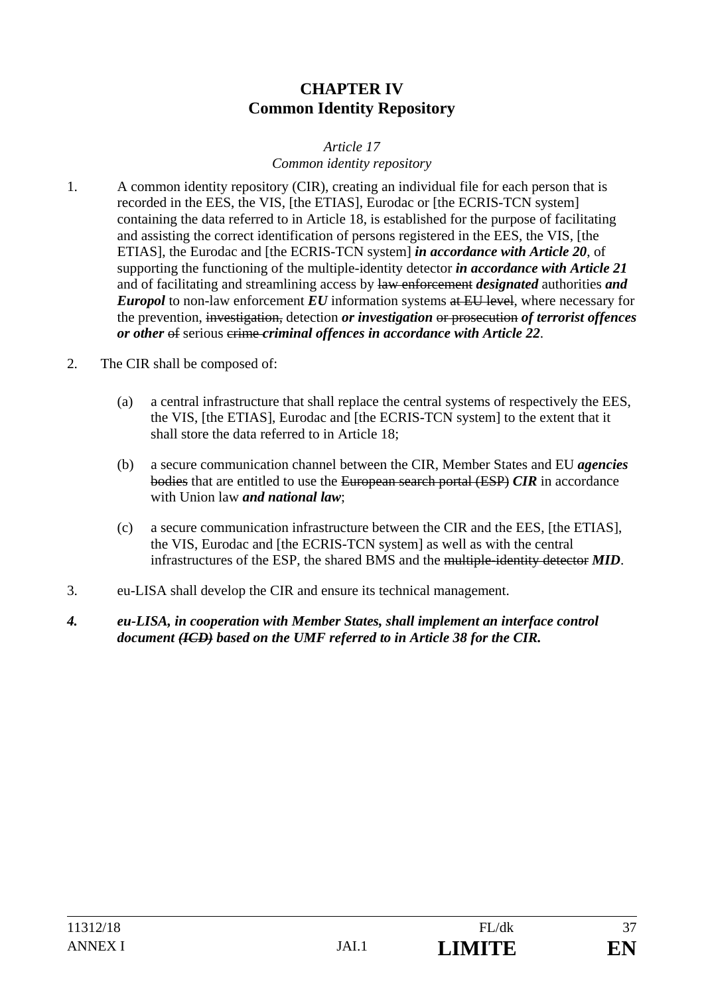# **CHAPTER IV Common Identity Repository**

### *Article 17 Common identity repository*

- 1. A common identity repository (CIR), creating an individual file for each person that is recorded in the EES, the VIS, [the ETIAS], Eurodac or [the ECRIS-TCN system] containing the data referred to in Article 18, is established for the purpose of facilitating and assisting the correct identification of persons registered in the EES, the VIS, [the ETIAS], the Eurodac and [the ECRIS-TCN system] *in accordance with Article 20*, of supporting the functioning of the multiple-identity detector *in accordance with Article 21* and of facilitating and streamlining access by law enforcement *designated* authorities *and Europol* to non-law enforcement *EU* information systems at EU level, where necessary for the prevention, investigation, detection *or investigation* or prosecution *of terrorist offences or other* of serious crime *criminal offences in accordance with Article 22*.
- 2. The CIR shall be composed of:
	- (a) a central infrastructure that shall replace the central systems of respectively the EES, the VIS, [the ETIAS], Eurodac and [the ECRIS-TCN system] to the extent that it shall store the data referred to in Article 18;
	- (b) a secure communication channel between the CIR, Member States and EU *agencies* bodies that are entitled to use the European search portal (ESP) *CIR* in accordance with Union law *and national law*;
	- (c) a secure communication infrastructure between the CIR and the EES, [the ETIAS], the VIS, Eurodac and [the ECRIS-TCN system] as well as with the central infrastructures of the ESP, the shared BMS and the multiple-identity detector *MID*.
- 3. eu-LISA shall develop the CIR and ensure its technical management.
- *4. eu-LISA, in cooperation with Member States, shall implement an interface control document (ICD) based on the UMF referred to in Article 38 for the CIR.*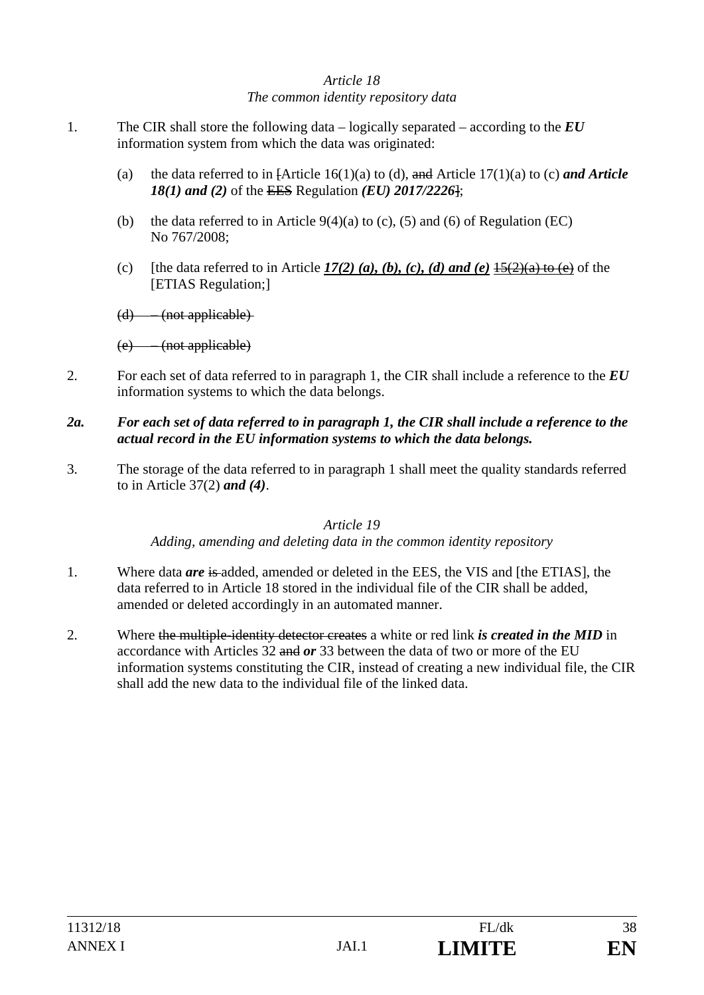## *Article 18 The common identity repository data*

- 1. The CIR shall store the following data logically separated according to the *EU* information system from which the data was originated:
	- (a) the data referred to in [Article 16(1)(a) to (d), and Article 17(1)(a) to (c) *and Article 18(1) and (2)* of the EES Regulation *(EU) 2017/2226*];
	- (b) the data referred to in Article  $9(4)(a)$  to (c), (5) and (6) of Regulation (EC) No 767/2008;
	- (c) [the data referred to in Article  $17(2)$  (a), (b), (c), (d) and (e)  $15(2)(a)$  to (e) of the [ETIAS Regulation;]

(d) – (not applicable)

- 2. For each set of data referred to in paragraph 1, the CIR shall include a reference to the *EU* information systems to which the data belongs.
- *2a. For each set of data referred to in paragraph 1, the CIR shall include a reference to the actual record in the EU information systems to which the data belongs.*
- 3. The storage of the data referred to in paragraph 1 shall meet the quality standards referred to in Article 37(2) *and (4)*.

#### *Article 19*

*Adding, amending and deleting data in the common identity repository* 

- 1. Where data *are* is added, amended or deleted in the EES, the VIS and [the ETIAS], the data referred to in Article 18 stored in the individual file of the CIR shall be added, amended or deleted accordingly in an automated manner.
- 2. Where the multiple-identity detector creates a white or red link *is created in the MID* in accordance with Articles 32 and *or* 33 between the data of two or more of the EU information systems constituting the CIR, instead of creating a new individual file, the CIR shall add the new data to the individual file of the linked data.

<sup>(</sup>e) – (not applicable)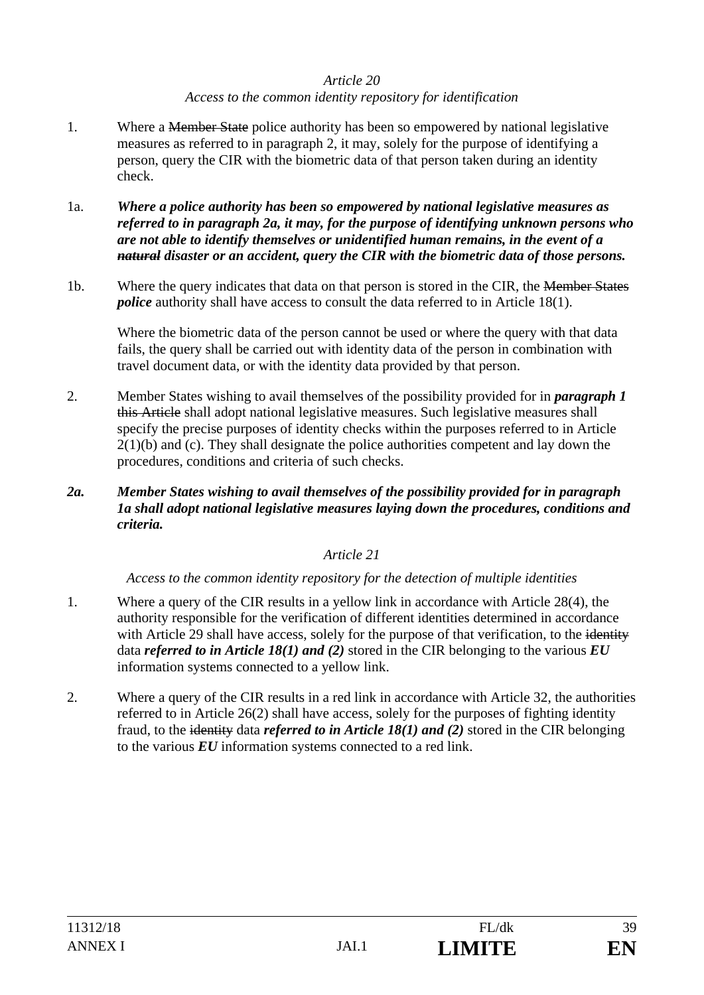### *Article 20 Access to the common identity repository for identification*

- 1. Where a <del>Member State</del> police authority has been so empowered by national legislative measures as referred to in paragraph 2, it may, solely for the purpose of identifying a person, query the CIR with the biometric data of that person taken during an identity check.
- 1a. *Where a police authority has been so empowered by national legislative measures as referred to in paragraph 2a, it may, for the purpose of identifying unknown persons who are not able to identify themselves or unidentified human remains, in the event of a natural disaster or an accident, query the CIR with the biometric data of those persons.*
- 1b. Where the query indicates that data on that person is stored in the CIR, the Member States *police* authority shall have access to consult the data referred to in Article 18(1).

Where the biometric data of the person cannot be used or where the query with that data fails, the query shall be carried out with identity data of the person in combination with travel document data, or with the identity data provided by that person.

- 2. Member States wishing to avail themselves of the possibility provided for in *paragraph 1*  this Article shall adopt national legislative measures. Such legislative measures shall specify the precise purposes of identity checks within the purposes referred to in Article  $2(1)(b)$  and (c). They shall designate the police authorities competent and lay down the procedures, conditions and criteria of such checks.
- *2a. Member States wishing to avail themselves of the possibility provided for in paragraph 1a shall adopt national legislative measures laying down the procedures, conditions and criteria.*

## *Article 21*

*Access to the common identity repository for the detection of multiple identities* 

- 1. Where a query of the CIR results in a yellow link in accordance with Article 28(4), the authority responsible for the verification of different identities determined in accordance with Article 29 shall have access, solely for the purpose of that verification, to the identity data *referred to in Article 18(1) and (2)* stored in the CIR belonging to the various *EU*  information systems connected to a yellow link.
- 2. Where a query of the CIR results in a red link in accordance with Article 32, the authorities referred to in Article 26(2) shall have access, solely for the purposes of fighting identity fraud, to the identity data *referred to in Article 18(1) and (2)* stored in the CIR belonging to the various *EU* information systems connected to a red link.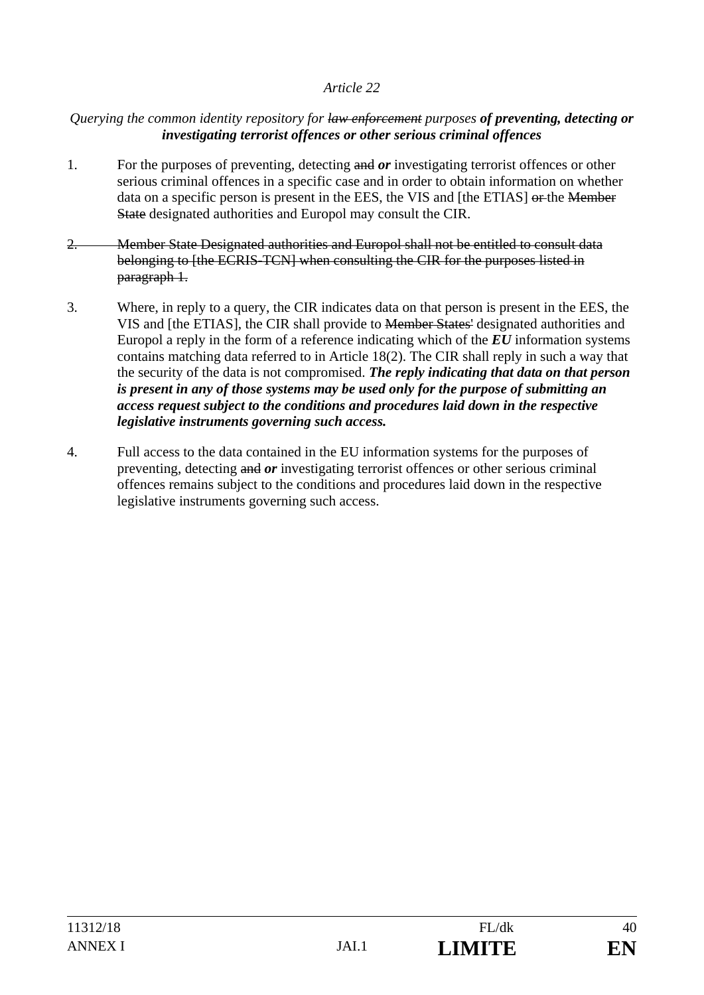#### *Querying the common identity repository for law enforcement purposes of preventing, detecting or investigating terrorist offences or other serious criminal offences*

- 1. For the purposes of preventing, detecting and *or* investigating terrorist offences or other serious criminal offences in a specific case and in order to obtain information on whether data on a specific person is present in the EES, the VIS and [the ETIAS] or the Member State designated authorities and Europol may consult the CIR.
- 2. Member State Designated authorities and Europol shall not be entitled to consult data belonging to [the ECRIS-TCN] when consulting the CIR for the purposes listed in paragraph 1.
- 3. Where, in reply to a query, the CIR indicates data on that person is present in the EES, the VIS and [the ETIAS], the CIR shall provide to Member States' designated authorities and Europol a reply in the form of a reference indicating which of the *EU* information systems contains matching data referred to in Article 18(2). The CIR shall reply in such a way that the security of the data is not compromised. *The reply indicating that data on that person is present in any of those systems may be used only for the purpose of submitting an access request subject to the conditions and procedures laid down in the respective legislative instruments governing such access.*
- 4. Full access to the data contained in the EU information systems for the purposes of preventing, detecting and *or* investigating terrorist offences or other serious criminal offences remains subject to the conditions and procedures laid down in the respective legislative instruments governing such access.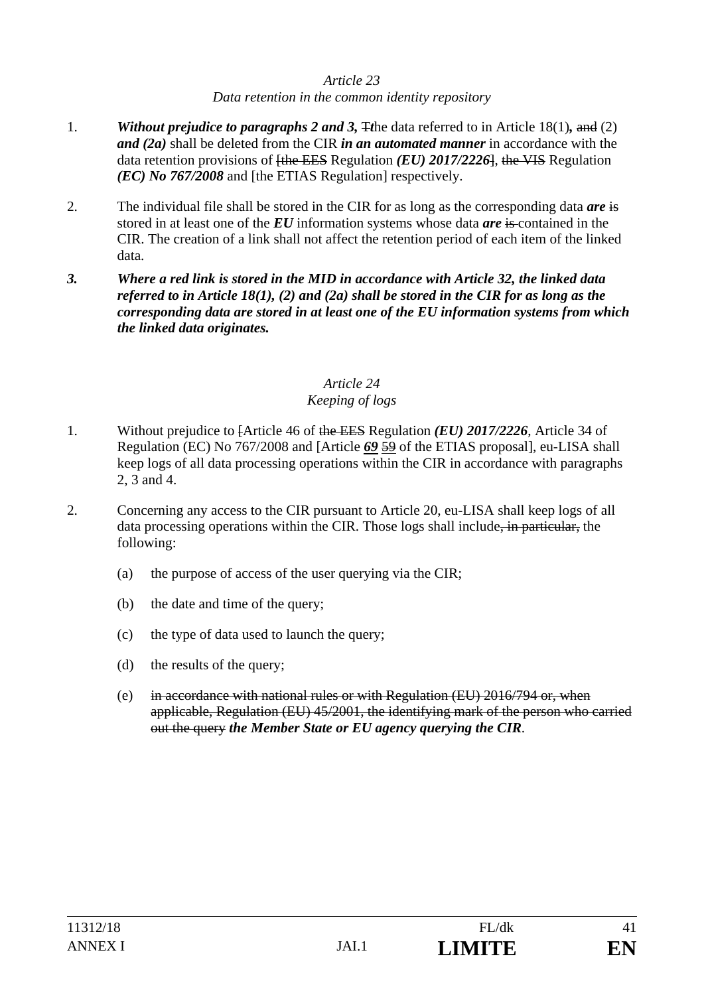#### *Article 23 Data retention in the common identity repository*

- 1. *Without prejudice to paragraphs 2 and 3,* T*t*he data referred to in Article 18(1)*,* and (2) *and (2a)* shall be deleted from the CIR *in an automated manner* in accordance with the data retention provisions of [the EES Regulation *(EU) 2017/2226*], the VIS Regulation *(EC) No 767/2008* and [the ETIAS Regulation] respectively.
- 2. The individual file shall be stored in the CIR for as long as the corresponding data *are* is stored in at least one of the *EU* information systems whose data *are* is contained in the CIR. The creation of a link shall not affect the retention period of each item of the linked data.
- *3. Where a red link is stored in the MID in accordance with Article 32, the linked data referred to in Article 18(1), (2) and (2a) shall be stored in the CIR for as long as the corresponding data are stored in at least one of the EU information systems from which the linked data originates.*

# *Article 24*

# *Keeping of logs*

- 1. Without prejudice to [Article 46 of the EES Regulation *(EU) 2017/2226*, Article 34 of Regulation (EC) No 767/2008 and [Article *69* 59 of the ETIAS proposal], eu-LISA shall keep logs of all data processing operations within the CIR in accordance with paragraphs 2, 3 and 4.
- 2. Concerning any access to the CIR pursuant to Article 20, eu-LISA shall keep logs of all data processing operations within the CIR. Those logs shall include<del>, in particular,</del> the following:
	- (a) the purpose of access of the user querying via the CIR;
	- (b) the date and time of the query;
	- (c) the type of data used to launch the query;
	- (d) the results of the query;
	- (e) in accordance with national rules or with Regulation (EU) 2016/794 or, when applicable, Regulation (EU) 45/2001, the identifying mark of the person who carried out the query *the Member State or EU agency querying the CIR*.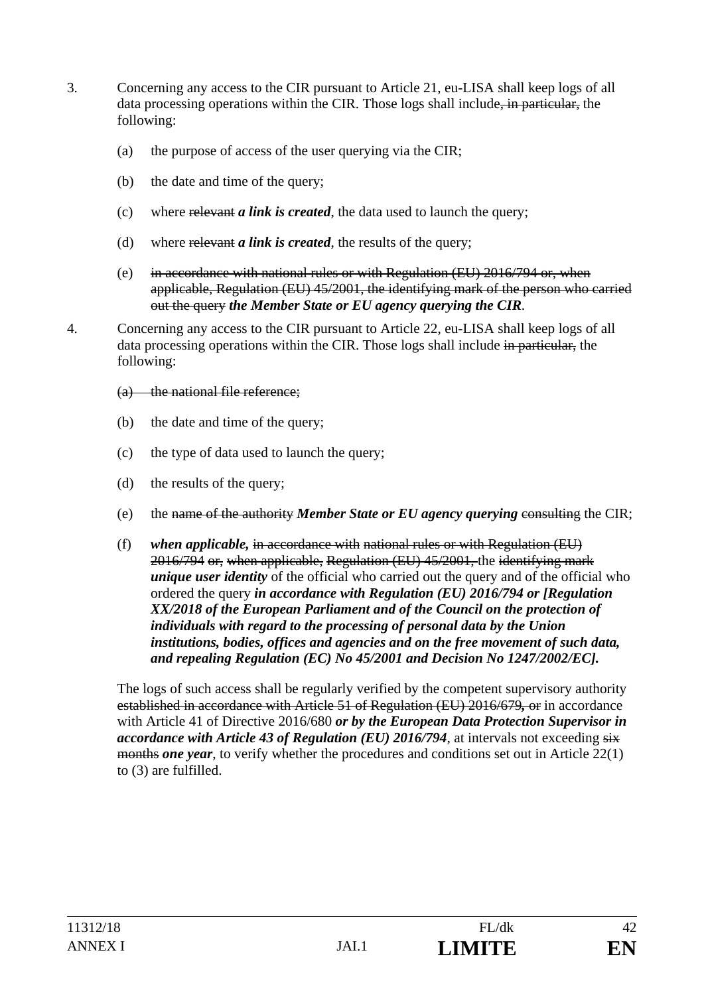- 3. Concerning any access to the CIR pursuant to Article 21, eu-LISA shall keep logs of all data processing operations within the CIR. Those logs shall include, in particular, the following:
	- (a) the purpose of access of the user querying via the CIR;
	- (b) the date and time of the query;
	- (c) where relevant *a link is created*, the data used to launch the query;
	- (d) where relevant *a link is created*, the results of the query;
	- (e) in accordance with national rules or with Regulation (EU) 2016/794 or, when applicable, Regulation (EU) 45/2001, the identifying mark of the person who carried out the query *the Member State or EU agency querying the CIR*.
- 4. Concerning any access to the CIR pursuant to Article 22, eu-LISA shall keep logs of all data processing operations within the CIR. Those logs shall include in particular, the following:
	- (a) the national file reference;
	- (b) the date and time of the query;
	- (c) the type of data used to launch the query;
	- (d) the results of the query;
	- (e) the name of the authority *Member State or EU agency querying* consulting the CIR;
	- (f) *when applicable,* in accordance with national rules or with Regulation (EU) 2016/794 or, when applicable, Regulation (EU) 45/2001, the identifying mark *unique user identity* of the official who carried out the query and of the official who ordered the query *in accordance with Regulation (EU) 2016/794 or [Regulation XX/2018 of the European Parliament and of the Council on the protection of individuals with regard to the processing of personal data by the Union institutions, bodies, offices and agencies and on the free movement of such data, and repealing Regulation (EC) No 45/2001 and Decision No 1247/2002/EC].*

The logs of such access shall be regularly verified by the competent supervisory authority established in accordance with Article 51 of Regulation (EU) 2016/679*,* or in accordance with Article 41 of Directive 2016/680 *or by the European Data Protection Supervisor in accordance with Article 43 of Regulation (EU) 2016/794*, at intervals not exceeding  $s\overline{s}$ months *one year*, to verify whether the procedures and conditions set out in Article 22(1) to (3) are fulfilled.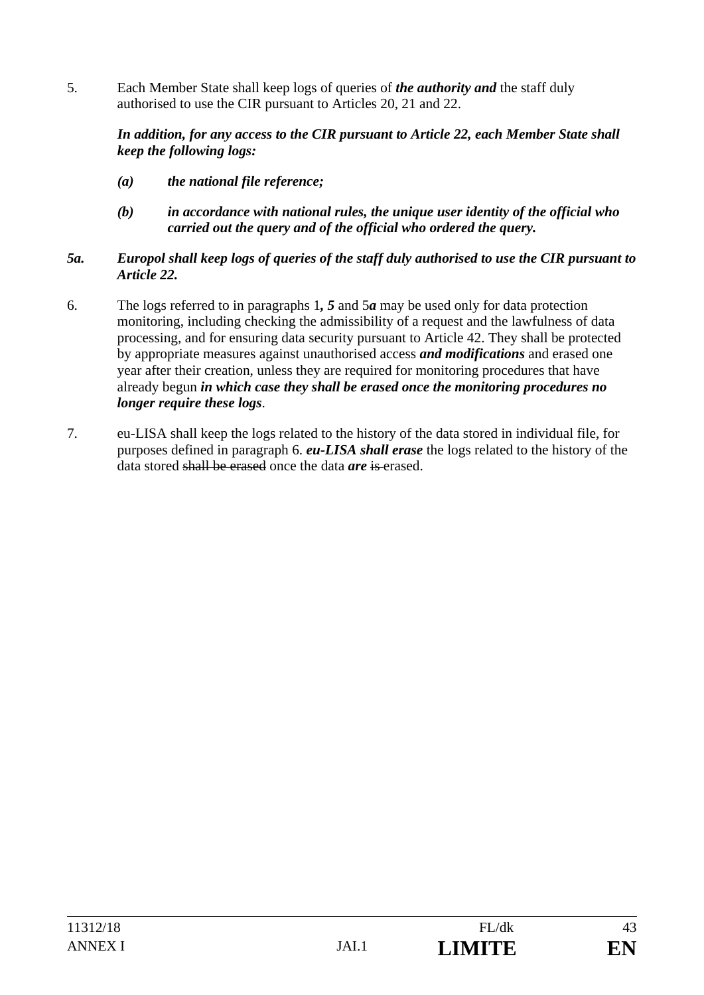5. Each Member State shall keep logs of queries of *the authority and* the staff duly authorised to use the CIR pursuant to Articles 20, 21 and 22.

### *In addition, for any access to the CIR pursuant to Article 22, each Member State shall keep the following logs:*

- *(a) the national file reference;*
- *(b) in accordance with national rules, the unique user identity of the official who carried out the query and of the official who ordered the query.*

## *5a. Europol shall keep logs of queries of the staff duly authorised to use the CIR pursuant to Article 22.*

- 6. The logs referred to in paragraphs 1*, 5* and 5*a* may be used only for data protection monitoring, including checking the admissibility of a request and the lawfulness of data processing, and for ensuring data security pursuant to Article 42. They shall be protected by appropriate measures against unauthorised access *and modifications* and erased one year after their creation, unless they are required for monitoring procedures that have already begun *in which case they shall be erased once the monitoring procedures no longer require these logs*.
- 7. eu-LISA shall keep the logs related to the history of the data stored in individual file, for purposes defined in paragraph 6. *eu-LISA shall erase* the logs related to the history of the data stored shall be erased once the data *are* is erased.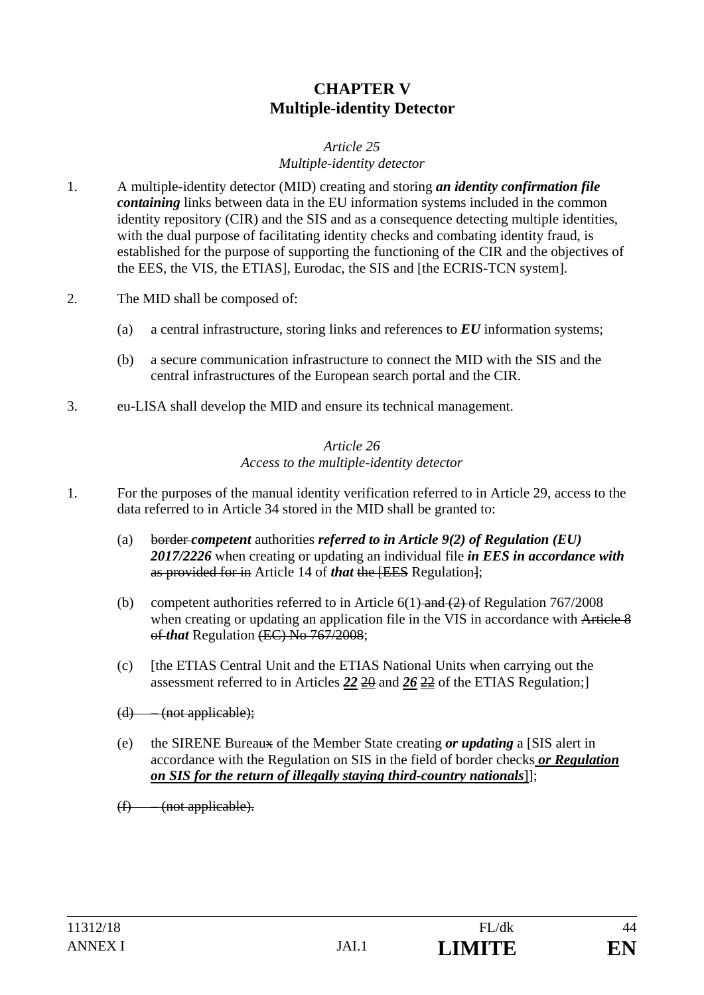# **CHAPTER V Multiple-identity Detector**

#### *Article 25 Multiple-identity detector*

- 1. A multiple-identity detector (MID) creating and storing *an identity confirmation file containing* links between data in the EU information systems included in the common identity repository (CIR) and the SIS and as a consequence detecting multiple identities, with the dual purpose of facilitating identity checks and combating identity fraud, is established for the purpose of supporting the functioning of the CIR and the objectives of the EES, the VIS, the ETIAS], Eurodac, the SIS and [the ECRIS-TCN system].
- 2. The MID shall be composed of:
	- (a) a central infrastructure, storing links and references to *EU* information systems;
	- (b) a secure communication infrastructure to connect the MID with the SIS and the central infrastructures of the European search portal and the CIR.
- 3. eu-LISA shall develop the MID and ensure its technical management.

#### *Article 26 Access to the multiple-identity detector*

- 1. For the purposes of the manual identity verification referred to in Article 29, access to the data referred to in Article 34 stored in the MID shall be granted to:
	- (a) border *competent* authorities *referred to in Article 9(2) of Regulation (EU) 2017/2226* when creating or updating an individual file *in EES in accordance with*  as provided for in Article 14 of *that* the [EES Regulation];
	- (b) competent authorities referred to in Article  $6(1)$  and  $(2)$  of Regulation 767/2008 when creating or updating an application file in the VIS in accordance with Article 8 of *that* Regulation (EC) No 767/2008;
	- (c) [the ETIAS Central Unit and the ETIAS National Units when carrying out the assessment referred to in Articles *22* 20 and *26* 22 of the ETIAS Regulation;]
	- $(d)$  (not applicable);
	- (e) the SIRENE Bureaux of the Member State creating *or updating* a [SIS alert in accordance with the Regulation on SIS in the field of border checks *or Regulation on SIS for the return of illegally staying third-country nationals*]];
	- $(f)$  (not applicable).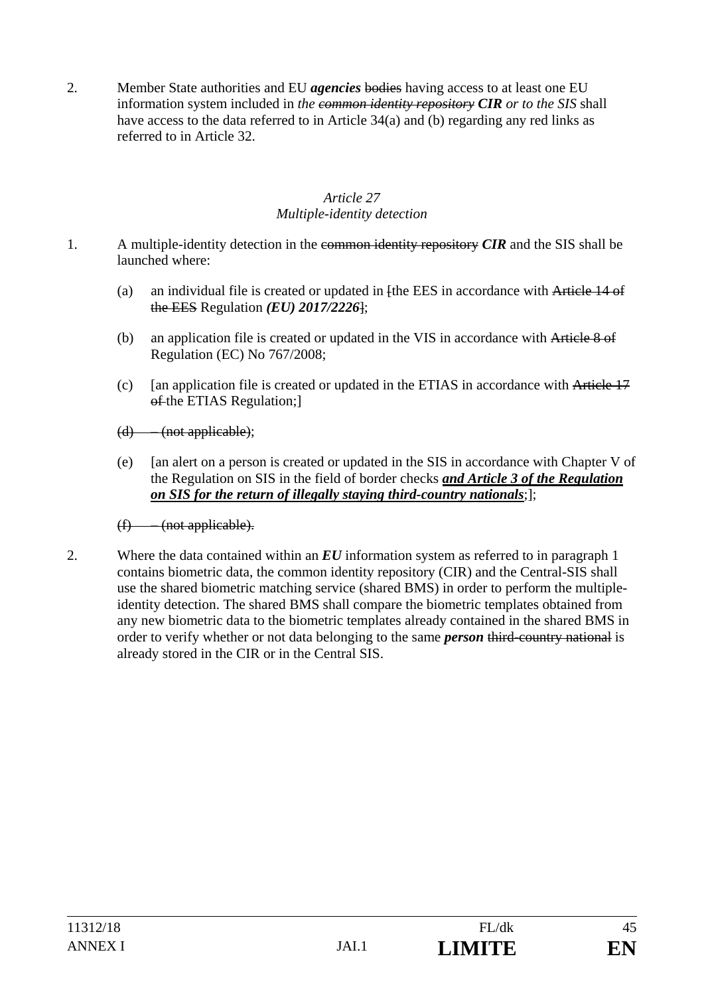2. Member State authorities and EU *agencies* bodies having access to at least one EU information system included in *the common identity repository CIR or to the SIS* shall have access to the data referred to in Article 34(a) and (b) regarding any red links as referred to in Article 32.

### *Article 27 Multiple-identity detection*

- 1. A multiple-identity detection in the common identity repository *CIR* and the SIS shall be launched where:
	- (a) an individual file is created or updated in  $[the EES]$  in accordance with Article 14 of the EES Regulation *(EU) 2017/2226*];
	- (b) an application file is created or updated in the VIS in accordance with Article 8 of Regulation (EC) No 767/2008;
	- (c) [an application file is created or updated in the ETIAS in accordance with Article 17 of the ETIAS Regulation;
	- $(d)$  (not applicable);
	- (e) [an alert on a person is created or updated in the SIS in accordance with Chapter V of the Regulation on SIS in the field of border checks *and Article 3 of the Regulation on SIS for the return of illegally staying third-country nationals*;];

 $(f)$  – (not applicable).

2. Where the data contained within an *EU* information system as referred to in paragraph 1 contains biometric data, the common identity repository (CIR) and the Central-SIS shall use the shared biometric matching service (shared BMS) in order to perform the multipleidentity detection. The shared BMS shall compare the biometric templates obtained from any new biometric data to the biometric templates already contained in the shared BMS in order to verify whether or not data belonging to the same *person* third-country national is already stored in the CIR or in the Central SIS.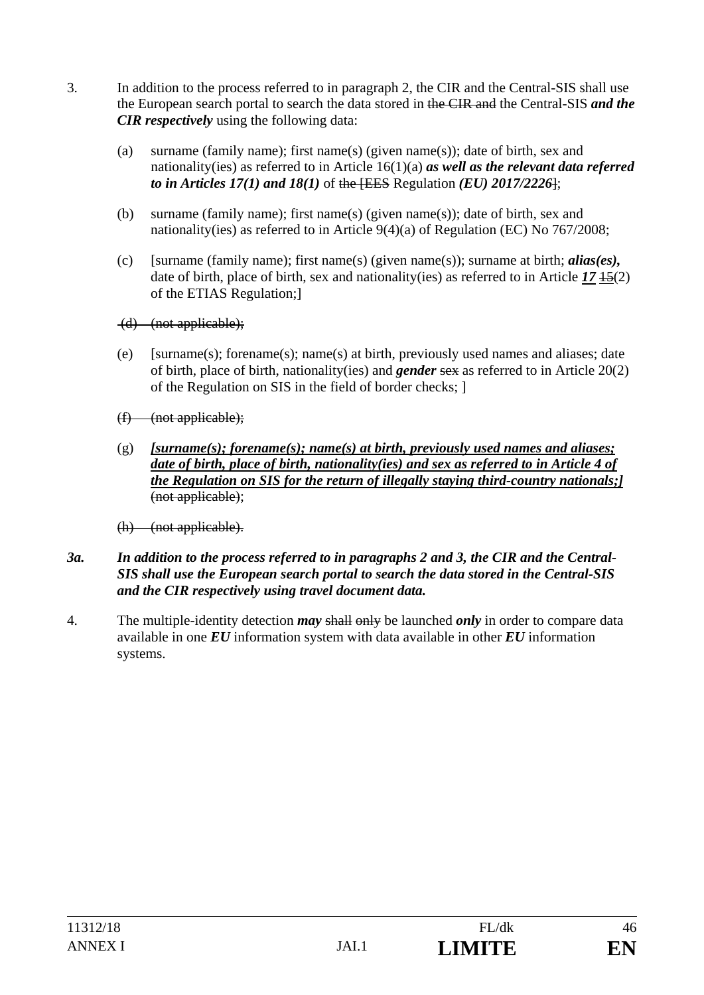- 3. In addition to the process referred to in paragraph 2, the CIR and the Central-SIS shall use the European search portal to search the data stored in the CIR and the Central-SIS *and the CIR respectively* using the following data:
	- (a) surname (family name); first name(s) (given name(s)); date of birth, sex and nationality(ies) as referred to in Article 16(1)(a) *as well as the relevant data referred to in Articles 17(1) and 18(1)* of the [EES Regulation *(EU) 2017/2226*];
	- (b) surname (family name); first name(s) (given name(s)); date of birth, sex and nationality(ies) as referred to in Article 9(4)(a) of Regulation (EC) No 767/2008;
	- (c) [surname (family name); first name(s) (given name(s)); surname at birth; *alias(es),*  date of birth, place of birth, sex and nationality(ies) as referred to in Article *17* 15(2) of the ETIAS Regulation;]
	- (d) (not applicable);
	- (e) [surname(s); forename(s); name(s) at birth, previously used names and aliases; date of birth, place of birth, nationality(ies) and *gender* sex as referred to in Article 20(2) of the Regulation on SIS in the field of border checks; ]
	- $(f)$  (not applicable);
	- (g) *[surname(s); forename(s); name(s) at birth, previously used names and aliases; date of birth, place of birth, nationality(ies) and sex as referred to in Article 4 of the Regulation on SIS for the return of illegally staying third-country nationals;]* (not applicable);

(h) (not applicable).

- *3a. In addition to the process referred to in paragraphs 2 and 3, the CIR and the Central-SIS shall use the European search portal to search the data stored in the Central-SIS and the CIR respectively using travel document data.*
- 4. The multiple-identity detection *may* shall only be launched *only* in order to compare data available in one *EU* information system with data available in other *EU* information systems.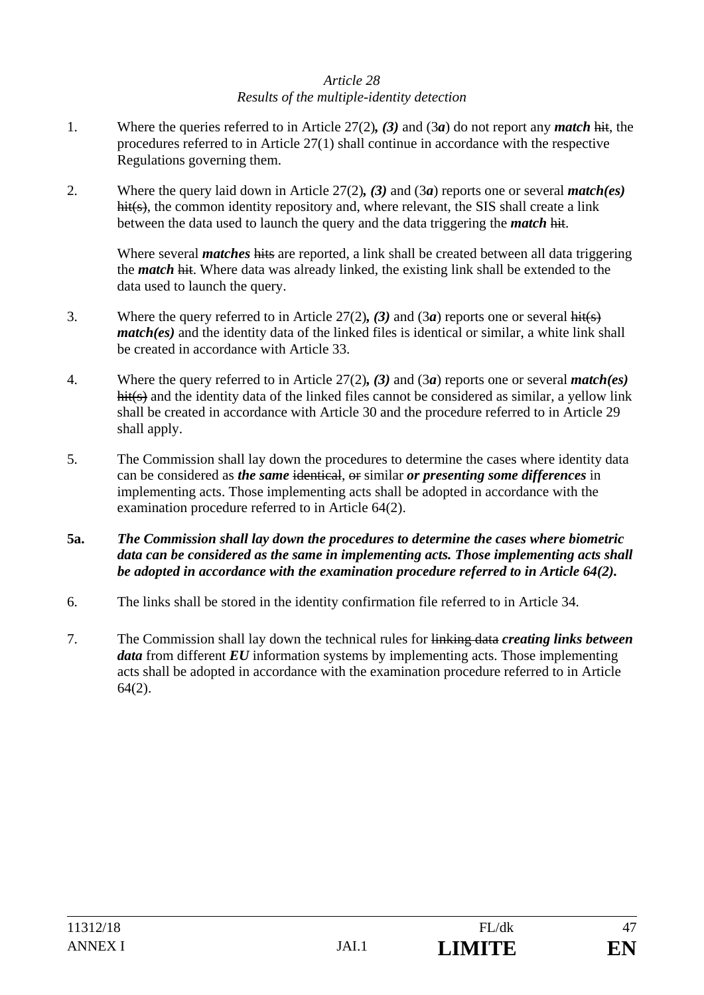## *Article 28 Results of the multiple-identity detection*

- 1. Where the queries referred to in Article 27(2)*, (3)* and (3*a*) do not report any *match* hit, the procedures referred to in Article 27(1) shall continue in accordance with the respective Regulations governing them.
- 2. Where the query laid down in Article 27(2)*, (3)* and (3*a*) reports one or several *match(es)*  hit(s), the common identity repository and, where relevant, the SIS shall create a link between the data used to launch the query and the data triggering the *match* hit.

 Where several *matches* hits are reported, a link shall be created between all data triggering the *match* hit. Where data was already linked, the existing link shall be extended to the data used to launch the query.

- 3. Where the query referred to in Article 27(2)*, (3)* and (3*a*) reports one or several hit(s) *match(es)* and the identity data of the linked files is identical or similar, a white link shall be created in accordance with Article 33.
- 4. Where the query referred to in Article 27(2)*, (3)* and (3*a*) reports one or several *match(es)* hit(s) and the identity data of the linked files cannot be considered as similar, a yellow link shall be created in accordance with Article 30 and the procedure referred to in Article 29 shall apply.
- 5. The Commission shall lay down the procedures to determine the cases where identity data can be considered as *the same* identical, or similar *or presenting some differences* in implementing acts. Those implementing acts shall be adopted in accordance with the examination procedure referred to in Article 64(2).
- **5a.** *The Commission shall lay down the procedures to determine the cases where biometric data can be considered as the same in implementing acts. Those implementing acts shall be adopted in accordance with the examination procedure referred to in Article 64(2).*
- 6. The links shall be stored in the identity confirmation file referred to in Article 34.
- 7. The Commission shall lay down the technical rules for linking data *creating links between data* from different *EU* information systems by implementing acts. Those implementing acts shall be adopted in accordance with the examination procedure referred to in Article 64(2).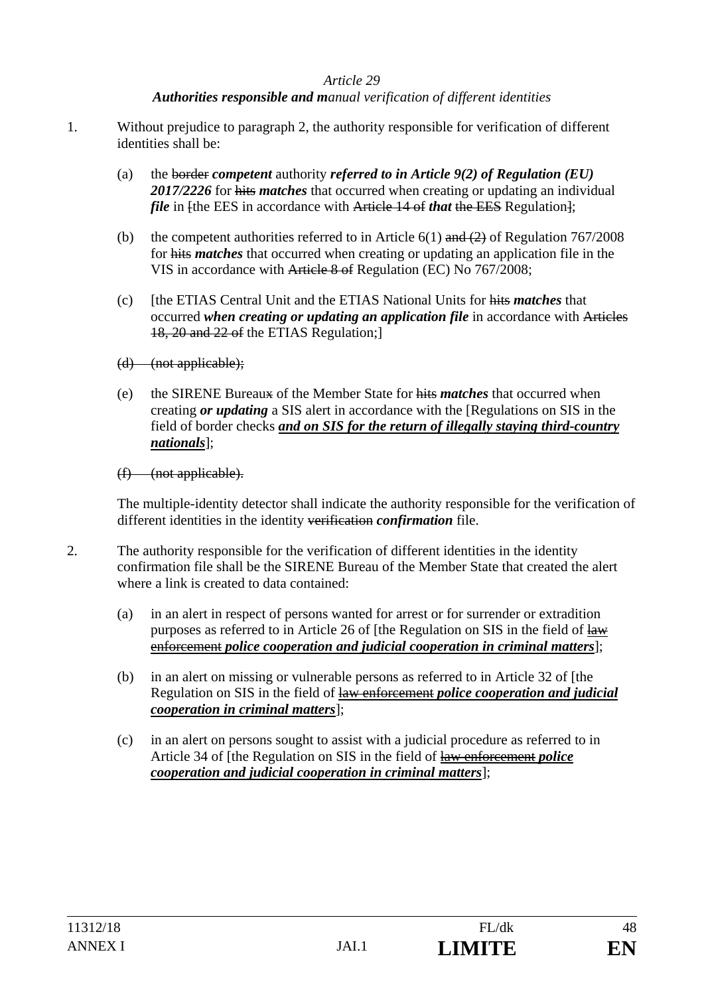## *Authorities responsible and manual verification of different identities*

- 1. Without prejudice to paragraph 2, the authority responsible for verification of different identities shall be:
	- (a) the border *competent* authority *referred to in Article 9(2) of Regulation (EU) 2017/2226* for hits *matches* that occurred when creating or updating an individual *file* in [the EES in accordance with Article 14 of *that* the EES Regulation];
	- (b) the competent authorities referred to in Article  $6(1)$  and  $(2)$  of Regulation 767/2008 for hits *matches* that occurred when creating or updating an application file in the VIS in accordance with Article 8 of Regulation (EC) No 767/2008;
	- (c) [the ETIAS Central Unit and the ETIAS National Units for hits *matches* that occurred *when creating or updating an application file* in accordance with Articles 18, 20 and 22 of the ETIAS Regulation;]
	- (d) (not applicable);
	- (e) the SIRENE Bureaux of the Member State for hits *matches* that occurred when creating *or updating* a SIS alert in accordance with the [Regulations on SIS in the field of border checks *and on SIS for the return of illegally staying third-country nationals*];

(f) (not applicable).

The multiple-identity detector shall indicate the authority responsible for the verification of different identities in the identity verification *confirmation* file.

- 2. The authority responsible for the verification of different identities in the identity confirmation file shall be the SIRENE Bureau of the Member State that created the alert where a link is created to data contained:
	- (a) in an alert in respect of persons wanted for arrest or for surrender or extradition purposes as referred to in Article 26 of [the Regulation on SIS in the field of law enforcement *police cooperation and judicial cooperation in criminal matters*];
	- (b) in an alert on missing or vulnerable persons as referred to in Article 32 of [the Regulation on SIS in the field of law enforcement *police cooperation and judicial cooperation in criminal matters*];
	- (c) in an alert on persons sought to assist with a judicial procedure as referred to in Article 34 of [the Regulation on SIS in the field of law enforcement *police cooperation and judicial cooperation in criminal matters*];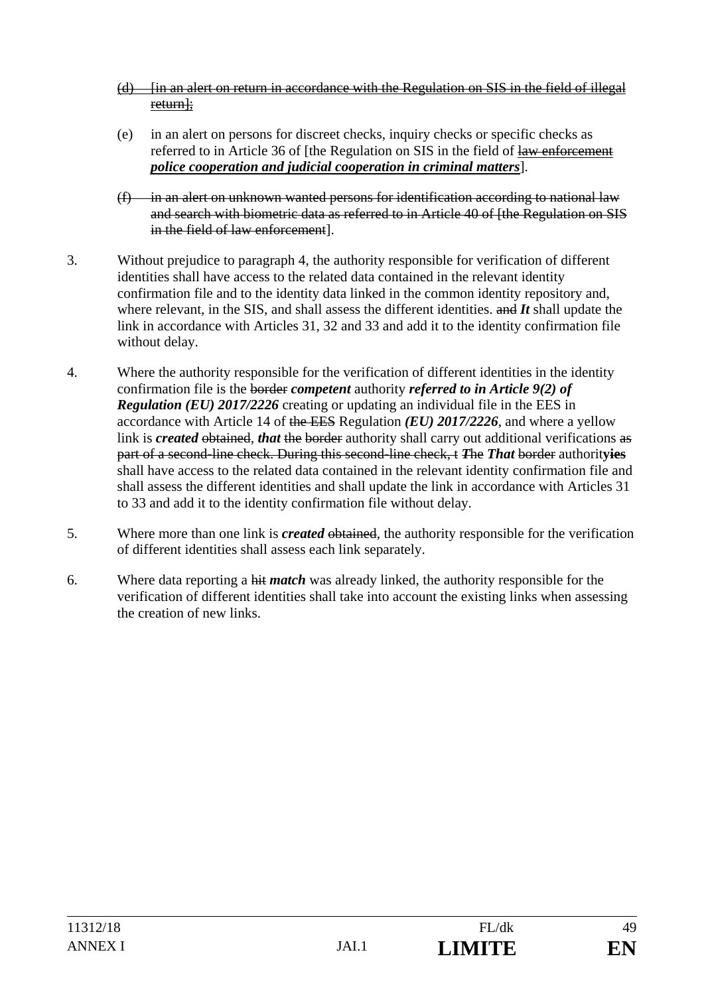- (d) [in an alert on return in accordance with the Regulation on SIS in the field of illegal return];
- (e) in an alert on persons for discreet checks, inquiry checks or specific checks as referred to in Article 36 of [the Regulation on SIS in the field of law enforcement *police cooperation and judicial cooperation in criminal matters*].
- $(f)$  in an alert on unknown wanted persons for identification according to national law and search with biometric data as referred to in Article 40 of [the Regulation on SIS in the field of law enforcement].
- 3. Without prejudice to paragraph 4, the authority responsible for verification of different identities shall have access to the related data contained in the relevant identity confirmation file and to the identity data linked in the common identity repository and, where relevant, in the SIS, and shall assess the different identities. and *It* shall update the link in accordance with Articles 31, 32 and 33 and add it to the identity confirmation file without delay.
- 4. Where the authority responsible for the verification of different identities in the identity confirmation file is the border *competent* authority *referred to in Article 9(2) of Regulation (EU) 2017/2226* creating or updating an individual file in the EES in accordance with Article 14 of the EES Regulation *(EU) 2017/2226*, and where a yellow link is *created* obtained, *that* the border authority shall carry out additional verifications as part of a second-line check. During this second-line check, t *T*he *That* border authorit**yies** shall have access to the related data contained in the relevant identity confirmation file and shall assess the different identities and shall update the link in accordance with Articles 31 to 33 and add it to the identity confirmation file without delay.
- 5. Where more than one link is *created* obtained, the authority responsible for the verification of different identities shall assess each link separately.
- 6. Where data reporting a hit *match* was already linked, the authority responsible for the verification of different identities shall take into account the existing links when assessing the creation of new links.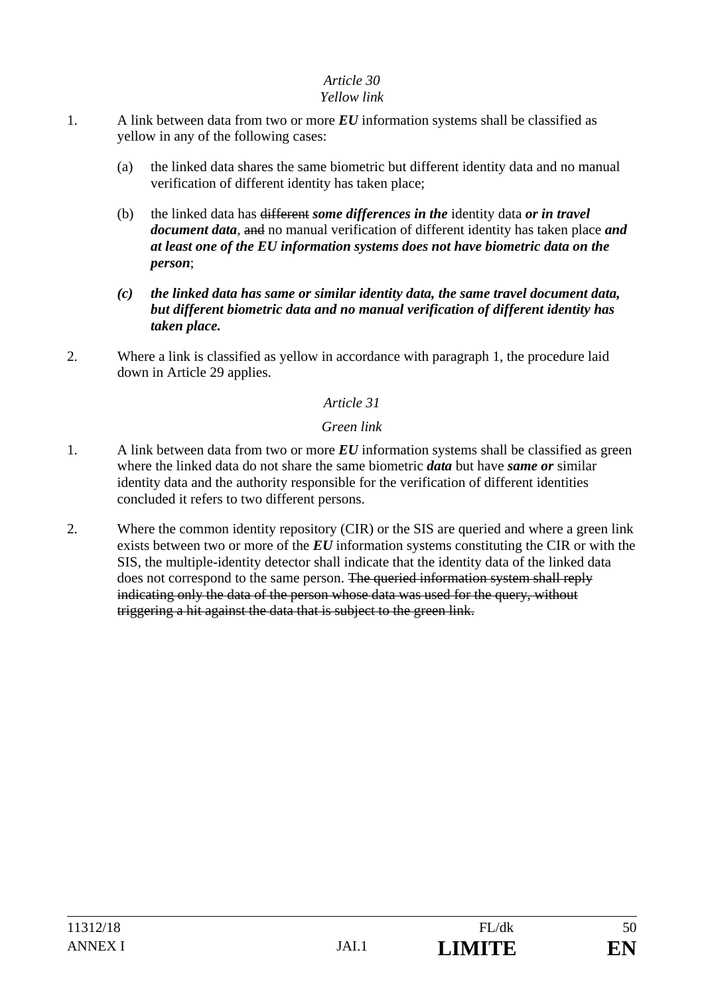## *Yellow link*

- 1. A link between data from two or more *EU* information systems shall be classified as yellow in any of the following cases:
	- (a) the linked data shares the same biometric but different identity data and no manual verification of different identity has taken place;
	- (b) the linked data has different *some differences in the* identity data *or in travel document data,* and no manual verification of different identity has taken place *and at least one of the EU information systems does not have biometric data on the person*;
	- *(c) the linked data has same or similar identity data, the same travel document data, but different biometric data and no manual verification of different identity has taken place.*
- 2. Where a link is classified as yellow in accordance with paragraph 1, the procedure laid down in Article 29 applies.

# *Article 31*

## *Green link*

- 1. A link between data from two or more *EU* information systems shall be classified as green where the linked data do not share the same biometric *data* but have *same or* similar identity data and the authority responsible for the verification of different identities concluded it refers to two different persons.
- 2. Where the common identity repository (CIR) or the SIS are queried and where a green link exists between two or more of the *EU* information systems constituting the CIR or with the SIS, the multiple-identity detector shall indicate that the identity data of the linked data does not correspond to the same person. The queried information system shall reply indicating only the data of the person whose data was used for the query, without triggering a hit against the data that is subject to the green link.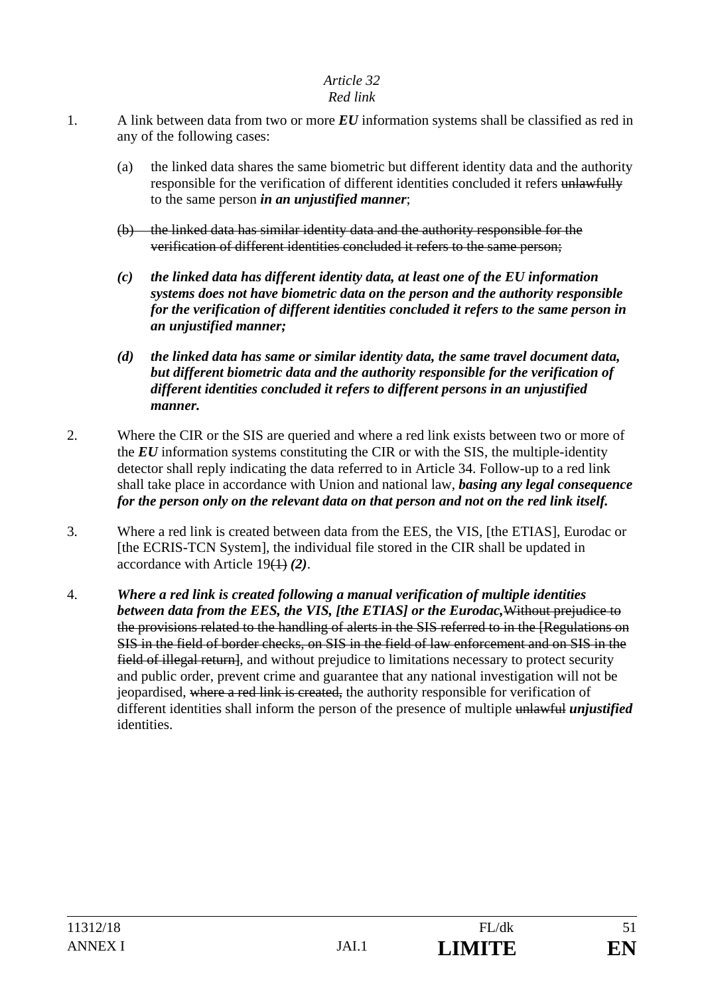## *Red link*

- 1. A link between data from two or more *EU* information systems shall be classified as red in any of the following cases:
	- (a) the linked data shares the same biometric but different identity data and the authority responsible for the verification of different identities concluded it refers unlawfully to the same person *in an unjustified manner*;
	- (b) the linked data has similar identity data and the authority responsible for the verification of different identities concluded it refers to the same person;
	- *(c) the linked data has different identity data, at least one of the EU information systems does not have biometric data on the person and the authority responsible for the verification of different identities concluded it refers to the same person in an unjustified manner;*
	- *(d) the linked data has same or similar identity data, the same travel document data, but different biometric data and the authority responsible for the verification of different identities concluded it refers to different persons in an unjustified manner.*
- 2. Where the CIR or the SIS are queried and where a red link exists between two or more of the *EU* information systems constituting the CIR or with the SIS, the multiple-identity detector shall reply indicating the data referred to in Article 34. Follow-up to a red link shall take place in accordance with Union and national law, *basing any legal consequence for the person only on the relevant data on that person and not on the red link itself.*
- 3. Where a red link is created between data from the EES, the VIS, [the ETIAS], Eurodac or [the ECRIS-TCN System], the individual file stored in the CIR shall be updated in accordance with Article 19(1) *(2)*.
- 4. *Where a red link is created following a manual verification of multiple identities between data from the EES, the VIS, [the ETIAS] or the Eurodac,*Without prejudice to the provisions related to the handling of alerts in the SIS referred to in the [Regulations on SIS in the field of border checks, on SIS in the field of law enforcement and on SIS in the field of illegal return, and without prejudice to limitations necessary to protect security and public order, prevent crime and guarantee that any national investigation will not be jeopardised, where a red link is created, the authority responsible for verification of different identities shall inform the person of the presence of multiple unlawful *unjustified*  identities.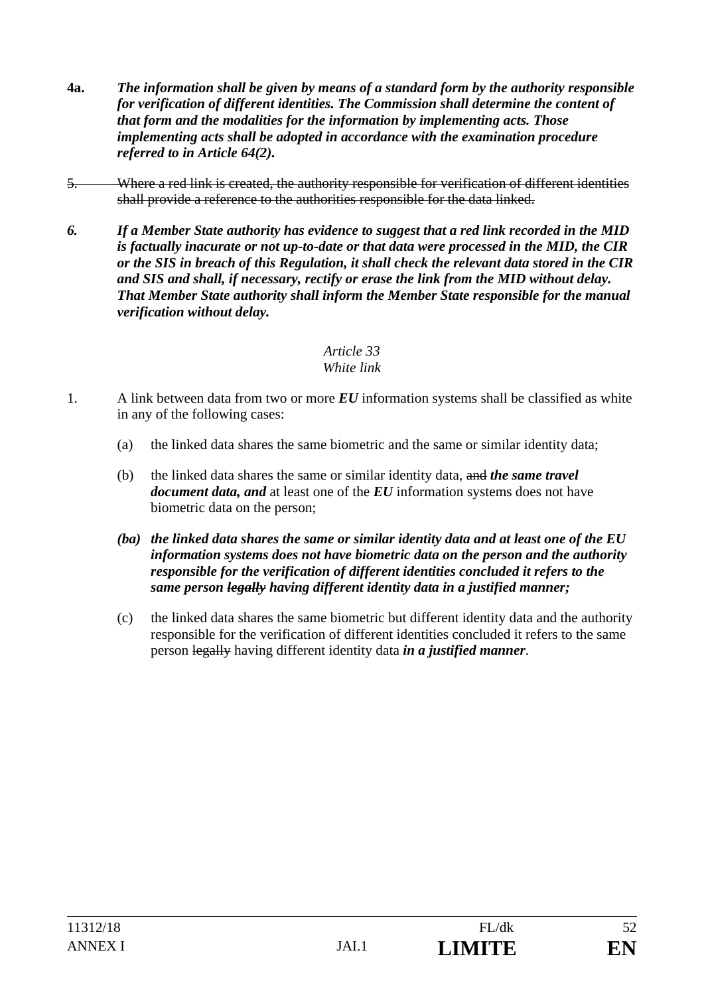- **4a.** *The information shall be given by means of a standard form by the authority responsible for verification of different identities. The Commission shall determine the content of that form and the modalities for the information by implementing acts. Those implementing acts shall be adopted in accordance with the examination procedure referred to in Article 64(2).*
- 5. Where a red link is created, the authority responsible for verification of different identities shall provide a reference to the authorities responsible for the data linked.
- *6. If a Member State authority has evidence to suggest that a red link recorded in the MID is factually inacurate or not up-to-date or that data were processed in the MID, the CIR or the SIS in breach of this Regulation, it shall check the relevant data stored in the CIR and SIS and shall, if necessary, rectify or erase the link from the MID without delay. That Member State authority shall inform the Member State responsible for the manual verification without delay.*

## *Article 33 White link*

- 1. A link between data from two or more *EU* information systems shall be classified as white in any of the following cases:
	- (a) the linked data shares the same biometric and the same or similar identity data;
	- (b) the linked data shares the same or similar identity data, and *the same travel document data, and* at least one of the *EU* information systems does not have biometric data on the person;
	- *(ba) the linked data shares the same or similar identity data and at least one of the EU information systems does not have biometric data on the person and the authority responsible for the verification of different identities concluded it refers to the same person legally having different identity data in a justified manner;*
	- (c) the linked data shares the same biometric but different identity data and the authority responsible for the verification of different identities concluded it refers to the same person legally having different identity data *in a justified manner*.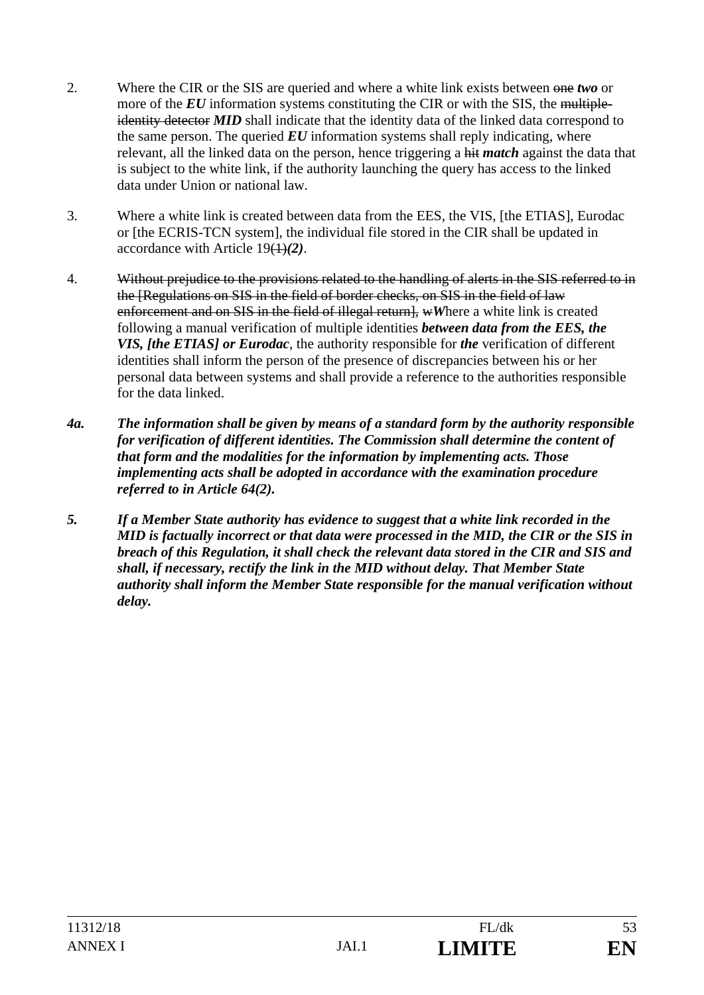- 2. Where the CIR or the SIS are queried and where a white link exists between one *two* or more of the *EU* information systems constituting the CIR or with the SIS, the multipleidentity detector **MID** shall indicate that the identity data of the linked data correspond to the same person. The queried  $EU$  information systems shall reply indicating, where relevant, all the linked data on the person, hence triggering a hit *match* against the data that is subject to the white link, if the authority launching the query has access to the linked data under Union or national law.
- 3. Where a white link is created between data from the EES, the VIS, [the ETIAS], Eurodac or [the ECRIS-TCN system], the individual file stored in the CIR shall be updated in accordance with Article 19(1)*(2)*.
- 4. Without prejudice to the provisions related to the handling of alerts in the SIS referred to in the [Regulations on SIS in the field of border checks, on SIS in the field of law enforcement and on SIS in the field of illegal return], wWhere a white link is created following a manual verification of multiple identities *between data from the EES, the VIS, [the ETIAS] or Eurodac*, the authority responsible for *the* verification of different identities shall inform the person of the presence of discrepancies between his or her personal data between systems and shall provide a reference to the authorities responsible for the data linked.
- *4a. The information shall be given by means of a standard form by the authority responsible for verification of different identities. The Commission shall determine the content of that form and the modalities for the information by implementing acts. Those implementing acts shall be adopted in accordance with the examination procedure referred to in Article 64(2).*
- *5. If a Member State authority has evidence to suggest that a white link recorded in the MID is factually incorrect or that data were processed in the MID, the CIR or the SIS in breach of this Regulation, it shall check the relevant data stored in the CIR and SIS and shall, if necessary, rectify the link in the MID without delay. That Member State authority shall inform the Member State responsible for the manual verification without delay.*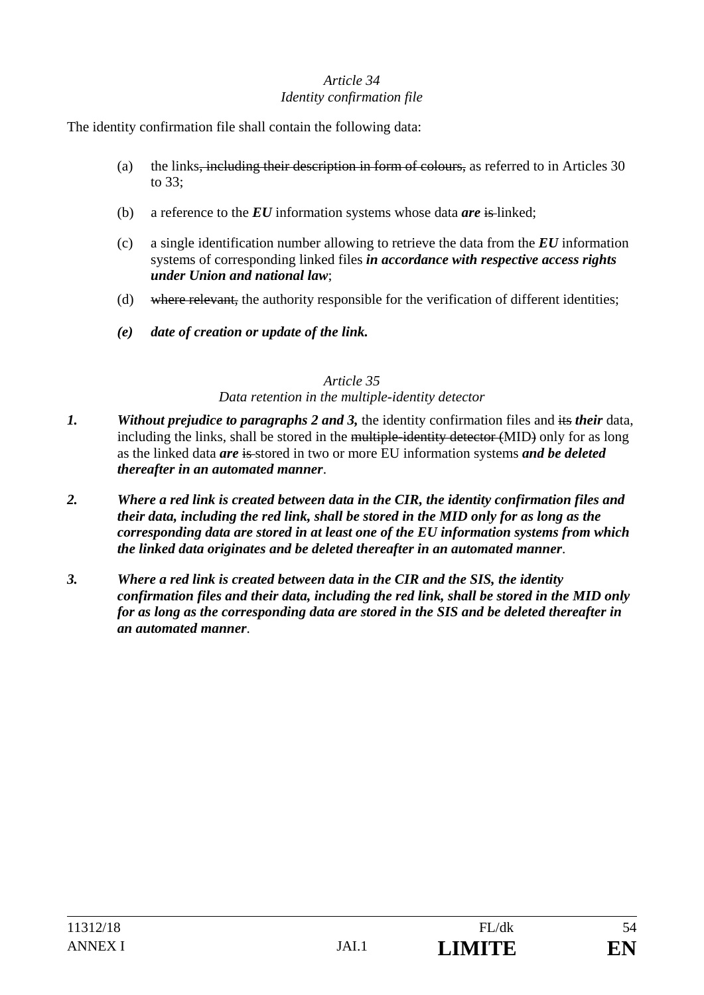## *Article 34 Identity confirmation file*

The identity confirmation file shall contain the following data:

- (a) the links, including their description in form of colours, as referred to in Articles 30 to 33;
- (b) a reference to the *EU* information systems whose data *are* is linked;
- (c) a single identification number allowing to retrieve the data from the *EU* information systems of corresponding linked files *in accordance with respective access rights under Union and national law*;
- (d) where relevant, the authority responsible for the verification of different identities;
- *(e) date of creation or update of the link.*

# *Article 35*

## *Data retention in the multiple-identity detector*

- *1. Without prejudice to paragraphs 2 and 3,* the identity confirmation files and its *their* data, including the links, shall be stored in the multiple-identity detector (MID) only for as long as the linked data *are* is stored in two or more EU information systems *and be deleted thereafter in an automated manner*.
- *2. Where a red link is created between data in the CIR, the identity confirmation files and their data, including the red link, shall be stored in the MID only for as long as the corresponding data are stored in at least one of the EU information systems from which the linked data originates and be deleted thereafter in an automated manner*.
- *3. Where a red link is created between data in the CIR and the SIS, the identity confirmation files and their data, including the red link, shall be stored in the MID only for as long as the corresponding data are stored in the SIS and be deleted thereafter in an automated manner*.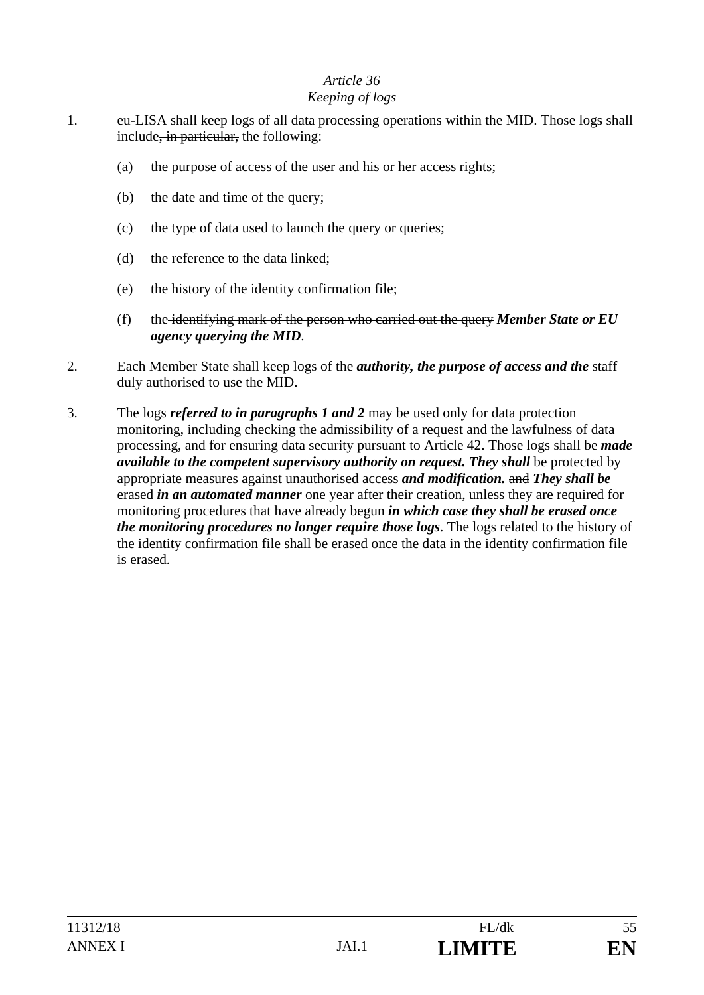### *Keeping of logs*

- 1. eu-LISA shall keep logs of all data processing operations within the MID. Those logs shall include<del>, in particular,</del> the following:
	- (a) the purpose of access of the user and his or her access rights;
	- (b) the date and time of the query;
	- (c) the type of data used to launch the query or queries;
	- (d) the reference to the data linked;
	- (e) the history of the identity confirmation file;
	- (f) the identifying mark of the person who carried out the query *Member State or EU agency querying the MID*.
- 2. Each Member State shall keep logs of the *authority, the purpose of access and the* staff duly authorised to use the MID.
- 3. The logs *referred to in paragraphs 1 and 2* may be used only for data protection monitoring, including checking the admissibility of a request and the lawfulness of data processing, and for ensuring data security pursuant to Article 42. Those logs shall be *made available to the competent supervisory authority on request. They shall be protected by* appropriate measures against unauthorised access *and modification.* and *They shall be* erased *in an automated manner* one year after their creation, unless they are required for monitoring procedures that have already begun *in which case they shall be erased once the monitoring procedures no longer require those logs*. The logs related to the history of the identity confirmation file shall be erased once the data in the identity confirmation file is erased.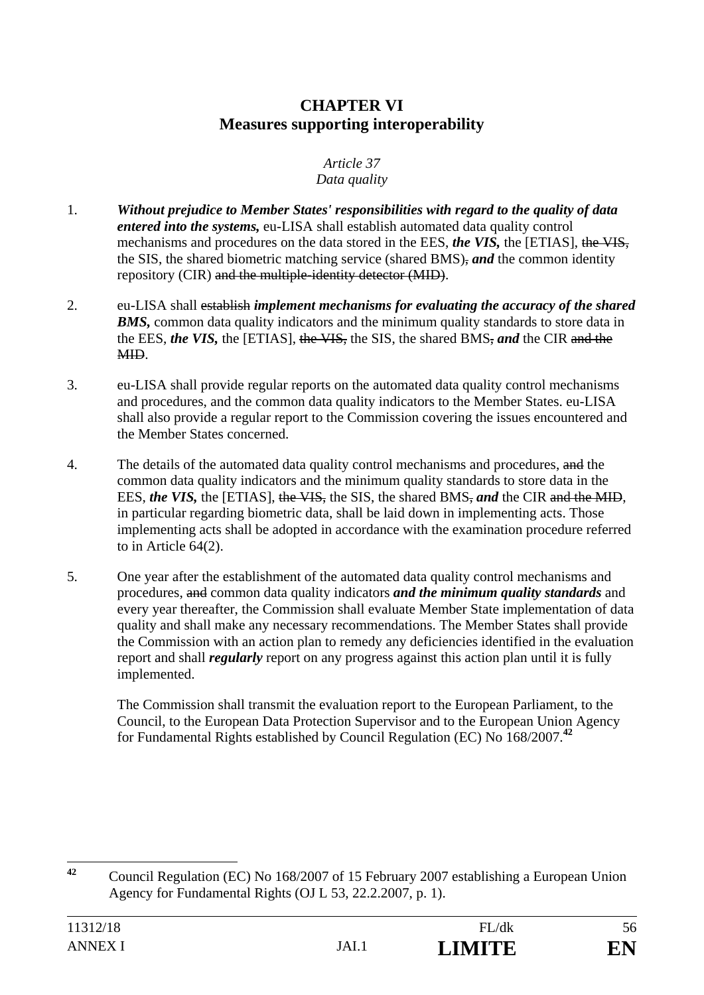# **CHAPTER VI Measures supporting interoperability**

#### *Article 37 Data quality*

- 1. *Without prejudice to Member States' responsibilities with regard to the quality of data entered into the systems,* eu-LISA shall establish automated data quality control mechanisms and procedures on the data stored in the EES, *the VIS,* the [ETIAS], the VIS, the SIS, the shared biometric matching service (shared BMS), *and* the common identity repository (CIR) and the multiple-identity detector (MID).
- 2. eu-LISA shall establish *implement mechanisms for evaluating the accuracy of the shared*  **BMS**, common data quality indicators and the minimum quality standards to store data in the EES, *the VIS,* the [ETIAS], the VIS, the SIS, the shared BMS, *and* the CIR and the MID.
- 3. eu-LISA shall provide regular reports on the automated data quality control mechanisms and procedures, and the common data quality indicators to the Member States. eu-LISA shall also provide a regular report to the Commission covering the issues encountered and the Member States concerned.
- 4. The details of the automated data quality control mechanisms and procedures, and the common data quality indicators and the minimum quality standards to store data in the EES, *the VIS*, the [ETIAS], the VIS, the SIS, the shared BMS, and the CIR and the MID, in particular regarding biometric data, shall be laid down in implementing acts. Those implementing acts shall be adopted in accordance with the examination procedure referred to in Article 64(2).
- 5. One year after the establishment of the automated data quality control mechanisms and procedures, and common data quality indicators *and the minimum quality standards* and every year thereafter, the Commission shall evaluate Member State implementation of data quality and shall make any necessary recommendations. The Member States shall provide the Commission with an action plan to remedy any deficiencies identified in the evaluation report and shall *regularly* report on any progress against this action plan until it is fully implemented.

 The Commission shall transmit the evaluation report to the European Parliament, to the Council, to the European Data Protection Supervisor and to the European Union Agency for Fundamental Rights established by Council Regulation (EC) No 168/2007.**<sup>42</sup>**

 $42$ **<sup>42</sup>** Council Regulation (EC) No 168/2007 of 15 February 2007 establishing a European Union Agency for Fundamental Rights (OJ L 53, 22.2.2007, p. 1).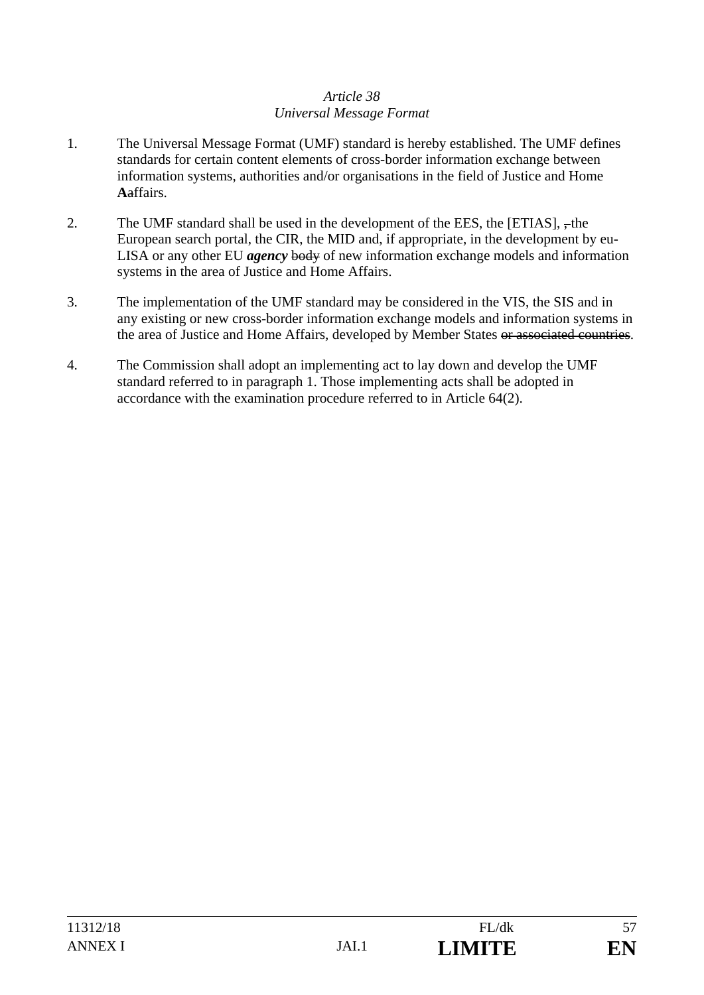### *Article 38 Universal Message Format*

- 1. The Universal Message Format (UMF) standard is hereby established. The UMF defines standards for certain content elements of cross-border information exchange between information systems, authorities and/or organisations in the field of Justice and Home **A**affairs.
- 2. The UMF standard shall be used in the development of the EES, the  $[ETIAS]$ ,  $\frac{1}{2}$ , the European search portal, the CIR, the MID and, if appropriate, in the development by eu-LISA or any other EU *agency* body of new information exchange models and information systems in the area of Justice and Home Affairs.
- 3. The implementation of the UMF standard may be considered in the VIS, the SIS and in any existing or new cross-border information exchange models and information systems in the area of Justice and Home Affairs, developed by Member States or associated countries.
- 4. The Commission shall adopt an implementing act to lay down and develop the UMF standard referred to in paragraph 1. Those implementing acts shall be adopted in accordance with the examination procedure referred to in Article 64(2).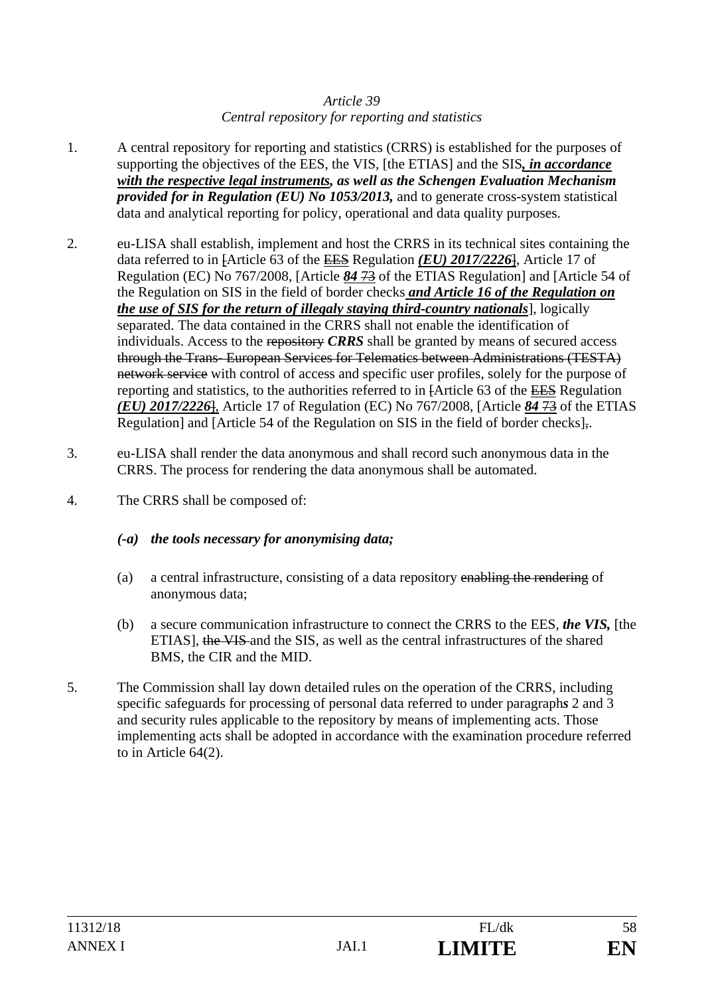### *Article 39 Central repository for reporting and statistics*

- 1. A central repository for reporting and statistics (CRRS) is established for the purposes of supporting the objectives of the EES, the VIS, [the ETIAS] and the SIS*, in accordance with the respective legal instruments, as well as the Schengen Evaluation Mechanism provided for in Regulation (EU) No 1053/2013,* and to generate cross-system statistical data and analytical reporting for policy, operational and data quality purposes.
- 2. eu-LISA shall establish, implement and host the CRRS in its technical sites containing the data referred to in [Article 63 of the EES Regulation *(EU) 2017/2226*], Article 17 of Regulation (EC) No 767/2008, [Article *84* 73 of the ETIAS Regulation] and [Article 54 of the Regulation on SIS in the field of border checks *and Article 16 of the Regulation on the use of SIS for the return of illegaly staying third-country nationals*], logically separated. The data contained in the CRRS shall not enable the identification of individuals. Access to the repository *CRRS* shall be granted by means of secured access through the Trans- European Services for Telematics between Administrations (TESTA) network service with control of access and specific user profiles, solely for the purpose of reporting and statistics, to the authorities referred to in [Article 63 of the EES Regulation *(EU) 2017/2226*], Article 17 of Regulation (EC) No 767/2008, [Article *84* 73 of the ETIAS Regulation] and [Article 54 of the Regulation on SIS in the field of border checks],.
- 3. eu-LISA shall render the data anonymous and shall record such anonymous data in the CRRS. The process for rendering the data anonymous shall be automated.
- 4. The CRRS shall be composed of:

## *(-a) the tools necessary for anonymising data;*

- (a) a central infrastructure, consisting of a data repository enabling the rendering of anonymous data;
- (b) a secure communication infrastructure to connect the CRRS to the EES, *the VIS,* [the ETIAS], the VIS and the SIS, as well as the central infrastructures of the shared BMS, the CIR and the MID.
- 5. The Commission shall lay down detailed rules on the operation of the CRRS, including specific safeguards for processing of personal data referred to under paragraph*s* 2 and 3 and security rules applicable to the repository by means of implementing acts. Those implementing acts shall be adopted in accordance with the examination procedure referred to in Article 64(2).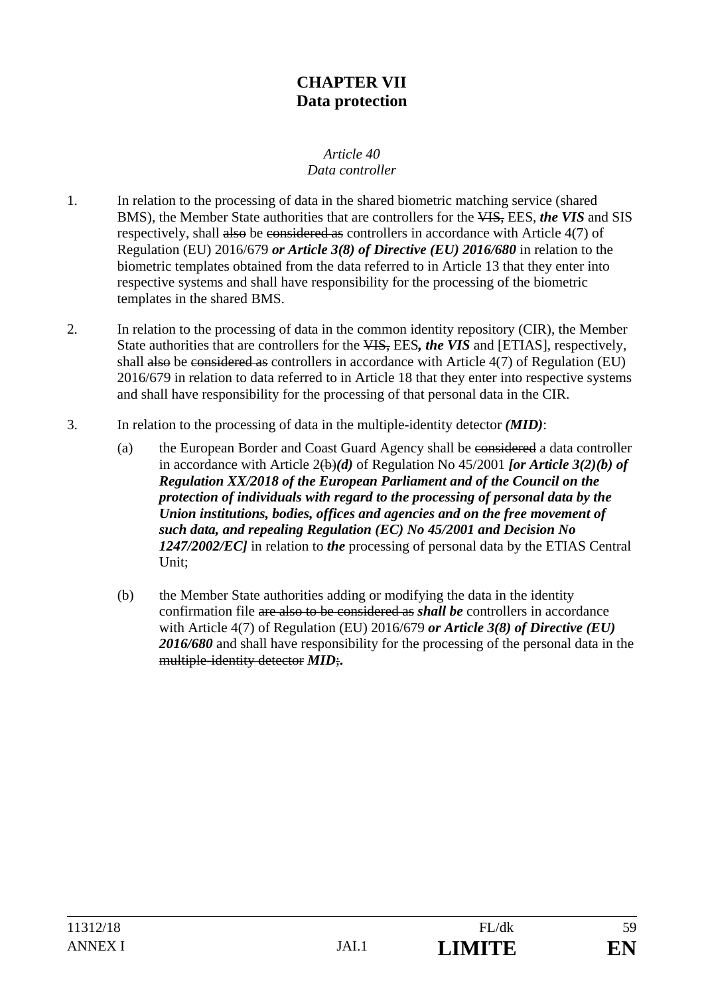# **CHAPTER VII Data protection**

#### *Article 40 Data controller*

- 1. In relation to the processing of data in the shared biometric matching service (shared BMS), the Member State authorities that are controllers for the VIS, EES, *the VIS* and SIS respectively, shall also be considered as controllers in accordance with Article 4(7) of Regulation (EU) 2016/679 *or Article 3(8) of Directive (EU) 2016/680* in relation to the biometric templates obtained from the data referred to in Article 13 that they enter into respective systems and shall have responsibility for the processing of the biometric templates in the shared BMS.
- 2. In relation to the processing of data in the common identity repository (CIR), the Member State authorities that are controllers for the VIS, EES*, the VIS* and [ETIAS], respectively, shall also be considered as controllers in accordance with Article 4(7) of Regulation (EU) 2016/679 in relation to data referred to in Article 18 that they enter into respective systems and shall have responsibility for the processing of that personal data in the CIR.
- 3. In relation to the processing of data in the multiple-identity detector *(MID)*:
	- (a) the European Border and Coast Guard Agency shall be considered a data controller in accordance with Article 2(b)*(d)* of Regulation No 45/2001 *[or Article 3(2)(b) of Regulation XX/2018 of the European Parliament and of the Council on the protection of individuals with regard to the processing of personal data by the Union institutions, bodies, offices and agencies and on the free movement of such data, and repealing Regulation (EC) No 45/2001 and Decision No 1247/2002/EC]* in relation to *the* processing of personal data by the ETIAS Central Unit;
	- (b) the Member State authorities adding or modifying the data in the identity confirmation file are also to be considered as *shall be* controllers in accordance with Article 4(7) of Regulation (EU) 2016/679 *or Article 3(8) of Directive (EU)*  2016/680 and shall have responsibility for the processing of the personal data in the multiple-identity detector *MID*;**.**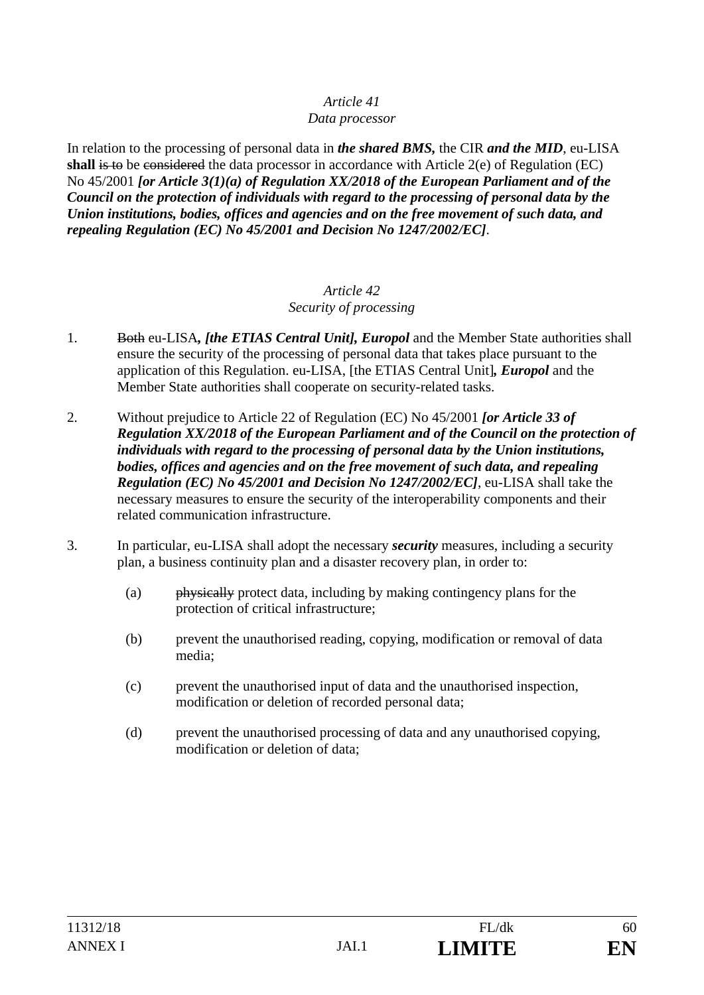#### *Data processor*

In relation to the processing of personal data in *the shared BMS,* the CIR *and the MID*, eu-LISA **shall** is to be considered the data processor in accordance with Article 2(e) of Regulation (EC) No 45/2001 *[or Article 3(1)(a) of Regulation XX/2018 of the European Parliament and of the Council on the protection of individuals with regard to the processing of personal data by the Union institutions, bodies, offices and agencies and on the free movement of such data, and repealing Regulation (EC) No 45/2001 and Decision No 1247/2002/EC]*.

#### *Article 42 Security of processing*

- 1. Both eu-LISA*, [the ETIAS Central Unit], Europol* and the Member State authorities shall ensure the security of the processing of personal data that takes place pursuant to the application of this Regulation. eu-LISA, [the ETIAS Central Unit]*, Europol* and the Member State authorities shall cooperate on security-related tasks.
- 2. Without prejudice to Article 22 of Regulation (EC) No 45/2001 *[or Article 33 of Regulation XX/2018 of the European Parliament and of the Council on the protection of individuals with regard to the processing of personal data by the Union institutions, bodies, offices and agencies and on the free movement of such data, and repealing Regulation (EC) No 45/2001 and Decision No 1247/2002/EC]*, eu-LISA shall take the necessary measures to ensure the security of the interoperability components and their related communication infrastructure.
- 3. In particular, eu-LISA shall adopt the necessary *security* measures, including a security plan, a business continuity plan and a disaster recovery plan, in order to:
	- (a) physically protect data, including by making contingency plans for the protection of critical infrastructure;
	- (b) prevent the unauthorised reading, copying, modification or removal of data media;
	- (c) prevent the unauthorised input of data and the unauthorised inspection, modification or deletion of recorded personal data;
	- (d) prevent the unauthorised processing of data and any unauthorised copying, modification or deletion of data;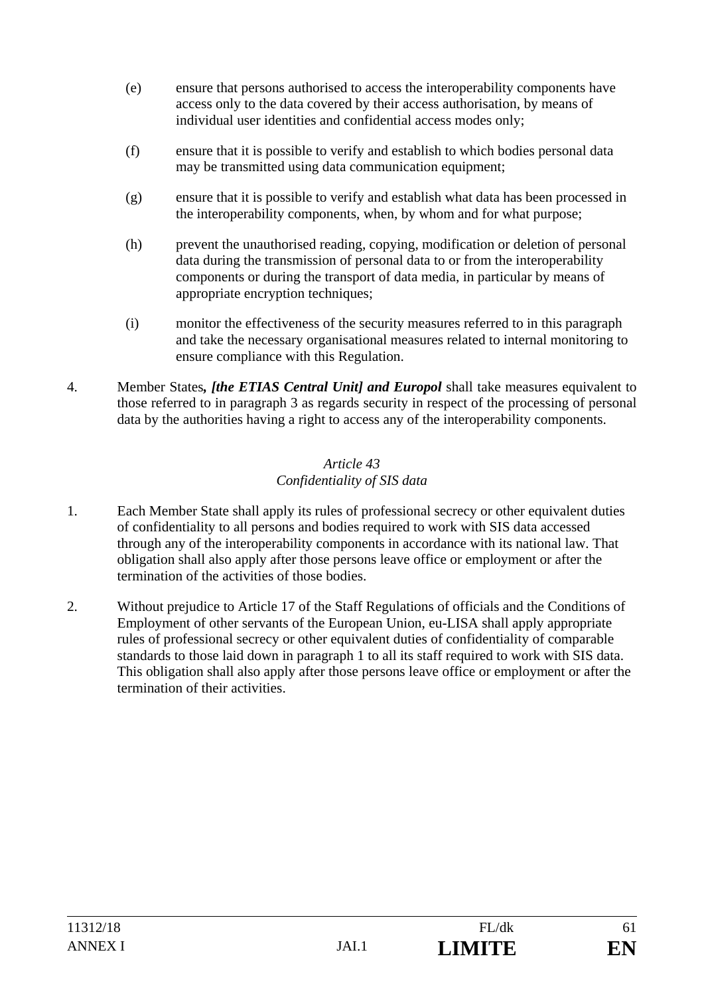- (e) ensure that persons authorised to access the interoperability components have access only to the data covered by their access authorisation, by means of individual user identities and confidential access modes only;
- (f) ensure that it is possible to verify and establish to which bodies personal data may be transmitted using data communication equipment;
- (g) ensure that it is possible to verify and establish what data has been processed in the interoperability components, when, by whom and for what purpose;
- (h) prevent the unauthorised reading, copying, modification or deletion of personal data during the transmission of personal data to or from the interoperability components or during the transport of data media, in particular by means of appropriate encryption techniques;
- (i) monitor the effectiveness of the security measures referred to in this paragraph and take the necessary organisational measures related to internal monitoring to ensure compliance with this Regulation.
- 4. Member States*, [the ETIAS Central Unit] and Europol* shall take measures equivalent to those referred to in paragraph 3 as regards security in respect of the processing of personal data by the authorities having a right to access any of the interoperability components.

## *Article 43 Confidentiality of SIS data*

- 1. Each Member State shall apply its rules of professional secrecy or other equivalent duties of confidentiality to all persons and bodies required to work with SIS data accessed through any of the interoperability components in accordance with its national law. That obligation shall also apply after those persons leave office or employment or after the termination of the activities of those bodies.
- 2. Without prejudice to Article 17 of the Staff Regulations of officials and the Conditions of Employment of other servants of the European Union, eu-LISA shall apply appropriate rules of professional secrecy or other equivalent duties of confidentiality of comparable standards to those laid down in paragraph 1 to all its staff required to work with SIS data. This obligation shall also apply after those persons leave office or employment or after the termination of their activities.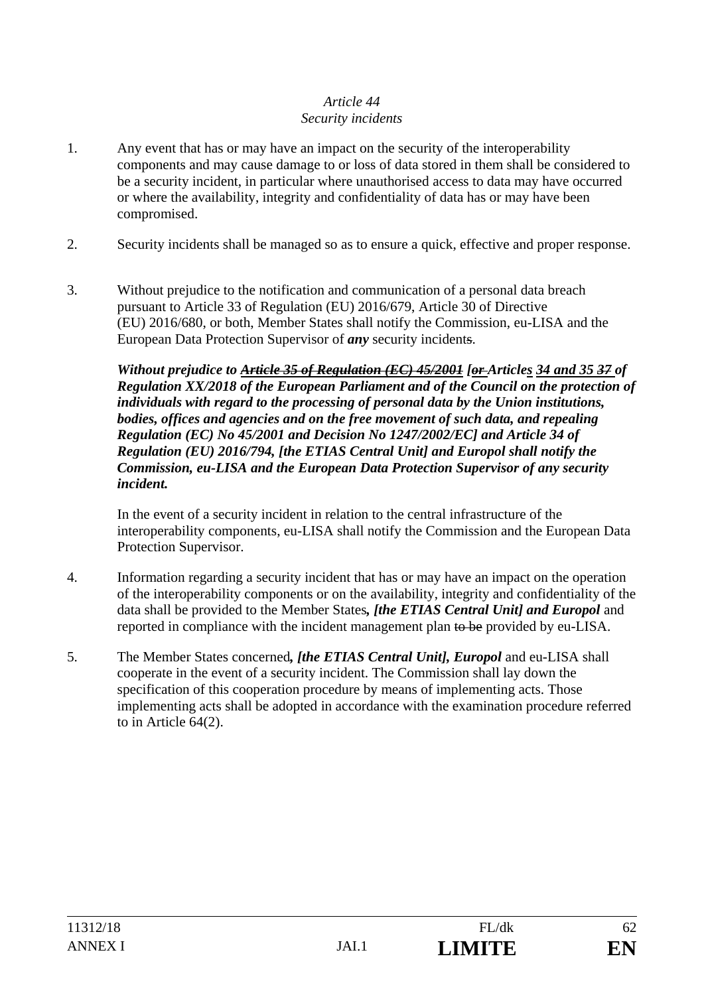## *Article 44 Security incidents*

- 1. Any event that has or may have an impact on the security of the interoperability components and may cause damage to or loss of data stored in them shall be considered to be a security incident, in particular where unauthorised access to data may have occurred or where the availability, integrity and confidentiality of data has or may have been compromised.
- 2. Security incidents shall be managed so as to ensure a quick, effective and proper response.
- 3. Without prejudice to the notification and communication of a personal data breach pursuant to Article 33 of Regulation (EU) 2016/679, Article 30 of Directive (EU) 2016/680, or both, Member States shall notify the Commission, eu-LISA and the European Data Protection Supervisor of *any* security incidents.

*Without prejudice to Article 35 of Regulation (EC) 45/2001 [or Articles 34 and 35 37 of Regulation XX/2018 of the European Parliament and of the Council on the protection of individuals with regard to the processing of personal data by the Union institutions, bodies, offices and agencies and on the free movement of such data, and repealing Regulation (EC) No 45/2001 and Decision No 1247/2002/EC] and Article 34 of Regulation (EU) 2016/794, [the ETIAS Central Unit] and Europol shall notify the Commission, eu-LISA and the European Data Protection Supervisor of any security incident.*

 In the event of a security incident in relation to the central infrastructure of the interoperability components, eu-LISA shall notify the Commission and the European Data Protection Supervisor.

- 4. Information regarding a security incident that has or may have an impact on the operation of the interoperability components or on the availability, integrity and confidentiality of the data shall be provided to the Member States*, [the ETIAS Central Unit] and Europol* and reported in compliance with the incident management plan to be provided by eu-LISA.
- 5. The Member States concerned*, [the ETIAS Central Unit], Europol* and eu-LISA shall cooperate in the event of a security incident. The Commission shall lay down the specification of this cooperation procedure by means of implementing acts. Those implementing acts shall be adopted in accordance with the examination procedure referred to in Article 64(2).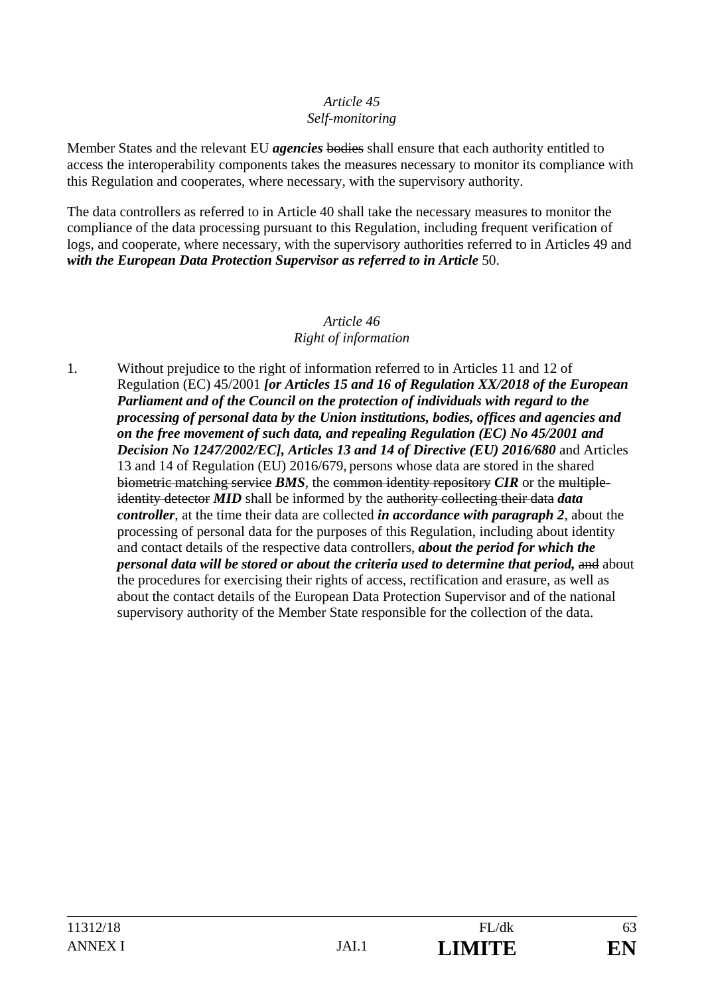#### *Article 45 Self-monitoring*

Member States and the relevant EU *agencies* bodies shall ensure that each authority entitled to access the interoperability components takes the measures necessary to monitor its compliance with this Regulation and cooperates, where necessary, with the supervisory authority.

The data controllers as referred to in Article 40 shall take the necessary measures to monitor the compliance of the data processing pursuant to this Regulation, including frequent verification of logs, and cooperate, where necessary, with the supervisory authorities referred to in Articles 49 and with the European Data Protection Supervisor as referred to in Article 50.

#### *Article 46 Right of information*

1. Without prejudice to the right of information referred to in Articles 11 and 12 of Regulation (EC) 45/2001 *[or Articles 15 and 16 of Regulation XX/2018 of the European Parliament and of the Council on the protection of individuals with regard to the processing of personal data by the Union institutions, bodies, offices and agencies and on the free movement of such data, and repealing Regulation (EC) No 45/2001 and Decision No 1247/2002/EC], Articles 13 and 14 of Directive (EU) 2016/680* and Articles 13 and 14 of Regulation (EU) 2016/679, persons whose data are stored in the shared biometric matching service *BMS*, the common identity repository *CIR* or the multipleidentity detector *MID* shall be informed by the authority collecting their data *data controller*, at the time their data are collected *in accordance with paragraph 2*, about the processing of personal data for the purposes of this Regulation, including about identity and contact details of the respective data controllers, *about the period for which the personal data will be stored or about the criteria used to determine that period, and about* the procedures for exercising their rights of access, rectification and erasure, as well as about the contact details of the European Data Protection Supervisor and of the national supervisory authority of the Member State responsible for the collection of the data.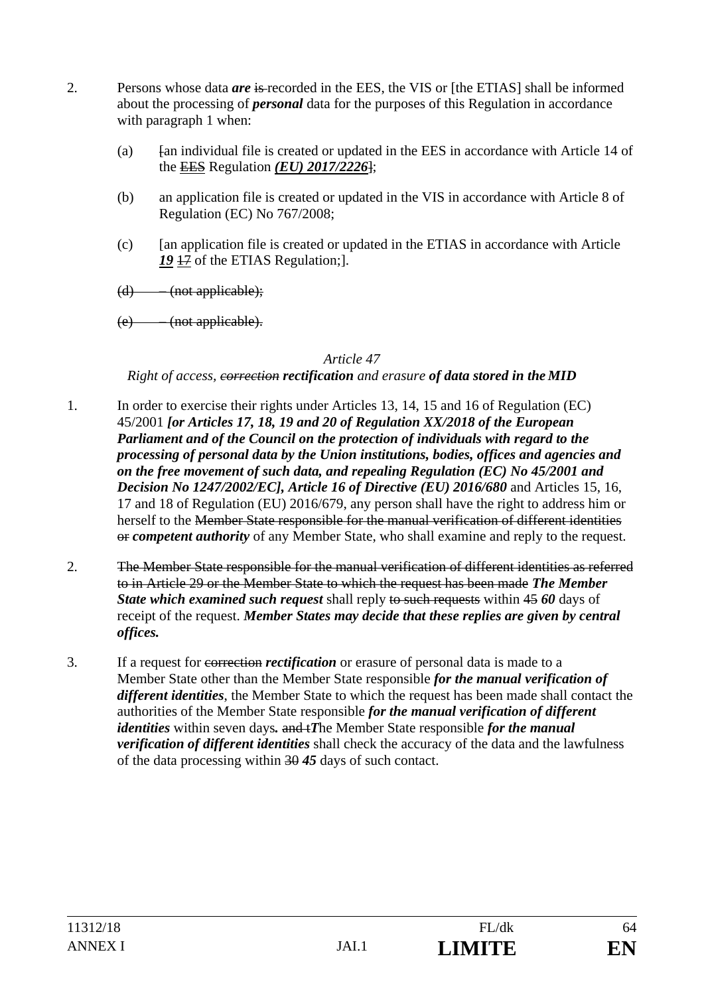- 2. Persons whose data *are* is recorded in the EES, the VIS or [the ETIAS] shall be informed about the processing of *personal* data for the purposes of this Regulation in accordance with paragraph 1 when:
	- (a)  $\frac{1}{4}$  fan individual file is created or updated in the EES in accordance with Article 14 of the EES Regulation *(EU) 2017/2226*];
	- (b) an application file is created or updated in the VIS in accordance with Article 8 of Regulation (EC) No 767/2008;
	- (c) [an application file is created or updated in the ETIAS in accordance with Article *19* 17 of the ETIAS Regulation;].
	- $(d)$  (not applicable);
	- (e) (not applicable).

#### *Right of access, correction rectification and erasure of data stored in the MID*

- 1. In order to exercise their rights under Articles 13, 14, 15 and 16 of Regulation (EC) 45/2001 *[or Articles 17, 18, 19 and 20 of Regulation XX/2018 of the European Parliament and of the Council on the protection of individuals with regard to the processing of personal data by the Union institutions, bodies, offices and agencies and on the free movement of such data, and repealing Regulation (EC) No 45/2001 and Decision No 1247/2002/EC], Article 16 of Directive (EU) 2016/680 and Articles 15, 16,* 17 and 18 of Regulation (EU) 2016/679, any person shall have the right to address him or herself to the Member State responsible for the manual verification of different identities or *competent authority* of any Member State, who shall examine and reply to the request.
- 2. The Member State responsible for the manual verification of different identities as referred to in Article 29 or the Member State to which the request has been made *The Member*  **State which examined such request** shall reply to such requests within 45 60 days of receipt of the request. *Member States may decide that these replies are given by central offices.*
- 3. If a request for correction *rectification* or erasure of personal data is made to a Member State other than the Member State responsible *for the manual verification of different identities*, the Member State to which the request has been made shall contact the authorities of the Member State responsible *for the manual verification of different identities* within seven days*.* and t*T*he Member State responsible *for the manual verification of different identities* shall check the accuracy of the data and the lawfulness of the data processing within 30 *45* days of such contact.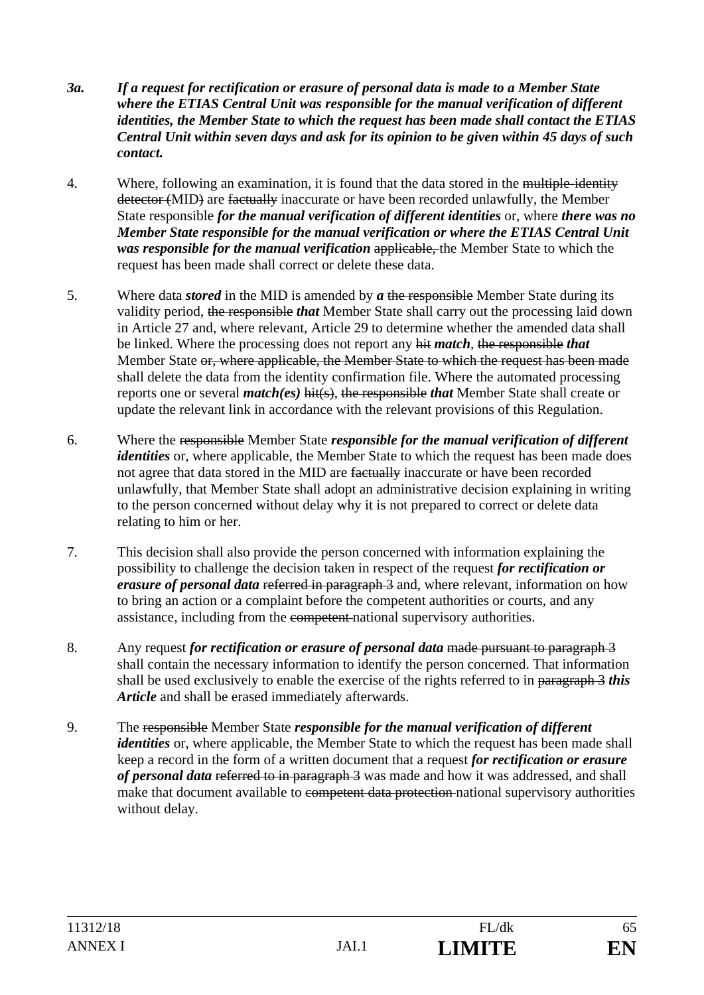- *3a. If a request for rectification or erasure of personal data is made to a Member State where the ETIAS Central Unit was responsible for the manual verification of different identities, the Member State to which the request has been made shall contact the ETIAS Central Unit within seven days and ask for its opinion to be given within 45 days of such contact.*
- 4. Where, following an examination, it is found that the data stored in the multiple-identity detector (MID) are factually inaccurate or have been recorded unlawfully, the Member State responsible *for the manual verification of different identities* or, where *there was no Member State responsible for the manual verification or where the ETIAS Central Unit was responsible for the manual verification* applicable, the Member State to which the request has been made shall correct or delete these data.
- 5. Where data *stored* in the MID is amended by *a* the responsible Member State during its validity period, the responsible *that* Member State shall carry out the processing laid down in Article 27 and, where relevant, Article 29 to determine whether the amended data shall be linked. Where the processing does not report any hit *match*, the responsible *that* Member State or, where applicable, the Member State to which the request has been made shall delete the data from the identity confirmation file. Where the automated processing reports one or several *match(es)* hit(s), the responsible *that* Member State shall create or update the relevant link in accordance with the relevant provisions of this Regulation.
- 6. Where the responsible Member State *responsible for the manual verification of different identities* or, where applicable, the Member State to which the request has been made does not agree that data stored in the MID are factually inaccurate or have been recorded unlawfully, that Member State shall adopt an administrative decision explaining in writing to the person concerned without delay why it is not prepared to correct or delete data relating to him or her.
- 7. This decision shall also provide the person concerned with information explaining the possibility to challenge the decision taken in respect of the request *for rectification or erasure of personal data* referred in paragraph 3 and, where relevant, information on how to bring an action or a complaint before the competent authorities or courts, and any assistance, including from the competent national supervisory authorities.
- 8. Any request *for rectification or erasure of personal data* made pursuant to paragraph 3 shall contain the necessary information to identify the person concerned. That information shall be used exclusively to enable the exercise of the rights referred to in paragraph 3 *this Article* and shall be erased immediately afterwards.
- 9. The responsible Member State *responsible for the manual verification of different identities* or, where applicable, the Member State to which the request has been made shall keep a record in the form of a written document that a request *for rectification or erasure of personal data* referred to in paragraph 3 was made and how it was addressed, and shall make that document available to competent data protection national supervisory authorities without delay.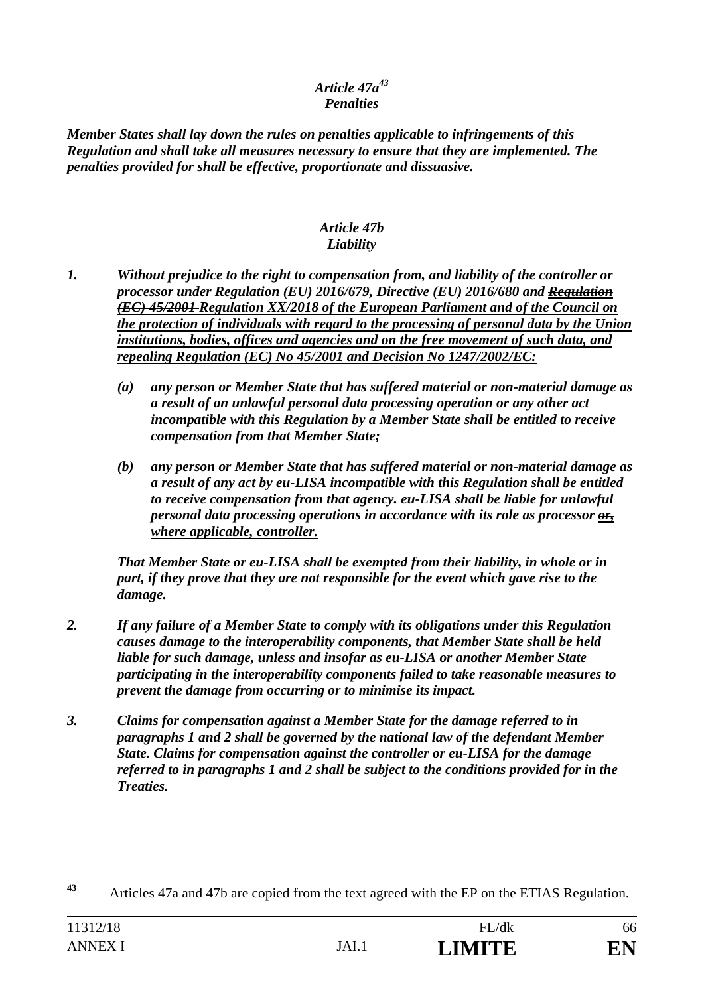## *Article 47a43 Penalties*

*Member States shall lay down the rules on penalties applicable to infringements of this Regulation and shall take all measures necessary to ensure that they are implemented. The penalties provided for shall be effective, proportionate and dissuasive.* 

#### *Article 47b Liability*

- *1. Without prejudice to the right to compensation from, and liability of the controller or processor under Regulation (EU) 2016/679, Directive (EU) 2016/680 and Regulation (EC) 45/2001 Regulation XX/2018 of the European Parliament and of the Council on the protection of individuals with regard to the processing of personal data by the Union institutions, bodies, offices and agencies and on the free movement of such data, and repealing Regulation (EC) No 45/2001 and Decision No 1247/2002/EC:* 
	- *(a) any person or Member State that has suffered material or non-material damage as a result of an unlawful personal data processing operation or any other act incompatible with this Regulation by a Member State shall be entitled to receive compensation from that Member State;*
	- *(b) any person or Member State that has suffered material or non-material damage as a result of any act by eu-LISA incompatible with this Regulation shall be entitled to receive compensation from that agency. eu-LISA shall be liable for unlawful personal data processing operations in accordance with its role as processor or, where applicable, controller.*

*That Member State or eu-LISA shall be exempted from their liability, in whole or in part, if they prove that they are not responsible for the event which gave rise to the damage.* 

- *2. If any failure of a Member State to comply with its obligations under this Regulation causes damage to the interoperability components, that Member State shall be held liable for such damage, unless and insofar as eu-LISA or another Member State participating in the interoperability components failed to take reasonable measures to prevent the damage from occurring or to minimise its impact.*
- *3. Claims for compensation against a Member State for the damage referred to in paragraphs 1 and 2 shall be governed by the national law of the defendant Member State. Claims for compensation against the controller or eu-LISA for the damage referred to in paragraphs 1 and 2 shall be subject to the conditions provided for in the Treaties.*

 $43$ **<sup>43</sup>** Articles 47a and 47b are copied from the text agreed with the EP on the ETIAS Regulation.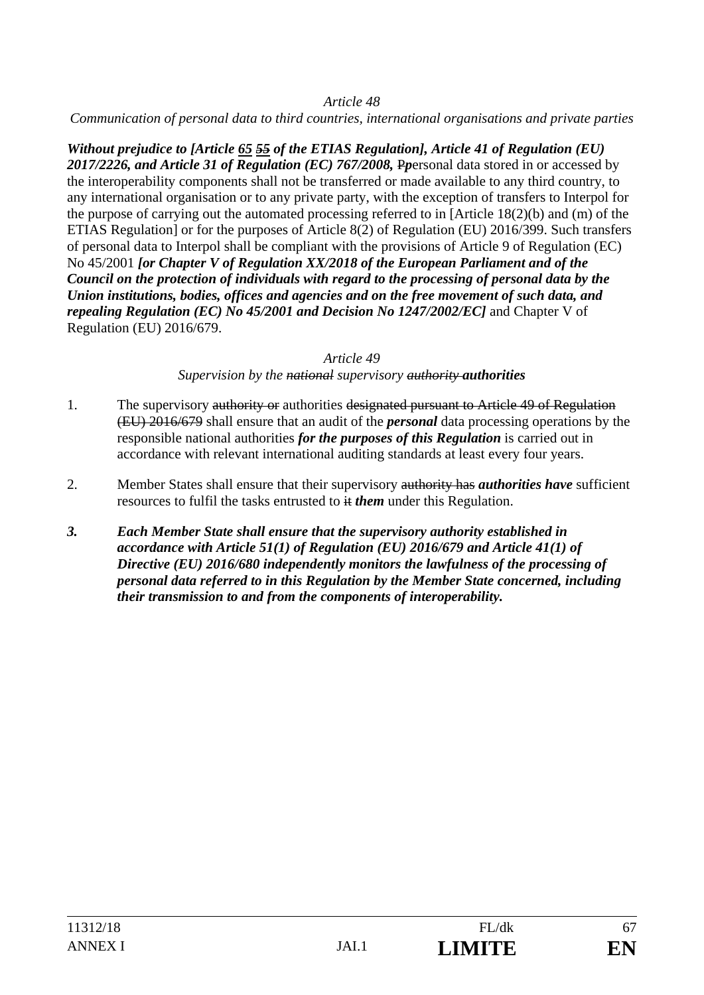*Communication of personal data to third countries, international organisations and private parties* 

*Without prejudice to [Article 65 55 of the ETIAS Regulation], Article 41 of Regulation (EU) 2017/2226, and Article 31 of Regulation (EC) 767/2008,* P*p*ersonal data stored in or accessed by the interoperability components shall not be transferred or made available to any third country, to any international organisation or to any private party, with the exception of transfers to Interpol for the purpose of carrying out the automated processing referred to in [Article 18(2)(b) and (m) of the ETIAS Regulation] or for the purposes of Article 8(2) of Regulation (EU) 2016/399. Such transfers of personal data to Interpol shall be compliant with the provisions of Article 9 of Regulation (EC) No 45/2001 *[or Chapter V of Regulation XX/2018 of the European Parliament and of the Council on the protection of individuals with regard to the processing of personal data by the Union institutions, bodies, offices and agencies and on the free movement of such data, and repealing Regulation (EC) No 45/2001 and Decision No 1247/2002/EC]* and Chapter V of Regulation (EU) 2016/679.

#### *Article 49*

*Supervision by the national supervisory authority authorities*

- 1. The supervisory authority or authorities designated pursuant to Article 49 of Regulation (EU) 2016/679 shall ensure that an audit of the *personal* data processing operations by the responsible national authorities *for the purposes of this Regulation* is carried out in accordance with relevant international auditing standards at least every four years.
- 2. Member States shall ensure that their supervisory authority has *authorities have* sufficient resources to fulfil the tasks entrusted to it *them* under this Regulation.
- *3. Each Member State shall ensure that the supervisory authority established in accordance with Article 51(1) of Regulation (EU) 2016/679 and Article 41(1) of Directive (EU) 2016/680 independently monitors the lawfulness of the processing of personal data referred to in this Regulation by the Member State concerned, including their transmission to and from the components of interoperability.*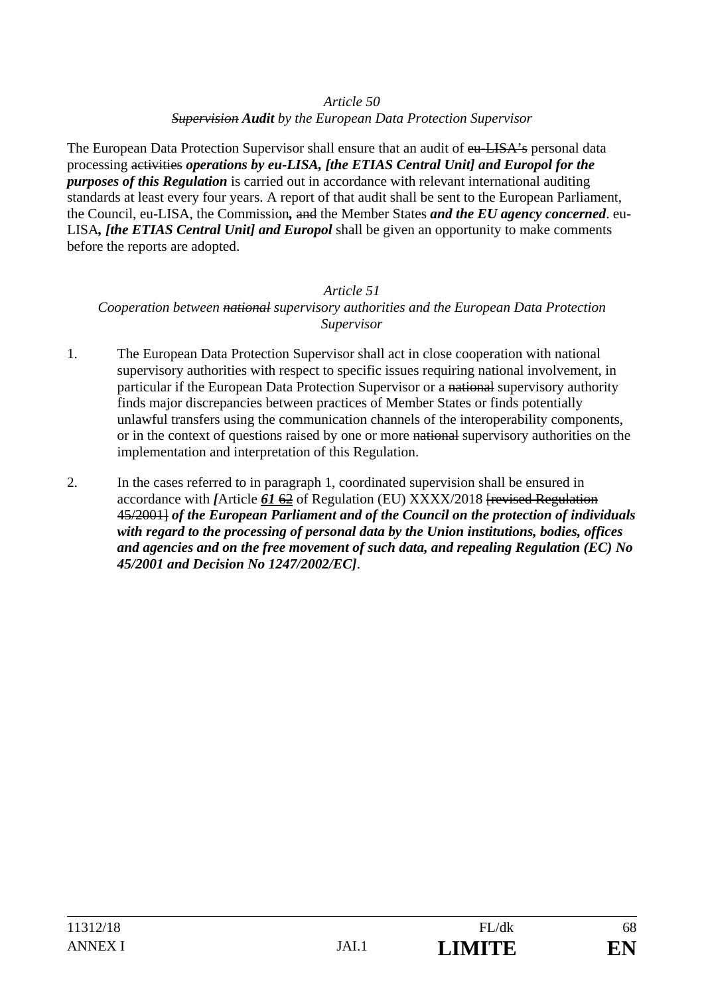*Supervision Audit by the European Data Protection Supervisor* 

The European Data Protection Supervisor shall ensure that an audit of eu-LISA's personal data processing activities *operations by eu-LISA, [the ETIAS Central Unit] and Europol for the purposes of this Regulation* is carried out in accordance with relevant international auditing standards at least every four years. A report of that audit shall be sent to the European Parliament, the Council, eu-LISA, the Commission*,* and the Member States *and the EU agency concerned*. eu-LISA*, [the ETIAS Central Unit] and Europol* shall be given an opportunity to make comments before the reports are adopted.

## *Article 51 Cooperation between national supervisory authorities and the European Data Protection Supervisor*

- 1. The European Data Protection Supervisor shall act in close cooperation with national supervisory authorities with respect to specific issues requiring national involvement, in particular if the European Data Protection Supervisor or a national supervisory authority finds major discrepancies between practices of Member States or finds potentially unlawful transfers using the communication channels of the interoperability components, or in the context of questions raised by one or more national supervisory authorities on the implementation and interpretation of this Regulation.
- 2. In the cases referred to in paragraph 1, coordinated supervision shall be ensured in accordance with *[*Article *61* 62 of Regulation (EU) XXXX/2018 [revised Regulation 45/2001] *of the European Parliament and of the Council on the protection of individuals with regard to the processing of personal data by the Union institutions, bodies, offices and agencies and on the free movement of such data, and repealing Regulation (EC) No 45/2001 and Decision No 1247/2002/EC]*.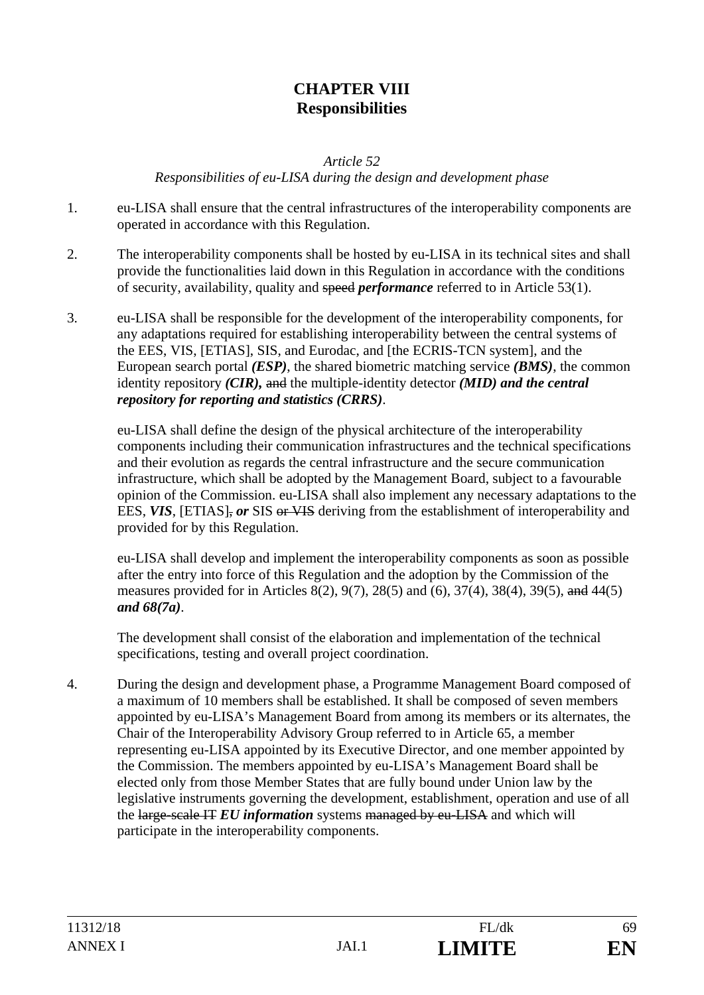# **CHAPTER VIII Responsibilities**

*Article 52* 

*Responsibilities of eu-LISA during the design and development phase* 

- 1. eu-LISA shall ensure that the central infrastructures of the interoperability components are operated in accordance with this Regulation.
- 2. The interoperability components shall be hosted by eu-LISA in its technical sites and shall provide the functionalities laid down in this Regulation in accordance with the conditions of security, availability, quality and speed *performance* referred to in Article 53(1).
- 3. eu-LISA shall be responsible for the development of the interoperability components, for any adaptations required for establishing interoperability between the central systems of the EES, VIS, [ETIAS], SIS, and Eurodac, and [the ECRIS-TCN system], and the European search portal *(ESP)*, the shared biometric matching service *(BMS)*, the common identity repository *(CIR),* and the multiple-identity detector *(MID) and the central repository for reporting and statistics (CRRS)*.

eu-LISA shall define the design of the physical architecture of the interoperability components including their communication infrastructures and the technical specifications and their evolution as regards the central infrastructure and the secure communication infrastructure, which shall be adopted by the Management Board, subject to a favourable opinion of the Commission. eu-LISA shall also implement any necessary adaptations to the EES, VIS, [ETIAS], or SIS or VIS deriving from the establishment of interoperability and provided for by this Regulation.

eu-LISA shall develop and implement the interoperability components as soon as possible after the entry into force of this Regulation and the adoption by the Commission of the measures provided for in Articles 8(2), 9(7), 28(5) and (6), 37(4), 38(4), 39(5), and 44(5) *and 68(7a)*.

The development shall consist of the elaboration and implementation of the technical specifications, testing and overall project coordination.

4. During the design and development phase, a Programme Management Board composed of a maximum of 10 members shall be established. It shall be composed of seven members appointed by eu-LISA's Management Board from among its members or its alternates, the Chair of the Interoperability Advisory Group referred to in Article 65, a member representing eu-LISA appointed by its Executive Director, and one member appointed by the Commission. The members appointed by eu-LISA's Management Board shall be elected only from those Member States that are fully bound under Union law by the legislative instruments governing the development, establishment, operation and use of all the large-scale IT *EU information* systems managed by eu-LISA and which will participate in the interoperability components.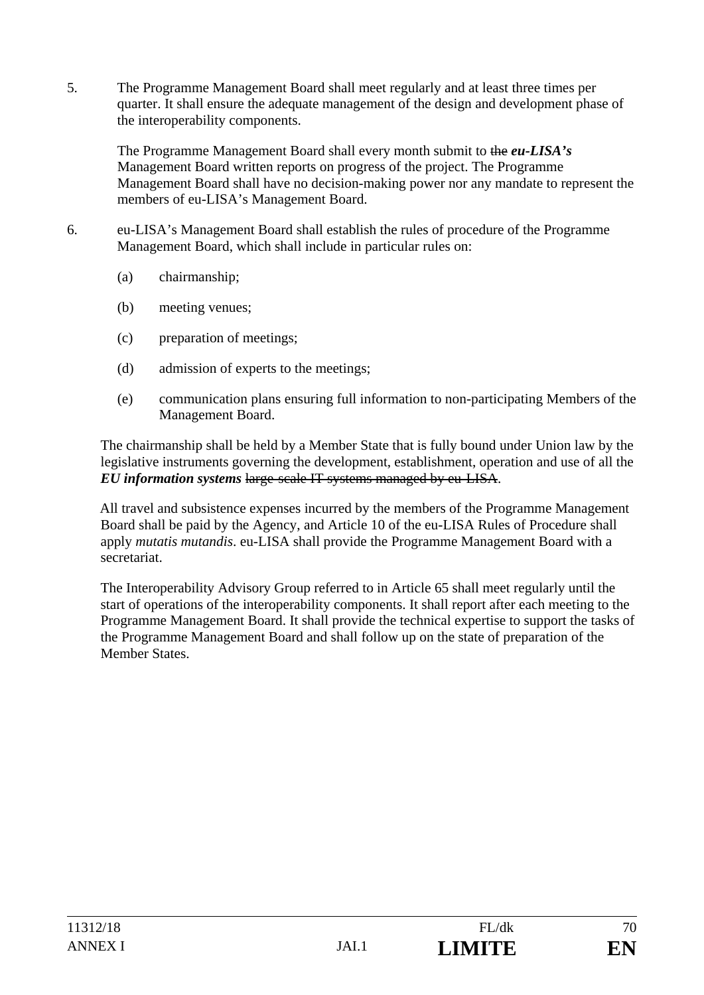5. The Programme Management Board shall meet regularly and at least three times per quarter. It shall ensure the adequate management of the design and development phase of the interoperability components.

The Programme Management Board shall every month submit to the *eu-LISA's* Management Board written reports on progress of the project. The Programme Management Board shall have no decision-making power nor any mandate to represent the members of eu-LISA's Management Board.

- 6. eu-LISA's Management Board shall establish the rules of procedure of the Programme Management Board, which shall include in particular rules on:
	- (a) chairmanship;
	- (b) meeting venues;
	- (c) preparation of meetings;
	- (d) admission of experts to the meetings;
	- (e) communication plans ensuring full information to non-participating Members of the Management Board.

The chairmanship shall be held by a Member State that is fully bound under Union law by the legislative instruments governing the development, establishment, operation and use of all the *EU information systems* large-scale IT systems managed by eu-LISA.

All travel and subsistence expenses incurred by the members of the Programme Management Board shall be paid by the Agency, and Article 10 of the eu-LISA Rules of Procedure shall apply *mutatis mutandis*. eu-LISA shall provide the Programme Management Board with a secretariat.

The Interoperability Advisory Group referred to in Article 65 shall meet regularly until the start of operations of the interoperability components. It shall report after each meeting to the Programme Management Board. It shall provide the technical expertise to support the tasks of the Programme Management Board and shall follow up on the state of preparation of the Member States.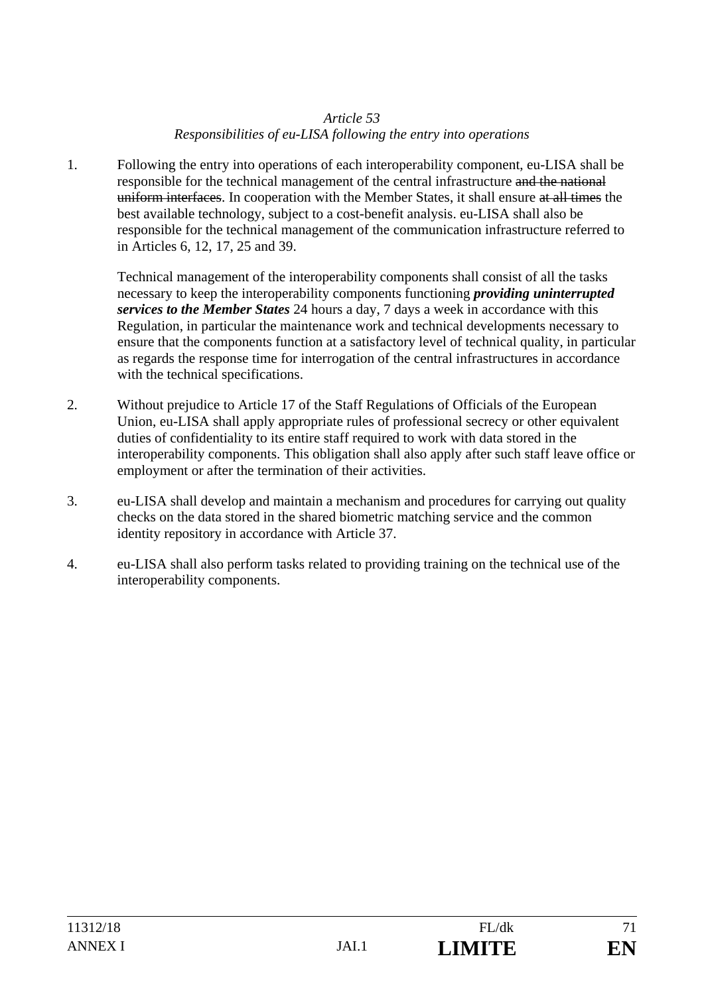## *Article 53 Responsibilities of eu-LISA following the entry into operations*

1. Following the entry into operations of each interoperability component, eu-LISA shall be responsible for the technical management of the central infrastructure and the national uniform interfaces. In cooperation with the Member States, it shall ensure at all times the best available technology, subject to a cost-benefit analysis. eu-LISA shall also be responsible for the technical management of the communication infrastructure referred to in Articles 6, 12, 17, 25 and 39.

Technical management of the interoperability components shall consist of all the tasks necessary to keep the interoperability components functioning *providing uninterrupted services to the Member States* 24 hours a day, 7 days a week in accordance with this Regulation, in particular the maintenance work and technical developments necessary to ensure that the components function at a satisfactory level of technical quality, in particular as regards the response time for interrogation of the central infrastructures in accordance with the technical specifications.

- 2. Without prejudice to Article 17 of the Staff Regulations of Officials of the European Union, eu-LISA shall apply appropriate rules of professional secrecy or other equivalent duties of confidentiality to its entire staff required to work with data stored in the interoperability components. This obligation shall also apply after such staff leave office or employment or after the termination of their activities.
- 3. eu-LISA shall develop and maintain a mechanism and procedures for carrying out quality checks on the data stored in the shared biometric matching service and the common identity repository in accordance with Article 37.
- 4. eu-LISA shall also perform tasks related to providing training on the technical use of the interoperability components.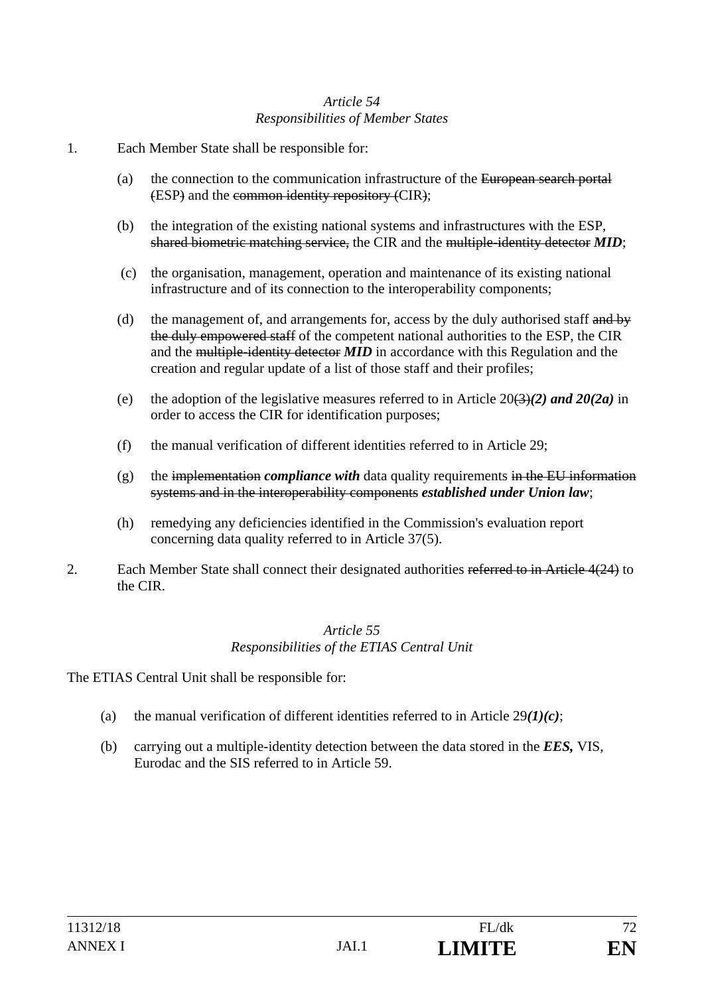### *Article 54 Responsibilities of Member States*

- 1. Each Member State shall be responsible for:
	- (a) the connection to the communication infrastructure of the European search portal (ESP) and the common identity repository (CIR);
	- (b) the integration of the existing national systems and infrastructures with the ESP, shared biometric matching service, the CIR and the multiple-identity detector *MID*;
	- (c) the organisation, management, operation and maintenance of its existing national infrastructure and of its connection to the interoperability components;
	- (d) the management of, and arrangements for, access by the duly authorised staff and by the duly empowered staff of the competent national authorities to the ESP, the CIR and the multiple-identity detector *MID* in accordance with this Regulation and the creation and regular update of a list of those staff and their profiles;
	- (e) the adoption of the legislative measures referred to in Article  $20(3)(2)$  and  $20(2a)$  in order to access the CIR for identification purposes;
	- (f) the manual verification of different identities referred to in Article 29;
	- $(g)$  the implementation *compliance with* data quality requirements in the EU information systems and in the interoperability components *established under Union law*;
	- (h) remedying any deficiencies identified in the Commission's evaluation report concerning data quality referred to in Article 37(5).
- 2. Each Member State shall connect their designated authorities referred to in Article 4(24) to the CIR.

#### *Article 55 Responsibilities of the ETIAS Central Unit*

The ETIAS Central Unit shall be responsible for:

- (a) the manual verification of different identities referred to in Article 29*(1)(c)*;
- (b) carrying out a multiple-identity detection between the data stored in the *EES,* VIS, Eurodac and the SIS referred to in Article 59.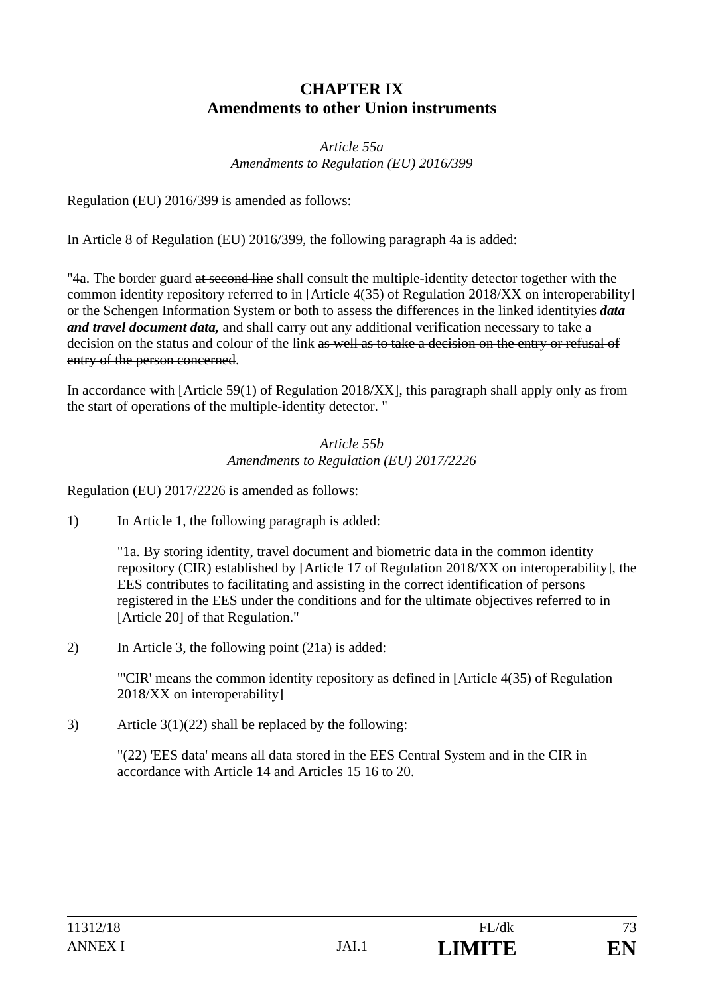# **CHAPTER IX Amendments to other Union instruments**

#### *Article 55a Amendments to Regulation (EU) 2016/399*

Regulation (EU) 2016/399 is amended as follows:

In Article 8 of Regulation (EU) 2016/399, the following paragraph 4a is added:

"4a. The border guard at second line shall consult the multiple-identity detector together with the common identity repository referred to in [Article 4(35) of Regulation 2018/XX on interoperability] or the Schengen Information System or both to assess the differences in the linked identityies *data and travel document data,* and shall carry out any additional verification necessary to take a decision on the status and colour of the link as well as to take a decision on the entry or refusal of entry of the person concerned.

In accordance with [Article 59(1) of Regulation 2018/XX], this paragraph shall apply only as from the start of operations of the multiple-identity detector. "

#### *Article 55b Amendments to Regulation (EU) 2017/2226*

Regulation (EU) 2017/2226 is amended as follows:

1) In Article 1, the following paragraph is added:

 "1a. By storing identity, travel document and biometric data in the common identity repository (CIR) established by [Article 17 of Regulation 2018/XX on interoperability], the EES contributes to facilitating and assisting in the correct identification of persons registered in the EES under the conditions and for the ultimate objectives referred to in [Article 20] of that Regulation."

2) In Article 3, the following point (21a) is added:

 "'CIR' means the common identity repository as defined in [Article 4(35) of Regulation 2018/XX on interoperability]

3) Article  $3(1)(22)$  shall be replaced by the following:

"(22) 'EES data' means all data stored in the EES Central System and in the CIR in accordance with Article 14 and Articles 15 16 to 20.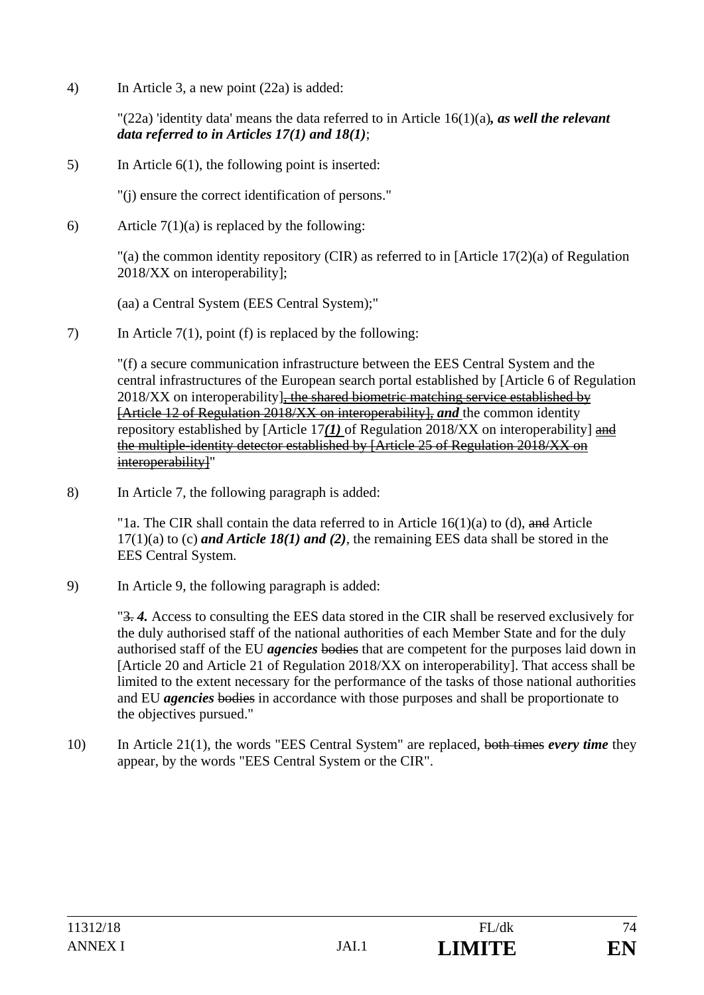4) In Article 3, a new point (22a) is added:

"(22a) 'identity data' means the data referred to in Article 16(1)(a)*, as well the relevant data referred to in Articles 17(1) and 18(1)*;

5) In Article 6(1), the following point is inserted:

"(j) ensure the correct identification of persons."

6) Article  $7(1)(a)$  is replaced by the following:

 "(a) the common identity repository (CIR) as referred to in [Article 17(2)(a) of Regulation 2018/XX on interoperability];

(aa) a Central System (EES Central System);"

7) In Article 7(1), point (f) is replaced by the following:

"(f) a secure communication infrastructure between the EES Central System and the central infrastructures of the European search portal established by [Article 6 of Regulation  $2018/XX$  on interoperability], the shared biometric matching service established by [Article 12 of Regulation 2018/XX on interoperability], *and* the common identity repository established by [Article 17*(1)* of Regulation 2018/XX on interoperability] and the multiple-identity detector established by [Article 25 of Regulation 2018/XX on interoperability]"

8) In Article 7, the following paragraph is added:

"1a. The CIR shall contain the data referred to in Article  $16(1)(a)$  to (d), and Article 17(1)(a) to (c) *and Article 18(1) and (2)*, the remaining EES data shall be stored in the EES Central System.

9) In Article 9, the following paragraph is added:

"3. *4.* Access to consulting the EES data stored in the CIR shall be reserved exclusively for the duly authorised staff of the national authorities of each Member State and for the duly authorised staff of the EU *agencies* bodies that are competent for the purposes laid down in [Article 20 and Article 21 of Regulation 2018/XX on interoperability]. That access shall be limited to the extent necessary for the performance of the tasks of those national authorities and EU *agencies* bodies in accordance with those purposes and shall be proportionate to the objectives pursued."

10) In Article 21(1), the words "EES Central System" are replaced, both times *every time* they appear, by the words "EES Central System or the CIR".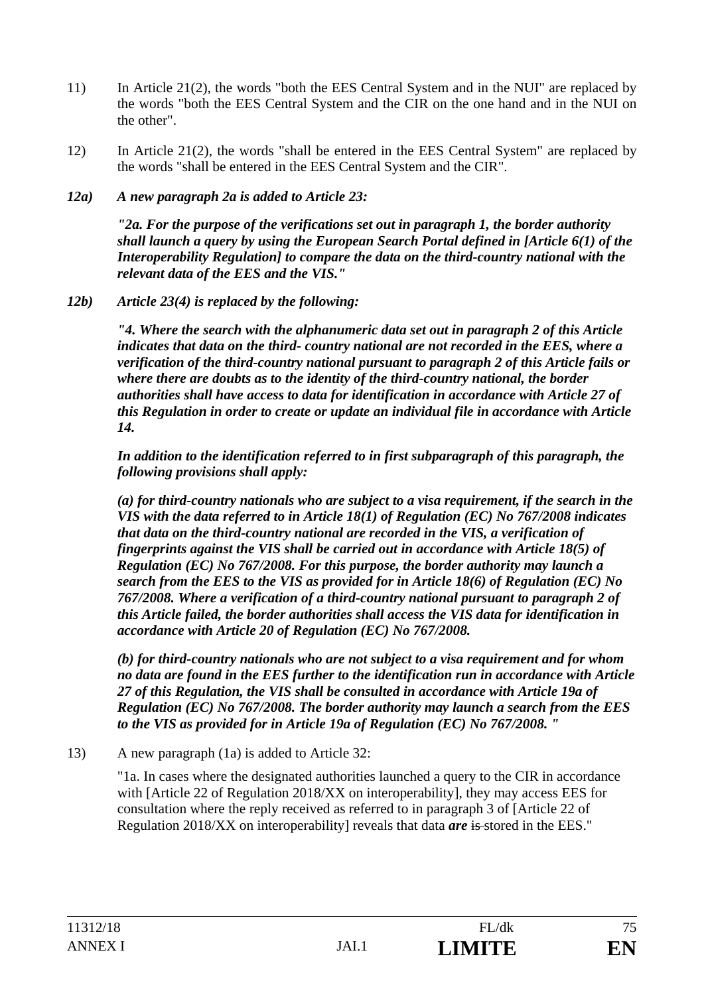- 11) In Article 21(2), the words "both the EES Central System and in the NUI" are replaced by the words "both the EES Central System and the CIR on the one hand and in the NUI on the other".
- 12) In Article 21(2), the words "shall be entered in the EES Central System" are replaced by the words "shall be entered in the EES Central System and the CIR".
- *12a) A new paragraph 2a is added to Article 23:*

 *"2a. For the purpose of the verifications set out in paragraph 1, the border authority shall launch a query by using the European Search Portal defined in [Article 6(1) of the Interoperability Regulation] to compare the data on the third-country national with the relevant data of the EES and the VIS."* 

*12b) Article 23(4) is replaced by the following:* 

*"4. Where the search with the alphanumeric data set out in paragraph 2 of this Article indicates that data on the third- country national are not recorded in the EES, where a verification of the third-country national pursuant to paragraph 2 of this Article fails or where there are doubts as to the identity of the third-country national, the border authorities shall have access to data for identification in accordance with Article 27 of this Regulation in order to create or update an individual file in accordance with Article 14.* 

*In addition to the identification referred to in first subparagraph of this paragraph, the following provisions shall apply:* 

*(a) for third-country nationals who are subject to a visa requirement, if the search in the VIS with the data referred to in Article 18(1) of Regulation (EC) No 767/2008 indicates that data on the third-country national are recorded in the VIS, a verification of fingerprints against the VIS shall be carried out in accordance with Article 18(5) of Regulation (EC) No 767/2008. For this purpose, the border authority may launch a search from the EES to the VIS as provided for in Article 18(6) of Regulation (EC) No 767/2008. Where a verification of a third-country national pursuant to paragraph 2 of this Article failed, the border authorities shall access the VIS data for identification in accordance with Article 20 of Regulation (EC) No 767/2008.* 

*(b) for third-country nationals who are not subject to a visa requirement and for whom no data are found in the EES further to the identification run in accordance with Article 27 of this Regulation, the VIS shall be consulted in accordance with Article 19a of Regulation (EC) No 767/2008. The border authority may launch a search from the EES to the VIS as provided for in Article 19a of Regulation (EC) No 767/2008. "* 

13) A new paragraph (1a) is added to Article 32:

"1a. In cases where the designated authorities launched a query to the CIR in accordance with [Article 22 of Regulation 2018/XX on interoperability], they may access EES for consultation where the reply received as referred to in paragraph 3 of [Article 22 of Regulation 2018/XX on interoperability] reveals that data *are* is stored in the EES."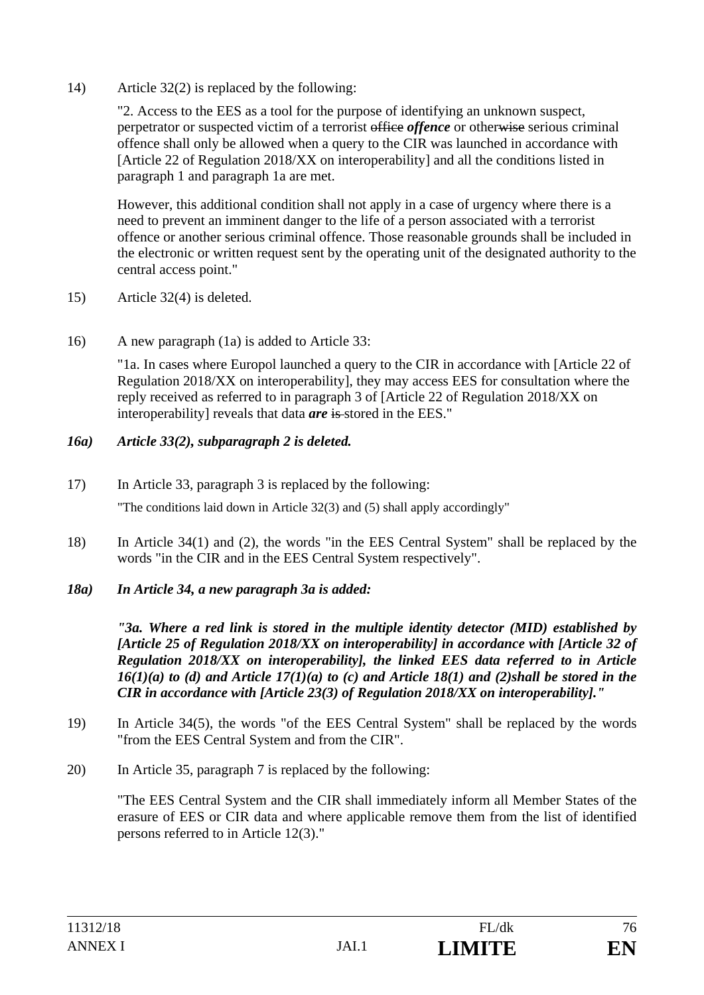14) Article 32(2) is replaced by the following:

"2. Access to the EES as a tool for the purpose of identifying an unknown suspect, perpetrator or suspected victim of a terrorist office *offence* or otherwise serious criminal offence shall only be allowed when a query to the CIR was launched in accordance with [Article 22 of Regulation 2018/XX on interoperability] and all the conditions listed in paragraph 1 and paragraph 1a are met.

However, this additional condition shall not apply in a case of urgency where there is a need to prevent an imminent danger to the life of a person associated with a terrorist offence or another serious criminal offence. Those reasonable grounds shall be included in the electronic or written request sent by the operating unit of the designated authority to the central access point."

- 15) Article 32(4) is deleted.
- 16) A new paragraph (1a) is added to Article 33:

"1a. In cases where Europol launched a query to the CIR in accordance with [Article 22 of Regulation 2018/XX on interoperability], they may access EES for consultation where the reply received as referred to in paragraph 3 of [Article 22 of Regulation 2018/XX on interoperability] reveals that data *are* is stored in the EES."

#### *16a) Article 33(2), subparagraph 2 is deleted.*

- 17) In Article 33, paragraph 3 is replaced by the following: "The conditions laid down in Article 32(3) and (5) shall apply accordingly"
- 18) In Article 34(1) and (2), the words "in the EES Central System" shall be replaced by the words "in the CIR and in the EES Central System respectively".
- *18a) In Article 34, a new paragraph 3a is added:*

*"3a. Where a red link is stored in the multiple identity detector (MID) established by [Article 25 of Regulation 2018/XX on interoperability] in accordance with [Article 32 of Regulation 2018/XX on interoperability], the linked EES data referred to in Article*   $16(1)(a)$  to (d) and Article  $17(1)(a)$  to (c) and Article 18(1) and (2)shall be stored in the *CIR in accordance with [Article 23(3) of Regulation 2018/XX on interoperability]."* 

- 19) In Article 34(5), the words "of the EES Central System" shall be replaced by the words "from the EES Central System and from the CIR".
- 20) In Article 35, paragraph 7 is replaced by the following:

 "The EES Central System and the CIR shall immediately inform all Member States of the erasure of EES or CIR data and where applicable remove them from the list of identified persons referred to in Article 12(3)."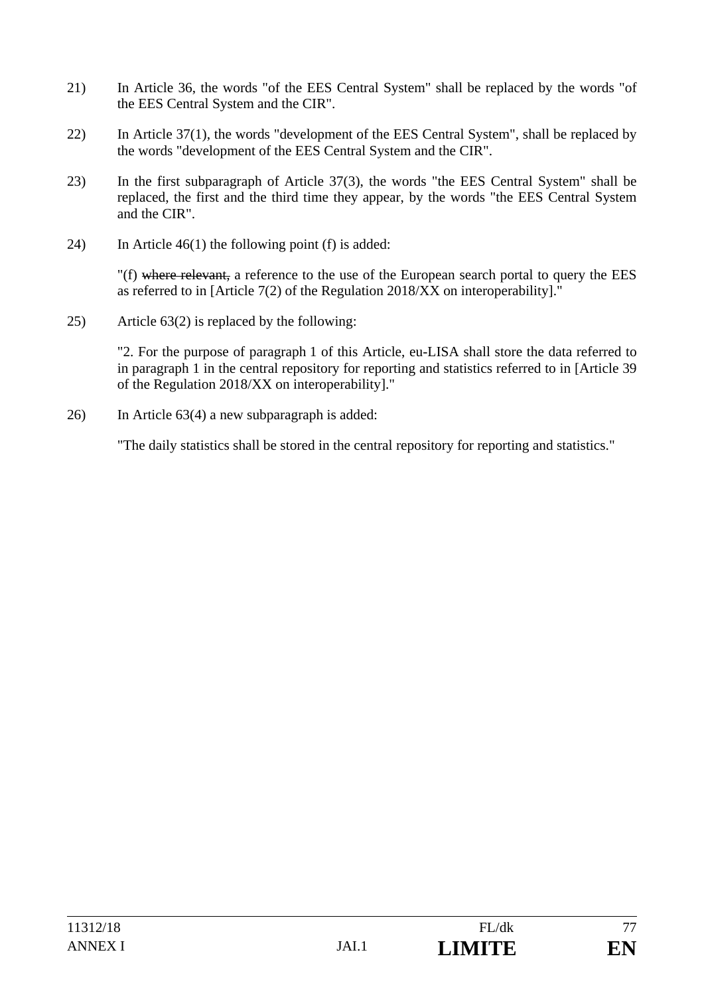- 21) In Article 36, the words "of the EES Central System" shall be replaced by the words "of the EES Central System and the CIR".
- 22) In Article 37(1), the words "development of the EES Central System", shall be replaced by the words "development of the EES Central System and the CIR".
- 23) In the first subparagraph of Article 37(3), the words "the EES Central System" shall be replaced, the first and the third time they appear, by the words "the EES Central System and the CIR".
- 24) In Article 46(1) the following point (f) is added:

"(f) where relevant, a reference to the use of the European search portal to query the EES as referred to in [Article 7(2) of the Regulation 2018/XX on interoperability]."

25) Article 63(2) is replaced by the following:

"2. For the purpose of paragraph 1 of this Article, eu-LISA shall store the data referred to in paragraph 1 in the central repository for reporting and statistics referred to in [Article 39 of the Regulation 2018/XX on interoperability]."

26) In Article 63(4) a new subparagraph is added:

"The daily statistics shall be stored in the central repository for reporting and statistics."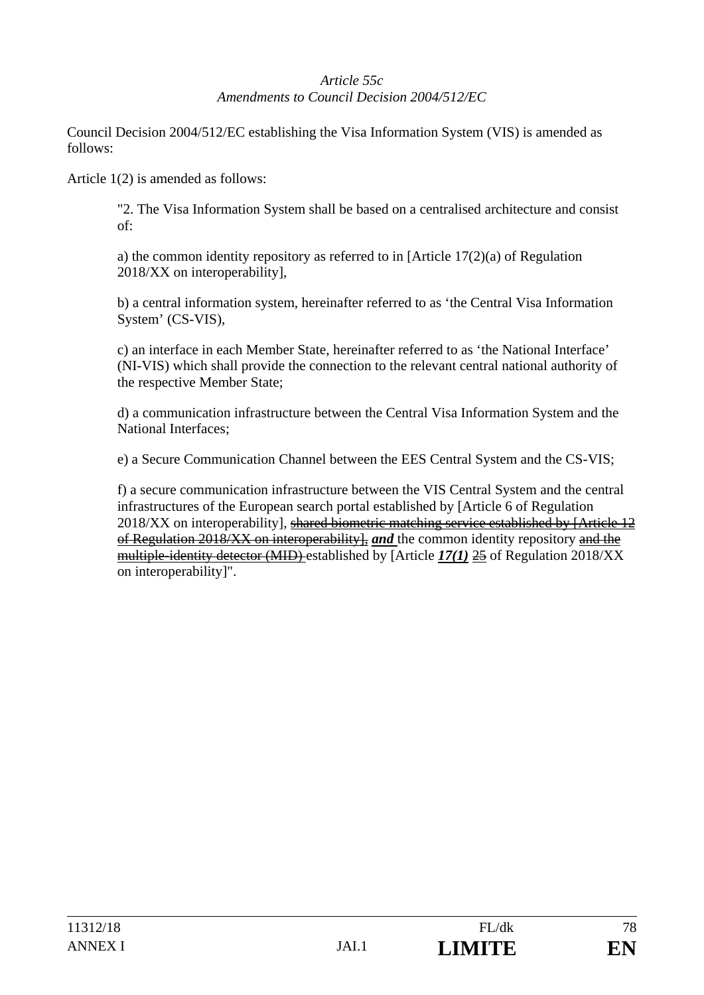# *Article 55c Amendments to Council Decision 2004/512/EC*

Council Decision 2004/512/EC establishing the Visa Information System (VIS) is amended as follows:

Article 1(2) is amended as follows:

"2. The Visa Information System shall be based on a centralised architecture and consist of:

a) the common identity repository as referred to in [Article 17(2)(a) of Regulation 2018/XX on interoperability],

b) a central information system, hereinafter referred to as 'the Central Visa Information System' (CS-VIS),

c) an interface in each Member State, hereinafter referred to as 'the National Interface' (NI-VIS) which shall provide the connection to the relevant central national authority of the respective Member State;

d) a communication infrastructure between the Central Visa Information System and the National Interfaces;

e) a Secure Communication Channel between the EES Central System and the CS-VIS;

f) a secure communication infrastructure between the VIS Central System and the central infrastructures of the European search portal established by [Article 6 of Regulation 2018/XX on interoperability], shared biometric matching service established by [Article 12 of Regulation 2018/XX on interoperability], *and* the common identity repository and the multiple-identity detector (MID) established by [Article *17(1)* 25 of Regulation 2018/XX on interoperability]".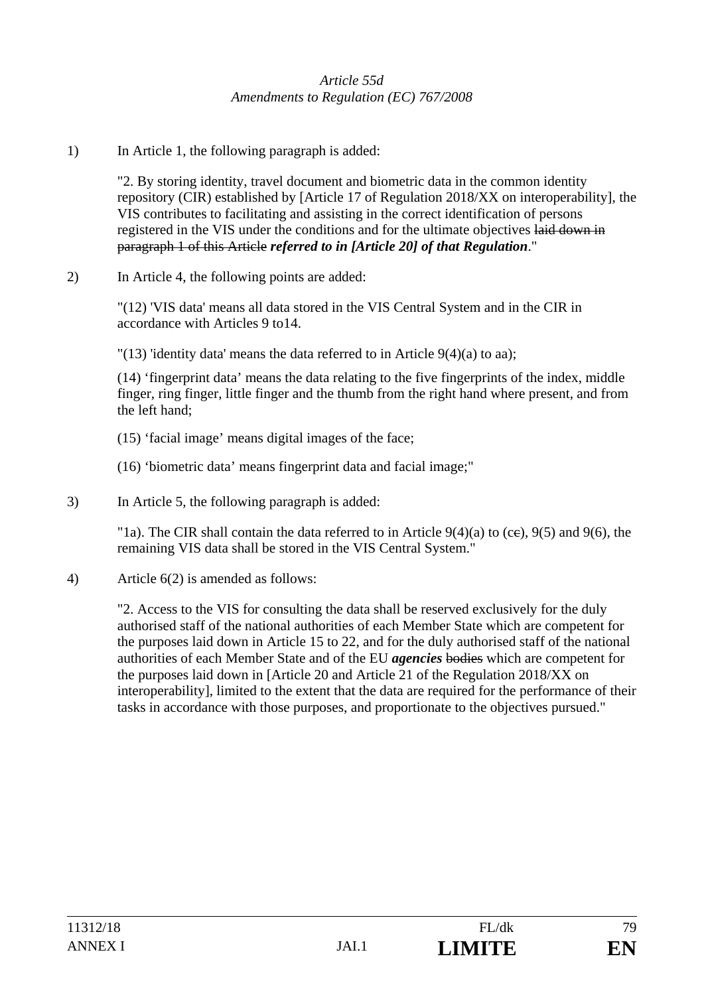## *Article 55d Amendments to Regulation (EC) 767/2008*

1) In Article 1, the following paragraph is added:

"2. By storing identity, travel document and biometric data in the common identity repository (CIR) established by [Article 17 of Regulation 2018/XX on interoperability], the VIS contributes to facilitating and assisting in the correct identification of persons registered in the VIS under the conditions and for the ultimate objectives laid down in paragraph 1 of this Article *referred to in [Article 20] of that Regulation*."

2) In Article 4, the following points are added:

"(12) 'VIS data' means all data stored in the VIS Central System and in the CIR in accordance with Articles 9 to14.

"(13) 'identity data' means the data referred to in Article  $9(4)(a)$  to aa);

(14) 'fingerprint data' means the data relating to the five fingerprints of the index, middle finger, ring finger, little finger and the thumb from the right hand where present, and from the left hand;

- (15) 'facial image' means digital images of the face;
- (16) 'biometric data' means fingerprint data and facial image;"
- 3) In Article 5, the following paragraph is added:

"1a). The CIR shall contain the data referred to in Article  $9(4)(a)$  to (ce),  $9(5)$  and  $9(6)$ , the remaining VIS data shall be stored in the VIS Central System."

4) Article 6(2) is amended as follows:

"2. Access to the VIS for consulting the data shall be reserved exclusively for the duly authorised staff of the national authorities of each Member State which are competent for the purposes laid down in Article 15 to 22, and for the duly authorised staff of the national authorities of each Member State and of the EU *agencies* bodies which are competent for the purposes laid down in [Article 20 and Article 21 of the Regulation 2018/XX on interoperability], limited to the extent that the data are required for the performance of their tasks in accordance with those purposes, and proportionate to the objectives pursued."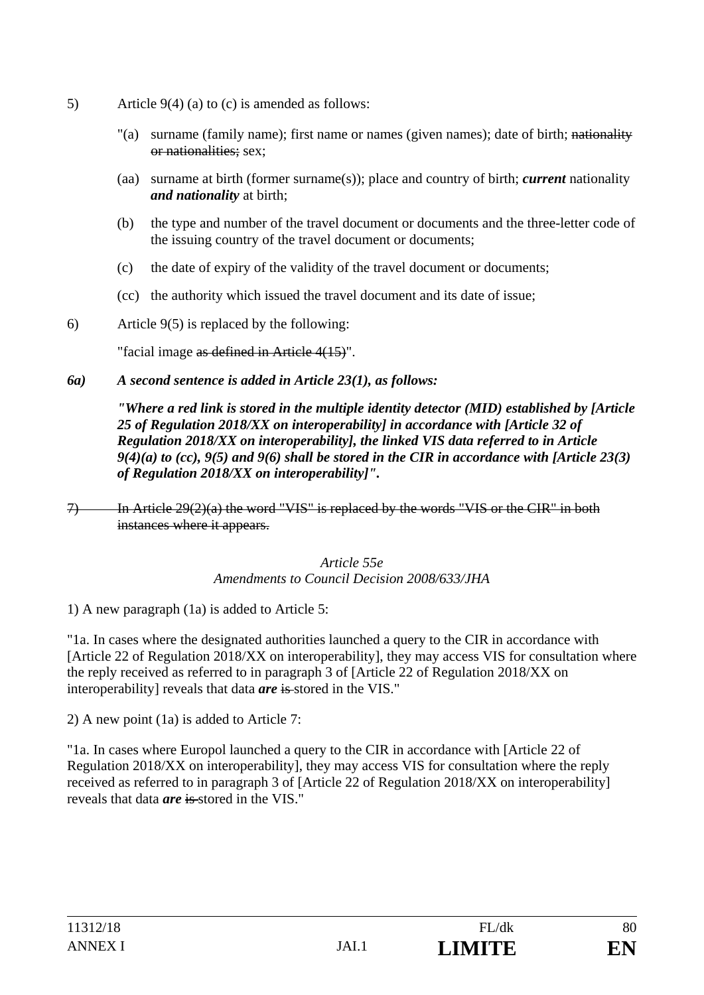- 5) Article 9(4) (a) to (c) is amended as follows:
	- "(a) surname (family name); first name or names (given names); date of birth; nationality or nationalities; sex;
	- (aa) surname at birth (former surname(s)); place and country of birth; *current* nationality *and nationality* at birth;
	- (b) the type and number of the travel document or documents and the three-letter code of the issuing country of the travel document or documents;
	- (c) the date of expiry of the validity of the travel document or documents;
	- (cc) the authority which issued the travel document and its date of issue;
- 6) Article 9(5) is replaced by the following:

"facial image as defined in Article 4(15)".

*6a) A second sentence is added in Article 23(1), as follows:* 

*"Where a red link is stored in the multiple identity detector (MID) established by [Article 25 of Regulation 2018/XX on interoperability] in accordance with [Article 32 of Regulation 2018/XX on interoperability], the linked VIS data referred to in Article 9(4)(a) to (cc), 9(5) and 9(6) shall be stored in the CIR in accordance with [Article 23(3) of Regulation 2018/XX on interoperability]".* 

*Article 55e Amendments to Council Decision 2008/633/JHA* 

1) A new paragraph (1a) is added to Article 5:

"1a. In cases where the designated authorities launched a query to the CIR in accordance with [Article 22 of Regulation 2018/XX on interoperability], they may access VIS for consultation where the reply received as referred to in paragraph 3 of [Article 22 of Regulation 2018/XX on interoperability] reveals that data *are* is stored in the VIS."

2) A new point (1a) is added to Article 7:

"1a. In cases where Europol launched a query to the CIR in accordance with [Article 22 of Regulation 2018/XX on interoperability], they may access VIS for consultation where the reply received as referred to in paragraph 3 of [Article 22 of Regulation 2018/XX on interoperability] reveals that data *are* is stored in the VIS."

<sup>7)</sup> In Article 29(2)(a) the word "VIS" is replaced by the words "VIS or the CIR" in both instances where it appears.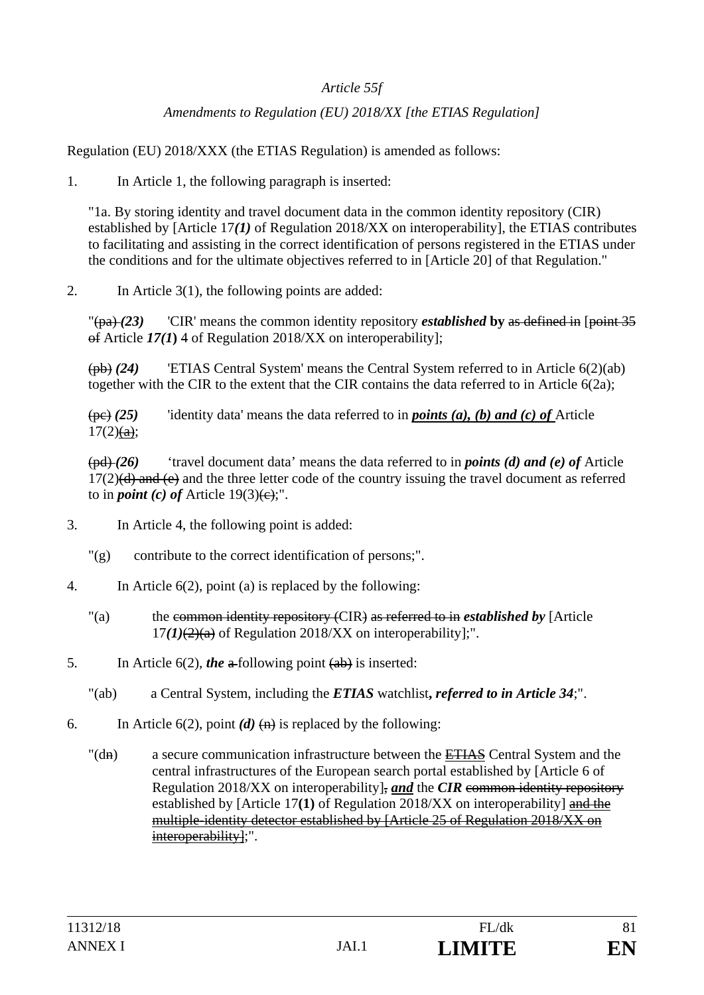## *Article 55f*

# *Amendments to Regulation (EU) 2018/XX [the ETIAS Regulation]*

Regulation (EU) 2018/XXX (the ETIAS Regulation) is amended as follows:

1. In Article 1, the following paragraph is inserted:

"1a. By storing identity and travel document data in the common identity repository (CIR) established by [Article 17*(1)* of Regulation 2018/XX on interoperability], the ETIAS contributes to facilitating and assisting in the correct identification of persons registered in the ETIAS under the conditions and for the ultimate objectives referred to in [Article 20] of that Regulation."

2. In Article 3(1), the following points are added:

"(pa) *(23)* 'CIR' means the common identity repository *established* **by** as defined in [point 35 of Article *17(1***)** 4 of Regulation 2018/XX on interoperability];

(pb) *(24)* 'ETIAS Central System' means the Central System referred to in Article 6(2)(ab) together with the CIR to the extent that the CIR contains the data referred to in Article 6(2a);

(pc) *(25)* 'identity data' means the data referred to in *points (a), (b) and (c) of* Article  $17(2)$ (a);

(pd) *(26)* 'travel document data' means the data referred to in *points (d) and (e) of* Article  $17(2)$ (d) and (e) and the three letter code of the country issuing the travel document as referred to in *point* (c) of Article  $19(3)$ (e);".

- 3. In Article 4, the following point is added:
	- "(g) contribute to the correct identification of persons;".
- 4. In Article 6(2), point (a) is replaced by the following:
	- "(a) the common identity repository (CIR) as referred to in *established by* [Article  $17(1)(2)(a)$  of Regulation 2018/XX on interoperability];".
- 5. In Article 6(2), *the* a-following point (ab) is inserted:
	- "(ab) a Central System, including the *ETIAS* watchlist**,** *referred to in Article 34*;".
- 6. In Article  $6(2)$ , point  $(d)$   $\leftrightarrow$  is replaced by the following:
	- "(dn) a secure communication infrastructure between the ETIAS Central System and the central infrastructures of the European search portal established by [Article 6 of Regulation 2018/XX on interoperability], *and* the *CIR* common identity repository established by [Article 17**(1)** of Regulation 2018/XX on interoperability] and the multiple-identity detector established by [Article 25 of Regulation 2018/XX on interoperability];".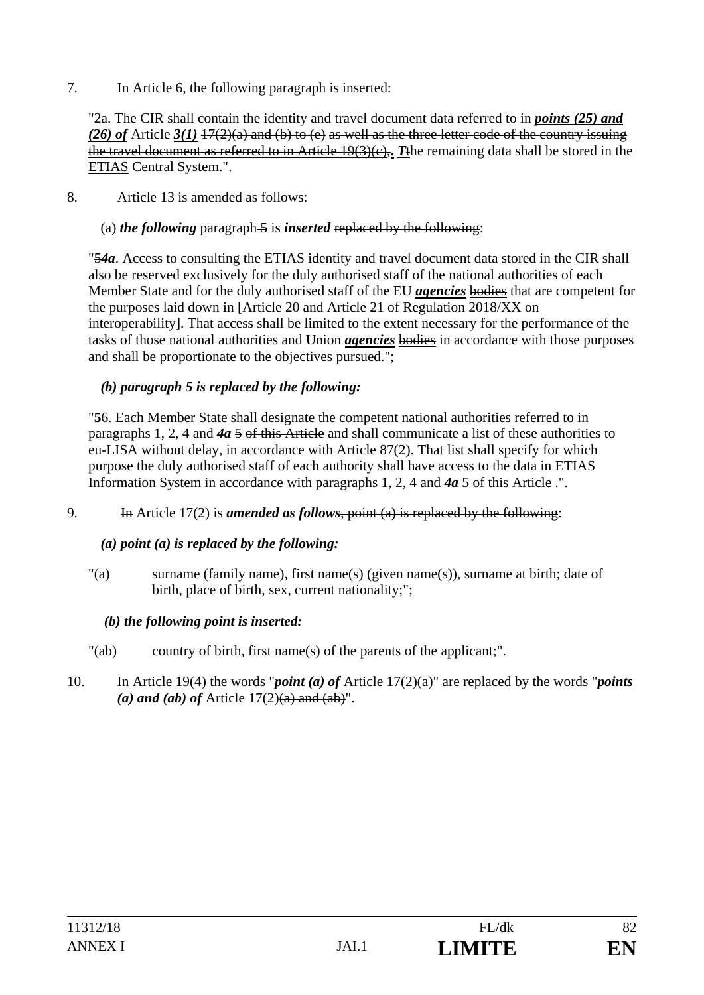7. In Article 6, the following paragraph is inserted:

"2a. The CIR shall contain the identity and travel document data referred to in *points (25) and (26) of* Article *3(1)* 17(2)(a) and (b) to (e) as well as the three letter code of the country issuing the travel document as referred to in Article 19(3)(c),**.** *T*the remaining data shall be stored in the ETIAS Central System.".

8. Article 13 is amended as follows:

# (a) *the following* paragraph 5 is *inserted* replaced by the following:

"5*4a*. Access to consulting the ETIAS identity and travel document data stored in the CIR shall also be reserved exclusively for the duly authorised staff of the national authorities of each Member State and for the duly authorised staff of the EU *agencies* bodies that are competent for the purposes laid down in [Article 20 and Article 21 of Regulation 2018/XX on interoperability]. That access shall be limited to the extent necessary for the performance of the tasks of those national authorities and Union *agencies* bodies in accordance with those purposes and shall be proportionate to the objectives pursued.";

# *(b) paragraph 5 is replaced by the following:*

"**5**6. Each Member State shall designate the competent national authorities referred to in paragraphs 1, 2, 4 and *4a* 5 of this Article and shall communicate a list of these authorities to eu-LISA without delay, in accordance with Article 87(2). That list shall specify for which purpose the duly authorised staff of each authority shall have access to the data in ETIAS Information System in accordance with paragraphs 1, 2, 4 and *4a* 5 of this Article .".

9. In Article 17(2) is *amended as follows*, point (a) is replaced by the following:

#### *(a) point (a) is replaced by the following:*

"(a) surname (family name), first name(s) (given name(s)), surname at birth; date of birth, place of birth, sex, current nationality;";

#### *(b) the following point is inserted:*

- "(ab) country of birth, first name(s) of the parents of the applicant;" .
- 10. In Article 19(4) the words "*point (a) of* Article 17(2)(a)" are replaced by the words "*points*  (a) and (ab) of Article  $17(2)(a)$  and  $(ab)$ ".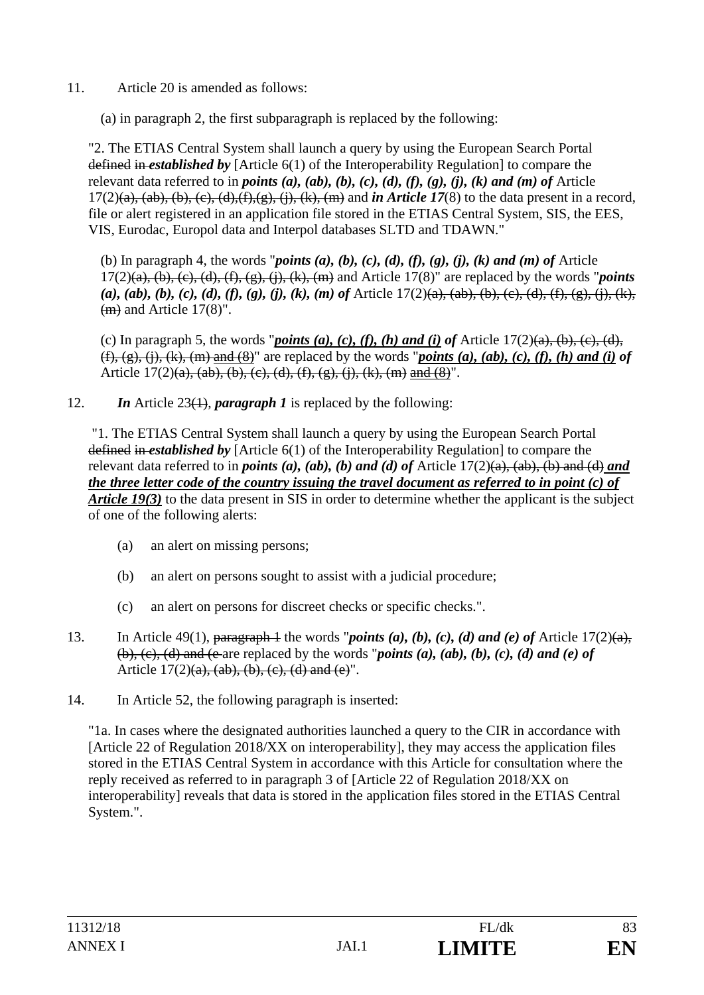11. Article 20 is amended as follows:

(a) in paragraph 2, the first subparagraph is replaced by the following:

"2. The ETIAS Central System shall launch a query by using the European Search Portal defined in *established by* [Article 6(1) of the Interoperability Regulation] to compare the relevant data referred to in *points (a), (ab), (b), (c), (d), (f), (g), (j), (k) and (m) of* Article  $17(2)(a)$ ,  $(ab)$ ,  $(b)$ ,  $(c)$ ,  $(d)$ ,  $(f)$ ,  $(g)$ ,  $(i)$ ,  $(k)$ ,  $(m)$  and *in Article 17*(8) to the data present in a record, file or alert registered in an application file stored in the ETIAS Central System, SIS, the EES, VIS, Eurodac, Europol data and Interpol databases SLTD and TDAWN."

(b) In paragraph 4, the words "*points (a), (b), (c), (d), (f), (g), (j), (k) and (m) of* Article 17(2)(a), (b), (c), (d), (f), (g), (j), (k), (m) and Article 17(8)" are replaced by the words "*points (a), (ab), (b), (c), (d), (f), (g), (j), (k), (m) of* Article 17(2)(a), (ab), (b), (c), (d), (f), (g), (j), (k), (m) and Article 17(8)".

(c) In paragraph 5, the words "*points (a), (c), (f), (h) and (i) of* Article  $17(2)(a)$ ,  $(b)$ ,  $(c)$ ,  $(d)$ ,  $(f, (g), (i), (k), (m)$  and  $(8)$ " are replaced by the words "*points (a), (ab), (c), (f), (h) and (i) of* Article  $17(2)(a)$ ,  $(ab)$ ,  $(b)$ ,  $(c)$ ,  $(d)$ ,  $(f)$ ,  $(g)$ ,  $(i)$ ,  $(k)$ ,  $(m)$  and  $(8)$ ".

12. *In* Article 23(1), *paragraph 1* is replaced by the following:

 "1. The ETIAS Central System shall launch a query by using the European Search Portal defined in *established by* [Article 6(1) of the Interoperability Regulation] to compare the relevant data referred to in *points (a), (ab), (b) and (d) of* Article  $17(2)(a)$ ,  $(ab)$ ,  $(b)$  and  $(d)$  *and the three letter code of the country issuing the travel document as referred to in point (c) of Article 19(3)* to the data present in SIS in order to determine whether the applicant is the subject of one of the following alerts:

- (a) an alert on missing persons;
- (b) an alert on persons sought to assist with a judicial procedure;
- (c) an alert on persons for discreet checks or specific checks.".
- 13. In Article 49(1), paragraph 4 the words "*points (a), (b), (c), (d) and (e) of* Article  $17(2)(a)$ ,  $(b)$ ,  $(c)$ ,  $(d)$  and  $(e$  are replaced by the words "*points (a), (ab), (b), (c), (d) and (e) of* Article  $17(2)(a)$ ,  $(ab)$ ,  $(b)$ ,  $(c)$ ,  $(d)$  and  $(e)$ ".
- 14. In Article 52, the following paragraph is inserted:

"1a. In cases where the designated authorities launched a query to the CIR in accordance with [Article 22 of Regulation 2018/XX on interoperability], they may access the application files stored in the ETIAS Central System in accordance with this Article for consultation where the reply received as referred to in paragraph 3 of [Article 22 of Regulation 2018/XX on interoperability] reveals that data is stored in the application files stored in the ETIAS Central System.".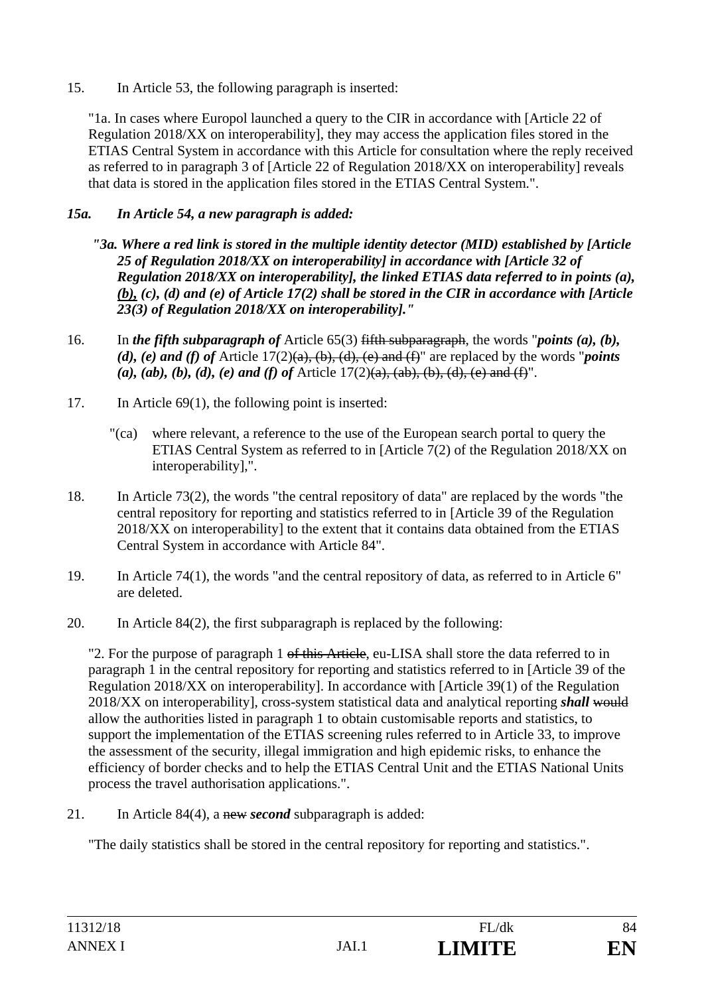15. In Article 53, the following paragraph is inserted:

"1a. In cases where Europol launched a query to the CIR in accordance with [Article 22 of Regulation 2018/XX on interoperability], they may access the application files stored in the ETIAS Central System in accordance with this Article for consultation where the reply received as referred to in paragraph 3 of [Article 22 of Regulation 2018/XX on interoperability] reveals that data is stored in the application files stored in the ETIAS Central System.".

# *15a. In Article 54, a new paragraph is added:*

- *"3a. Where a red link is stored in the multiple identity detector (MID) established by [Article 25 of Regulation 2018/XX on interoperability] in accordance with [Article 32 of Regulation 2018/XX on interoperability], the linked ETIAS data referred to in points (a), (b), (c), (d) and (e) of Article 17(2) shall be stored in the CIR in accordance with [Article 23(3) of Regulation 2018/XX on interoperability]."*
- 16. In *the fifth subparagraph of* Article 65(3) fifth subparagraph, the words "*points (a), (b), (d), (e) and (f) of* Article 17(2)(a), (b), (d), (e) and (f)" are replaced by the words "*points (a), (ab), (b), (d), (e) and (f) of* Article  $17(2)(a)$ ,  $(ab)$ ,  $(b)$ ,  $(d)$ ,  $(e)$  and  $(f)$ ".
- 17. In Article 69(1), the following point is inserted:
	- "(ca) where relevant, a reference to the use of the European search portal to query the ETIAS Central System as referred to in [Article 7(2) of the Regulation 2018/XX on interoperability],".
- 18. In Article 73(2), the words "the central repository of data" are replaced by the words "the central repository for reporting and statistics referred to in [Article 39 of the Regulation 2018/XX on interoperability] to the extent that it contains data obtained from the ETIAS Central System in accordance with Article 84".
- 19. In Article 74(1), the words "and the central repository of data, as referred to in Article 6" are deleted.
- 20. In Article 84(2), the first subparagraph is replaced by the following:

"2. For the purpose of paragraph 1 of this Article, eu-LISA shall store the data referred to in paragraph 1 in the central repository for reporting and statistics referred to in [Article 39 of the Regulation 2018/XX on interoperability]. In accordance with [Article 39(1) of the Regulation 2018/XX on interoperability], cross-system statistical data and analytical reporting *shall* would allow the authorities listed in paragraph 1 to obtain customisable reports and statistics, to support the implementation of the ETIAS screening rules referred to in Article 33, to improve the assessment of the security, illegal immigration and high epidemic risks, to enhance the efficiency of border checks and to help the ETIAS Central Unit and the ETIAS National Units process the travel authorisation applications.".

21. In Article 84(4), a new *second* subparagraph is added:

"The daily statistics shall be stored in the central repository for reporting and statistics.".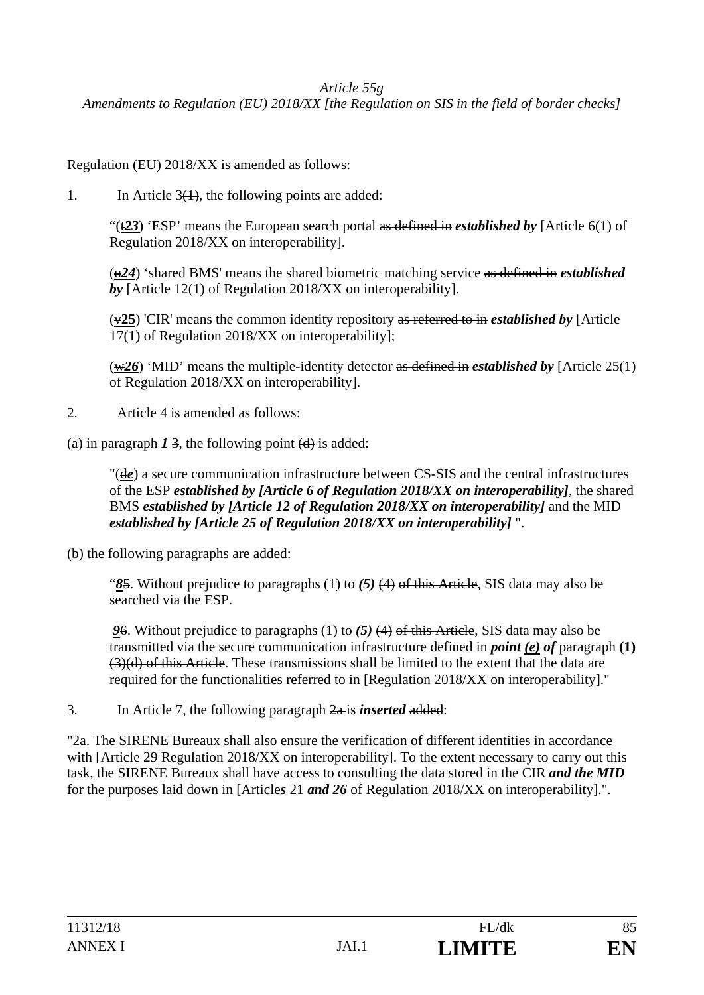*Article 55g* 

*Amendments to Regulation (EU) 2018/XX [the Regulation on SIS in the field of border checks]* 

Regulation (EU) 2018/XX is amended as follows:

1. In Article  $3(1)$ , the following points are added:

"(t*23*) 'ESP' means the European search portal as defined in *established by* [Article 6(1) of Regulation 2018/XX on interoperability].

(u*24*) 'shared BMS' means the shared biometric matching service as defined in *established by* [Article 12(1) of Regulation 2018/XX on interoperability].

(v**25**) 'CIR' means the common identity repository as referred to in *established by* [Article 17(1) of Regulation 2018/XX on interoperability];

(w*26*) 'MID' means the multiple-identity detector as defined in *established by* [Article 25(1) of Regulation 2018/XX on interoperability].

2. Article 4 is amended as follows:

(a) in paragraph  $1\overline{3}$ , the following point  $\overline{d}$  is added:

"(d*e*) a secure communication infrastructure between CS-SIS and the central infrastructures of the ESP *established by [Article 6 of Regulation 2018/XX on interoperability]*, the shared BMS *established by [Article 12 of Regulation 2018/XX on interoperability]* and the MID *established by [Article 25 of Regulation 2018/XX on interoperability]* ".

(b) the following paragraphs are added:

"*8*5. Without prejudice to paragraphs (1) to *(5)* (4) of this Article, SIS data may also be searched via the ESP.

*9*6. Without prejudice to paragraphs (1) to *(5)* (4) of this Article, SIS data may also be transmitted via the secure communication infrastructure defined in *point (e) of* paragraph **(1)** (3)(d) of this Article. These transmissions shall be limited to the extent that the data are required for the functionalities referred to in [Regulation 2018/XX on interoperability]."

3. In Article 7, the following paragraph 2a is *inserted* added:

"2a. The SIRENE Bureaux shall also ensure the verification of different identities in accordance with [Article 29 Regulation 2018/XX on interoperability]. To the extent necessary to carry out this task, the SIRENE Bureaux shall have access to consulting the data stored in the CIR *and the MID* for the purposes laid down in [Article*s* 21 *and 26* of Regulation 2018/XX on interoperability].".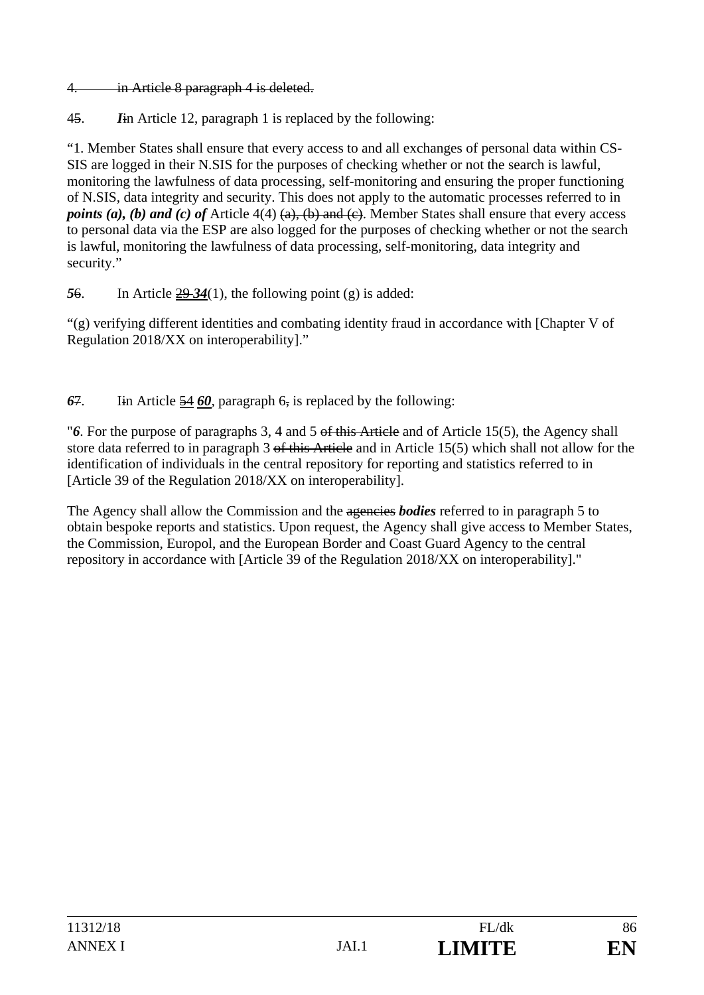4. in Article 8 paragraph 4 is deleted.

45. *I*in Article 12, paragraph 1 is replaced by the following:

"1. Member States shall ensure that every access to and all exchanges of personal data within CS-SIS are logged in their N.SIS for the purposes of checking whether or not the search is lawful, monitoring the lawfulness of data processing, self-monitoring and ensuring the proper functioning of N.SIS, data integrity and security. This does not apply to the automatic processes referred to in *points (a), (b) and (c) of* Article 4(4) (a), (b) and (c). Member States shall ensure that every access to personal data via the ESP are also logged for the purposes of checking whether or not the search is lawful, monitoring the lawfulness of data processing, self-monitoring, data integrity and security."

*5*6. In Article 29 *34*(1), the following point (g) is added:

"(g) verifying different identities and combating identity fraud in accordance with [Chapter V of Regulation 2018/XX on interoperability]."

*6*7. Iin Article 54 *60*, paragraph 6, is replaced by the following:

"*6*. For the purpose of paragraphs 3, 4 and 5 of this Article and of Article 15(5), the Agency shall store data referred to in paragraph 3 of this Article and in Article 15(5) which shall not allow for the identification of individuals in the central repository for reporting and statistics referred to in [Article 39 of the Regulation 2018/XX on interoperability].

The Agency shall allow the Commission and the ageneries *bodies* referred to in paragraph 5 to obtain bespoke reports and statistics. Upon request, the Agency shall give access to Member States, the Commission, Europol, and the European Border and Coast Guard Agency to the central repository in accordance with [Article 39 of the Regulation 2018/XX on interoperability]."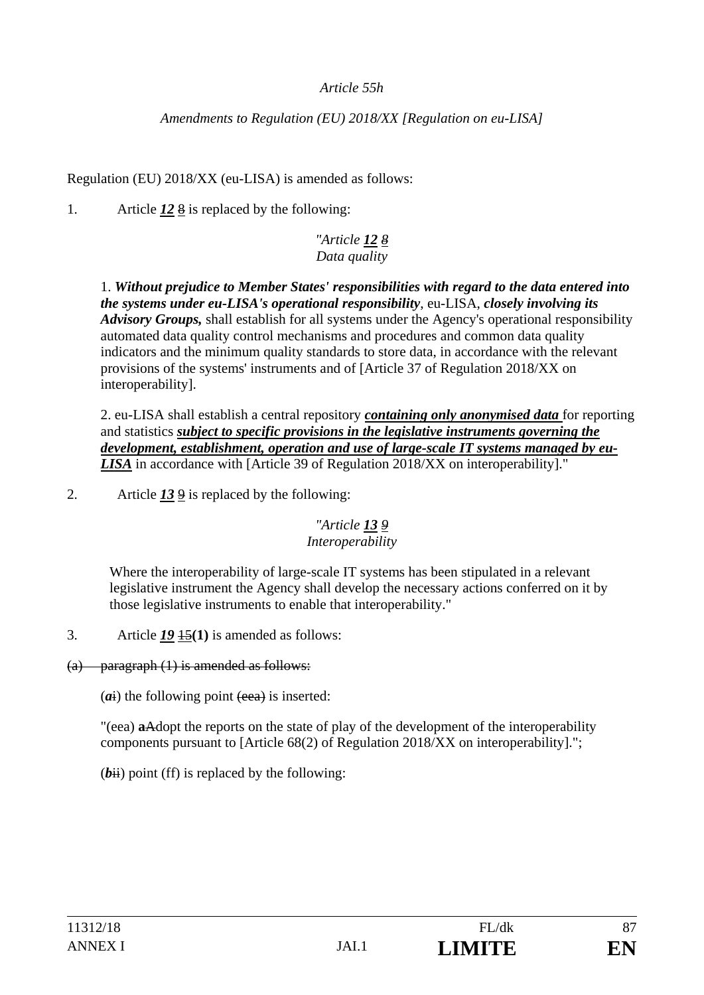## *Article 55h*

## *Amendments to Regulation (EU) 2018/XX [Regulation on eu-LISA]*

Regulation (EU) 2018/XX (eu-LISA) is amended as follows:

1. Article  $\frac{12 \cancel{8}}{12}$  is replaced by the following:

# *"Article 12 8 Data quality*

1. *Without prejudice to Member States' responsibilities with regard to the data entered into the systems under eu-LISA's operational responsibility*, eu-LISA, *closely involving its Advisory Groups,* shall establish for all systems under the Agency's operational responsibility automated data quality control mechanisms and procedures and common data quality indicators and the minimum quality standards to store data, in accordance with the relevant provisions of the systems' instruments and of [Article 37 of Regulation 2018/XX on interoperability].

2. eu-LISA shall establish a central repository *containing only anonymised data* for reporting and statistics *subject to specific provisions in the legislative instruments governing the development, establishment, operation and use of large-scale IT systems managed by eu-LISA* in accordance with [Article 39 of Regulation 2018/XX on interoperability]."

2. Article *13* 9 is replaced by the following:

#### *"Article 13 9 Interoperability*

Where the interoperability of large-scale IT systems has been stipulated in a relevant legislative instrument the Agency shall develop the necessary actions conferred on it by those legislative instruments to enable that interoperability."

3. Article *19* 15**(1)** is amended as follows:

(a) paragraph (1) is amended as follows:

 $(a<sub>i</sub>)$  the following point  $(e<sub>ea</sub>)$  is inserted:

"(eea) **a**Adopt the reports on the state of play of the development of the interoperability components pursuant to [Article 68(2) of Regulation 2018/XX on interoperability].";

 $(bii)$  point (ff) is replaced by the following: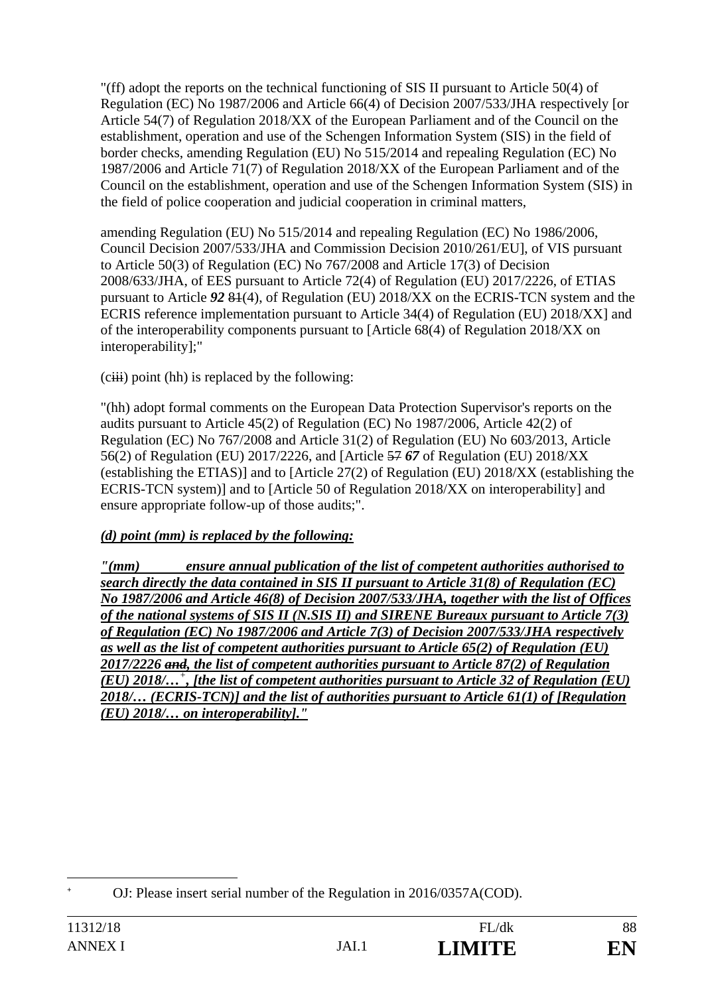"(ff) adopt the reports on the technical functioning of SIS II pursuant to Article 50(4) of Regulation (EC) No 1987/2006 and Article 66(4) of Decision 2007/533/JHA respectively [or Article 54(7) of Regulation 2018/XX of the European Parliament and of the Council on the establishment, operation and use of the Schengen Information System (SIS) in the field of border checks, amending Regulation (EU) No 515/2014 and repealing Regulation (EC) No 1987/2006 and Article 71(7) of Regulation 2018/XX of the European Parliament and of the Council on the establishment, operation and use of the Schengen Information System (SIS) in the field of police cooperation and judicial cooperation in criminal matters,

amending Regulation (EU) No 515/2014 and repealing Regulation (EC) No 1986/2006, Council Decision 2007/533/JHA and Commission Decision 2010/261/EU], of VIS pursuant to Article 50(3) of Regulation (EC) No 767/2008 and Article 17(3) of Decision 2008/633/JHA, of EES pursuant to Article 72(4) of Regulation (EU) 2017/2226, of ETIAS pursuant to Article *92* 81(4), of Regulation (EU) 2018/XX on the ECRIS-TCN system and the ECRIS reference implementation pursuant to Article 34(4) of Regulation (EU) 2018/XX] and of the interoperability components pursuant to [Article 68(4) of Regulation 2018/XX on interoperability];"

 $(ciii)$  point (hh) is replaced by the following:

"(hh) adopt formal comments on the European Data Protection Supervisor's reports on the audits pursuant to Article 45(2) of Regulation (EC) No 1987/2006, Article 42(2) of Regulation (EC) No 767/2008 and Article 31(2) of Regulation (EU) No 603/2013, Article 56(2) of Regulation (EU) 2017/2226, and [Article 57 *67* of Regulation (EU) 2018/XX (establishing the ETIAS)] and to [Article 27(2) of Regulation (EU) 2018/XX (establishing the ECRIS-TCN system)] and to [Article 50 of Regulation 2018/XX on interoperability] and ensure appropriate follow-up of those audits;".

# *(d) point (mm) is replaced by the following:*

*"(mm) ensure annual publication of the list of competent authorities authorised to search directly the data contained in SIS II pursuant to Article 31(8) of Regulation (EC) No 1987/2006 and Article 46(8) of Decision 2007/533/JHA, together with the list of Offices of the national systems of SIS II (N.SIS II) and SIRENE Bureaux pursuant to Article 7(3) of Regulation (EC) No 1987/2006 and Article 7(3) of Decision 2007/533/JHA respectively as well as the list of competent authorities pursuant to Article 65(2) of Regulation (EU) 2017/2226 and, the list of competent authorities pursuant to Article 87(2) of Regulation (EU) 2018/…<sup>+</sup> , [the list of competent authorities pursuant to Article 32 of Regulation (EU) 2018/… (ECRIS-TCN)] and the list of authorities pursuant to Article 61(1) of [Regulation (EU) 2018/… on interoperability]."* 

 $\overline{a}$ **+**

OJ: Please insert serial number of the Regulation in 2016/0357A(COD).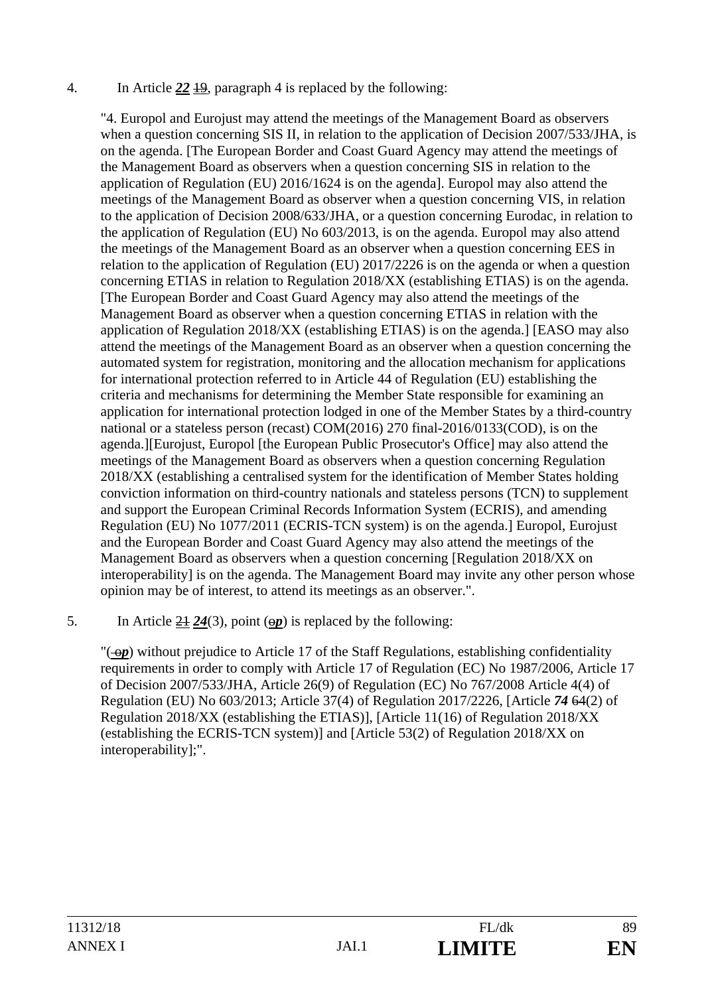#### 4. In Article *22* 19, paragraph 4 is replaced by the following:

"4. Europol and Eurojust may attend the meetings of the Management Board as observers when a question concerning SIS II, in relation to the application of Decision 2007/533/JHA, is on the agenda. [The European Border and Coast Guard Agency may attend the meetings of the Management Board as observers when a question concerning SIS in relation to the application of Regulation (EU) 2016/1624 is on the agenda]. Europol may also attend the meetings of the Management Board as observer when a question concerning VIS, in relation to the application of Decision 2008/633/JHA, or a question concerning Eurodac, in relation to the application of Regulation (EU) No 603/2013, is on the agenda. Europol may also attend the meetings of the Management Board as an observer when a question concerning EES in relation to the application of Regulation (EU) 2017/2226 is on the agenda or when a question concerning ETIAS in relation to Regulation 2018/XX (establishing ETIAS) is on the agenda. [The European Border and Coast Guard Agency may also attend the meetings of the Management Board as observer when a question concerning ETIAS in relation with the application of Regulation 2018/XX (establishing ETIAS) is on the agenda.] [EASO may also attend the meetings of the Management Board as an observer when a question concerning the automated system for registration, monitoring and the allocation mechanism for applications for international protection referred to in Article 44 of Regulation (EU) establishing the criteria and mechanisms for determining the Member State responsible for examining an application for international protection lodged in one of the Member States by a third-country national or a stateless person (recast) COM(2016) 270 final-2016/0133(COD), is on the agenda.][Eurojust, Europol [the European Public Prosecutor's Office] may also attend the meetings of the Management Board as observers when a question concerning Regulation 2018/XX (establishing a centralised system for the identification of Member States holding conviction information on third-country nationals and stateless persons (TCN) to supplement and support the European Criminal Records Information System (ECRIS), and amending Regulation (EU) No 1077/2011 (ECRIS-TCN system) is on the agenda.] Europol, Eurojust and the European Border and Coast Guard Agency may also attend the meetings of the Management Board as observers when a question concerning [Regulation 2018/XX on interoperability] is on the agenda. The Management Board may invite any other person whose opinion may be of interest, to attend its meetings as an observer.".

5. In Article  $\frac{21}{24}(3)$ , point  $\left(\frac{op}{2}\right)$  is replaced by the following:

" $(-\Theta p)$  without prejudice to Article 17 of the Staff Regulations, establishing confidentiality requirements in order to comply with Article 17 of Regulation (EC) No 1987/2006, Article 17 of Decision 2007/533/JHA, Article 26(9) of Regulation (EC) No 767/2008 Article 4(4) of Regulation (EU) No 603/2013; Article 37(4) of Regulation 2017/2226, [Article *74* 64(2) of Regulation 2018/XX (establishing the ETIAS)], [Article 11(16) of Regulation 2018/XX (establishing the ECRIS-TCN system)] and [Article 53(2) of Regulation 2018/XX on interoperability];".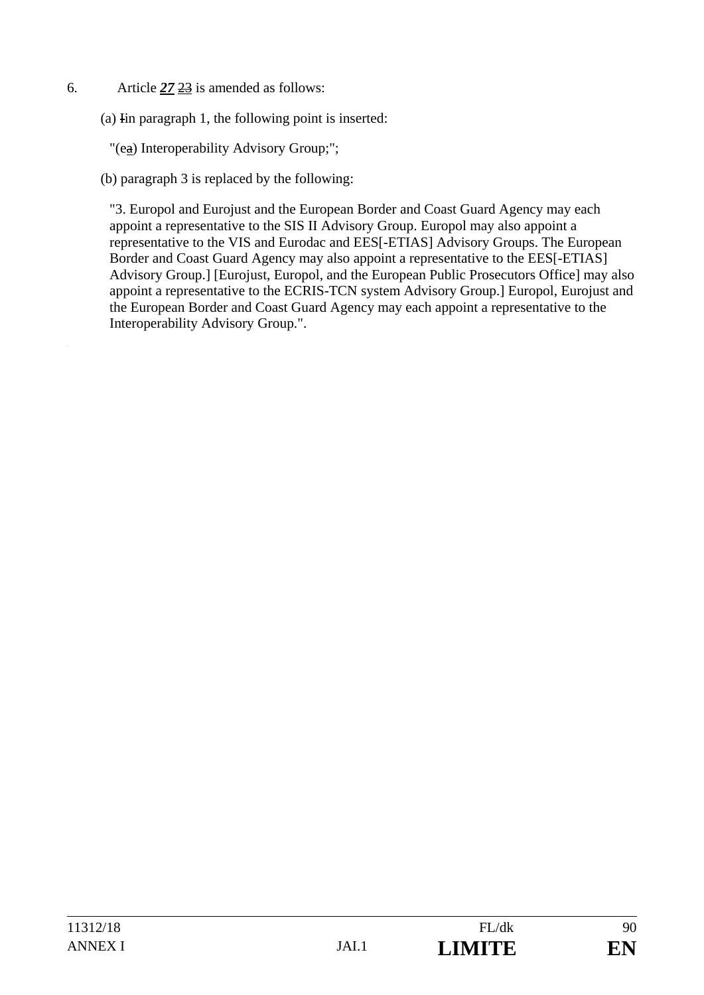6. Article *27* 23 is amended as follows:

(a) Iin paragraph 1, the following point is inserted:

"(ea) Interoperability Advisory Group;";

(b) paragraph 3 is replaced by the following:

"3. Europol and Eurojust and the European Border and Coast Guard Agency may each appoint a representative to the SIS II Advisory Group. Europol may also appoint a representative to the VIS and Eurodac and EES[-ETIAS] Advisory Groups. The European Border and Coast Guard Agency may also appoint a representative to the EES[-ETIAS] Advisory Group.] [Eurojust, Europol, and the European Public Prosecutors Office] may also appoint a representative to the ECRIS-TCN system Advisory Group.] Europol, Eurojust and the European Border and Coast Guard Agency may each appoint a representative to the Interoperability Advisory Group.".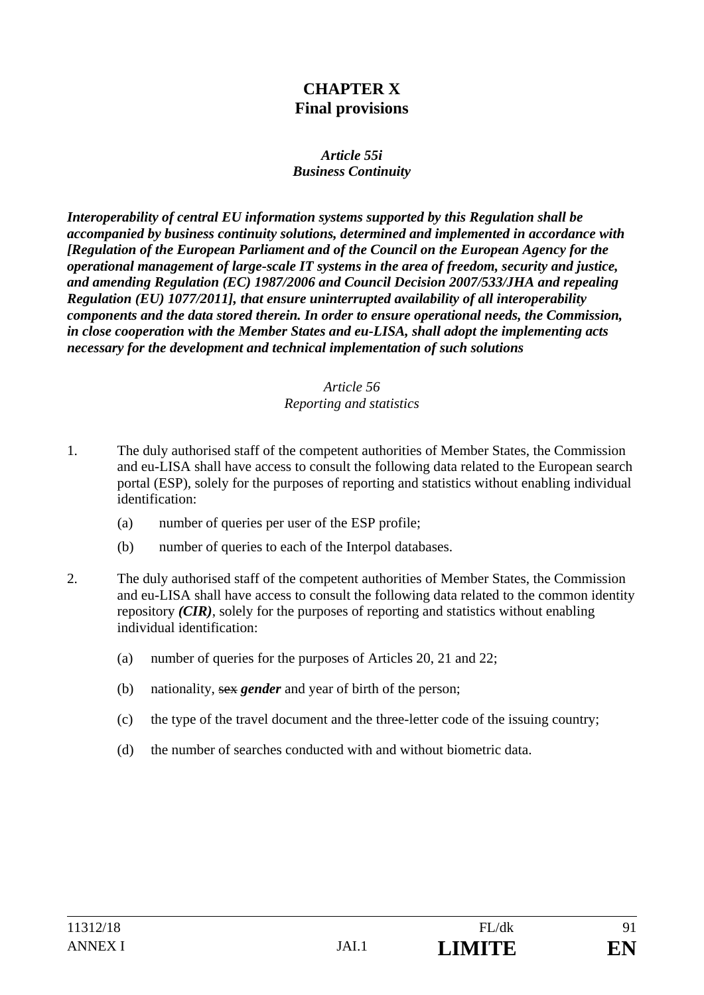# **CHAPTER X Final provisions**

#### *Article 55i Business Continuity*

*Interoperability of central EU information systems supported by this Regulation shall be accompanied by business continuity solutions, determined and implemented in accordance with [Regulation of the European Parliament and of the Council on the European Agency for the operational management of large-scale IT systems in the area of freedom, security and justice, and amending Regulation (EC) 1987/2006 and Council Decision 2007/533/JHA and repealing Regulation (EU) 1077/2011], that ensure uninterrupted availability of all interoperability components and the data stored therein. In order to ensure operational needs, the Commission, in close cooperation with the Member States and eu-LISA, shall adopt the implementing acts necessary for the development and technical implementation of such solutions*

#### *Article 56 Reporting and statistics*

- 1. The duly authorised staff of the competent authorities of Member States, the Commission and eu-LISA shall have access to consult the following data related to the European search portal (ESP), solely for the purposes of reporting and statistics without enabling individual identification:
	- (a) number of queries per user of the ESP profile;
	- (b) number of queries to each of the Interpol databases.
- 2. The duly authorised staff of the competent authorities of Member States, the Commission and eu-LISA shall have access to consult the following data related to the common identity repository *(CIR)*, solely for the purposes of reporting and statistics without enabling individual identification:
	- (a) number of queries for the purposes of Articles 20, 21 and 22;
	- (b) nationality, sex *gender* and year of birth of the person;
	- (c) the type of the travel document and the three-letter code of the issuing country;
	- (d) the number of searches conducted with and without biometric data.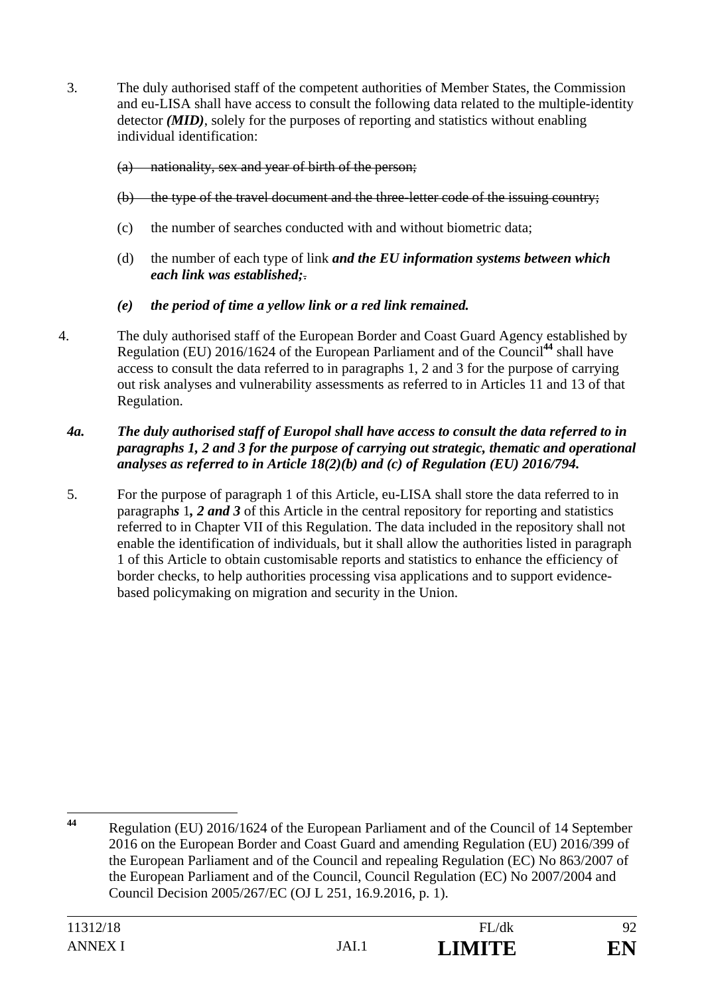3. The duly authorised staff of the competent authorities of Member States, the Commission and eu-LISA shall have access to consult the following data related to the multiple-identity detector *(MID)*, solely for the purposes of reporting and statistics without enabling individual identification:

#### (a) nationality, sex and year of birth of the person;

- (b) the type of the travel document and the three-letter code of the issuing country;
- (c) the number of searches conducted with and without biometric data;
- (d) the number of each type of link *and the EU information systems between which each link was established;*.
- *(e) the period of time a yellow link or a red link remained.*
- 4. The duly authorised staff of the European Border and Coast Guard Agency established by Regulation (EU) 2016/1624 of the European Parliament and of the Council**<sup>44</sup>** shall have access to consult the data referred to in paragraphs 1, 2 and 3 for the purpose of carrying out risk analyses and vulnerability assessments as referred to in Articles 11 and 13 of that Regulation.

#### *4a. The duly authorised staff of Europol shall have access to consult the data referred to in paragraphs 1, 2 and 3 for the purpose of carrying out strategic, thematic and operational analyses as referred to in Article 18(2)(b) and (c) of Regulation (EU) 2016/794.*

5. For the purpose of paragraph 1 of this Article, eu-LISA shall store the data referred to in paragraph*s* 1*, 2 and 3* of this Article in the central repository for reporting and statistics referred to in Chapter VII of this Regulation. The data included in the repository shall not enable the identification of individuals, but it shall allow the authorities listed in paragraph 1 of this Article to obtain customisable reports and statistics to enhance the efficiency of border checks, to help authorities processing visa applications and to support evidencebased policymaking on migration and security in the Union.

 $44$ **<sup>44</sup>** Regulation (EU) 2016/1624 of the European Parliament and of the Council of 14 September 2016 on the European Border and Coast Guard and amending Regulation (EU) 2016/399 of the European Parliament and of the Council and repealing Regulation (EC) No 863/2007 of the European Parliament and of the Council, Council Regulation (EC) No 2007/2004 and Council Decision 2005/267/EC (OJ L 251, 16.9.2016, p. 1).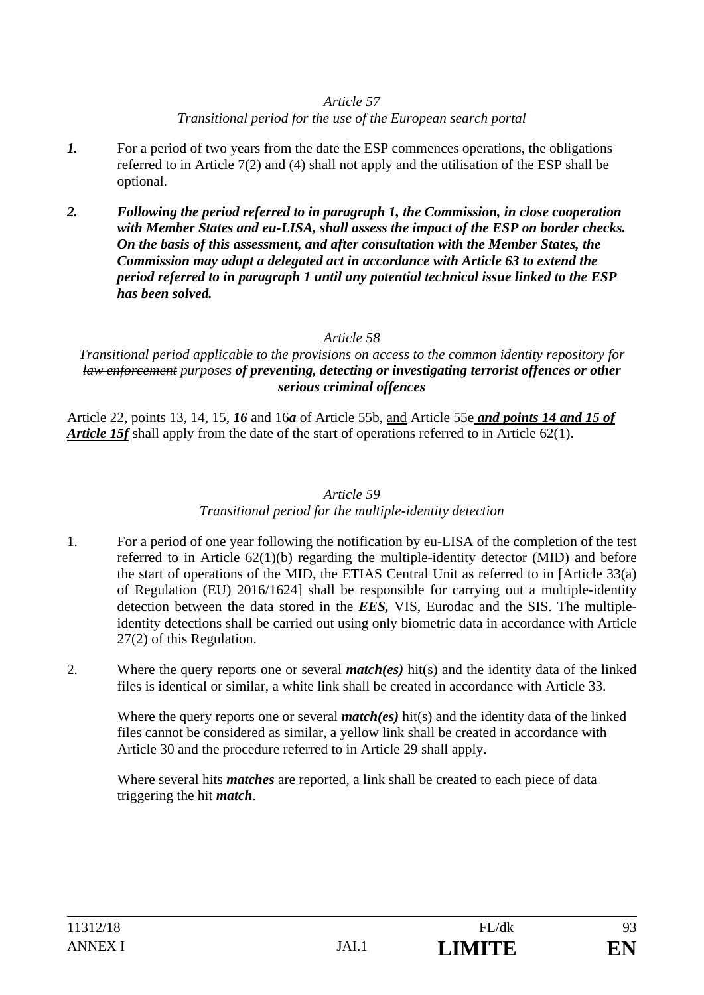#### *Article 57*

#### *Transitional period for the use of the European search portal*

- *1.* For a period of two years from the date the ESP commences operations, the obligations referred to in Article 7(2) and (4) shall not apply and the utilisation of the ESP shall be optional.
- *2. Following the period referred to in paragraph 1, the Commission, in close cooperation with Member States and eu-LISA, shall assess the impact of the ESP on border checks. On the basis of this assessment, and after consultation with the Member States, the Commission may adopt a delegated act in accordance with Article 63 to extend the period referred to in paragraph 1 until any potential technical issue linked to the ESP has been solved.*

# *Article 58*

*Transitional period applicable to the provisions on access to the common identity repository for law enforcement purposes of preventing, detecting or investigating terrorist offences or other serious criminal offences*

Article 22, points 13, 14, 15, *16* and 16*a* of Article 55b, and Article 55e *and points 14 and 15 of Article 15f* shall apply from the date of the start of operations referred to in Article 62(1).

#### *Article 59*

#### *Transitional period for the multiple-identity detection*

- 1. For a period of one year following the notification by eu-LISA of the completion of the test referred to in Article 62(1)(b) regarding the multiple-identity detector (MID) and before the start of operations of the MID, the ETIAS Central Unit as referred to in [Article 33(a) of Regulation (EU) 2016/1624] shall be responsible for carrying out a multiple-identity detection between the data stored in the *EES,* VIS, Eurodac and the SIS. The multipleidentity detections shall be carried out using only biometric data in accordance with Article 27(2) of this Regulation.
- 2. Where the query reports one or several *match(es)* hit(s) and the identity data of the linked files is identical or similar, a white link shall be created in accordance with Article 33.

Where the query reports one or several *match(es)* hit(s) and the identity data of the linked files cannot be considered as similar, a yellow link shall be created in accordance with Article 30 and the procedure referred to in Article 29 shall apply.

Where several hits *matches* are reported, a link shall be created to each piece of data triggering the hit *match*.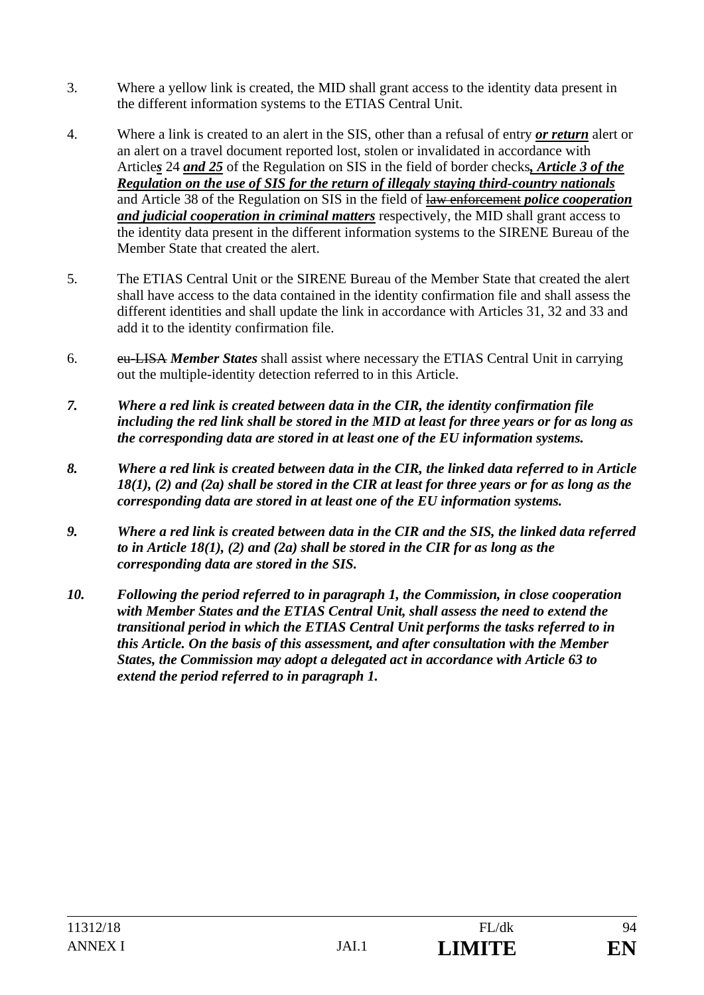- 3. Where a yellow link is created, the MID shall grant access to the identity data present in the different information systems to the ETIAS Central Unit.
- 4. Where a link is created to an alert in the SIS, other than a refusal of entry *or return* alert or an alert on a travel document reported lost, stolen or invalidated in accordance with Article*s* 24 *and 25* of the Regulation on SIS in the field of border checks*, Article 3 of the Regulation on the use of SIS for the return of illegaly staying third-country nationals* and Article 38 of the Regulation on SIS in the field of law enforcement *police cooperation and judicial cooperation in criminal matters* respectively, the MID shall grant access to the identity data present in the different information systems to the SIRENE Bureau of the Member State that created the alert.
- 5. The ETIAS Central Unit or the SIRENE Bureau of the Member State that created the alert shall have access to the data contained in the identity confirmation file and shall assess the different identities and shall update the link in accordance with Articles 31, 32 and 33 and add it to the identity confirmation file.
- 6. eu-LISA *Member States* shall assist where necessary the ETIAS Central Unit in carrying out the multiple-identity detection referred to in this Article.
- *7. Where a red link is created between data in the CIR, the identity confirmation file including the red link shall be stored in the MID at least for three years or for as long as the corresponding data are stored in at least one of the EU information systems.*
- *8. Where a red link is created between data in the CIR, the linked data referred to in Article 18(1), (2) and (2a) shall be stored in the CIR at least for three years or for as long as the corresponding data are stored in at least one of the EU information systems.*
- *9. Where a red link is created between data in the CIR and the SIS, the linked data referred to in Article 18(1), (2) and (2a) shall be stored in the CIR for as long as the corresponding data are stored in the SIS.*
- *10. Following the period referred to in paragraph 1, the Commission, in close cooperation with Member States and the ETIAS Central Unit, shall assess the need to extend the transitional period in which the ETIAS Central Unit performs the tasks referred to in this Article. On the basis of this assessment, and after consultation with the Member States, the Commission may adopt a delegated act in accordance with Article 63 to extend the period referred to in paragraph 1.*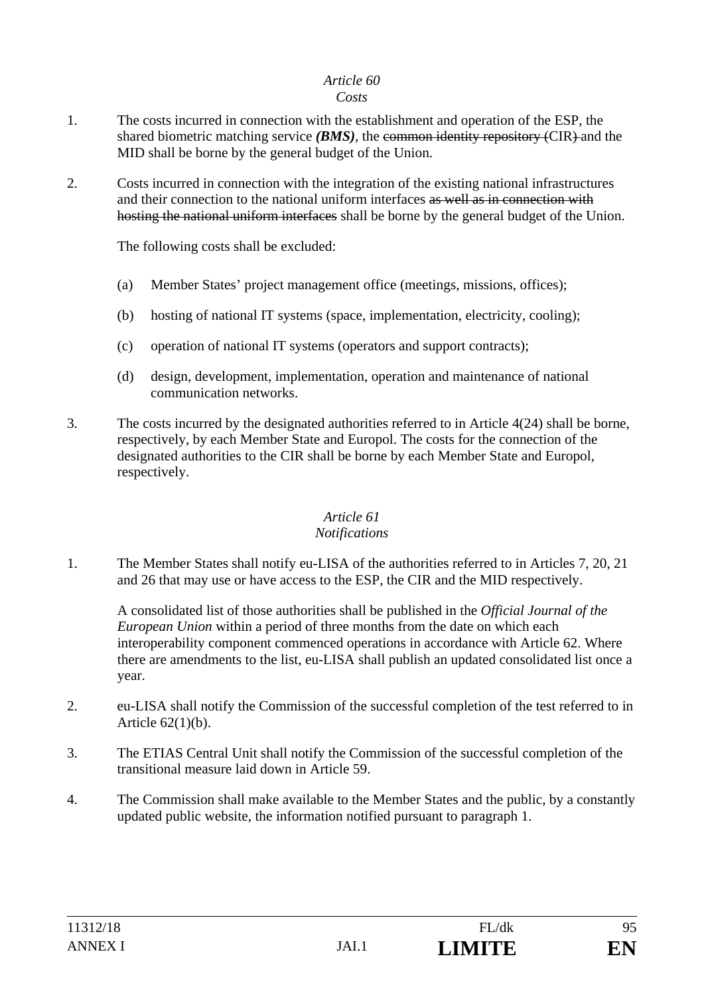# *Article 60*

#### *Costs*

- 1. The costs incurred in connection with the establishment and operation of the ESP, the shared biometric matching service *(BMS)*, the common identity repository *(CIR)* and the MID shall be borne by the general budget of the Union.
- 2. Costs incurred in connection with the integration of the existing national infrastructures and their connection to the national uniform interfaces as well as in connection with hosting the national uniform interfaces shall be borne by the general budget of the Union.

The following costs shall be excluded:

- (a) Member States' project management office (meetings, missions, offices);
- (b) hosting of national IT systems (space, implementation, electricity, cooling);
- (c) operation of national IT systems (operators and support contracts);
- (d) design, development, implementation, operation and maintenance of national communication networks.
- 3. The costs incurred by the designated authorities referred to in Article 4(24) shall be borne, respectively, by each Member State and Europol. The costs for the connection of the designated authorities to the CIR shall be borne by each Member State and Europol, respectively.

# *Article 61*

#### *Notifications*

1. The Member States shall notify eu-LISA of the authorities referred to in Articles 7, 20, 21 and 26 that may use or have access to the ESP, the CIR and the MID respectively.

A consolidated list of those authorities shall be published in the *Official Journal of the European Union* within a period of three months from the date on which each interoperability component commenced operations in accordance with Article 62. Where there are amendments to the list, eu-LISA shall publish an updated consolidated list once a year.

- 2. eu-LISA shall notify the Commission of the successful completion of the test referred to in Article 62(1)(b).
- 3. The ETIAS Central Unit shall notify the Commission of the successful completion of the transitional measure laid down in Article 59.
- 4. The Commission shall make available to the Member States and the public, by a constantly updated public website, the information notified pursuant to paragraph 1.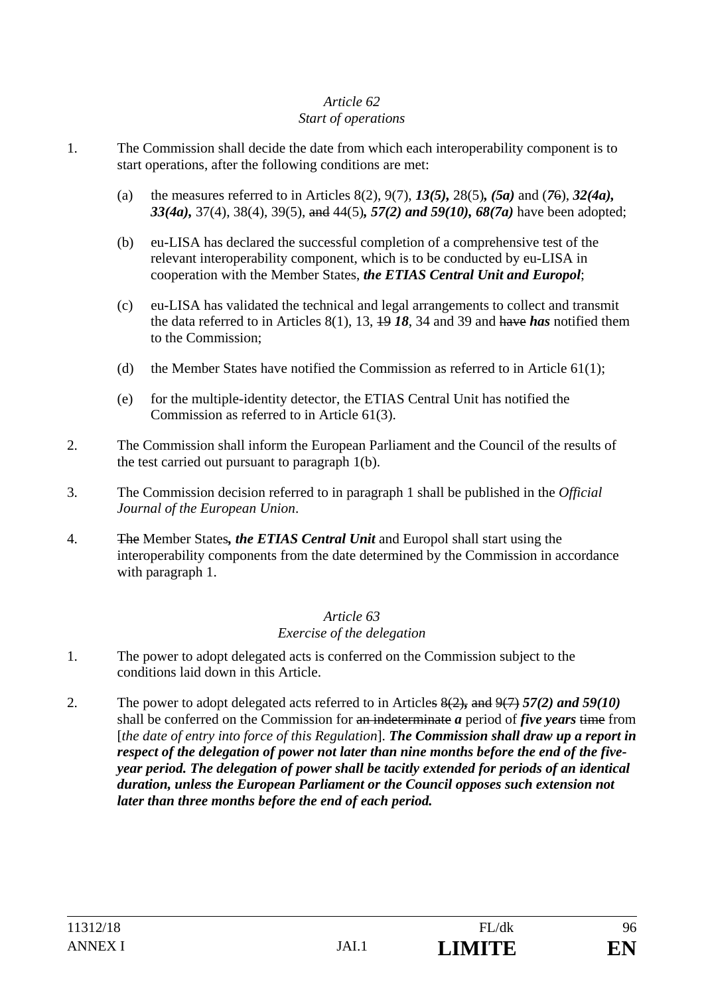#### *Article 62 Start of operations*

- 1. The Commission shall decide the date from which each interoperability component is to start operations, after the following conditions are met:
	- (a) the measures referred to in Articles 8(2), 9(7), *13(5),* 28(5)*, (5a)* and (*7*6), *32(4a), 33(4a),* 37(4), 38(4), 39(5), and 44(5)*, 57(2) and 59(10), 68(7a)* have been adopted;
	- (b) eu-LISA has declared the successful completion of a comprehensive test of the relevant interoperability component, which is to be conducted by eu-LISA in cooperation with the Member States, *the ETIAS Central Unit and Europol*;
	- (c) eu-LISA has validated the technical and legal arrangements to collect and transmit the data referred to in Articles 8(1), 13, 19 *18*, 34 and 39 and have *has* notified them to the Commission;
	- (d) the Member States have notified the Commission as referred to in Article  $61(1)$ ;
	- (e) for the multiple-identity detector, the ETIAS Central Unit has notified the Commission as referred to in Article 61(3).
- 2. The Commission shall inform the European Parliament and the Council of the results of the test carried out pursuant to paragraph 1(b).
- 3. The Commission decision referred to in paragraph 1 shall be published in the *Official Journal of the European Union*.
- 4. The Member States*, the ETIAS Central Unit* and Europol shall start using the interoperability components from the date determined by the Commission in accordance with paragraph 1.

#### *Article 63 Exercise of the delegation*

- 1. The power to adopt delegated acts is conferred on the Commission subject to the conditions laid down in this Article.
- 2. The power to adopt delegated acts referred to in Articles 8(2)*,* and 9(7) *57(2) and 59(10)* shall be conferred on the Commission for an indeterminate *a* period of *five years* time from [*the date of entry into force of this Regulation*]. *The Commission shall draw up a report in respect of the delegation of power not later than nine months before the end of the fiveyear period. The delegation of power shall be tacitly extended for periods of an identical duration, unless the European Parliament or the Council opposes such extension not later than three months before the end of each period.*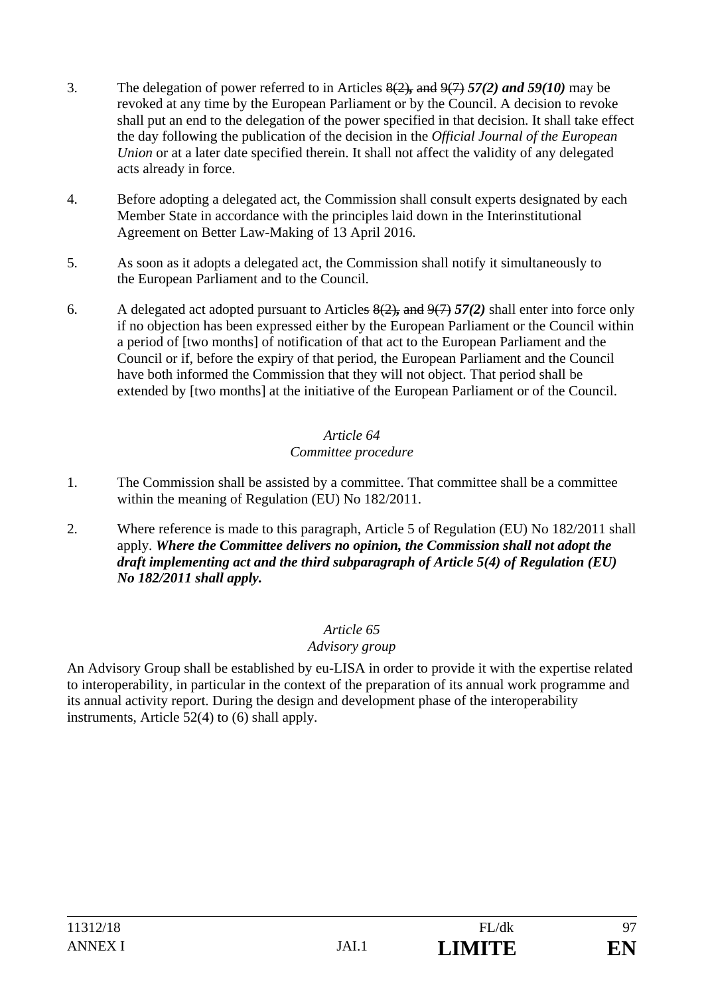- 3. The delegation of power referred to in Articles 8(2)*,* and 9(7) *57(2) and 59(10)* may be revoked at any time by the European Parliament or by the Council. A decision to revoke shall put an end to the delegation of the power specified in that decision. It shall take effect the day following the publication of the decision in the *Official Journal of the European Union* or at a later date specified therein. It shall not affect the validity of any delegated acts already in force.
- 4. Before adopting a delegated act, the Commission shall consult experts designated by each Member State in accordance with the principles laid down in the Interinstitutional Agreement on Better Law-Making of 13 April 2016.
- 5. As soon as it adopts a delegated act, the Commission shall notify it simultaneously to the European Parliament and to the Council.
- 6. A delegated act adopted pursuant to Articles 8(2)*,* and 9(7) *57(2)* shall enter into force only if no objection has been expressed either by the European Parliament or the Council within a period of [two months] of notification of that act to the European Parliament and the Council or if, before the expiry of that period, the European Parliament and the Council have both informed the Commission that they will not object. That period shall be extended by [two months] at the initiative of the European Parliament or of the Council.

# *Article 64 Committee procedure*

- 1. The Commission shall be assisted by a committee. That committee shall be a committee within the meaning of Regulation (EU) No 182/2011.
- 2. Where reference is made to this paragraph, Article 5 of Regulation (EU) No 182/2011 shall apply. *Where the Committee delivers no opinion, the Commission shall not adopt the draft implementing act and the third subparagraph of Article 5(4) of Regulation (EU) No 182/2011 shall apply.*

# *Article 65*

# *Advisory group*

An Advisory Group shall be established by eu-LISA in order to provide it with the expertise related to interoperability, in particular in the context of the preparation of its annual work programme and its annual activity report. During the design and development phase of the interoperability instruments, Article 52(4) to (6) shall apply.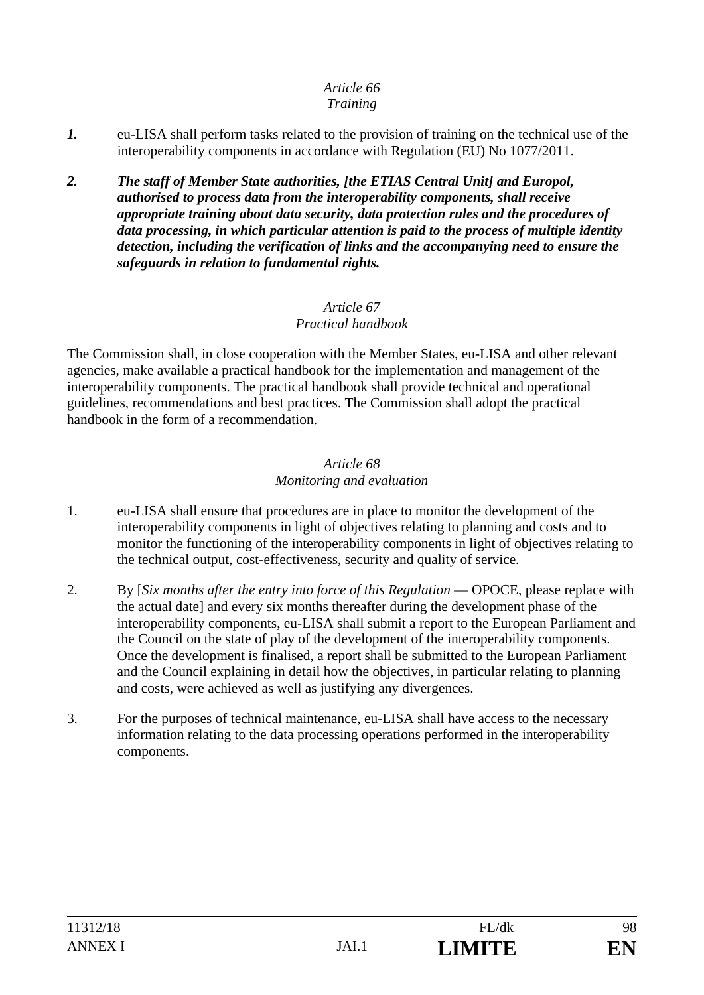#### *Article 66 Training*

- *1.* eu-LISA shall perform tasks related to the provision of training on the technical use of the interoperability components in accordance with Regulation (EU) No 1077/2011.
- *2. The staff of Member State authorities, [the ETIAS Central Unit] and Europol, authorised to process data from the interoperability components, shall receive appropriate training about data security, data protection rules and the procedures of data processing, in which particular attention is paid to the process of multiple identity detection, including the verification of links and the accompanying need to ensure the safeguards in relation to fundamental rights.*

#### *Article 67 Practical handbook*

The Commission shall, in close cooperation with the Member States, eu-LISA and other relevant agencies, make available a practical handbook for the implementation and management of the interoperability components. The practical handbook shall provide technical and operational guidelines, recommendations and best practices. The Commission shall adopt the practical handbook in the form of a recommendation.

#### *Article 68 Monitoring and evaluation*

- 1. eu-LISA shall ensure that procedures are in place to monitor the development of the interoperability components in light of objectives relating to planning and costs and to monitor the functioning of the interoperability components in light of objectives relating to the technical output, cost-effectiveness, security and quality of service.
- 2. By [*Six months after the entry into force of this Regulation* OPOCE, please replace with the actual date] and every six months thereafter during the development phase of the interoperability components, eu-LISA shall submit a report to the European Parliament and the Council on the state of play of the development of the interoperability components. Once the development is finalised, a report shall be submitted to the European Parliament and the Council explaining in detail how the objectives, in particular relating to planning and costs, were achieved as well as justifying any divergences.
- 3. For the purposes of technical maintenance, eu-LISA shall have access to the necessary information relating to the data processing operations performed in the interoperability components.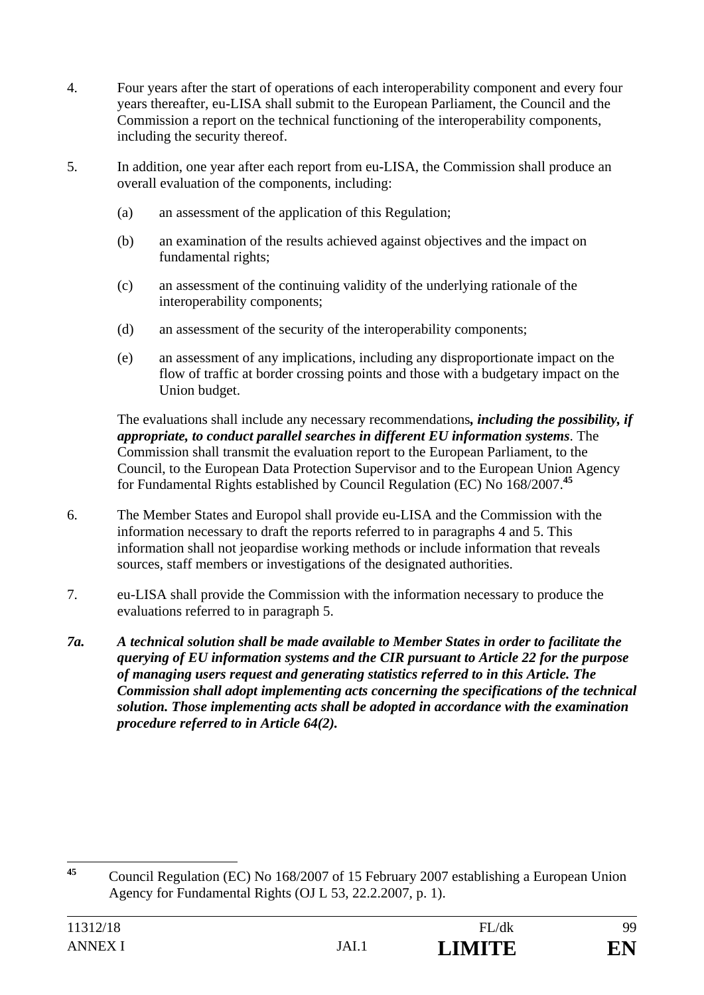- 4. Four years after the start of operations of each interoperability component and every four years thereafter, eu-LISA shall submit to the European Parliament, the Council and the Commission a report on the technical functioning of the interoperability components, including the security thereof.
- 5. In addition, one year after each report from eu-LISA, the Commission shall produce an overall evaluation of the components, including:
	- (a) an assessment of the application of this Regulation;
	- (b) an examination of the results achieved against objectives and the impact on fundamental rights;
	- (c) an assessment of the continuing validity of the underlying rationale of the interoperability components;
	- (d) an assessment of the security of the interoperability components;
	- (e) an assessment of any implications, including any disproportionate impact on the flow of traffic at border crossing points and those with a budgetary impact on the Union budget.

The evaluations shall include any necessary recommendations*, including the possibility, if appropriate, to conduct parallel searches in different EU information systems*. The Commission shall transmit the evaluation report to the European Parliament, to the Council, to the European Data Protection Supervisor and to the European Union Agency for Fundamental Rights established by Council Regulation (EC) No 168/2007.**<sup>45</sup>**

- 6. The Member States and Europol shall provide eu-LISA and the Commission with the information necessary to draft the reports referred to in paragraphs 4 and 5. This information shall not jeopardise working methods or include information that reveals sources, staff members or investigations of the designated authorities.
- 7. eu-LISA shall provide the Commission with the information necessary to produce the evaluations referred to in paragraph 5.
- *7a. A technical solution shall be made available to Member States in order to facilitate the querying of EU information systems and the CIR pursuant to Article 22 for the purpose of managing users request and generating statistics referred to in this Article. The Commission shall adopt implementing acts concerning the specifications of the technical solution. Those implementing acts shall be adopted in accordance with the examination procedure referred to in Article 64(2).*

 $45$ **<sup>45</sup>** Council Regulation (EC) No 168/2007 of 15 February 2007 establishing a European Union Agency for Fundamental Rights (OJ L 53, 22.2.2007, p. 1).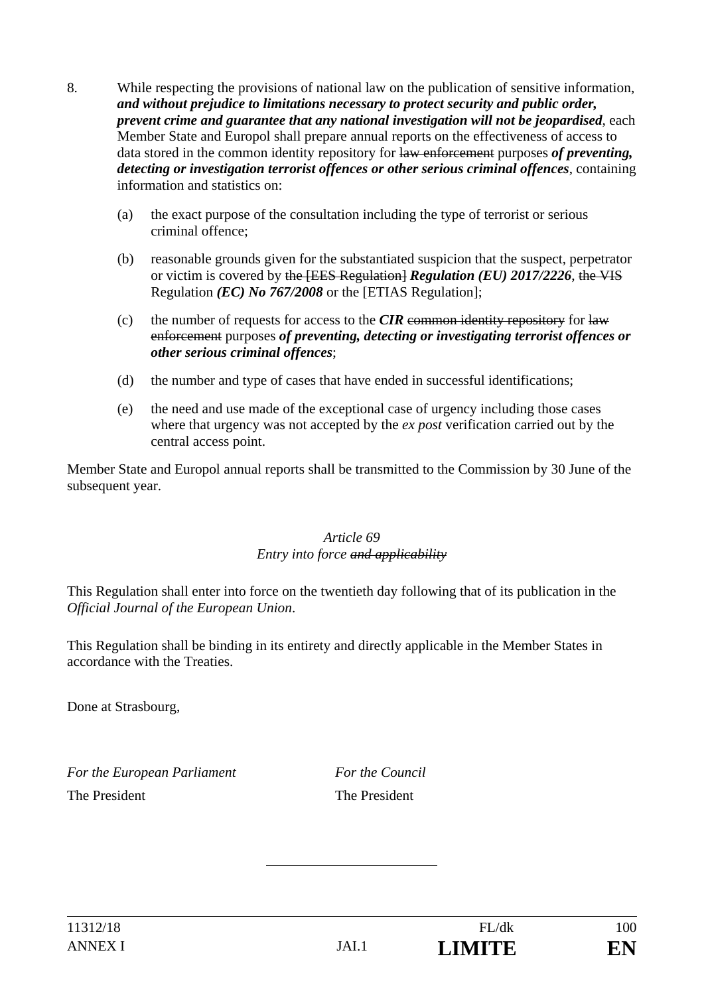- 8. While respecting the provisions of national law on the publication of sensitive information, *and without prejudice to limitations necessary to protect security and public order, prevent crime and guarantee that any national investigation will not be jeopardised*, each Member State and Europol shall prepare annual reports on the effectiveness of access to data stored in the common identity repository for law enforcement purposes *of preventing, detecting or investigation terrorist offences or other serious criminal offences*, containing information and statistics on:
	- (a) the exact purpose of the consultation including the type of terrorist or serious criminal offence;
	- (b) reasonable grounds given for the substantiated suspicion that the suspect, perpetrator or victim is covered by the [EES Regulation] *Regulation (EU) 2017/2226*, the VIS Regulation *(EC) No 767/2008* or the [ETIAS Regulation];
	- (c) the number of requests for access to the  $CIR$  common identity repository for law enforcement purposes *of preventing, detecting or investigating terrorist offences or other serious criminal offences*;
	- (d) the number and type of cases that have ended in successful identifications;
	- (e) the need and use made of the exceptional case of urgency including those cases where that urgency was not accepted by the *ex post* verification carried out by the central access point.

Member State and Europol annual reports shall be transmitted to the Commission by 30 June of the subsequent year.

#### *Article 69 Entry into force and applicability*

This Regulation shall enter into force on the twentieth day following that of its publication in the *Official Journal of the European Union*.

This Regulation shall be binding in its entirety and directly applicable in the Member States in accordance with the Treaties.

Done at Strasbourg,

*For the European Parliament For the Council* The President The President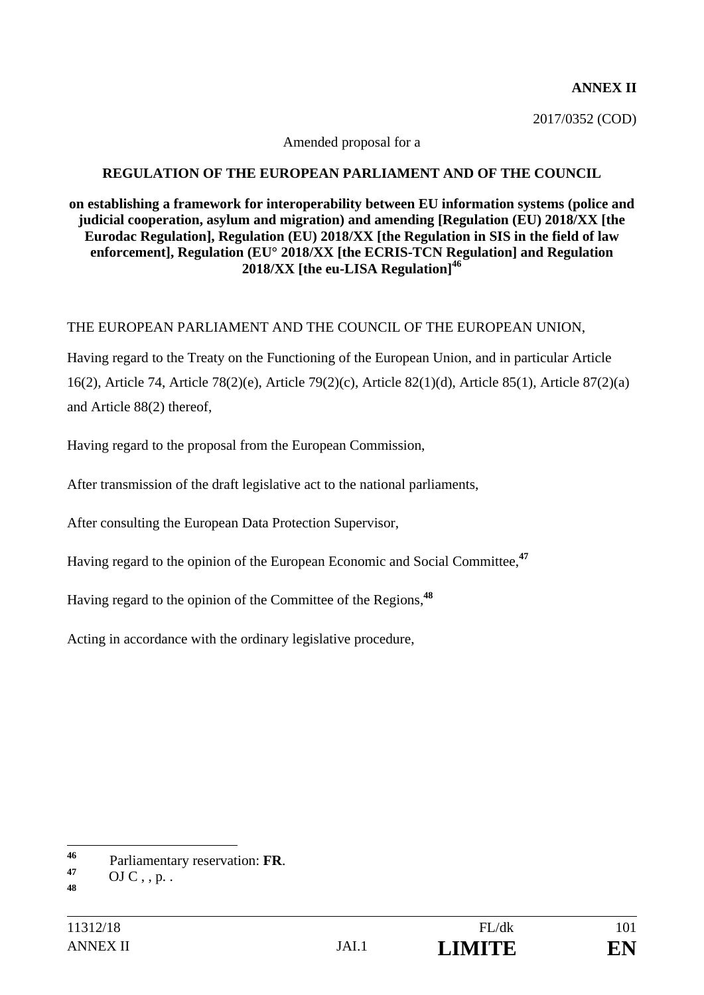#### **ANNEX II**

2017/0352 (COD)

Amended proposal for a

#### **REGULATION OF THE EUROPEAN PARLIAMENT AND OF THE COUNCIL**

#### **on establishing a framework for interoperability between EU information systems (police and judicial cooperation, asylum and migration) and amending [Regulation (EU) 2018/XX [the Eurodac Regulation], Regulation (EU) 2018/XX [the Regulation in SIS in the field of law enforcement], Regulation (EU° 2018/XX [the ECRIS-TCN Regulation] and Regulation 2018/XX [the eu-LISA Regulation]<sup>46</sup>**

#### THE EUROPEAN PARLIAMENT AND THE COUNCIL OF THE EUROPEAN UNION,

Having regard to the Treaty on the Functioning of the European Union, and in particular Article 16(2), Article 74, Article 78(2)(e), Article 79(2)(c), Article 82(1)(d), Article 85(1), Article 87(2)(a) and Article 88(2) thereof,

Having regard to the proposal from the European Commission,

After transmission of the draft legislative act to the national parliaments,

After consulting the European Data Protection Supervisor,

Having regard to the opinion of the European Economic and Social Committee,**<sup>47</sup>**

Having regard to the opinion of the Committee of the Regions,**<sup>48</sup>**

Acting in accordance with the ordinary legislative procedure,

<sup>46</sup> **<sup>46</sup>** Parliamentary reservation: **FR**. **<sup>47</sup>** OJ C , , p. .

**<sup>48</sup>**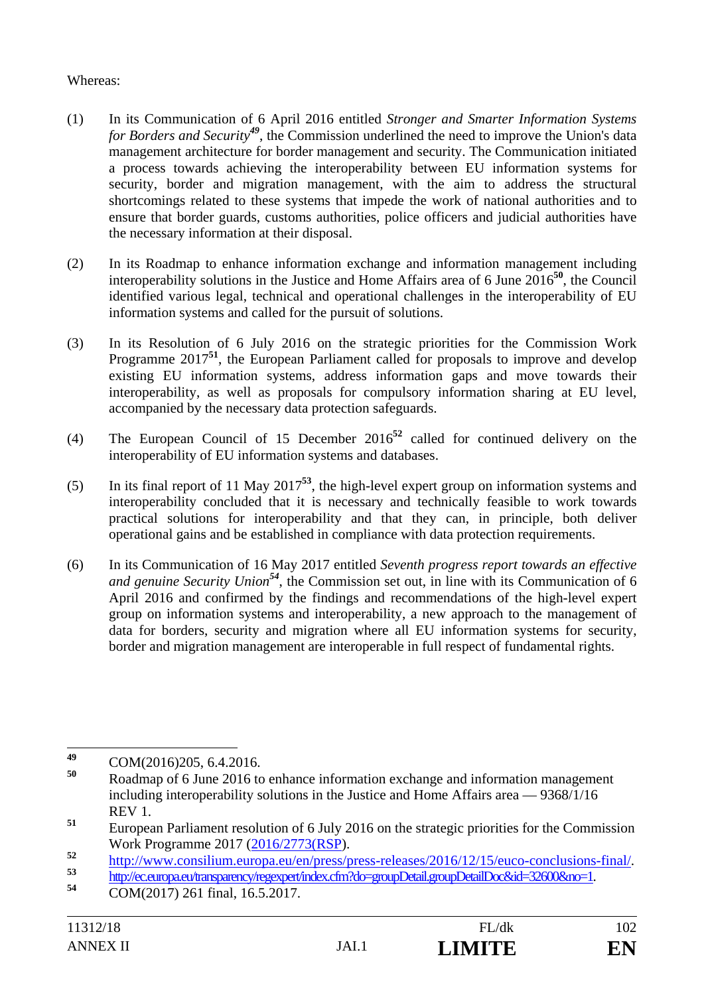## Whereas:

- (1) In its Communication of 6 April 2016 entitled *Stronger and Smarter Information Systems for Borders and Security<sup>49</sup>*, the Commission underlined the need to improve the Union's data management architecture for border management and security. The Communication initiated a process towards achieving the interoperability between EU information systems for security, border and migration management, with the aim to address the structural shortcomings related to these systems that impede the work of national authorities and to ensure that border guards, customs authorities, police officers and judicial authorities have the necessary information at their disposal.
- (2) In its Roadmap to enhance information exchange and information management including interoperability solutions in the Justice and Home Affairs area of 6 June 2016**<sup>50</sup>**, the Council identified various legal, technical and operational challenges in the interoperability of EU information systems and called for the pursuit of solutions.
- (3) In its Resolution of 6 July 2016 on the strategic priorities for the Commission Work Programme 2017<sup>51</sup>, the European Parliament called for proposals to improve and develop existing EU information systems, address information gaps and move towards their interoperability, as well as proposals for compulsory information sharing at EU level, accompanied by the necessary data protection safeguards.
- (4) The European Council of 15 December 2016**<sup>52</sup>** called for continued delivery on the interoperability of EU information systems and databases.
- (5) In its final report of 11 May 2017**<sup>53</sup>**, the high-level expert group on information systems and interoperability concluded that it is necessary and technically feasible to work towards practical solutions for interoperability and that they can, in principle, both deliver operational gains and be established in compliance with data protection requirements.
- (6) In its Communication of 16 May 2017 entitled *Seventh progress report towards an effective and genuine Security Union<sup>54</sup>*, the Commission set out, in line with its Communication of 6 April 2016 and confirmed by the findings and recommendations of the high-level expert group on information systems and interoperability, a new approach to the management of data for borders, security and migration where all EU information systems for security, border and migration management are interoperable in full respect of fundamental rights.



<sup>49</sup> **<sup>49</sup>** COM(2016)205, 6.4.2016.

**<sup>50</sup>** Roadmap of 6 June 2016 to enhance information exchange and information management including interoperability solutions in the Justice and Home Affairs area — 9368/1/16 REV 1.

**<sup>51</sup>** European Parliament resolution of 6 July 2016 on the strategic priorities for the Commission Work Programme 2017 (2016/2773(RSP).

http://www.consilium.europa.eu/en/press/press-releases/2016/12/15/euco-conclusions-final/<br>
54 http://ec.europa.eu/transparency/regexpert/index.cfm?do=groupDetail.groupDetailDoc&id=32600&no=1.<br>
COM(2017) 261 final, 16.5.201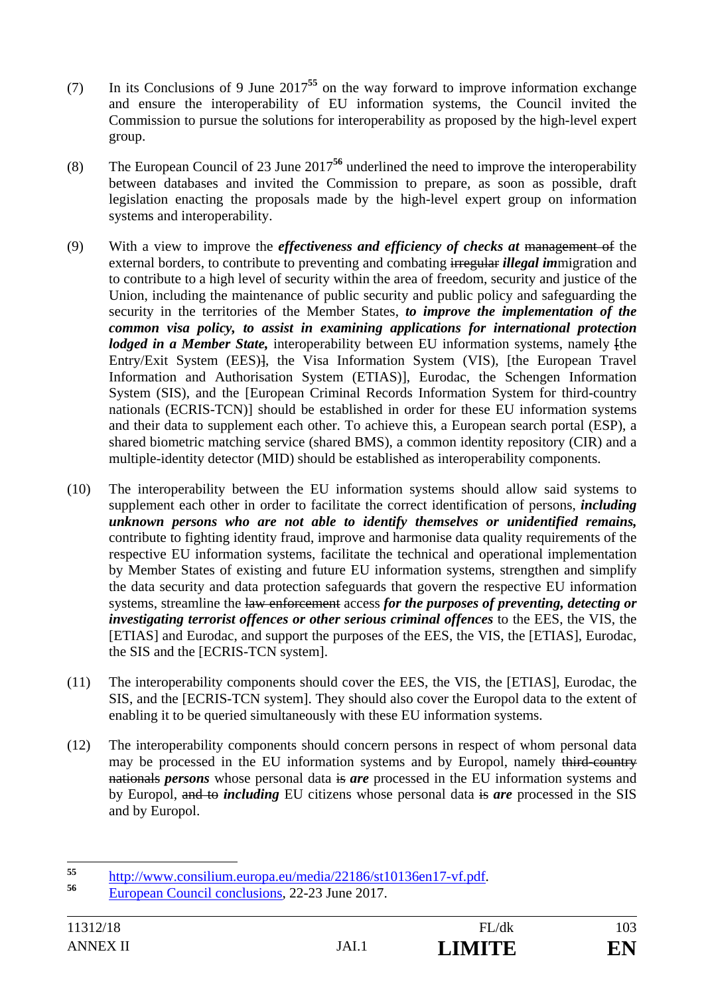- (7) In its Conclusions of 9 June 2017**<sup>55</sup>** on the way forward to improve information exchange and ensure the interoperability of EU information systems, the Council invited the Commission to pursue the solutions for interoperability as proposed by the high-level expert group.
- (8) The European Council of 23 June 2017**<sup>56</sup>** underlined the need to improve the interoperability between databases and invited the Commission to prepare, as soon as possible, draft legislation enacting the proposals made by the high-level expert group on information systems and interoperability.
- (9) With a view to improve the *effectiveness and efficiency of checks at* management of the external borders, to contribute to preventing and combating irregular *illegal im*migration and to contribute to a high level of security within the area of freedom, security and justice of the Union, including the maintenance of public security and public policy and safeguarding the security in the territories of the Member States, *to improve the implementation of the common visa policy, to assist in examining applications for international protection lodged in a Member State*, interoperability between EU information systems, namely *fthe* Entry/Exit System (EES)], the Visa Information System (VIS), [the European Travel Information and Authorisation System (ETIAS)], Eurodac, the Schengen Information System (SIS), and the [European Criminal Records Information System for third-country nationals (ECRIS-TCN)] should be established in order for these EU information systems and their data to supplement each other. To achieve this, a European search portal (ESP), a shared biometric matching service (shared BMS), a common identity repository (CIR) and a multiple-identity detector (MID) should be established as interoperability components.
- (10) The interoperability between the EU information systems should allow said systems to supplement each other in order to facilitate the correct identification of persons, *including unknown persons who are not able to identify themselves or unidentified remains,*  contribute to fighting identity fraud, improve and harmonise data quality requirements of the respective EU information systems, facilitate the technical and operational implementation by Member States of existing and future EU information systems, strengthen and simplify the data security and data protection safeguards that govern the respective EU information systems, streamline the law enforcement access *for the purposes of preventing, detecting or investigating terrorist offences or other serious criminal offences* to the EES, the VIS, the [ETIAS] and Eurodac, and support the purposes of the EES, the VIS, the [ETIAS], Eurodac, the SIS and the [ECRIS-TCN system].
- (11) The interoperability components should cover the EES, the VIS, the [ETIAS], Eurodac, the SIS, and the [ECRIS-TCN system]. They should also cover the Europol data to the extent of enabling it to be queried simultaneously with these EU information systems.
- (12) The interoperability components should concern persons in respect of whom personal data may be processed in the EU information systems and by Europol, namely third-country nationals *persons* whose personal data is *are* processed in the EU information systems and by Europol, and to *including* EU citizens whose personal data is *are* processed in the SIS and by Europol.

<sup>55</sup> **<sup>55</sup>** http://www.consilium.europa.eu/media/22186/st10136en17-vf.pdf. **<sup>56</sup>** European Council conclusions, 22-23 June 2017.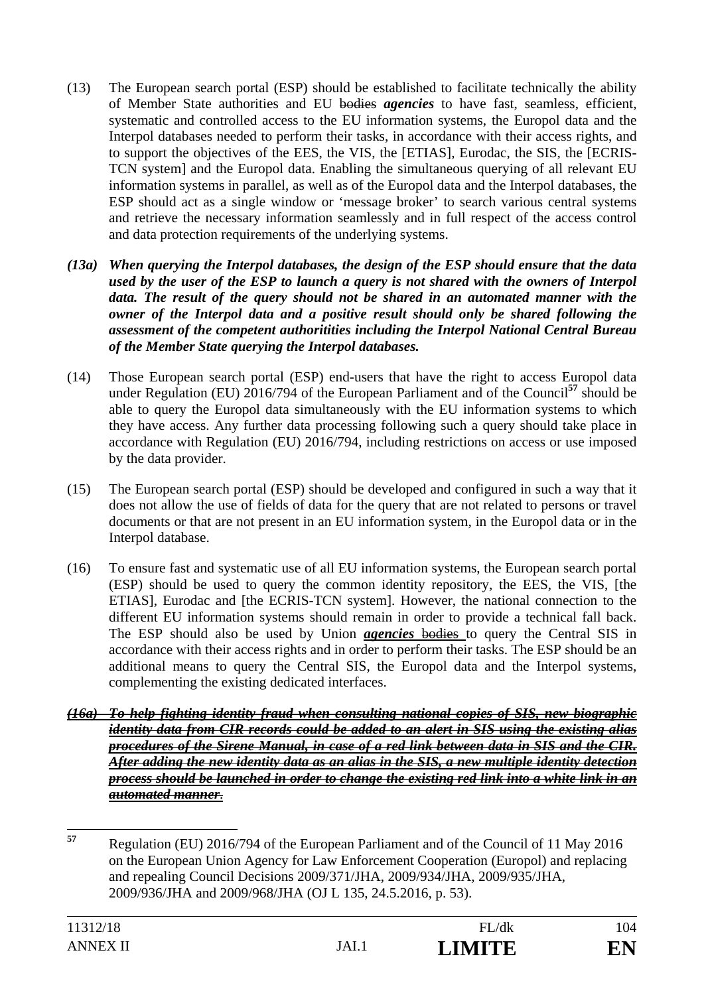- (13) The European search portal (ESP) should be established to facilitate technically the ability of Member State authorities and EU bodies *agencies* to have fast, seamless, efficient, systematic and controlled access to the EU information systems, the Europol data and the Interpol databases needed to perform their tasks, in accordance with their access rights, and to support the objectives of the EES, the VIS, the [ETIAS], Eurodac, the SIS, the [ECRIS-TCN system] and the Europol data. Enabling the simultaneous querying of all relevant EU information systems in parallel, as well as of the Europol data and the Interpol databases, the ESP should act as a single window or 'message broker' to search various central systems and retrieve the necessary information seamlessly and in full respect of the access control and data protection requirements of the underlying systems.
- *(13a) When querying the Interpol databases, the design of the ESP should ensure that the data used by the user of the ESP to launch a query is not shared with the owners of Interpol data. The result of the query should not be shared in an automated manner with the owner of the Interpol data and a positive result should only be shared following the assessment of the competent authoritities including the Interpol National Central Bureau of the Member State querying the Interpol databases.*
- (14) Those European search portal (ESP) end-users that have the right to access Europol data under Regulation (EU) 2016/794 of the European Parliament and of the Council**<sup>57</sup>** should be able to query the Europol data simultaneously with the EU information systems to which they have access. Any further data processing following such a query should take place in accordance with Regulation (EU) 2016/794, including restrictions on access or use imposed by the data provider.
- (15) The European search portal (ESP) should be developed and configured in such a way that it does not allow the use of fields of data for the query that are not related to persons or travel documents or that are not present in an EU information system, in the Europol data or in the Interpol database.
- (16) To ensure fast and systematic use of all EU information systems, the European search portal (ESP) should be used to query the common identity repository, the EES, the VIS, [the ETIAS], Eurodac and [the ECRIS-TCN system]. However, the national connection to the different EU information systems should remain in order to provide a technical fall back. The ESP should also be used by Union *agencies* bodies to query the Central SIS in accordance with their access rights and in order to perform their tasks. The ESP should be an additional means to query the Central SIS, the Europol data and the Interpol systems, complementing the existing dedicated interfaces.
- *(16a) To help fighting identity fraud when consulting national copies of SIS, new biographic identity data from CIR records could be added to an alert in SIS using the existing alias procedures of the Sirene Manual, in case of a red link between data in SIS and the CIR. After adding the new identity data as an alias in the SIS, a new multiple identity detection process should be launched in order to change the existing red link into a white link in an automated manner*.
- 57 **<sup>57</sup>** Regulation (EU) 2016/794 of the European Parliament and of the Council of 11 May 2016 on the European Union Agency for Law Enforcement Cooperation (Europol) and replacing and repealing Council Decisions 2009/371/JHA, 2009/934/JHA, 2009/935/JHA, 2009/936/JHA and 2009/968/JHA (OJ L 135, 24.5.2016, p. 53).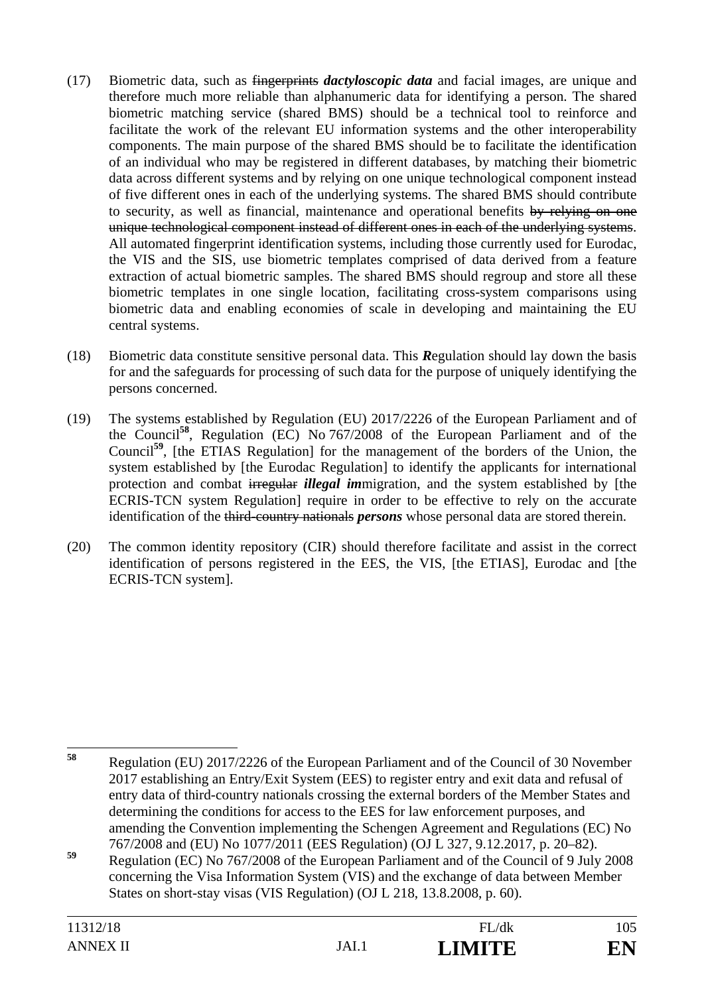- (17) Biometric data, such as fingerprints *dactyloscopic data* and facial images, are unique and therefore much more reliable than alphanumeric data for identifying a person. The shared biometric matching service (shared BMS) should be a technical tool to reinforce and facilitate the work of the relevant EU information systems and the other interoperability components. The main purpose of the shared BMS should be to facilitate the identification of an individual who may be registered in different databases, by matching their biometric data across different systems and by relying on one unique technological component instead of five different ones in each of the underlying systems. The shared BMS should contribute to security, as well as financial, maintenance and operational benefits by relying on one unique technological component instead of different ones in each of the underlying systems. All automated fingerprint identification systems, including those currently used for Eurodac, the VIS and the SIS, use biometric templates comprised of data derived from a feature extraction of actual biometric samples. The shared BMS should regroup and store all these biometric templates in one single location, facilitating cross-system comparisons using biometric data and enabling economies of scale in developing and maintaining the EU central systems.
- (18) Biometric data constitute sensitive personal data. This *R*egulation should lay down the basis for and the safeguards for processing of such data for the purpose of uniquely identifying the persons concerned.
- (19) The systems established by Regulation (EU) 2017/2226 of the European Parliament and of the Council**<sup>58</sup>**, Regulation (EC) No 767/2008 of the European Parliament and of the Council**<sup>59</sup>**, [the ETIAS Regulation] for the management of the borders of the Union, the system established by [the Eurodac Regulation] to identify the applicants for international protection and combat irregular *illegal im*migration, and the system established by [the ECRIS-TCN system Regulation] require in order to be effective to rely on the accurate identification of the third-country nationals *persons* whose personal data are stored therein.
- (20) The common identity repository (CIR) should therefore facilitate and assist in the correct identification of persons registered in the EES, the VIS, [the ETIAS], Eurodac and [the ECRIS-TCN system].

<sup>58</sup> **<sup>58</sup>** Regulation (EU) 2017/2226 of the European Parliament and of the Council of 30 November 2017 establishing an Entry/Exit System (EES) to register entry and exit data and refusal of entry data of third-country nationals crossing the external borders of the Member States and determining the conditions for access to the EES for law enforcement purposes, and amending the Convention implementing the Schengen Agreement and Regulations (EC) No 767/2008 and (EU) No 1077/2011 (EES Regulation) (OJ L 327, 9.12.2017, p. 20–82).

**<sup>59</sup>** Regulation (EC) No 767/2008 of the European Parliament and of the Council of 9 July 2008 concerning the Visa Information System (VIS) and the exchange of data between Member States on short-stay visas (VIS Regulation) (OJ L 218, 13.8.2008, p. 60).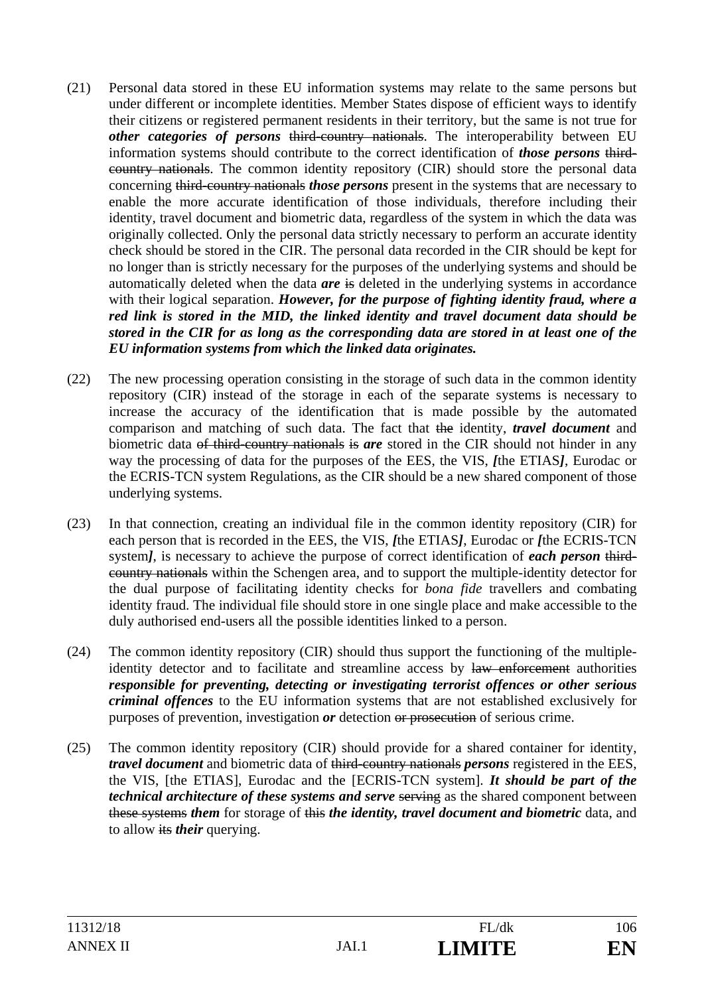- (21) Personal data stored in these EU information systems may relate to the same persons but under different or incomplete identities. Member States dispose of efficient ways to identify their citizens or registered permanent residents in their territory, but the same is not true for *other categories of persons* third-country nationals. The interoperability between EU information systems should contribute to the correct identification of *those persons* thirdcountry nationals. The common identity repository (CIR) should store the personal data concerning third-country nationals *those persons* present in the systems that are necessary to enable the more accurate identification of those individuals, therefore including their identity, travel document and biometric data, regardless of the system in which the data was originally collected. Only the personal data strictly necessary to perform an accurate identity check should be stored in the CIR. The personal data recorded in the CIR should be kept for no longer than is strictly necessary for the purposes of the underlying systems and should be automatically deleted when the data *are* is deleted in the underlying systems in accordance with their logical separation. *However, for the purpose of fighting identity fraud, where a red link is stored in the MID, the linked identity and travel document data should be stored in the CIR for as long as the corresponding data are stored in at least one of the EU information systems from which the linked data originates.*
- (22) The new processing operation consisting in the storage of such data in the common identity repository (CIR) instead of the storage in each of the separate systems is necessary to increase the accuracy of the identification that is made possible by the automated comparison and matching of such data. The fact that the identity, *travel document* and biometric data of third-country nationals is *are* stored in the CIR should not hinder in any way the processing of data for the purposes of the EES, the VIS, *[*the ETIAS*]*, Eurodac or the ECRIS-TCN system Regulations, as the CIR should be a new shared component of those underlying systems.
- (23) In that connection, creating an individual file in the common identity repository (CIR) for each person that is recorded in the EES, the VIS, *[*the ETIAS*]*, Eurodac or *[*the ECRIS-TCN system*]*, is necessary to achieve the purpose of correct identification of *each person* thirdcountry nationals within the Schengen area, and to support the multiple-identity detector for the dual purpose of facilitating identity checks for *bona fide* travellers and combating identity fraud. The individual file should store in one single place and make accessible to the duly authorised end-users all the possible identities linked to a person.
- (24) The common identity repository (CIR) should thus support the functioning of the multipleidentity detector and to facilitate and streamline access by law enforcement authorities *responsible for preventing, detecting or investigating terrorist offences or other serious criminal offences* to the EU information systems that are not established exclusively for purposes of prevention, investigation *or* detection or prosecution of serious crime.
- (25) The common identity repository (CIR) should provide for a shared container for identity, *travel document* and biometric data of third-country nationals *persons* registered in the EES, the VIS, [the ETIAS], Eurodac and the [ECRIS-TCN system]. *It should be part of the technical architecture of these systems and serve serving as the shared component between* these systems *them* for storage of this *the identity, travel document and biometric* data, and to allow its *their* querying.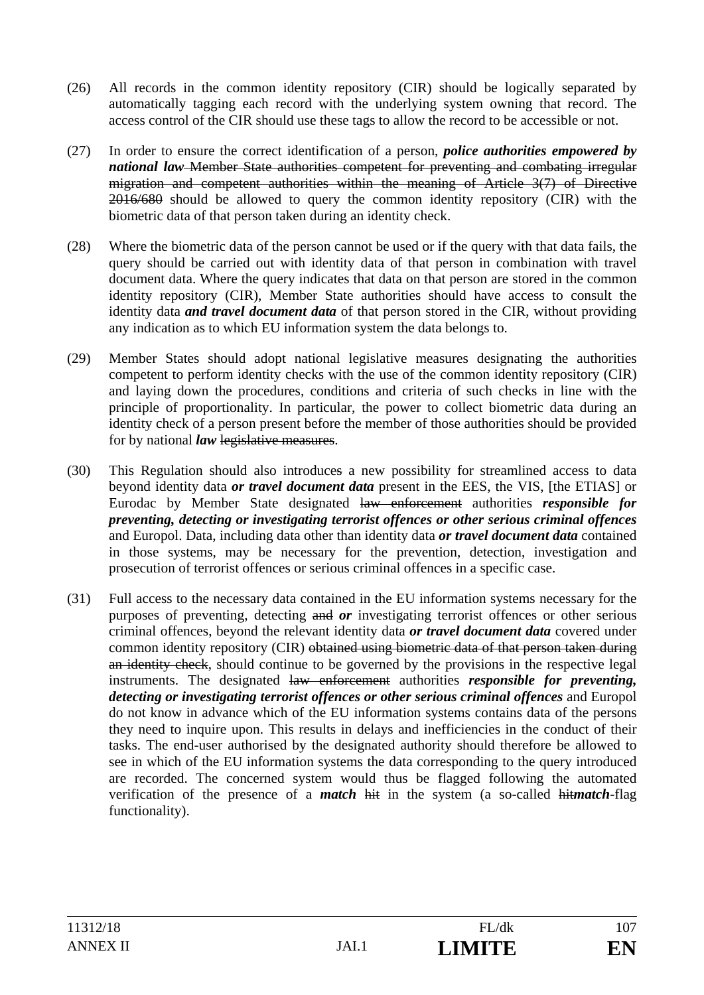- (26) All records in the common identity repository (CIR) should be logically separated by automatically tagging each record with the underlying system owning that record. The access control of the CIR should use these tags to allow the record to be accessible or not.
- (27) In order to ensure the correct identification of a person, *police authorities empowered by national law* Member State authorities competent for preventing and combating irregular migration and competent authorities within the meaning of Article 3(7) of Directive 2016/680 should be allowed to query the common identity repository (CIR) with the biometric data of that person taken during an identity check.
- (28) Where the biometric data of the person cannot be used or if the query with that data fails, the query should be carried out with identity data of that person in combination with travel document data. Where the query indicates that data on that person are stored in the common identity repository (CIR), Member State authorities should have access to consult the identity data *and travel document data* of that person stored in the CIR, without providing any indication as to which EU information system the data belongs to.
- (29) Member States should adopt national legislative measures designating the authorities competent to perform identity checks with the use of the common identity repository (CIR) and laying down the procedures, conditions and criteria of such checks in line with the principle of proportionality. In particular, the power to collect biometric data during an identity check of a person present before the member of those authorities should be provided for by national *law* legislative measures.
- (30) This Regulation should also introduces a new possibility for streamlined access to data beyond identity data *or travel document data* present in the EES, the VIS, [the ETIAS] or Eurodac by Member State designated law enforcement authorities *responsible for preventing, detecting or investigating terrorist offences or other serious criminal offences* and Europol. Data, including data other than identity data *or travel document data* contained in those systems, may be necessary for the prevention, detection, investigation and prosecution of terrorist offences or serious criminal offences in a specific case.
- (31) Full access to the necessary data contained in the EU information systems necessary for the purposes of preventing, detecting and *or* investigating terrorist offences or other serious criminal offences, beyond the relevant identity data *or travel document data* covered under common identity repository (CIR) obtained using biometric data of that person taken during an identity check, should continue to be governed by the provisions in the respective legal instruments. The designated law enforcement authorities *responsible for preventing, detecting or investigating terrorist offences or other serious criminal offences* and Europol do not know in advance which of the EU information systems contains data of the persons they need to inquire upon. This results in delays and inefficiencies in the conduct of their tasks. The end-user authorised by the designated authority should therefore be allowed to see in which of the EU information systems the data corresponding to the query introduced are recorded. The concerned system would thus be flagged following the automated verification of the presence of a *match* hit in the system (a so-called hit*match*-flag functionality).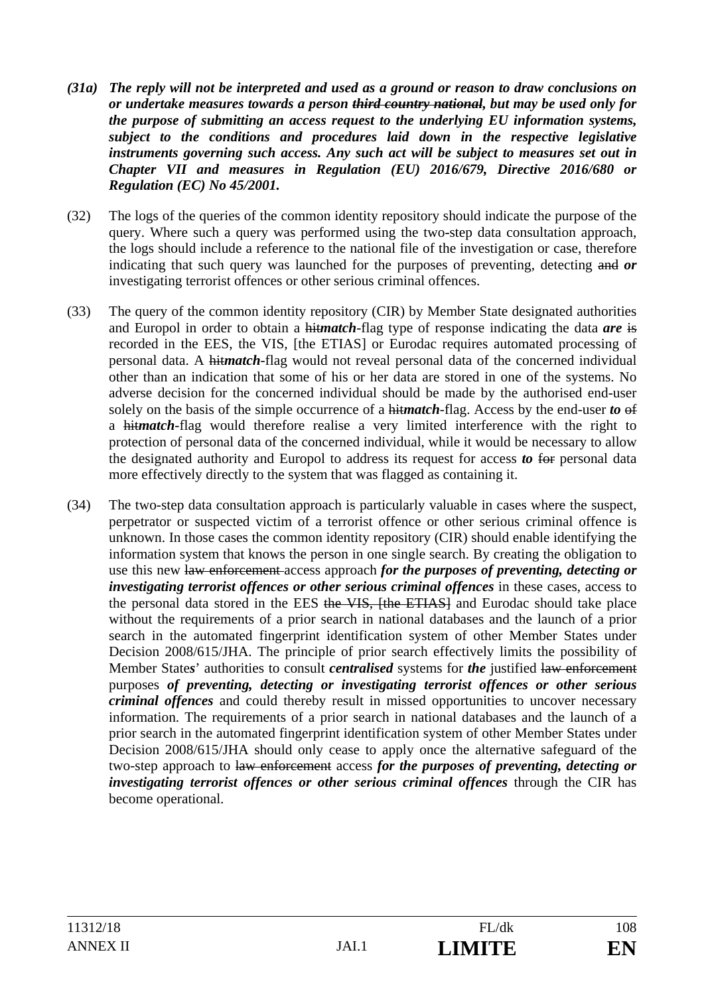- *(31a) The reply will not be interpreted and used as a ground or reason to draw conclusions on or undertake measures towards a person third country national, but may be used only for the purpose of submitting an access request to the underlying EU information systems, subject to the conditions and procedures laid down in the respective legislative instruments governing such access. Any such act will be subject to measures set out in Chapter VII and measures in Regulation (EU) 2016/679, Directive 2016/680 or Regulation (EC) No 45/2001.*
- (32) The logs of the queries of the common identity repository should indicate the purpose of the query. Where such a query was performed using the two-step data consultation approach, the logs should include a reference to the national file of the investigation or case, therefore indicating that such query was launched for the purposes of preventing, detecting and *or* investigating terrorist offences or other serious criminal offences.
- (33) The query of the common identity repository (CIR) by Member State designated authorities and Europol in order to obtain a hit*match*-flag type of response indicating the data *are* is recorded in the EES, the VIS, [the ETIAS] or Eurodac requires automated processing of personal data. A hit*match*-flag would not reveal personal data of the concerned individual other than an indication that some of his or her data are stored in one of the systems. No adverse decision for the concerned individual should be made by the authorised end-user solely on the basis of the simple occurrence of a hit*match*-flag. Access by the end-user *to* of a hit*match*-flag would therefore realise a very limited interference with the right to protection of personal data of the concerned individual, while it would be necessary to allow the designated authority and Europol to address its request for access *to* for personal data more effectively directly to the system that was flagged as containing it.
- (34) The two-step data consultation approach is particularly valuable in cases where the suspect, perpetrator or suspected victim of a terrorist offence or other serious criminal offence is unknown. In those cases the common identity repository (CIR) should enable identifying the information system that knows the person in one single search. By creating the obligation to use this new law enforcement access approach *for the purposes of preventing, detecting or investigating terrorist offences or other serious criminal offences* in these cases, access to the personal data stored in the EES the VIS, [the ETIAS] and Eurodac should take place without the requirements of a prior search in national databases and the launch of a prior search in the automated fingerprint identification system of other Member States under Decision 2008/615/JHA. The principle of prior search effectively limits the possibility of Member State*s*' authorities to consult *centralised* systems for *the* justified law enforcement purposes *of preventing, detecting or investigating terrorist offences or other serious criminal offences* and could thereby result in missed opportunities to uncover necessary information. The requirements of a prior search in national databases and the launch of a prior search in the automated fingerprint identification system of other Member States under Decision 2008/615/JHA should only cease to apply once the alternative safeguard of the two-step approach to law enforcement access *for the purposes of preventing, detecting or investigating terrorist offences or other serious criminal offences* through the CIR has become operational.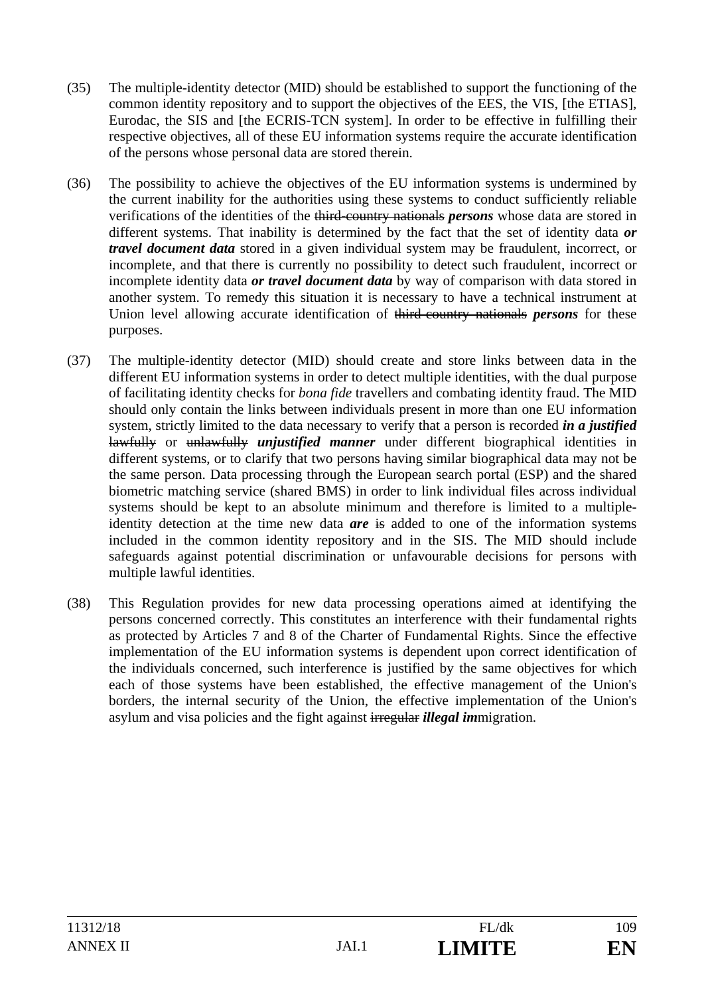- (35) The multiple-identity detector (MID) should be established to support the functioning of the common identity repository and to support the objectives of the EES, the VIS, [the ETIAS], Eurodac, the SIS and [the ECRIS-TCN system]. In order to be effective in fulfilling their respective objectives, all of these EU information systems require the accurate identification of the persons whose personal data are stored therein.
- (36) The possibility to achieve the objectives of the EU information systems is undermined by the current inability for the authorities using these systems to conduct sufficiently reliable verifications of the identities of the third-country nationals *persons* whose data are stored in different systems. That inability is determined by the fact that the set of identity data *or travel document data* stored in a given individual system may be fraudulent, incorrect, or incomplete, and that there is currently no possibility to detect such fraudulent, incorrect or incomplete identity data *or travel document data* by way of comparison with data stored in another system. To remedy this situation it is necessary to have a technical instrument at Union level allowing accurate identification of third-country nationals *persons* for these purposes.
- (37) The multiple-identity detector (MID) should create and store links between data in the different EU information systems in order to detect multiple identities, with the dual purpose of facilitating identity checks for *bona fide* travellers and combating identity fraud. The MID should only contain the links between individuals present in more than one EU information system, strictly limited to the data necessary to verify that a person is recorded *in a justified*  lawfully or unlawfully *unjustified manner* under different biographical identities in different systems, or to clarify that two persons having similar biographical data may not be the same person. Data processing through the European search portal (ESP) and the shared biometric matching service (shared BMS) in order to link individual files across individual systems should be kept to an absolute minimum and therefore is limited to a multipleidentity detection at the time new data *are* is added to one of the information systems included in the common identity repository and in the SIS. The MID should include safeguards against potential discrimination or unfavourable decisions for persons with multiple lawful identities.
- (38) This Regulation provides for new data processing operations aimed at identifying the persons concerned correctly. This constitutes an interference with their fundamental rights as protected by Articles 7 and 8 of the Charter of Fundamental Rights. Since the effective implementation of the EU information systems is dependent upon correct identification of the individuals concerned, such interference is justified by the same objectives for which each of those systems have been established, the effective management of the Union's borders, the internal security of the Union, the effective implementation of the Union's asylum and visa policies and the fight against irregular *illegal im*migration.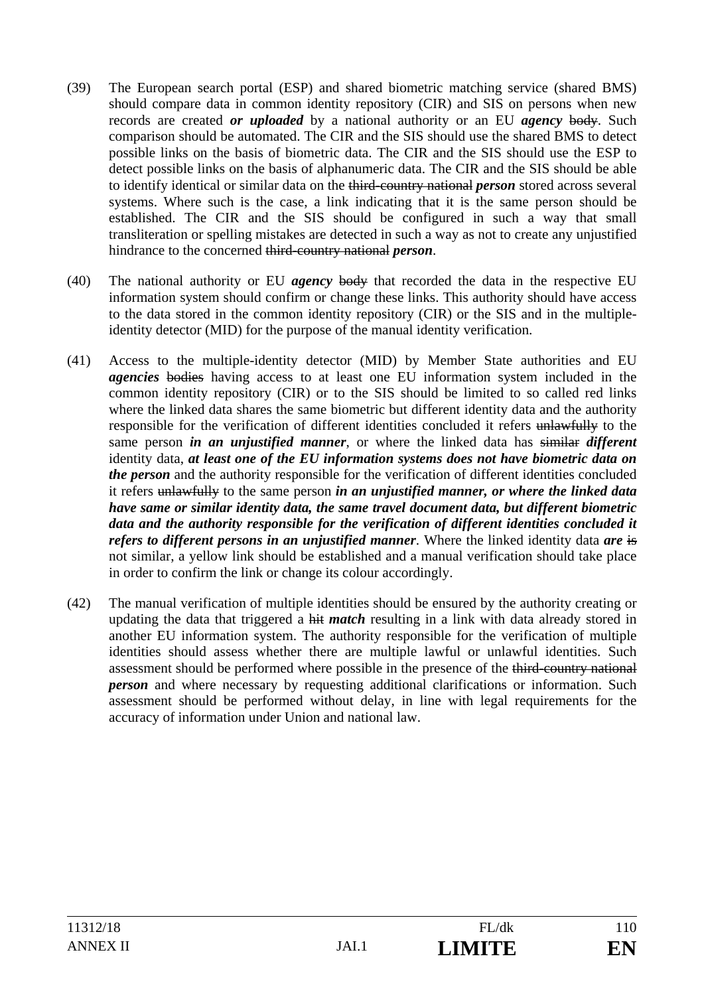- (39) The European search portal (ESP) and shared biometric matching service (shared BMS) should compare data in common identity repository (CIR) and SIS on persons when new records are created *or uploaded* by a national authority or an EU *agency* body. Such comparison should be automated. The CIR and the SIS should use the shared BMS to detect possible links on the basis of biometric data. The CIR and the SIS should use the ESP to detect possible links on the basis of alphanumeric data. The CIR and the SIS should be able to identify identical or similar data on the third-country national *person* stored across several systems. Where such is the case, a link indicating that it is the same person should be established. The CIR and the SIS should be configured in such a way that small transliteration or spelling mistakes are detected in such a way as not to create any unjustified hindrance to the concerned third-country national *person*.
- (40) The national authority or EU *agency* body that recorded the data in the respective EU information system should confirm or change these links. This authority should have access to the data stored in the common identity repository (CIR) or the SIS and in the multipleidentity detector (MID) for the purpose of the manual identity verification.
- (41) Access to the multiple-identity detector (MID) by Member State authorities and EU *agencies* bodies having access to at least one EU information system included in the common identity repository (CIR) or to the SIS should be limited to so called red links where the linked data shares the same biometric but different identity data and the authority responsible for the verification of different identities concluded it refers unlawfully to the same person *in an unjustified manner*, or where the linked data has similar *different*  identity data, *at least one of the EU information systems does not have biometric data on the person* and the authority responsible for the verification of different identities concluded it refers unlawfully to the same person *in an unjustified manner, or where the linked data have same or similar identity data, the same travel document data, but different biometric data and the authority responsible for the verification of different identities concluded it refers to different persons in an unjustified manner*. Where the linked identity data *are* is not similar, a yellow link should be established and a manual verification should take place in order to confirm the link or change its colour accordingly.
- (42) The manual verification of multiple identities should be ensured by the authority creating or updating the data that triggered a hit *match* resulting in a link with data already stored in another EU information system. The authority responsible for the verification of multiple identities should assess whether there are multiple lawful or unlawful identities. Such assessment should be performed where possible in the presence of the third-country national *person* and where necessary by requesting additional clarifications or information. Such assessment should be performed without delay, in line with legal requirements for the accuracy of information under Union and national law.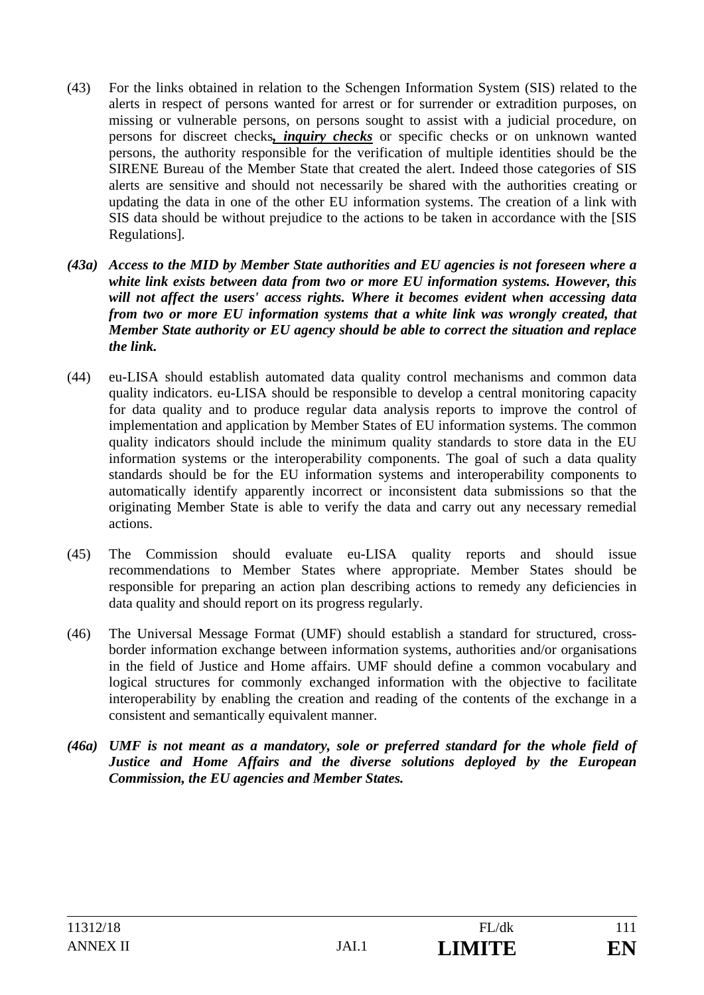- (43) For the links obtained in relation to the Schengen Information System (SIS) related to the alerts in respect of persons wanted for arrest or for surrender or extradition purposes, on missing or vulnerable persons, on persons sought to assist with a judicial procedure, on persons for discreet checks*, inquiry checks* or specific checks or on unknown wanted persons, the authority responsible for the verification of multiple identities should be the SIRENE Bureau of the Member State that created the alert. Indeed those categories of SIS alerts are sensitive and should not necessarily be shared with the authorities creating or updating the data in one of the other EU information systems. The creation of a link with SIS data should be without prejudice to the actions to be taken in accordance with the [SIS Regulations].
- *(43a) Access to the MID by Member State authorities and EU agencies is not foreseen where a white link exists between data from two or more EU information systems. However, this will not affect the users' access rights. Where it becomes evident when accessing data from two or more EU information systems that a white link was wrongly created, that Member State authority or EU agency should be able to correct the situation and replace the link.*
- (44) eu-LISA should establish automated data quality control mechanisms and common data quality indicators. eu-LISA should be responsible to develop a central monitoring capacity for data quality and to produce regular data analysis reports to improve the control of implementation and application by Member States of EU information systems. The common quality indicators should include the minimum quality standards to store data in the EU information systems or the interoperability components. The goal of such a data quality standards should be for the EU information systems and interoperability components to automatically identify apparently incorrect or inconsistent data submissions so that the originating Member State is able to verify the data and carry out any necessary remedial actions.
- (45) The Commission should evaluate eu-LISA quality reports and should issue recommendations to Member States where appropriate. Member States should be responsible for preparing an action plan describing actions to remedy any deficiencies in data quality and should report on its progress regularly.
- (46) The Universal Message Format (UMF) should establish a standard for structured, crossborder information exchange between information systems, authorities and/or organisations in the field of Justice and Home affairs. UMF should define a common vocabulary and logical structures for commonly exchanged information with the objective to facilitate interoperability by enabling the creation and reading of the contents of the exchange in a consistent and semantically equivalent manner.
- *(46a) UMF is not meant as a mandatory, sole or preferred standard for the whole field of Justice and Home Affairs and the diverse solutions deployed by the European Commission, the EU agencies and Member States.*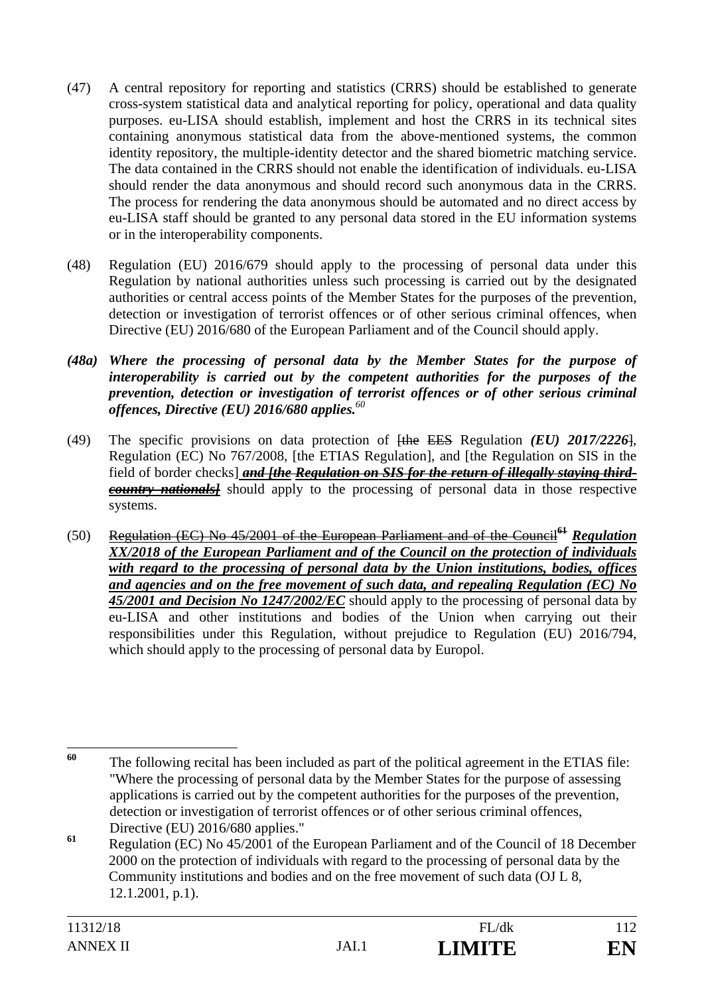- (47) A central repository for reporting and statistics (CRRS) should be established to generate cross-system statistical data and analytical reporting for policy, operational and data quality purposes. eu-LISA should establish, implement and host the CRRS in its technical sites containing anonymous statistical data from the above-mentioned systems, the common identity repository, the multiple-identity detector and the shared biometric matching service. The data contained in the CRRS should not enable the identification of individuals. eu-LISA should render the data anonymous and should record such anonymous data in the CRRS. The process for rendering the data anonymous should be automated and no direct access by eu-LISA staff should be granted to any personal data stored in the EU information systems or in the interoperability components.
- (48) Regulation (EU) 2016/679 should apply to the processing of personal data under this Regulation by national authorities unless such processing is carried out by the designated authorities or central access points of the Member States for the purposes of the prevention, detection or investigation of terrorist offences or of other serious criminal offences, when Directive (EU) 2016/680 of the European Parliament and of the Council should apply.
- *(48a) Where the processing of personal data by the Member States for the purpose of interoperability is carried out by the competent authorities for the purposes of the prevention, detection or investigation of terrorist offences or of other serious criminal offences, Directive (EU) 2016/680 applies.<sup>60</sup>*
- (49) The specific provisions on data protection of [the EES Regulation *(EU) 2017/2226*], Regulation (EC) No 767/2008, [the ETIAS Regulation], and [the Regulation on SIS in the field of border checks] *and [the Regulation on SIS for the return of illegally staying thirdcountry nationals]* should apply to the processing of personal data in those respective systems.
- (50) Regulation (EC) No 45/2001 of the European Parliament and of the Council**<sup>61</sup>** *Regulation XX/2018 of the European Parliament and of the Council on the protection of individuals with regard to the processing of personal data by the Union institutions, bodies, offices and agencies and on the free movement of such data, and repealing Regulation (EC) No 45/2001 and Decision No 1247/2002/EC* should apply to the processing of personal data by eu-LISA and other institutions and bodies of the Union when carrying out their responsibilities under this Regulation, without prejudice to Regulation (EU) 2016/794, which should apply to the processing of personal data by Europol.

<sup>60</sup> The following recital has been included as part of the political agreement in the ETIAS file: "Where the processing of personal data by the Member States for the purpose of assessing applications is carried out by the competent authorities for the purposes of the prevention, detection or investigation of terrorist offences or of other serious criminal offences, Directive (EU) 2016/680 applies."

**<sup>61</sup>** Regulation (EC) No 45/2001 of the European Parliament and of the Council of 18 December 2000 on the protection of individuals with regard to the processing of personal data by the Community institutions and bodies and on the free movement of such data (OJ L 8, 12.1.2001, p.1).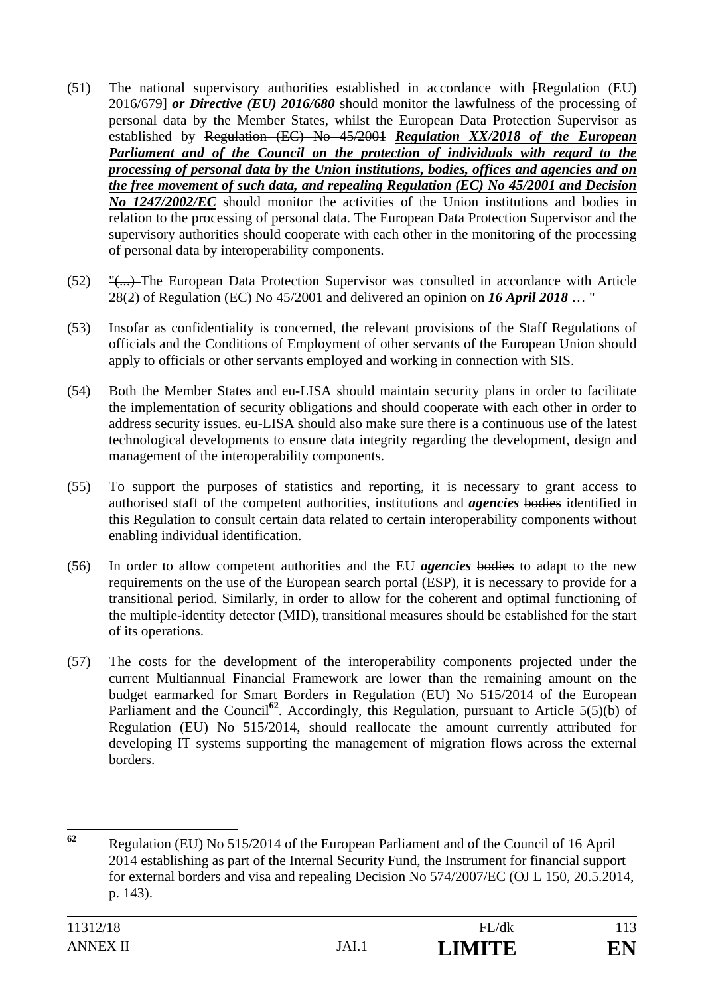- (51) The national supervisory authorities established in accordance with [Regulation (EU) 2016/679] *or Directive (EU) 2016/680* should monitor the lawfulness of the processing of personal data by the Member States, whilst the European Data Protection Supervisor as established by Regulation (EC) No 45/2001 *Regulation XX/2018 of the European Parliament and of the Council on the protection of individuals with regard to the processing of personal data by the Union institutions, bodies, offices and agencies and on the free movement of such data, and repealing Regulation (EC) No 45/2001 and Decision No 1247/2002/EC* should monitor the activities of the Union institutions and bodies in relation to the processing of personal data. The European Data Protection Supervisor and the supervisory authorities should cooperate with each other in the monitoring of the processing of personal data by interoperability components.
- (52) "(...) The European Data Protection Supervisor was consulted in accordance with Article 28(2) of Regulation (EC) No 45/2001 and delivered an opinion on *16 April 2018* … "
- (53) Insofar as confidentiality is concerned, the relevant provisions of the Staff Regulations of officials and the Conditions of Employment of other servants of the European Union should apply to officials or other servants employed and working in connection with SIS.
- (54) Both the Member States and eu-LISA should maintain security plans in order to facilitate the implementation of security obligations and should cooperate with each other in order to address security issues. eu-LISA should also make sure there is a continuous use of the latest technological developments to ensure data integrity regarding the development, design and management of the interoperability components.
- (55) To support the purposes of statistics and reporting, it is necessary to grant access to authorised staff of the competent authorities, institutions and *agencies* bodies identified in this Regulation to consult certain data related to certain interoperability components without enabling individual identification.
- (56) In order to allow competent authorities and the EU *agencies* bodies to adapt to the new requirements on the use of the European search portal (ESP), it is necessary to provide for a transitional period. Similarly, in order to allow for the coherent and optimal functioning of the multiple-identity detector (MID), transitional measures should be established for the start of its operations.
- (57) The costs for the development of the interoperability components projected under the current Multiannual Financial Framework are lower than the remaining amount on the budget earmarked for Smart Borders in Regulation (EU) No 515/2014 of the European Parliament and the Council<sup>62</sup>. Accordingly, this Regulation, pursuant to Article 5(5)(b) of Regulation (EU) No 515/2014, should reallocate the amount currently attributed for developing IT systems supporting the management of migration flows across the external borders.

<sup>62</sup> **<sup>62</sup>** Regulation (EU) No 515/2014 of the European Parliament and of the Council of 16 April 2014 establishing as part of the Internal Security Fund, the Instrument for financial support for external borders and visa and repealing Decision No 574/2007/EC (OJ L 150, 20.5.2014, p. 143).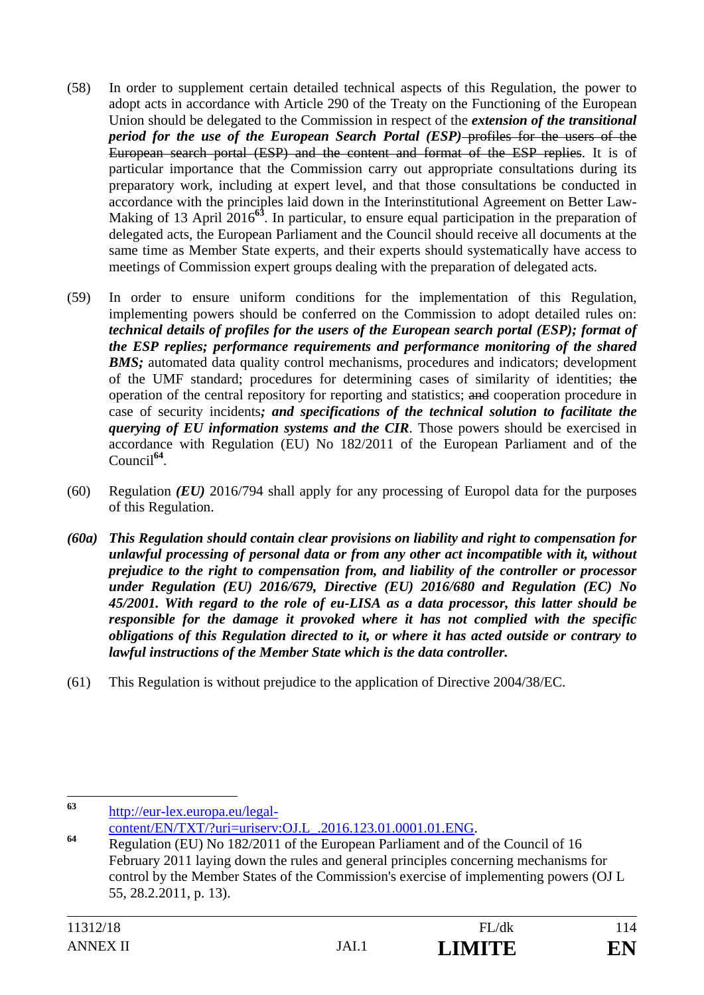- (58) In order to supplement certain detailed technical aspects of this Regulation, the power to adopt acts in accordance with Article 290 of the Treaty on the Functioning of the European Union should be delegated to the Commission in respect of the *extension of the transitional period for the use of the European Search Portal (ESP)*-profiles for the users of the European search portal (ESP) and the content and format of the ESP replies. It is of particular importance that the Commission carry out appropriate consultations during its preparatory work, including at expert level, and that those consultations be conducted in accordance with the principles laid down in the Interinstitutional Agreement on Better Law-Making of 13 April 2016**<sup>63</sup>**. In particular, to ensure equal participation in the preparation of delegated acts, the European Parliament and the Council should receive all documents at the same time as Member State experts, and their experts should systematically have access to meetings of Commission expert groups dealing with the preparation of delegated acts.
- (59) In order to ensure uniform conditions for the implementation of this Regulation, implementing powers should be conferred on the Commission to adopt detailed rules on: *technical details of profiles for the users of the European search portal (ESP); format of the ESP replies; performance requirements and performance monitoring of the shared*  **BMS**; automated data quality control mechanisms, procedures and indicators; development of the UMF standard; procedures for determining cases of similarity of identities; the operation of the central repository for reporting and statistics; and cooperation procedure in case of security incidents*; and specifications of the technical solution to facilitate the querying of EU information systems and the CIR*. Those powers should be exercised in accordance with Regulation (EU) No 182/2011 of the European Parliament and of the Council**<sup>64</sup>**.
- (60) Regulation *(EU)* 2016/794 shall apply for any processing of Europol data for the purposes of this Regulation.
- *(60a) This Regulation should contain clear provisions on liability and right to compensation for unlawful processing of personal data or from any other act incompatible with it, without prejudice to the right to compensation from, and liability of the controller or processor under Regulation (EU) 2016/679, Directive (EU) 2016/680 and Regulation (EC) No 45/2001. With regard to the role of eu-LISA as a data processor, this latter should be responsible for the damage it provoked where it has not complied with the specific obligations of this Regulation directed to it, or where it has acted outside or contrary to lawful instructions of the Member State which is the data controller.*
- (61) This Regulation is without prejudice to the application of Directive 2004/38/EC.

<sup>63</sup> **<sup>63</sup>** http://eur-lex.europa.eu/legal-

content/EN/TXT/?uri=uriserv:OJ.L\_.2016.123.01.0001.01.ENG.<br>**Regulation (EU)** No 182/2011 of the European Parliament and of the Council of 16 February 2011 laying down the rules and general principles concerning mechanisms for control by the Member States of the Commission's exercise of implementing powers (OJ L 55, 28.2.2011, p. 13).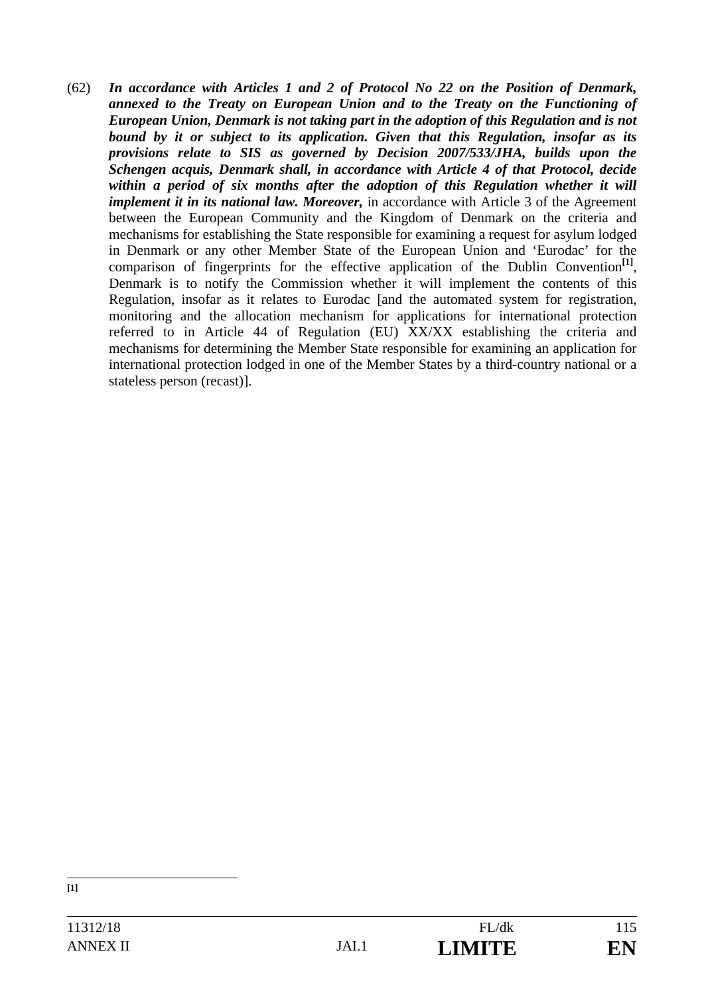(62) *In accordance with Articles 1 and 2 of Protocol No 22 on the Position of Denmark, annexed to the Treaty on European Union and to the Treaty on the Functioning of European Union, Denmark is not taking part in the adoption of this Regulation and is not bound by it or subject to its application. Given that this Regulation, insofar as its provisions relate to SIS as governed by Decision 2007/533/JHA, builds upon the Schengen acquis, Denmark shall, in accordance with Article 4 of that Protocol, decide*  within a period of six months after the adoption of this Regulation whether it will *implement it in its national law. Moreover,* in accordance with Article 3 of the Agreement between the European Community and the Kingdom of Denmark on the criteria and mechanisms for establishing the State responsible for examining a request for asylum lodged in Denmark or any other Member State of the European Union and 'Eurodac' for the comparison of fingerprints for the effective application of the Dublin Convention<sup>[1]</sup>, Denmark is to notify the Commission whether it will implement the contents of this Regulation, insofar as it relates to Eurodac [and the automated system for registration, monitoring and the allocation mechanism for applications for international protection referred to in Article 44 of Regulation (EU) XX/XX establishing the criteria and mechanisms for determining the Member State responsible for examining an application for international protection lodged in one of the Member States by a third-country national or a stateless person (recast)].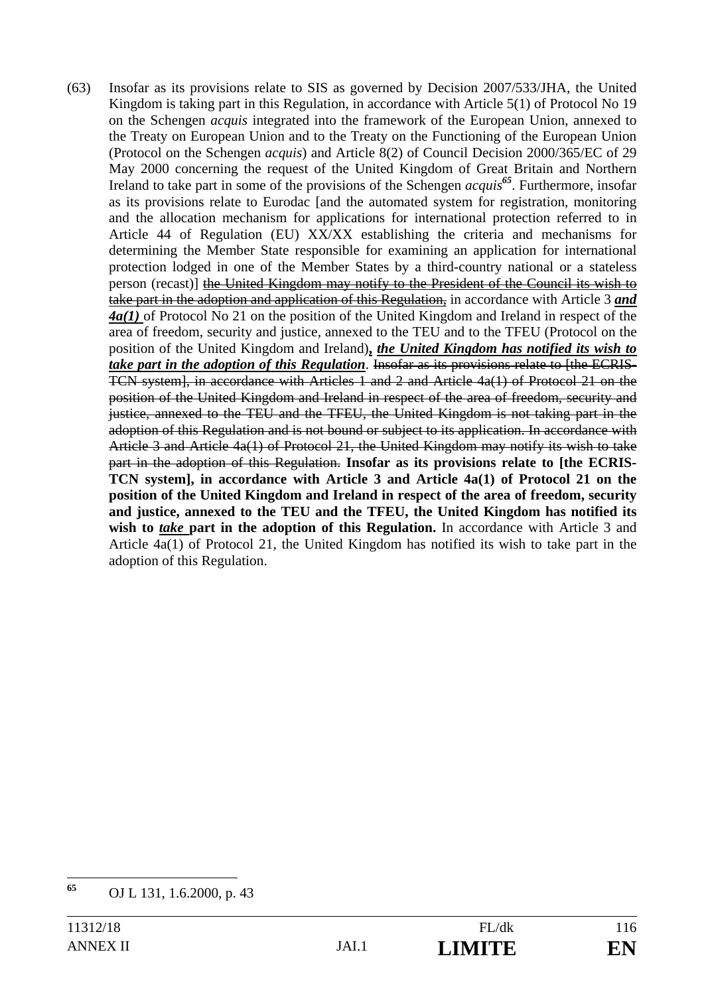(63) Insofar as its provisions relate to SIS as governed by Decision 2007/533/JHA, the United Kingdom is taking part in this Regulation, in accordance with Article 5(1) of Protocol No 19 on the Schengen *acquis* integrated into the framework of the European Union, annexed to the Treaty on European Union and to the Treaty on the Functioning of the European Union (Protocol on the Schengen *acquis*) and Article 8(2) of Council Decision 2000/365/EC of 29 May 2000 concerning the request of the United Kingdom of Great Britain and Northern Ireland to take part in some of the provisions of the Schengen *acquis<sup>65</sup>*. Furthermore, insofar as its provisions relate to Eurodac [and the automated system for registration, monitoring and the allocation mechanism for applications for international protection referred to in Article 44 of Regulation (EU) XX/XX establishing the criteria and mechanisms for determining the Member State responsible for examining an application for international protection lodged in one of the Member States by a third-country national or a stateless person (recast)] the United Kingdom may notify to the President of the Council its wish to take part in the adoption and application of this Regulation, in accordance with Article 3 *and 4a(1)* of Protocol No 21 on the position of the United Kingdom and Ireland in respect of the area of freedom, security and justice, annexed to the TEU and to the TFEU (Protocol on the position of the United Kingdom and Ireland)**,** *the United Kingdom has notified its wish to take part in the adoption of this Regulation*. Insofar as its provisions relate to [the ECRIS-TCN system], in accordance with Articles 1 and 2 and Article 4a(1) of Protocol 21 on the position of the United Kingdom and Ireland in respect of the area of freedom, security and justice, annexed to the TEU and the TFEU, the United Kingdom is not taking part in the adoption of this Regulation and is not bound or subject to its application. In accordance with Article 3 and Article 4a(1) of Protocol 21, the United Kingdom may notify its wish to take part in the adoption of this Regulation. **Insofar as its provisions relate to [the ECRIS-TCN system], in accordance with Article 3 and Article 4a(1) of Protocol 21 on the position of the United Kingdom and Ireland in respect of the area of freedom, security and justice, annexed to the TEU and the TFEU, the United Kingdom has notified its**  wish to *take* part in the adoption of this Regulation. In accordance with Article 3 and Article 4a(1) of Protocol 21, the United Kingdom has notified its wish to take part in the adoption of this Regulation.

<sup>65</sup> **<sup>65</sup>** OJ L 131, 1.6.2000, p. 43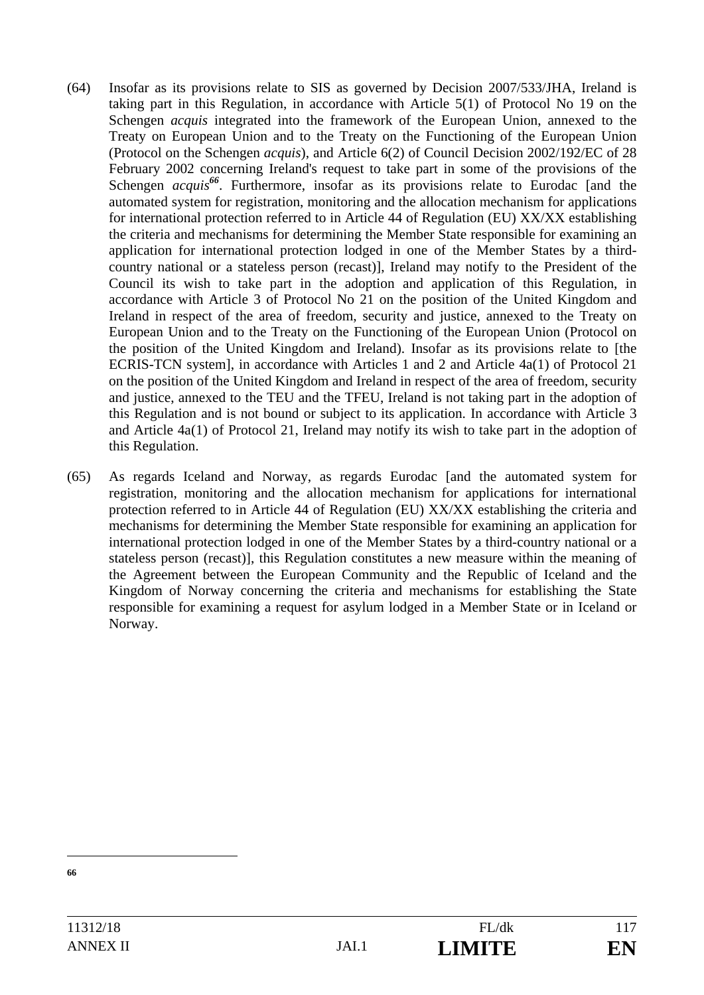- (64) Insofar as its provisions relate to SIS as governed by Decision 2007/533/JHA, Ireland is taking part in this Regulation, in accordance with Article 5(1) of Protocol No 19 on the Schengen *acquis* integrated into the framework of the European Union, annexed to the Treaty on European Union and to the Treaty on the Functioning of the European Union (Protocol on the Schengen *acquis*), and Article 6(2) of Council Decision 2002/192/EC of 28 February 2002 concerning Ireland's request to take part in some of the provisions of the Schengen *acquis*<sup>66</sup>. Furthermore, insofar as its provisions relate to Eurodac [and the automated system for registration, monitoring and the allocation mechanism for applications for international protection referred to in Article 44 of Regulation (EU) XX/XX establishing the criteria and mechanisms for determining the Member State responsible for examining an application for international protection lodged in one of the Member States by a thirdcountry national or a stateless person (recast)], Ireland may notify to the President of the Council its wish to take part in the adoption and application of this Regulation, in accordance with Article 3 of Protocol No 21 on the position of the United Kingdom and Ireland in respect of the area of freedom, security and justice, annexed to the Treaty on European Union and to the Treaty on the Functioning of the European Union (Protocol on the position of the United Kingdom and Ireland). Insofar as its provisions relate to [the ECRIS-TCN system], in accordance with Articles 1 and 2 and Article 4a(1) of Protocol 21 on the position of the United Kingdom and Ireland in respect of the area of freedom, security and justice, annexed to the TEU and the TFEU, Ireland is not taking part in the adoption of this Regulation and is not bound or subject to its application. In accordance with Article 3 and Article 4a(1) of Protocol 21, Ireland may notify its wish to take part in the adoption of this Regulation.
- (65) As regards Iceland and Norway, as regards Eurodac [and the automated system for registration, monitoring and the allocation mechanism for applications for international protection referred to in Article 44 of Regulation (EU) XX/XX establishing the criteria and mechanisms for determining the Member State responsible for examining an application for international protection lodged in one of the Member States by a third-country national or a stateless person (recast)], this Regulation constitutes a new measure within the meaning of the Agreement between the European Community and the Republic of Iceland and the Kingdom of Norway concerning the criteria and mechanisms for establishing the State responsible for examining a request for asylum lodged in a Member State or in Iceland or Norway.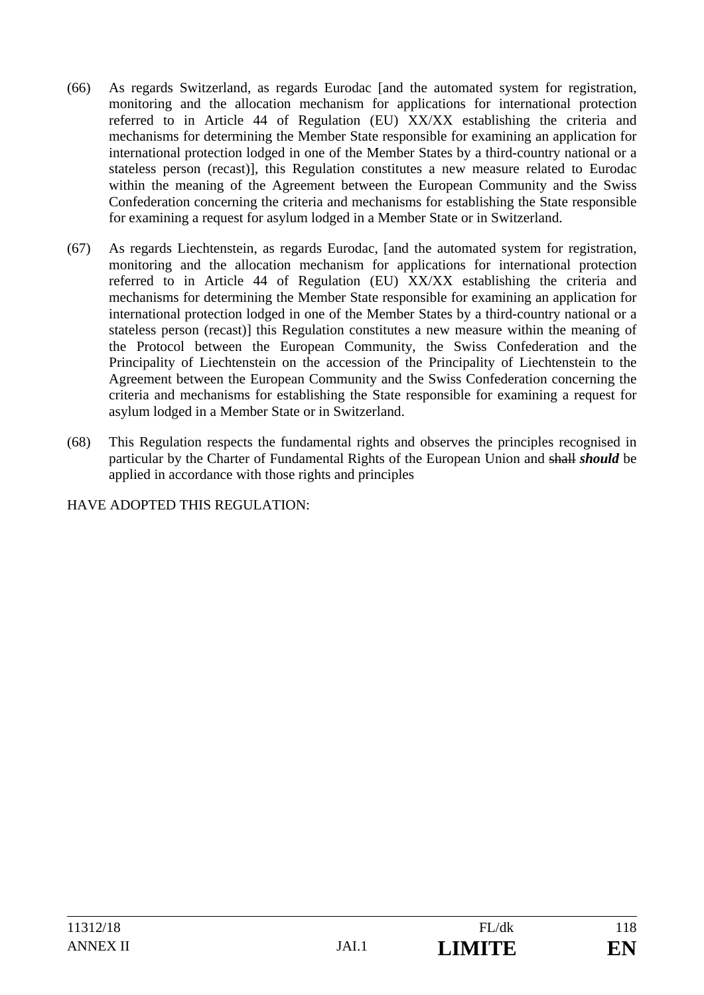- (66) As regards Switzerland, as regards Eurodac [and the automated system for registration, monitoring and the allocation mechanism for applications for international protection referred to in Article 44 of Regulation (EU) XX/XX establishing the criteria and mechanisms for determining the Member State responsible for examining an application for international protection lodged in one of the Member States by a third-country national or a stateless person (recast)], this Regulation constitutes a new measure related to Eurodac within the meaning of the Agreement between the European Community and the Swiss Confederation concerning the criteria and mechanisms for establishing the State responsible for examining a request for asylum lodged in a Member State or in Switzerland.
- (67) As regards Liechtenstein, as regards Eurodac, [and the automated system for registration, monitoring and the allocation mechanism for applications for international protection referred to in Article 44 of Regulation (EU) XX/XX establishing the criteria and mechanisms for determining the Member State responsible for examining an application for international protection lodged in one of the Member States by a third-country national or a stateless person (recast)] this Regulation constitutes a new measure within the meaning of the Protocol between the European Community, the Swiss Confederation and the Principality of Liechtenstein on the accession of the Principality of Liechtenstein to the Agreement between the European Community and the Swiss Confederation concerning the criteria and mechanisms for establishing the State responsible for examining a request for asylum lodged in a Member State or in Switzerland.
- (68) This Regulation respects the fundamental rights and observes the principles recognised in particular by the Charter of Fundamental Rights of the European Union and shall *should* be applied in accordance with those rights and principles

HAVE ADOPTED THIS REGULATION: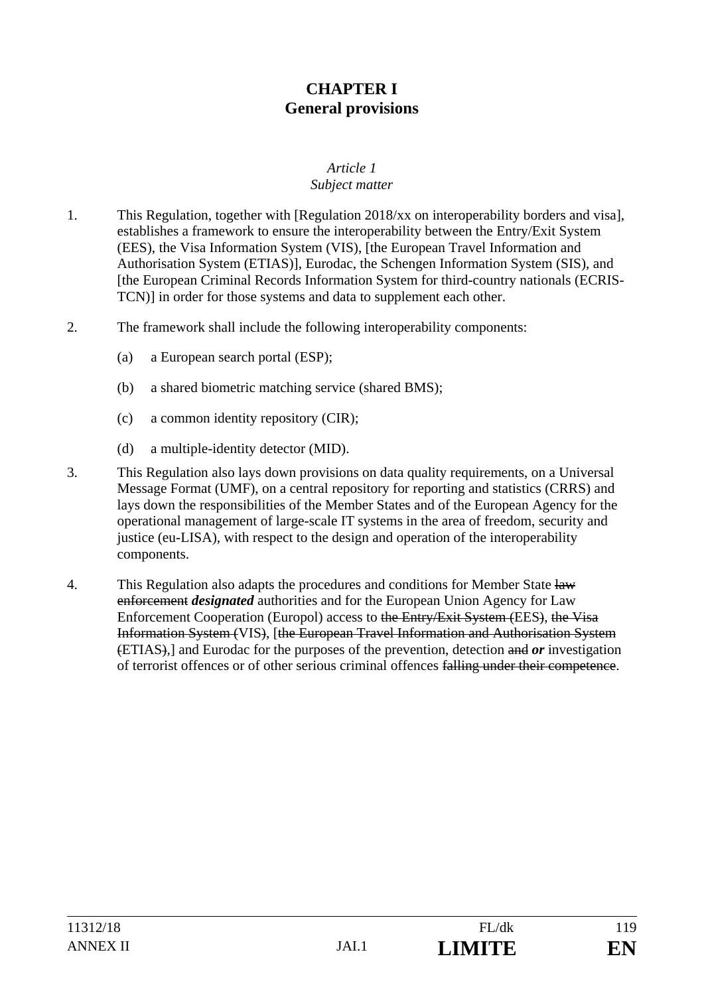## **CHAPTER I General provisions**

#### *Article 1 Subject matter*

- 1. This Regulation, together with [Regulation 2018/xx on interoperability borders and visa], establishes a framework to ensure the interoperability between the Entry/Exit System (EES), the Visa Information System (VIS), [the European Travel Information and Authorisation System (ETIAS)], Eurodac, the Schengen Information System (SIS), and [the European Criminal Records Information System for third-country nationals (ECRIS-TCN)] in order for those systems and data to supplement each other.
- 2. The framework shall include the following interoperability components:
	- (a) a European search portal (ESP);
	- (b) a shared biometric matching service (shared BMS);
	- (c) a common identity repository (CIR);
	- (d) a multiple-identity detector (MID).
- 3. This Regulation also lays down provisions on data quality requirements, on a Universal Message Format (UMF), on a central repository for reporting and statistics (CRRS) and lays down the responsibilities of the Member States and of the European Agency for the operational management of large-scale IT systems in the area of freedom, security and justice (eu-LISA), with respect to the design and operation of the interoperability components.
- 4. This Regulation also adapts the procedures and conditions for Member State  $\frac{1}{2}$ enforcement *designated* authorities and for the European Union Agency for Law Enforcement Cooperation (Europol) access to the Entry/Exit System (EES), the Visa Information System (VIS), [the European Travel Information and Authorisation System (ETIAS),] and Eurodac for the purposes of the prevention, detection and *or* investigation of terrorist offences or of other serious criminal offences falling under their competence.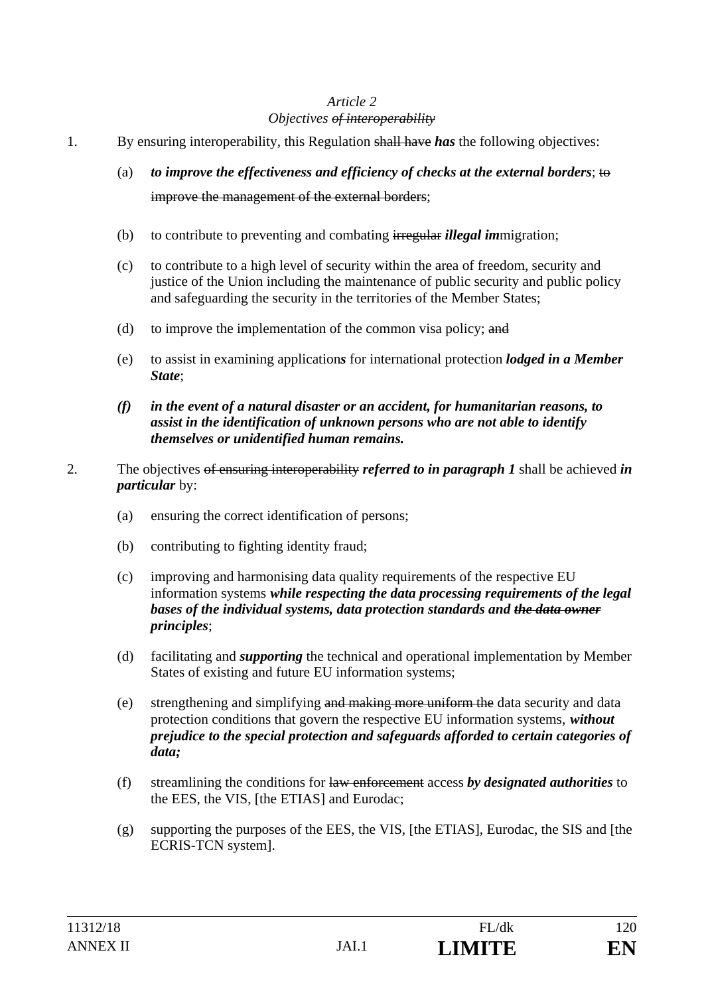#### *Objectives of interoperability*

- 1. By ensuring interoperability, this Regulation shall have *has* the following objectives:
	- (a) *to improve the effectiveness and efficiency of checks at the external borders*; to improve the management of the external borders;
	- (b) to contribute to preventing and combating irregular *illegal im*migration;
	- (c) to contribute to a high level of security within the area of freedom, security and justice of the Union including the maintenance of public security and public policy and safeguarding the security in the territories of the Member States;
	- (d) to improve the implementation of the common visa policy; and
	- (e) to assist in examining application*s* for international protection *lodged in a Member State*;
	- *(f) in the event of a natural disaster or an accident, for humanitarian reasons, to assist in the identification of unknown persons who are not able to identify themselves or unidentified human remains.*
- 2. The objectives of ensuring interoperability *referred to in paragraph 1* shall be achieved *in particular* by:
	- (a) ensuring the correct identification of persons;
	- (b) contributing to fighting identity fraud;
	- (c) improving and harmonising data quality requirements of the respective EU information systems *while respecting the data processing requirements of the legal bases of the individual systems, data protection standards and the data owner principles*;
	- (d) facilitating and *supporting* the technical and operational implementation by Member States of existing and future EU information systems;
	- (e) strengthening and simplifying and making more uniform the data security and data protection conditions that govern the respective EU information systems, *without prejudice to the special protection and safeguards afforded to certain categories of data;*
	- (f) streamlining the conditions for law enforcement access *by designated authorities* to the EES, the VIS, [the ETIAS] and Eurodac;
	- (g) supporting the purposes of the EES, the VIS, [the ETIAS], Eurodac, the SIS and [the ECRIS-TCN system].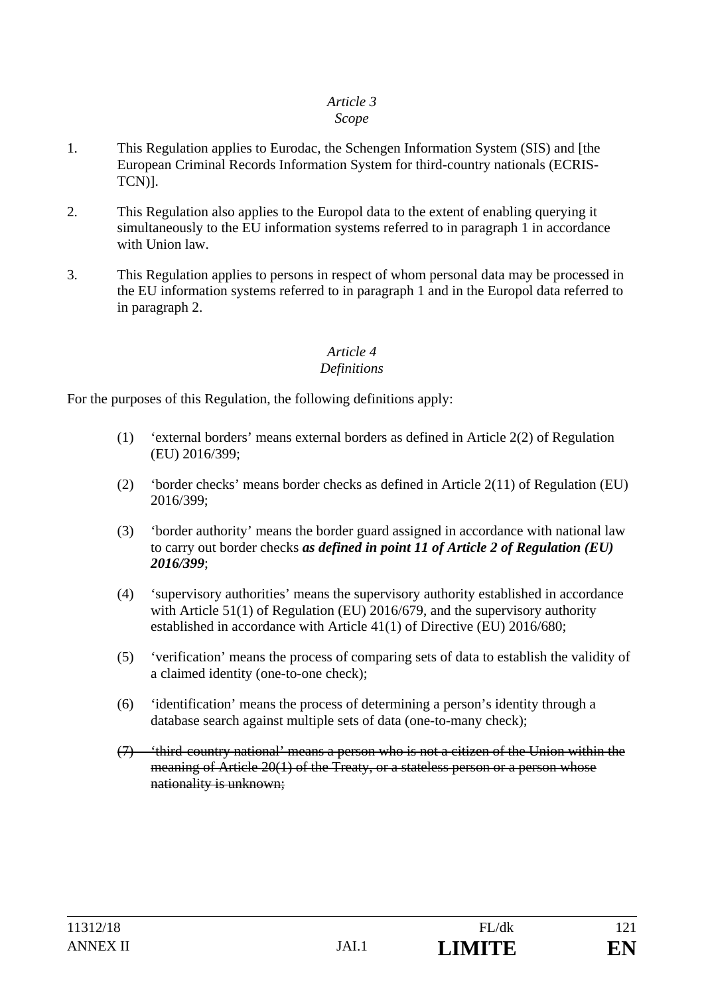#### *Scope*

- 1. This Regulation applies to Eurodac, the Schengen Information System (SIS) and [the European Criminal Records Information System for third-country nationals (ECRIS-TCN)].
- 2. This Regulation also applies to the Europol data to the extent of enabling querying it simultaneously to the EU information systems referred to in paragraph 1 in accordance with Union law.
- 3. This Regulation applies to persons in respect of whom personal data may be processed in the EU information systems referred to in paragraph 1 and in the Europol data referred to in paragraph 2.

# *Article 4*

### *Definitions*

For the purposes of this Regulation, the following definitions apply:

- (1) 'external borders' means external borders as defined in Article 2(2) of Regulation (EU) 2016/399;
- (2) 'border checks' means border checks as defined in Article 2(11) of Regulation (EU) 2016/399;
- (3) 'border authority' means the border guard assigned in accordance with national law to carry out border checks *as defined in point 11 of Article 2 of Regulation (EU) 2016/399*;
- (4) 'supervisory authorities' means the supervisory authority established in accordance with Article 51(1) of Regulation (EU) 2016/679, and the supervisory authority established in accordance with Article 41(1) of Directive (EU) 2016/680;
- (5) 'verification' means the process of comparing sets of data to establish the validity of a claimed identity (one-to-one check);
- (6) 'identification' means the process of determining a person's identity through a database search against multiple sets of data (one-to-many check);
- (7) 'third-country national' means a person who is not a citizen of the Union within the meaning of Article 20(1) of the Treaty, or a stateless person or a person whose nationality is unknown;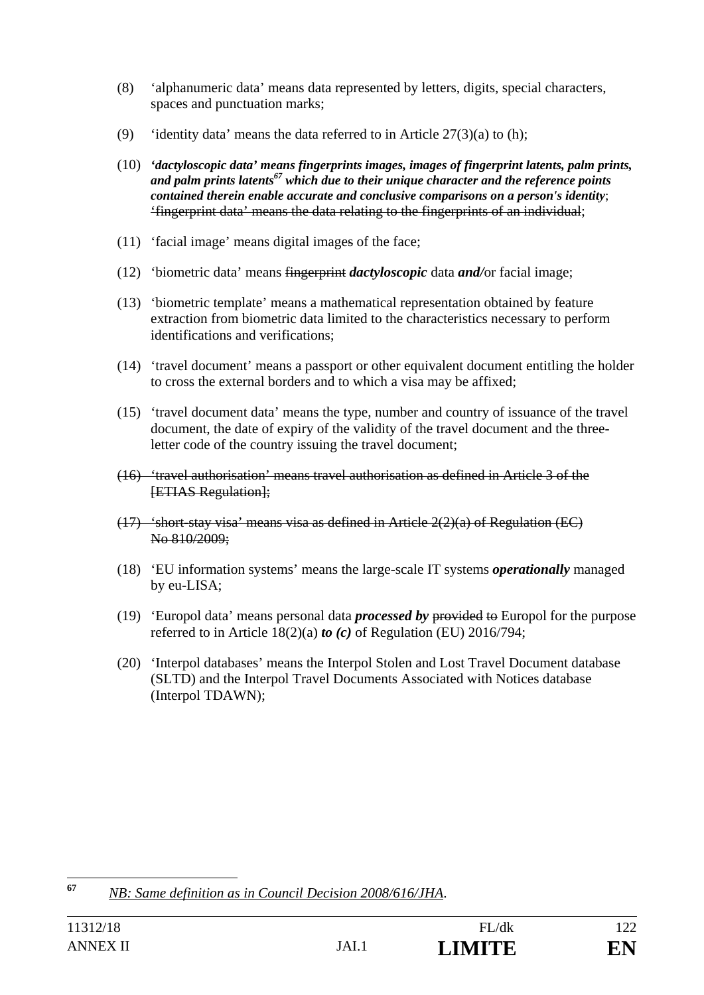- (8) 'alphanumeric data' means data represented by letters, digits, special characters, spaces and punctuation marks;
- (9) 'identity data' means the data referred to in Article  $27(3)(a)$  to (h);
- (10) *'dactyloscopic data' means fingerprints images, images of fingerprint latents, palm prints,*  and palm prints latents<sup>67</sup> which due to their unique character and the reference points *contained therein enable accurate and conclusive comparisons on a person's identity*; 'fingerprint data' means the data relating to the fingerprints of an individual;
- (11) 'facial image' means digital images of the face;
- (12) 'biometric data' means fingerprint *dactyloscopic* data *and/*or facial image;
- (13) 'biometric template' means a mathematical representation obtained by feature extraction from biometric data limited to the characteristics necessary to perform identifications and verifications;
- (14) 'travel document' means a passport or other equivalent document entitling the holder to cross the external borders and to which a visa may be affixed;
- (15) 'travel document data' means the type, number and country of issuance of the travel document, the date of expiry of the validity of the travel document and the threeletter code of the country issuing the travel document;
- (16) 'travel authorisation' means travel authorisation as defined in Article 3 of the **[ETIAS Regulation]:**
- $(17)$  'short-stay visa' means visa as defined in Article  $2(2)(a)$  of Regulation (EC) No 810/2009;
- (18) 'EU information systems' means the large-scale IT systems *operationally* managed by eu-LISA;
- (19) 'Europol data' means personal data *processed by* provided to Europol for the purpose referred to in Article 18(2)(a) *to (c)* of Regulation (EU) 2016/794;
- (20) 'Interpol databases' means the Interpol Stolen and Lost Travel Document database (SLTD) and the Interpol Travel Documents Associated with Notices database (Interpol TDAWN);

<sup>67</sup> **<sup>67</sup>** *NB: Same definition as in Council Decision 2008/616/JHA*.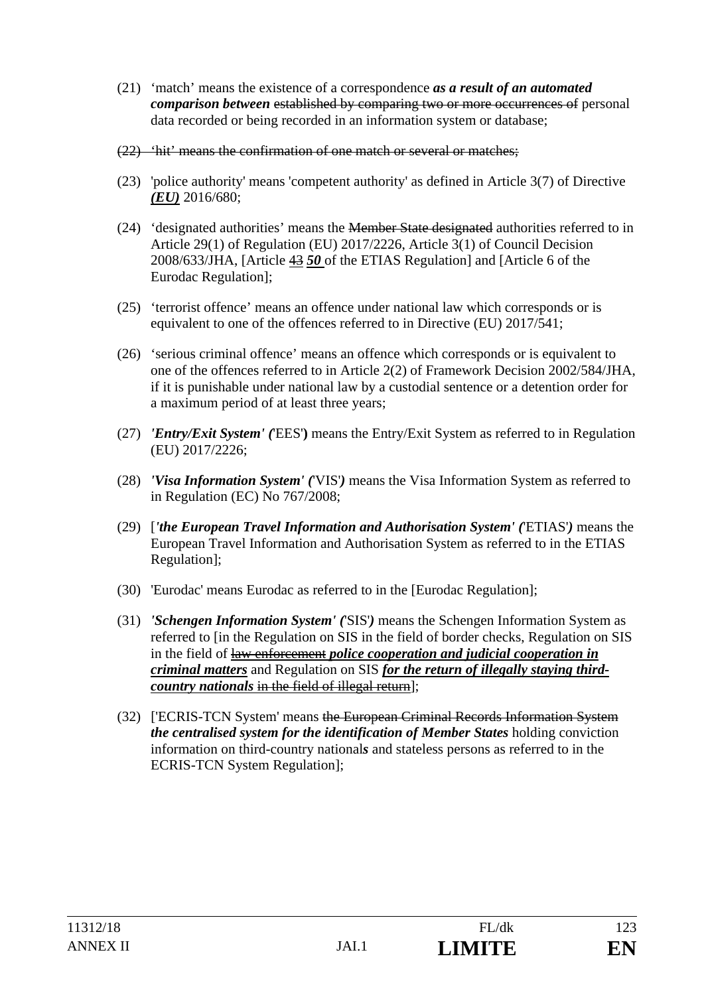- (21) 'match' means the existence of a correspondence *as a result of an automated comparison between* established by comparing two or more occurrences of personal data recorded or being recorded in an information system or database;
- (22) 'hit' means the confirmation of one match or several or matches;
- (23) 'police authority' means 'competent authority' as defined in Article 3(7) of Directive *(EU)* 2016/680;
- (24) 'designated authorities' means the Member State designated authorities referred to in Article 29(1) of Regulation (EU) 2017/2226, Article 3(1) of Council Decision 2008/633/JHA, [Article 43 *50* of the ETIAS Regulation] and [Article 6 of the Eurodac Regulation];
- (25) 'terrorist offence' means an offence under national law which corresponds or is equivalent to one of the offences referred to in Directive (EU) 2017/541;
- (26) 'serious criminal offence' means an offence which corresponds or is equivalent to one of the offences referred to in Article 2(2) of Framework Decision 2002/584/JHA, if it is punishable under national law by a custodial sentence or a detention order for a maximum period of at least three years;
- (27) *'Entry/Exit System' (*'EES'**)** means the Entry/Exit System as referred to in Regulation (EU) 2017/2226;
- (28) *'Visa Information System' (*'VIS'*)* means the Visa Information System as referred to in Regulation (EC) No 767/2008;
- (29) [*'the European Travel Information and Authorisation System' (*'ETIAS'*)* means the European Travel Information and Authorisation System as referred to in the ETIAS Regulation];
- (30) 'Eurodac' means Eurodac as referred to in the [Eurodac Regulation];
- (31) *'Schengen Information System' (*'SIS'*)* means the Schengen Information System as referred to [in the Regulation on SIS in the field of border checks, Regulation on SIS in the field of law enforcement *police cooperation and judicial cooperation in criminal matters* and Regulation on SIS *for the return of illegally staying thirdcountry nationals* in the field of illegal return];
- (32) ['ECRIS-TCN System' means the European Criminal Records Information System *the centralised system for the identification of Member States* holding conviction information on third-country national*s* and stateless persons as referred to in the ECRIS-TCN System Regulation];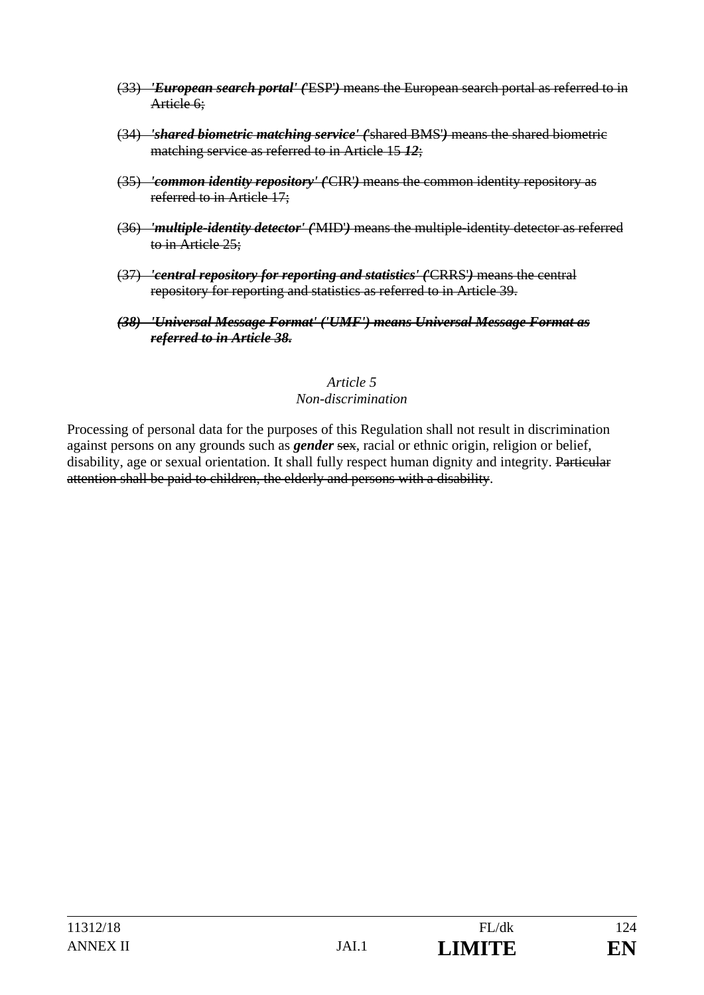- (33) *'European search portal' (*'ESP'*)* means the European search portal as referred to in Article 6:
- (34) *'shared biometric matching service' (*'shared BMS'*)* means the shared biometric matching service as referred to in Article 15 *12*;
- (35) *'common identity repository' (*'CIR'*)* means the common identity repository as referred to in Article 17;
- (36) *'multiple-identity detector' (*'MID'*)* means the multiple-identity detector as referred to in Article 25;
- (37) *'central repository for reporting and statistics' (*'CRRS'*)* means the central repository for reporting and statistics as referred to in Article 39.
- *(38) 'Universal Message Format' ('UMF') means Universal Message Format as referred to in Article 38.*

#### *Article 5 Non-discrimination*

Processing of personal data for the purposes of this Regulation shall not result in discrimination against persons on any grounds such as *gender* sex, racial or ethnic origin, religion or belief, disability, age or sexual orientation. It shall fully respect human dignity and integrity. Particular attention shall be paid to children, the elderly and persons with a disability.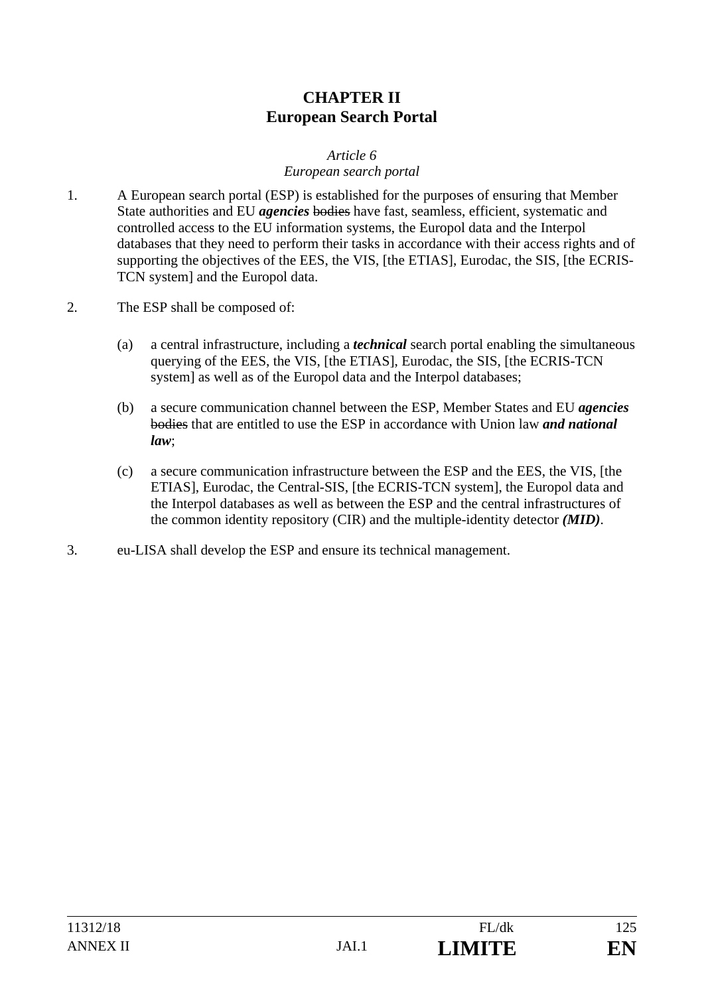## **CHAPTER II European Search Portal**

#### *Article 6*

#### *European search portal*

- 1. A European search portal (ESP) is established for the purposes of ensuring that Member State authorities and EU *agencies* bodies have fast, seamless, efficient, systematic and controlled access to the EU information systems, the Europol data and the Interpol databases that they need to perform their tasks in accordance with their access rights and of supporting the objectives of the EES, the VIS, [the ETIAS], Eurodac, the SIS, [the ECRIS-TCN system] and the Europol data.
- 2. The ESP shall be composed of:
	- (a) a central infrastructure, including a *technical* search portal enabling the simultaneous querying of the EES, the VIS, [the ETIAS], Eurodac, the SIS, [the ECRIS-TCN system] as well as of the Europol data and the Interpol databases;
	- (b) a secure communication channel between the ESP, Member States and EU *agencies* bodies that are entitled to use the ESP in accordance with Union law *and national law*;
	- (c) a secure communication infrastructure between the ESP and the EES, the VIS, [the ETIAS], Eurodac, the Central-SIS, [the ECRIS-TCN system], the Europol data and the Interpol databases as well as between the ESP and the central infrastructures of the common identity repository (CIR) and the multiple-identity detector *(MID)*.
- 3. eu-LISA shall develop the ESP and ensure its technical management.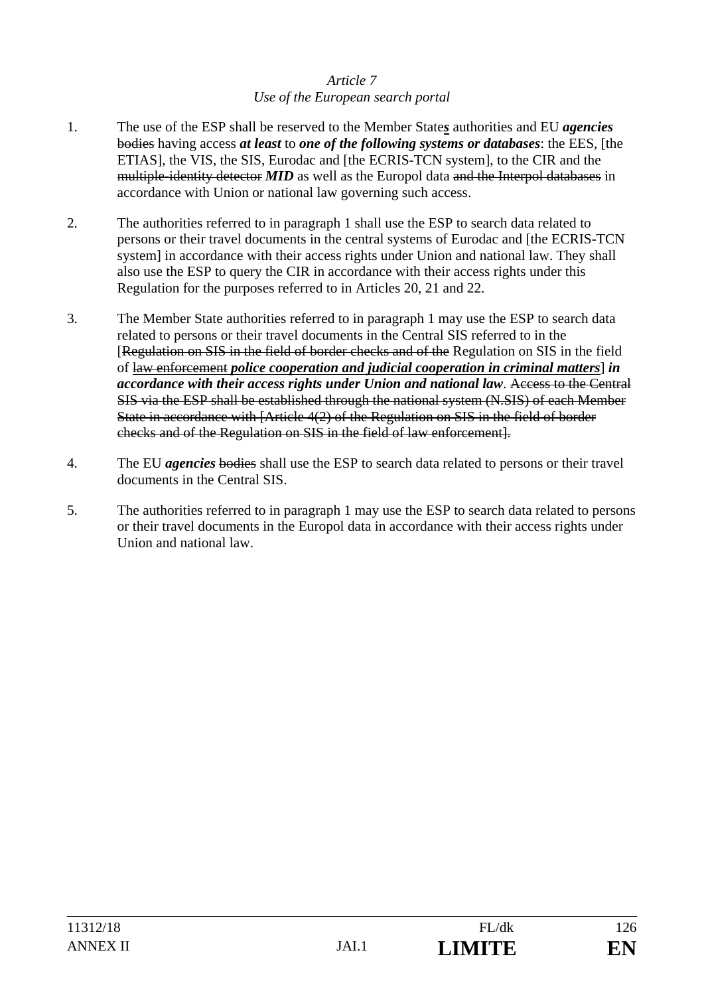### *Article 7 Use of the European search portal*

- 1. The use of the ESP shall be reserved to the Member State*s* authorities and EU *agencies* bodies having access *at least* to *one of the following systems or databases*: the EES*,* [the ETIAS], the VIS, the SIS, Eurodac and [the ECRIS-TCN system], to the CIR and the multiple-identity detector *MID* as well as the Europol data and the Interpol databases in accordance with Union or national law governing such access.
- 2. The authorities referred to in paragraph 1 shall use the ESP to search data related to persons or their travel documents in the central systems of Eurodac and [the ECRIS-TCN system] in accordance with their access rights under Union and national law. They shall also use the ESP to query the CIR in accordance with their access rights under this Regulation for the purposes referred to in Articles 20, 21 and 22.
- 3. The Member State authorities referred to in paragraph 1 may use the ESP to search data related to persons or their travel documents in the Central SIS referred to in the [Regulation on SIS in the field of border checks and of the Regulation on SIS in the field of law enforcement *police cooperation and judicial cooperation in criminal matters*] *in accordance with their access rights under Union and national law*. Access to the Central SIS via the ESP shall be established through the national system (N.SIS) of each Member State in accordance with [Article 4(2) of the Regulation on SIS in the field of border checks and of the Regulation on SIS in the field of law enforcement].
- 4. The EU *agencies* bodies shall use the ESP to search data related to persons or their travel documents in the Central SIS.
- 5. The authorities referred to in paragraph 1 may use the ESP to search data related to persons or their travel documents in the Europol data in accordance with their access rights under Union and national law.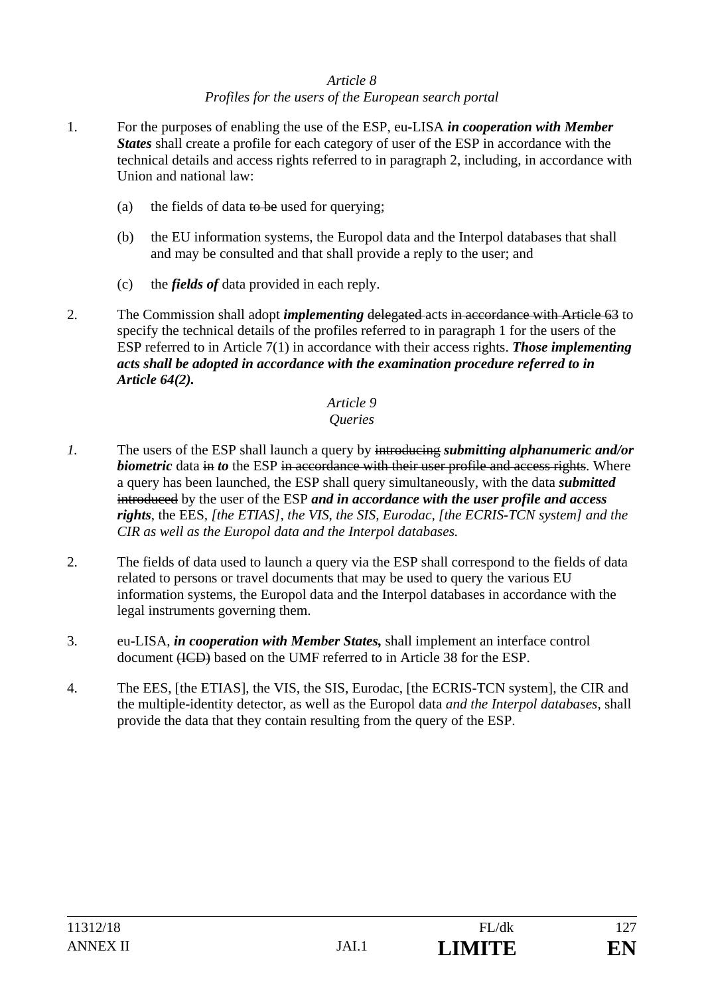#### *Article 8 Profiles for the users of the European search portal*

- 1. For the purposes of enabling the use of the ESP, eu-LISA *in cooperation with Member States* shall create a profile for each category of user of the ESP in accordance with the technical details and access rights referred to in paragraph 2, including, in accordance with Union and national law:
	- (a) the fields of data to be used for querying;
	- (b) the EU information systems, the Europol data and the Interpol databases that shall and may be consulted and that shall provide a reply to the user; and
	- (c) the *fields of* data provided in each reply.
- 2. The Commission shall adopt *implementing* delegated acts in accordance with Article 63 to specify the technical details of the profiles referred to in paragraph 1 for the users of the ESP referred to in Article 7(1) in accordance with their access rights. *Those implementing acts shall be adopted in accordance with the examination procedure referred to in Article 64(2).*

## *Article 9*

#### *Queries*

- *1.* The users of the ESP shall launch a query by introducing *submitting alphanumeric and/or biometric* data in *to* the ESP in accordance with their user profile and access rights. Where a query has been launched, the ESP shall query simultaneously, with the data *submitted* introduced by the user of the ESP *and in accordance with the user profile and access rights*, the EES*, [the ETIAS], the VIS, the SIS, Eurodac, [the ECRIS-TCN system] and the CIR as well as the Europol data and the Interpol databases.*
- 2. The fields of data used to launch a query via the ESP shall correspond to the fields of data related to persons or travel documents that may be used to query the various EU information systems, the Europol data and the Interpol databases in accordance with the legal instruments governing them.
- 3. eu-LISA, *in cooperation with Member States,* shall implement an interface control document (ICD) based on the UMF referred to in Article 38 for the ESP.
- 4. The EES, [the ETIAS], the VIS, the SIS, Eurodac, [the ECRIS-TCN system], the CIR and the multiple-identity detector, as well as the Europol data *and the Interpol databases,* shall provide the data that they contain resulting from the query of the ESP.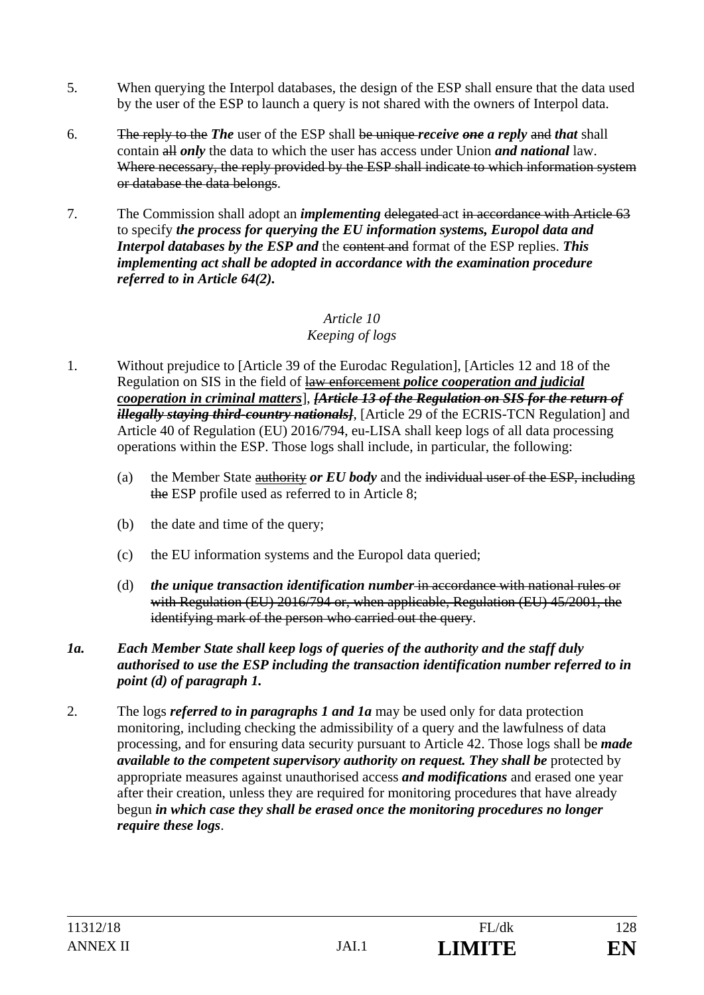- 5. When querying the Interpol databases, the design of the ESP shall ensure that the data used by the user of the ESP to launch a query is not shared with the owners of Interpol data.
- 6. The reply to the *The* user of the ESP shall be unique *receive one a reply* and *that* shall contain all *only* the data to which the user has access under Union *and national* law. Where necessary, the reply provided by the ESP shall indicate to which information system or database the data belongs.
- 7. The Commission shall adopt an *implementing* delegated act in accordance with Article 63 to specify *the process for querying the EU information systems, Europol data and Interpol databases by the ESP and the content and format of the ESP replies. This implementing act shall be adopted in accordance with the examination procedure referred to in Article 64(2).*

#### *Article 10 Keeping of logs*

- 1. Without prejudice to [Article 39 of the Eurodac Regulation], [Articles 12 and 18 of the Regulation on SIS in the field of law enforcement *police cooperation and judicial cooperation in criminal matters*], *[Article 13 of the Regulation on SIS for the return of illegally staying third-country nationals]*, [Article 29 of the ECRIS-TCN Regulation] and Article 40 of Regulation (EU) 2016/794, eu-LISA shall keep logs of all data processing operations within the ESP. Those logs shall include, in particular, the following:
	- (a) the Member State authority *or EU body* and the individual user of the ESP, including the ESP profile used as referred to in Article 8;
	- (b) the date and time of the query;
	- (c) the EU information systems and the Europol data queried;
	- (d) *the unique transaction identification number* in accordance with national rules or with Regulation (EU) 2016/794 or, when applicable, Regulation (EU) 45/2001, the identifying mark of the person who carried out the query.
- *1a. Each Member State shall keep logs of queries of the authority and the staff duly authorised to use the ESP including the transaction identification number referred to in point (d) of paragraph 1.*
- 2. The logs *referred to in paragraphs 1 and 1a* may be used only for data protection monitoring, including checking the admissibility of a query and the lawfulness of data processing, and for ensuring data security pursuant to Article 42. Those logs shall be *made available to the competent supervisory authority on request. They shall be* protected by appropriate measures against unauthorised access *and modifications* and erased one year after their creation, unless they are required for monitoring procedures that have already begun *in which case they shall be erased once the monitoring procedures no longer require these logs*.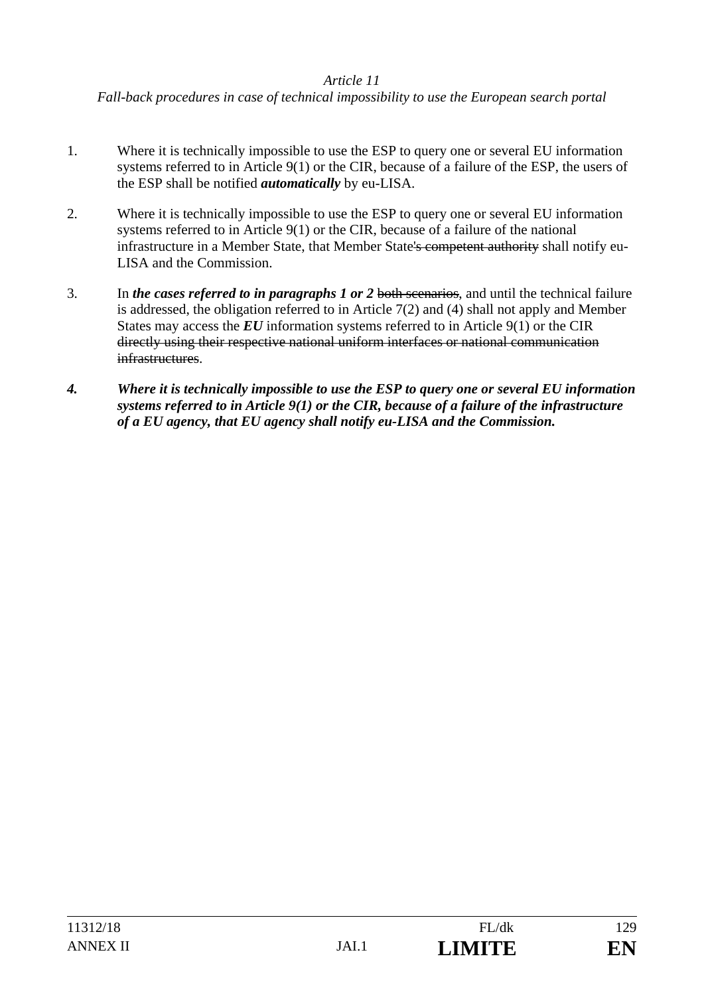*Fall-back procedures in case of technical impossibility to use the European search portal* 

- 1. Where it is technically impossible to use the ESP to query one or several EU information systems referred to in Article 9(1) or the CIR, because of a failure of the ESP, the users of the ESP shall be notified *automatically* by eu-LISA.
- 2. Where it is technically impossible to use the ESP to query one or several EU information systems referred to in Article 9(1) or the CIR, because of a failure of the national infrastructure in a Member State, that Member State's competent authority shall notify eu-LISA and the Commission.
- 3. In *the cases referred to in paragraphs 1 or 2* both scenarios, and until the technical failure is addressed, the obligation referred to in Article 7(2) and (4) shall not apply and Member States may access the *EU* information systems referred to in Article 9(1) or the CIR directly using their respective national uniform interfaces or national communication infrastructures.
- *4. Where it is technically impossible to use the ESP to query one or several EU information systems referred to in Article 9(1) or the CIR, because of a failure of the infrastructure of a EU agency, that EU agency shall notify eu-LISA and the Commission.*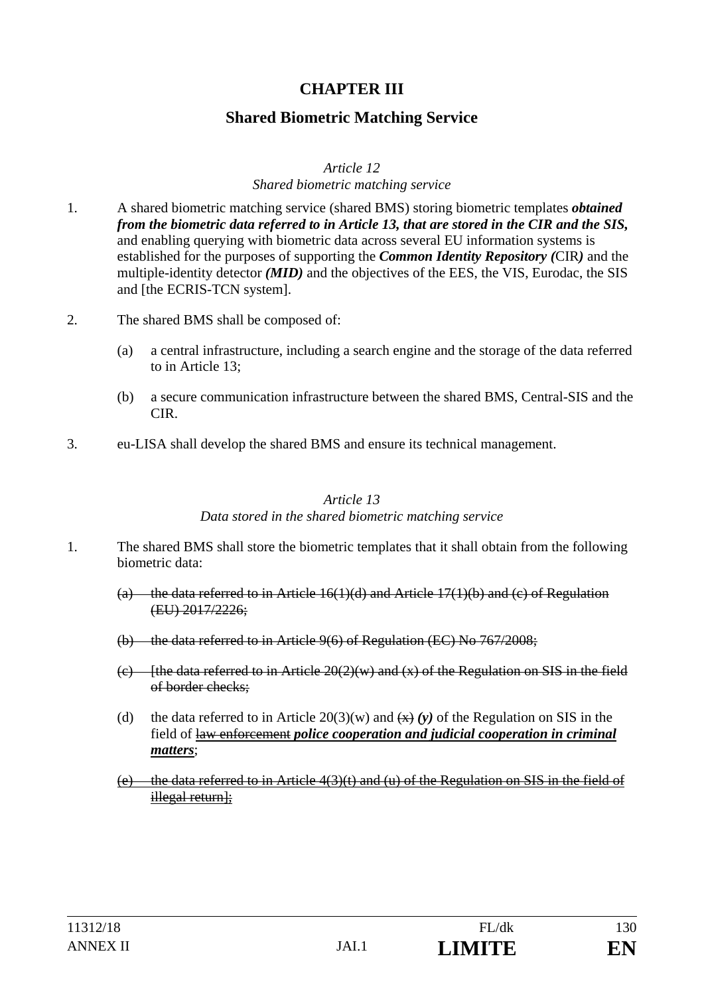## **CHAPTER III**

### **Shared Biometric Matching Service**

#### *Article 12*

#### *Shared biometric matching service*

- 1. A shared biometric matching service (shared BMS) storing biometric templates *obtained from the biometric data referred to in Article 13, that are stored in the CIR and the SIS,* and enabling querying with biometric data across several EU information systems is established for the purposes of supporting the *Common Identity Repository (*CIR*)* and the multiple-identity detector *(MID)* and the objectives of the EES, the VIS, Eurodac, the SIS and [the ECRIS-TCN system].
- 2. The shared BMS shall be composed of:
	- (a) a central infrastructure, including a search engine and the storage of the data referred to in Article 13;
	- (b) a secure communication infrastructure between the shared BMS, Central-SIS and the CIR.
- 3. eu-LISA shall develop the shared BMS and ensure its technical management.

#### *Article 13*

#### *Data stored in the shared biometric matching service*

- 1. The shared BMS shall store the biometric templates that it shall obtain from the following biometric data:
	- (a) the data referred to in Article  $16(1)(d)$  and Article 17(1)(b) and (c) of Regulation (EU) 2017/2226;
	- (b) the data referred to in Article 9(6) of Regulation (EC) No 767/2008;
	- (c) [the data referred to in Article  $20(2)(w)$  and  $(x)$  of the Regulation on SIS in the field of border checks;
	- (d) the data referred to in Article  $20(3)(w)$  and  $\left(\frac{x}{x}\right)(v)$  of the Regulation on SIS in the field of law enforcement *police cooperation and judicial cooperation in criminal matters*;
	- (e) the data referred to in Article  $4(3)(t)$  and (u) of the Regulation on SIS in the field of illegal return];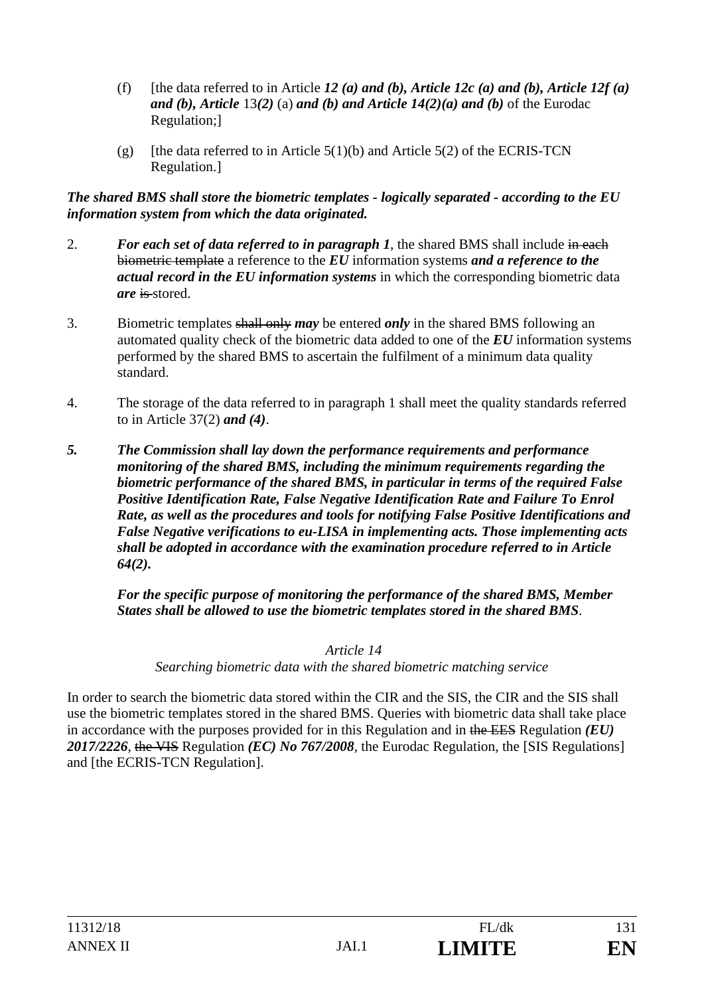- (f) [the data referred to in Article 12 (a) and (b), Article 12c (a) and (b), Article 12f (a) *and (b), Article* 13*(2)* (a) *and (b) and Article 14(2)(a) and (b)* of the Eurodac Regulation;]
- (g) [the data referred to in Article  $5(1)(b)$  and Article  $5(2)$  of the ECRIS-TCN Regulation.]

*The shared BMS shall store the biometric templates - logically separated - according to the EU information system from which the data originated.*

- 2. *For each set of data referred to in paragraph 1*, the shared BMS shall include in each biometric template a reference to the *EU* information systems *and a reference to the actual record in the EU information systems* in which the corresponding biometric data *are* is stored.
- 3. Biometric templates shall only *may* be entered *only* in the shared BMS following an automated quality check of the biometric data added to one of the *EU* information systems performed by the shared BMS to ascertain the fulfilment of a minimum data quality standard.
- 4. The storage of the data referred to in paragraph 1 shall meet the quality standards referred to in Article 37(2) *and (4)*.
- *5. The Commission shall lay down the performance requirements and performance monitoring of the shared BMS, including the minimum requirements regarding the biometric performance of the shared BMS, in particular in terms of the required False Positive Identification Rate, False Negative Identification Rate and Failure To Enrol Rate, as well as the procedures and tools for notifying False Positive Identifications and False Negative verifications to eu-LISA in implementing acts. Those implementing acts shall be adopted in accordance with the examination procedure referred to in Article 64(2).*

 *For the specific purpose of monitoring the performance of the shared BMS, Member States shall be allowed to use the biometric templates stored in the shared BMS*.

 *Article 14* 

*Searching biometric data with the shared biometric matching service* 

In order to search the biometric data stored within the CIR and the SIS, the CIR and the SIS shall use the biometric templates stored in the shared BMS. Queries with biometric data shall take place in accordance with the purposes provided for in this Regulation and in the EES Regulation *(EU) 2017/2226*, the VIS Regulation *(EC) No 767/2008*, the Eurodac Regulation, the [SIS Regulations] and [the ECRIS-TCN Regulation].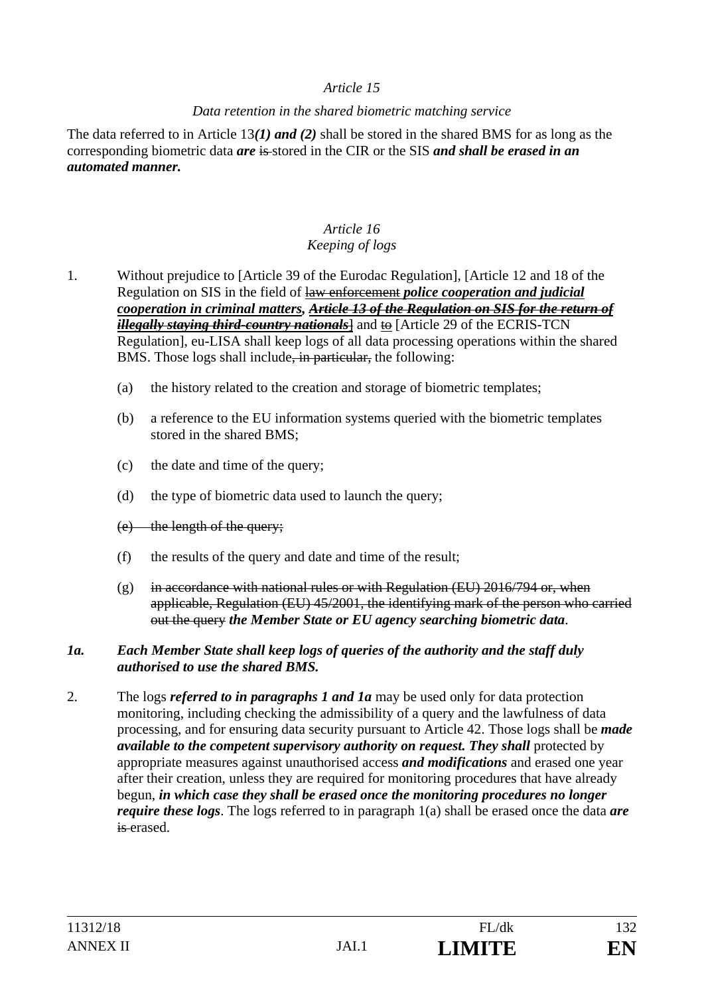#### *Data retention in the shared biometric matching service*

The data referred to in Article 13*(1) and (2)* shall be stored in the shared BMS for as long as the corresponding biometric data *are* is stored in the CIR or the SIS *and shall be erased in an automated manner.* 

#### *Article 16 Keeping of logs*

- 1. Without prejudice to [Article 39 of the Eurodac Regulation], [Article 12 and 18 of the Regulation on SIS in the field of law enforcement *police cooperation and judicial cooperation in criminal matters, Article 13 of the Regulation on SIS for the return of illegally staying third-country nationals*] and to [Article 29 of the ECRIS-TCN Regulation], eu-LISA shall keep logs of all data processing operations within the shared BMS. Those logs shall include, in particular, the following:
	- (a) the history related to the creation and storage of biometric templates;
	- (b) a reference to the EU information systems queried with the biometric templates stored in the shared BMS;
	- (c) the date and time of the query;
	- (d) the type of biometric data used to launch the query;
	- (e) the length of the query;
	- (f) the results of the query and date and time of the result;
	- (g) in accordance with national rules or with Regulation (EU)  $2016/794$  or, when applicable, Regulation (EU) 45/2001, the identifying mark of the person who carried out the query *the Member State or EU agency searching biometric data*.

#### *1a. Each Member State shall keep logs of queries of the authority and the staff duly authorised to use the shared BMS.*

2. The logs *referred to in paragraphs 1 and 1a* may be used only for data protection monitoring, including checking the admissibility of a query and the lawfulness of data processing, and for ensuring data security pursuant to Article 42. Those logs shall be *made available to the competent supervisory authority on request. They shall* protected by appropriate measures against unauthorised access *and modifications* and erased one year after their creation, unless they are required for monitoring procedures that have already begun, *in which case they shall be erased once the monitoring procedures no longer require these logs*. The logs referred to in paragraph 1(a) shall be erased once the data *are* is erased.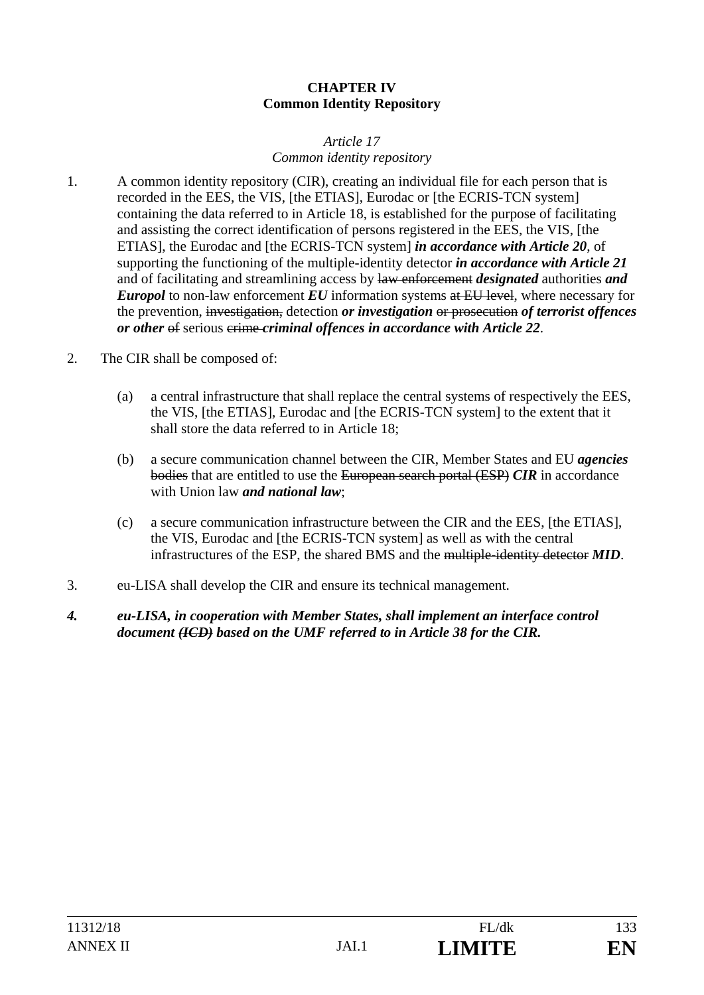#### **CHAPTER IV Common Identity Repository**

#### *Article 17 Common identity repository*

- 1. A common identity repository (CIR), creating an individual file for each person that is recorded in the EES, the VIS, [the ETIAS], Eurodac or [the ECRIS-TCN system] containing the data referred to in Article 18, is established for the purpose of facilitating and assisting the correct identification of persons registered in the EES, the VIS, [the ETIAS], the Eurodac and [the ECRIS-TCN system] *in accordance with Article 20*, of supporting the functioning of the multiple-identity detector *in accordance with Article 21* and of facilitating and streamlining access by law enforcement *designated* authorities *and Europol* to non-law enforcement *EU* information systems at EU level, where necessary for the prevention, investigation, detection *or investigation* or prosecution *of terrorist offences or other* of serious external offences in accordance with Article 22.
- 2. The CIR shall be composed of:
	- (a) a central infrastructure that shall replace the central systems of respectively the EES, the VIS, [the ETIAS], Eurodac and [the ECRIS-TCN system] to the extent that it shall store the data referred to in Article 18;
	- (b) a secure communication channel between the CIR, Member States and EU *agencies* bodies that are entitled to use the European search portal (ESP) *CIR* in accordance with Union law *and national law*;
	- (c) a secure communication infrastructure between the CIR and the EES, [the ETIAS], the VIS, Eurodac and [the ECRIS-TCN system] as well as with the central infrastructures of the ESP, the shared BMS and the multiple-identity detector *MID*.
- 3. eu-LISA shall develop the CIR and ensure its technical management.
- *4. eu-LISA, in cooperation with Member States, shall implement an interface control document (ICD) based on the UMF referred to in Article 38 for the CIR.*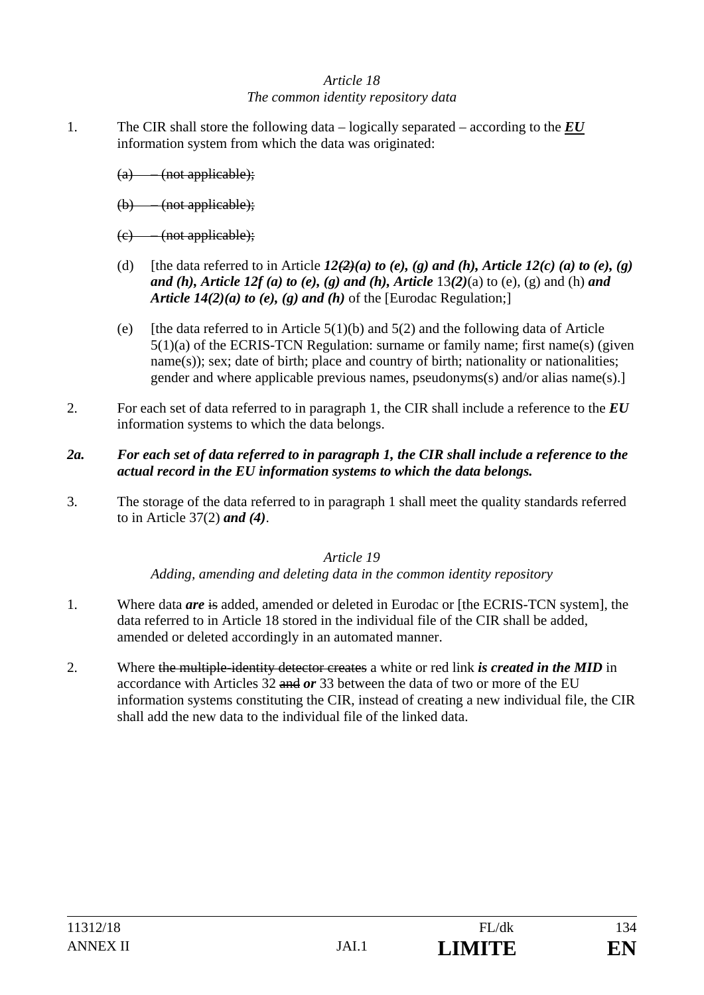### *Article 18 The common identity repository data*

- 1. The CIR shall store the following data logically separated according to the *EU*  information system from which the data was originated:
	- (a) (not applicable);
	- (b) (not applicable);
	- (c) (not applicable);
	- (d) [the data referred to in Article  $12(2)(a)$  to (e), (g) and (h), Article  $12(c)$  (a) to (e), (g) *and (h), Article 12f (a) to (e), (g) and (h), Article* 13*(2)*(a) to (e), (g) and (h) *and Article 14(2)(a) to (e), (g) and (h)* of the [Eurodac Regulation;]
	- (e) [the data referred to in Article  $5(1)(b)$  and  $5(2)$  and the following data of Article 5(1)(a) of the ECRIS-TCN Regulation: surname or family name; first name(s) (given name(s)); sex; date of birth; place and country of birth; nationality or nationalities; gender and where applicable previous names, pseudonyms(s) and/or alias name(s).]
- 2. For each set of data referred to in paragraph 1, the CIR shall include a reference to the *EU*  information systems to which the data belongs.
- *2a. For each set of data referred to in paragraph 1, the CIR shall include a reference to the actual record in the EU information systems to which the data belongs.*
- 3. The storage of the data referred to in paragraph 1 shall meet the quality standards referred to in Article 37(2) *and (4)*.

#### *Article 19*

*Adding, amending and deleting data in the common identity repository* 

- 1. Where data *are* is added, amended or deleted in Eurodac or [the ECRIS-TCN system], the data referred to in Article 18 stored in the individual file of the CIR shall be added, amended or deleted accordingly in an automated manner.
- 2. Where the multiple-identity detector creates a white or red link *is created in the MID* in accordance with Articles 32 and *or* 33 between the data of two or more of the EU information systems constituting the CIR, instead of creating a new individual file, the CIR shall add the new data to the individual file of the linked data.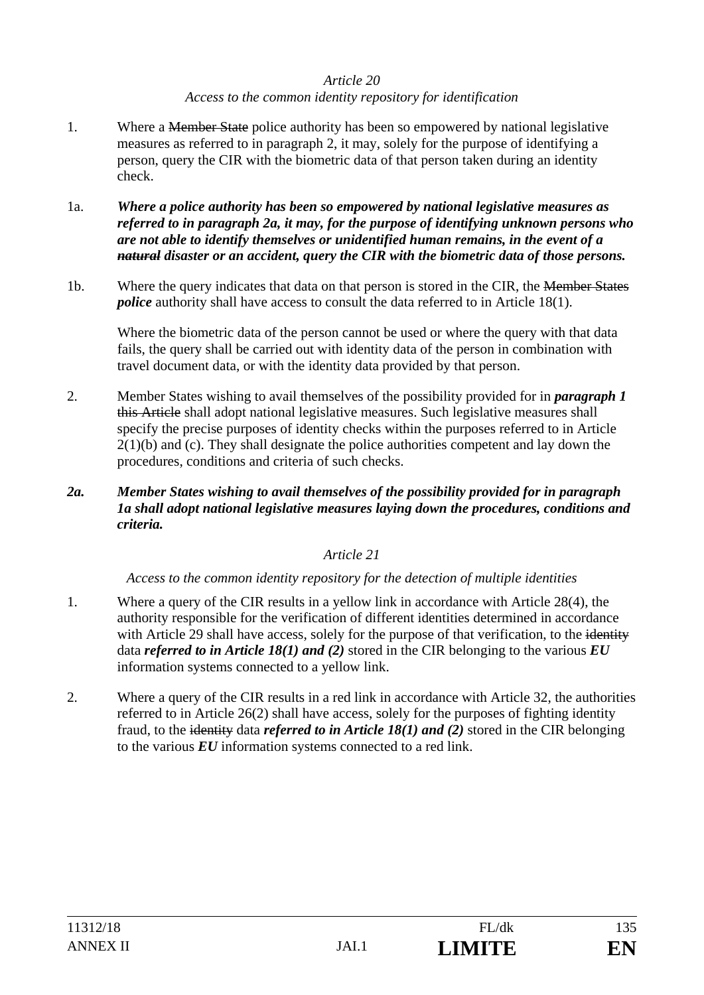#### *Article 20 Access to the common identity repository for identification*

- 1. Where a <del>Member State</del> police authority has been so empowered by national legislative measures as referred to in paragraph 2, it may, solely for the purpose of identifying a person, query the CIR with the biometric data of that person taken during an identity check.
- 1a. *Where a police authority has been so empowered by national legislative measures as referred to in paragraph 2a, it may, for the purpose of identifying unknown persons who are not able to identify themselves or unidentified human remains, in the event of a natural disaster or an accident, query the CIR with the biometric data of those persons.*
- 1b. Where the query indicates that data on that person is stored in the CIR, the Member States *police* authority shall have access to consult the data referred to in Article 18(1).

Where the biometric data of the person cannot be used or where the query with that data fails, the query shall be carried out with identity data of the person in combination with travel document data, or with the identity data provided by that person.

- 2. Member States wishing to avail themselves of the possibility provided for in *paragraph 1*  this Article shall adopt national legislative measures. Such legislative measures shall specify the precise purposes of identity checks within the purposes referred to in Article  $2(1)(b)$  and (c). They shall designate the police authorities competent and lay down the procedures, conditions and criteria of such checks.
- *2a. Member States wishing to avail themselves of the possibility provided for in paragraph 1a shall adopt national legislative measures laying down the procedures, conditions and criteria.*

#### *Article 21*

*Access to the common identity repository for the detection of multiple identities* 

- 1. Where a query of the CIR results in a yellow link in accordance with Article 28(4), the authority responsible for the verification of different identities determined in accordance with Article 29 shall have access, solely for the purpose of that verification, to the identity data *referred to in Article 18(1) and (2)* stored in the CIR belonging to the various *EU*  information systems connected to a yellow link.
- 2. Where a query of the CIR results in a red link in accordance with Article 32, the authorities referred to in Article 26(2) shall have access, solely for the purposes of fighting identity fraud, to the identity data *referred to in Article 18(1) and (2)* stored in the CIR belonging to the various *EU* information systems connected to a red link.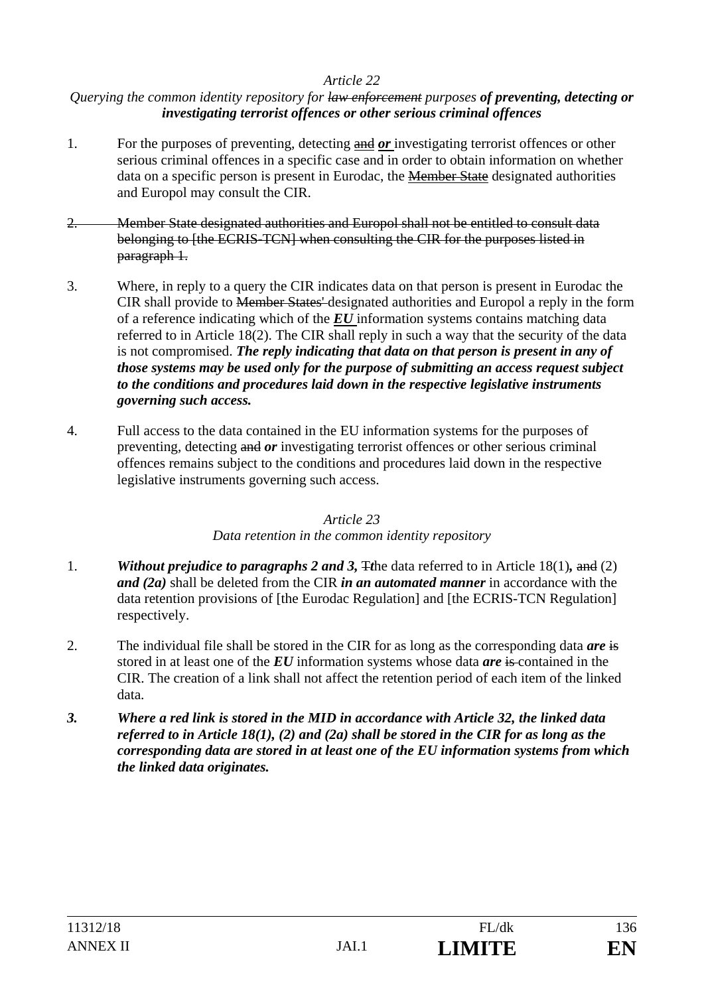#### *Querying the common identity repository for law enforcement purposes of preventing, detecting or investigating terrorist offences or other serious criminal offences*

- 1. For the purposes of preventing, detecting and *or* investigating terrorist offences or other serious criminal offences in a specific case and in order to obtain information on whether data on a specific person is present in Eurodac, the Member State designated authorities and Europol may consult the CIR.
- 2. Member State designated authorities and Europol shall not be entitled to consult data belonging to [the ECRIS-TCN] when consulting the CIR for the purposes listed in paragraph 1.
- 3. Where, in reply to a query the CIR indicates data on that person is present in Eurodac the CIR shall provide to Member States' designated authorities and Europol a reply in the form of a reference indicating which of the *EU* information systems contains matching data referred to in Article 18(2). The CIR shall reply in such a way that the security of the data is not compromised. *The reply indicating that data on that person is present in any of those systems may be used only for the purpose of submitting an access request subject to the conditions and procedures laid down in the respective legislative instruments governing such access.*
- 4. Full access to the data contained in the EU information systems for the purposes of preventing, detecting and *or* investigating terrorist offences or other serious criminal offences remains subject to the conditions and procedures laid down in the respective legislative instruments governing such access.

#### *Article 23*

#### *Data retention in the common identity repository*

- 1. *Without prejudice to paragraphs 2 and 3,* T*t*he data referred to in Article 18(1)*,* and (2) *and (2a)* shall be deleted from the CIR *in an automated manner* in accordance with the data retention provisions of [the Eurodac Regulation] and [the ECRIS-TCN Regulation] respectively.
- 2. The individual file shall be stored in the CIR for as long as the corresponding data *are* is stored in at least one of the *EU* information systems whose data *are* is contained in the CIR. The creation of a link shall not affect the retention period of each item of the linked data.
- *3. Where a red link is stored in the MID in accordance with Article 32, the linked data referred to in Article 18(1), (2) and (2a) shall be stored in the CIR for as long as the corresponding data are stored in at least one of the EU information systems from which the linked data originates.*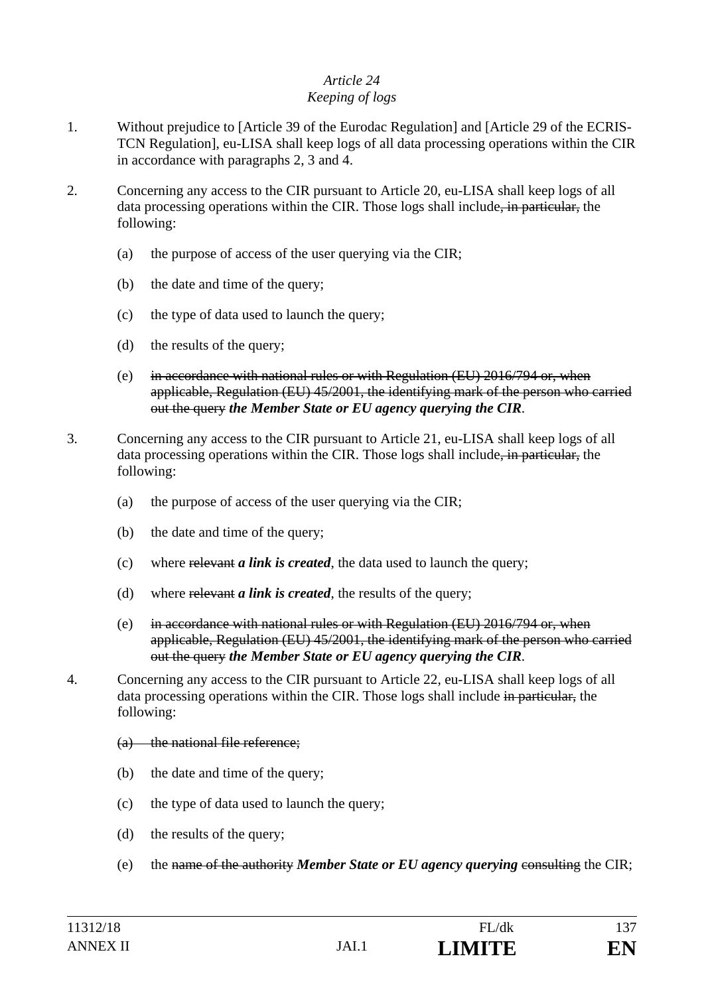#### *Article 24 Keeping of logs*

- 1. Without prejudice to [Article 39 of the Eurodac Regulation] and [Article 29 of the ECRIS-TCN Regulation], eu-LISA shall keep logs of all data processing operations within the CIR in accordance with paragraphs 2, 3 and 4.
- 2. Concerning any access to the CIR pursuant to Article 20, eu-LISA shall keep logs of all data processing operations within the CIR. Those logs shall include, in particular, the following:
	- (a) the purpose of access of the user querying via the CIR;
	- (b) the date and time of the query;
	- (c) the type of data used to launch the query;
	- (d) the results of the query;
	- (e) in accordance with national rules or with Regulation  $(EU)$  2016/794 or, when applicable, Regulation (EU) 45/2001, the identifying mark of the person who carried out the query *the Member State or EU agency querying the CIR*.
- 3. Concerning any access to the CIR pursuant to Article 21, eu-LISA shall keep logs of all data processing operations within the CIR. Those logs shall include, in particular, the following:
	- (a) the purpose of access of the user querying via the CIR;
	- (b) the date and time of the query;
	- (c) where relevant *a link is created*, the data used to launch the query;
	- (d) where relevant *a link is created*, the results of the query;
	- (e) in accordance with national rules or with Regulation  $(EU)$  2016/794 or, when applicable, Regulation (EU) 45/2001, the identifying mark of the person who carried out the query *the Member State or EU agency querying the CIR*.
- 4. Concerning any access to the CIR pursuant to Article 22, eu-LISA shall keep logs of all data processing operations within the CIR. Those logs shall include in particular, the following:
	- (a) the national file reference;
	- (b) the date and time of the query;
	- (c) the type of data used to launch the query;
	- (d) the results of the query;
	- (e) the name of the authority *Member State or EU agency querying* consulting the CIR;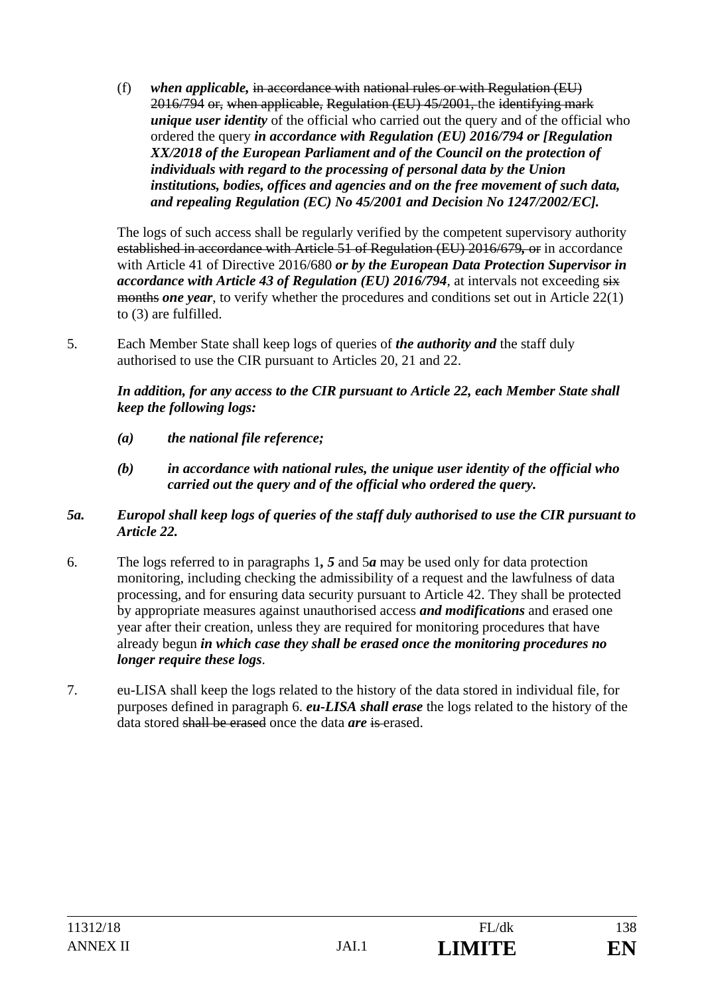(f) *when applicable,* in accordance with national rules or with Regulation (EU) 2016/794 or, when applicable, Regulation (EU) 45/2001, the identifying mark *unique user identity* of the official who carried out the query and of the official who ordered the query *in accordance with Regulation (EU) 2016/794 or [Regulation XX/2018 of the European Parliament and of the Council on the protection of individuals with regard to the processing of personal data by the Union institutions, bodies, offices and agencies and on the free movement of such data, and repealing Regulation (EC) No 45/2001 and Decision No 1247/2002/EC].*

The logs of such access shall be regularly verified by the competent supervisory authority established in accordance with Article 51 of Regulation (EU) 2016/679*,* or in accordance with Article 41 of Directive 2016/680 *or by the European Data Protection Supervisor in accordance with Article 43 of Regulation (EU) 2016/794, at intervals not exceeding six* months *one year*, to verify whether the procedures and conditions set out in Article 22(1) to (3) are fulfilled.

5. Each Member State shall keep logs of queries of *the authority and* the staff duly authorised to use the CIR pursuant to Articles 20, 21 and 22.

*In addition, for any access to the CIR pursuant to Article 22, each Member State shall keep the following logs:* 

- *(a) the national file reference;*
- *(b) in accordance with national rules, the unique user identity of the official who carried out the query and of the official who ordered the query.*

#### *5a. Europol shall keep logs of queries of the staff duly authorised to use the CIR pursuant to Article 22.*

- 6. The logs referred to in paragraphs 1*, 5* and 5*a* may be used only for data protection monitoring, including checking the admissibility of a request and the lawfulness of data processing, and for ensuring data security pursuant to Article 42. They shall be protected by appropriate measures against unauthorised access *and modifications* and erased one year after their creation, unless they are required for monitoring procedures that have already begun *in which case they shall be erased once the monitoring procedures no longer require these logs*.
- 7. eu-LISA shall keep the logs related to the history of the data stored in individual file, for purposes defined in paragraph 6. *eu-LISA shall erase* the logs related to the history of the data stored shall be erased once the data *are* is erased.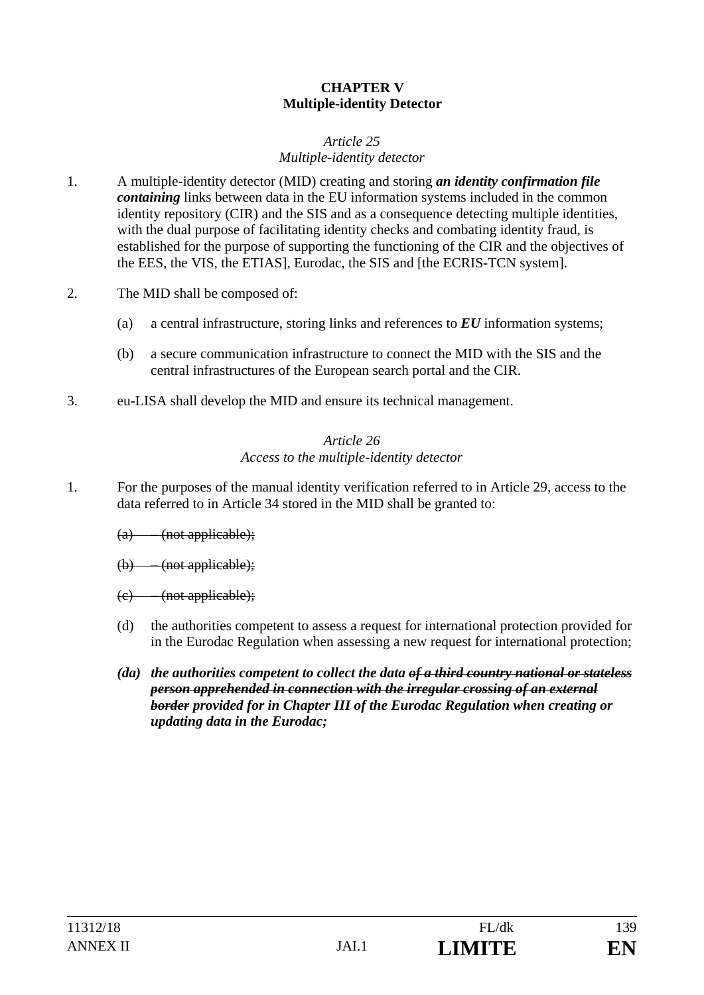#### **CHAPTER V Multiple-identity Detector**

#### *Article 25 Multiple-identity detector*

- 1. A multiple-identity detector (MID) creating and storing *an identity confirmation file containing* links between data in the EU information systems included in the common identity repository (CIR) and the SIS and as a consequence detecting multiple identities, with the dual purpose of facilitating identity checks and combating identity fraud, is established for the purpose of supporting the functioning of the CIR and the objectives of the EES, the VIS, the ETIAS], Eurodac, the SIS and [the ECRIS-TCN system].
- 2. The MID shall be composed of:
	- (a) a central infrastructure, storing links and references to *EU* information systems;
	- (b) a secure communication infrastructure to connect the MID with the SIS and the central infrastructures of the European search portal and the CIR.
- 3. eu-LISA shall develop the MID and ensure its technical management.

#### *Article 26 Access to the multiple-identity detector*

- 1. For the purposes of the manual identity verification referred to in Article 29, access to the data referred to in Article 34 stored in the MID shall be granted to:
	- $(a)$  (not applicable);
	- (b) (not applicable);
	- (c) (not applicable);
	- (d) the authorities competent to assess a request for international protection provided for in the Eurodac Regulation when assessing a new request for international protection;
	- *(da) the authorities competent to collect the data of a third country national or stateless person apprehended in connection with the irregular crossing of an external border provided for in Chapter III of the Eurodac Regulation when creating or updating data in the Eurodac;*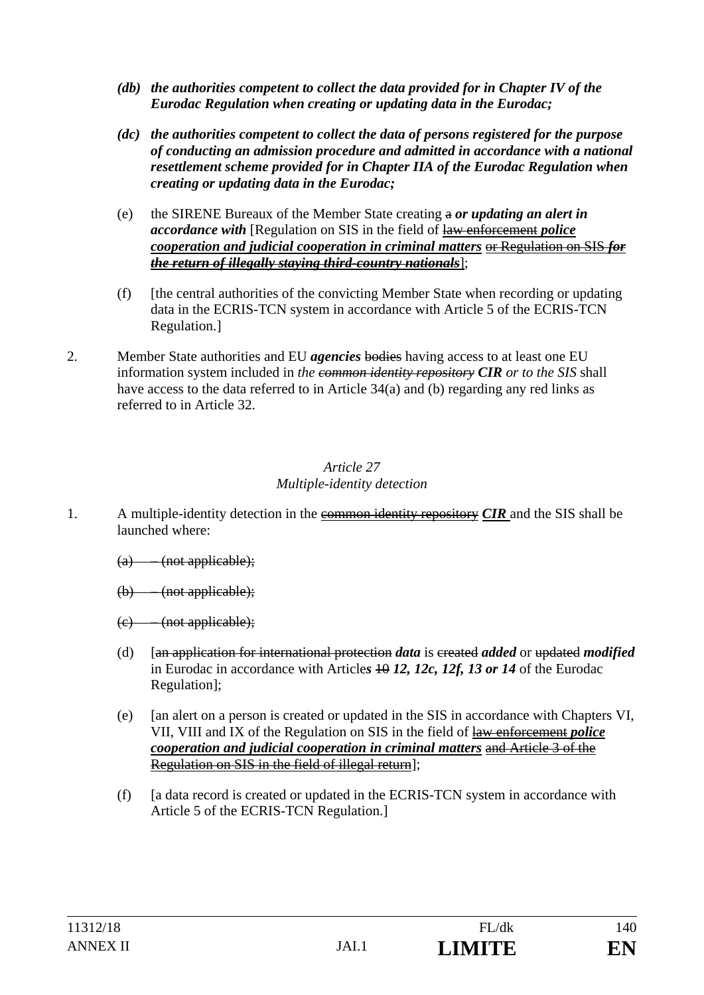- *(db) the authorities competent to collect the data provided for in Chapter IV of the Eurodac Regulation when creating or updating data in the Eurodac;*
- *(dc) the authorities competent to collect the data of persons registered for the purpose of conducting an admission procedure and admitted in accordance with a national resettlement scheme provided for in Chapter IIA of the Eurodac Regulation when creating or updating data in the Eurodac;*
- (e) the SIRENE Bureaux of the Member State creating a *or updating an alert in accordance with* [Regulation on SIS in the field of law enforcement *police cooperation and judicial cooperation in criminal matters* or Regulation on SIS *for the return of illegally staying third-country nationals*];
- (f) [the central authorities of the convicting Member State when recording or updating data in the ECRIS-TCN system in accordance with Article 5 of the ECRIS-TCN Regulation.]
- 2. Member State authorities and EU *agencies* bodies having access to at least one EU information system included in *the common identity repository CIR or to the SIS* shall have access to the data referred to in Article 34(a) and (b) regarding any red links as referred to in Article 32.

#### *Article 27 Multiple-identity detection*

- 1. A multiple-identity detection in the common identity repository *CIR* and the SIS shall be launched where:
	- $(a)$  (not applicable);
	- (b) (not applicable);
	- (c) (not applicable);
	- (d) [an application for international protection *data* is created *added* or updated *modified* in Eurodac in accordance with Articles 40 12, 12c, 12f, 13 or 14 of the Eurodac Regulation];
	- (e) [an alert on a person is created or updated in the SIS in accordance with Chapters VI, VII, VIII and IX of the Regulation on SIS in the field of law enforcement *police cooperation and judicial cooperation in criminal matters* and Article 3 of the Regulation on SIS in the field of illegal return];
	- (f) [a data record is created or updated in the ECRIS-TCN system in accordance with Article 5 of the ECRIS-TCN Regulation.]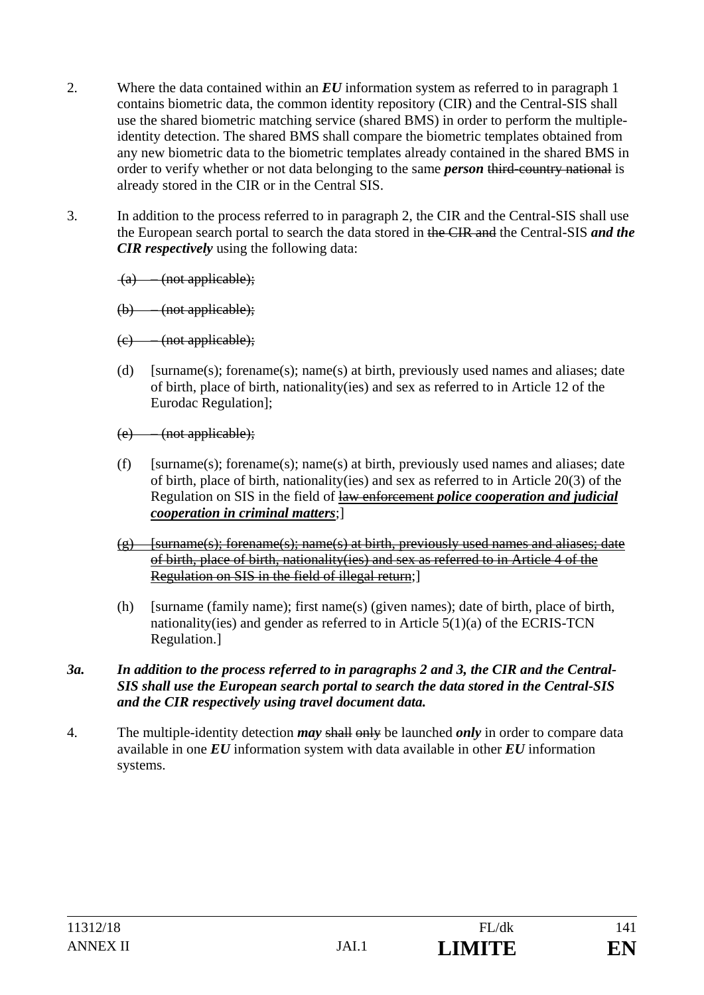- 2. Where the data contained within an *EU* information system as referred to in paragraph 1 contains biometric data, the common identity repository (CIR) and the Central-SIS shall use the shared biometric matching service (shared BMS) in order to perform the multipleidentity detection. The shared BMS shall compare the biometric templates obtained from any new biometric data to the biometric templates already contained in the shared BMS in order to verify whether or not data belonging to the same *person* third-country national is already stored in the CIR or in the Central SIS.
- 3. In addition to the process referred to in paragraph 2, the CIR and the Central-SIS shall use the European search portal to search the data stored in the CIR and the Central-SIS *and the CIR respectively* using the following data:
	- (a) (not applicable);
	- (b) (not applicable);
	- $(e)$  (not applicable);
	- (d) [surname(s); forename(s); name(s) at birth, previously used names and aliases; date of birth, place of birth, nationality(ies) and sex as referred to in Article 12 of the Eurodac Regulation];
	- (e) (not applicable);
	- (f) [surname(s); forename(s); name(s) at birth, previously used names and aliases; date of birth, place of birth, nationality(ies) and sex as referred to in Article 20(3) of the Regulation on SIS in the field of law enforcement *police cooperation and judicial cooperation in criminal matters*;]
	- $(g)$  [surname(s); forename(s); name(s) at birth, previously used names and aliases; date of birth, place of birth, nationality(ies) and sex as referred to in Article 4 of the Regulation on SIS in the field of illegal return;]
	- (h) [surname (family name); first name(s) (given names); date of birth, place of birth, nationality(ies) and gender as referred to in Article 5(1)(a) of the ECRIS-TCN Regulation.]

#### *3a. In addition to the process referred to in paragraphs 2 and 3, the CIR and the Central-SIS shall use the European search portal to search the data stored in the Central-SIS and the CIR respectively using travel document data.*

4. The multiple-identity detection *may* shall only be launched *only* in order to compare data available in one *EU* information system with data available in other *EU* information systems.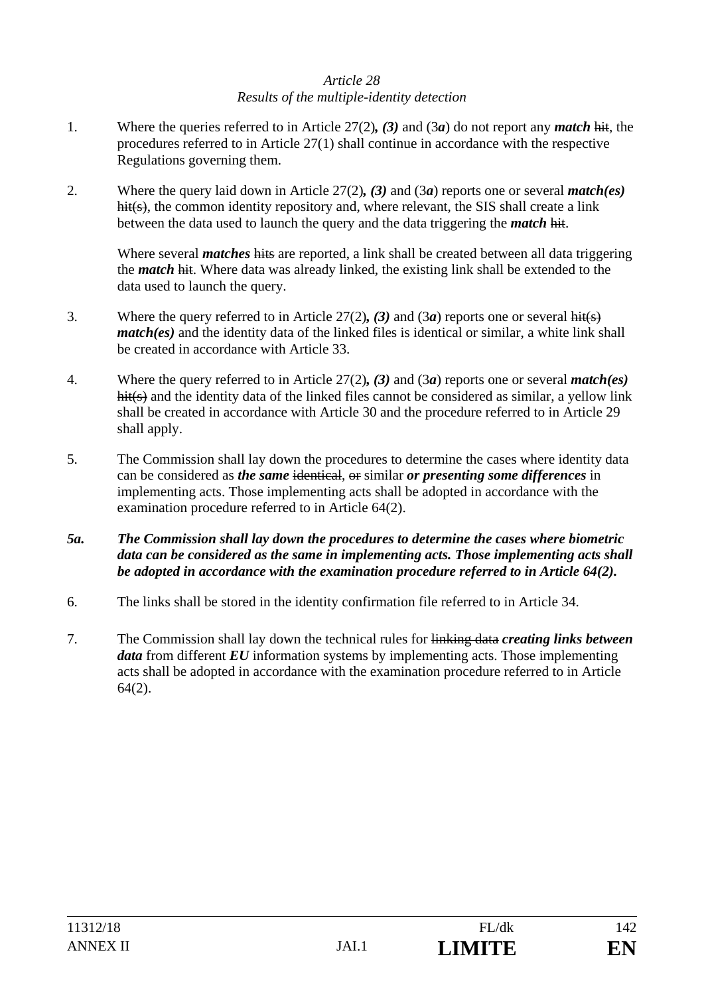#### *Article 28 Results of the multiple-identity detection*

- 1. Where the queries referred to in Article 27(2)*, (3)* and (3*a*) do not report any *match* hit, the procedures referred to in Article 27(1) shall continue in accordance with the respective Regulations governing them.
- 2. Where the query laid down in Article 27(2)*, (3)* and (3*a*) reports one or several *match(es)*  hit(s), the common identity repository and, where relevant, the SIS shall create a link between the data used to launch the query and the data triggering the *match* hit.

Where several *matches* hits are reported, a link shall be created between all data triggering the *match* hit. Where data was already linked, the existing link shall be extended to the data used to launch the query.

- 3. Where the query referred to in Article 27(2)*, (3)* and (3*a*) reports one or several hit(s) *match(es)* and the identity data of the linked files is identical or similar, a white link shall be created in accordance with Article 33.
- 4. Where the query referred to in Article 27(2)*, (3)* and (3*a*) reports one or several *match(es)* hit(s) and the identity data of the linked files cannot be considered as similar, a yellow link shall be created in accordance with Article 30 and the procedure referred to in Article 29 shall apply.
- 5. The Commission shall lay down the procedures to determine the cases where identity data can be considered as *the same* identical, or similar *or presenting some differences* in implementing acts. Those implementing acts shall be adopted in accordance with the examination procedure referred to in Article 64(2).
- *5a.**The Commission shall lay down the procedures to determine the cases where biometric data can be considered as the same in implementing acts. Those implementing acts shall be adopted in accordance with the examination procedure referred to in Article 64(2).*
- 6. The links shall be stored in the identity confirmation file referred to in Article 34.
- 7. The Commission shall lay down the technical rules for linking data *creating links between data* from different *EU* information systems by implementing acts. Those implementing acts shall be adopted in accordance with the examination procedure referred to in Article 64(2).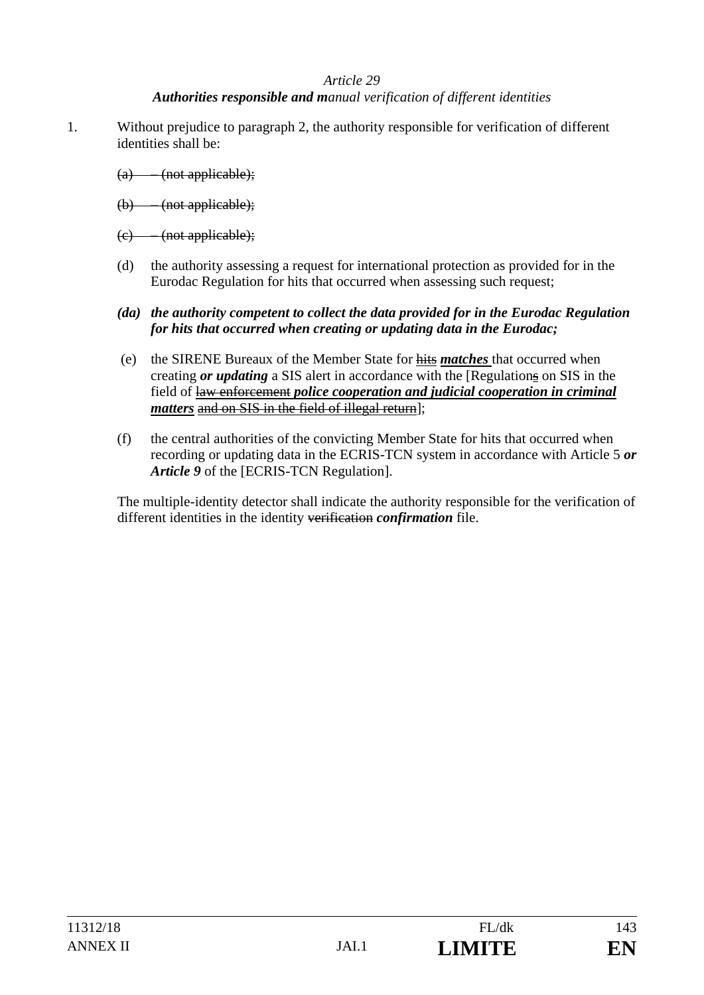#### *Authorities responsible and manual verification of different identities*

- 1. Without prejudice to paragraph 2, the authority responsible for verification of different identities shall be:
	- (a) (not applicable);
	- (b) (not applicable);
	- (c) (not applicable);
	- (d) the authority assessing a request for international protection as provided for in the Eurodac Regulation for hits that occurred when assessing such request;
	- *(da) the authority competent to collect the data provided for in the Eurodac Regulation for hits that occurred when creating or updating data in the Eurodac;*
	- (e) the SIRENE Bureaux of the Member State for hits *matches* that occurred when creating *or updating* a SIS alert in accordance with the [Regulations on SIS in the field of law enforcement *police cooperation and judicial cooperation in criminal matters* and on SIS in the field of illegal return]:
	- (f) the central authorities of the convicting Member State for hits that occurred when recording or updating data in the ECRIS-TCN system in accordance with Article 5 *or Article 9* of the [ECRIS-TCN Regulation].

The multiple-identity detector shall indicate the authority responsible for the verification of different identities in the identity verification *confirmation* file.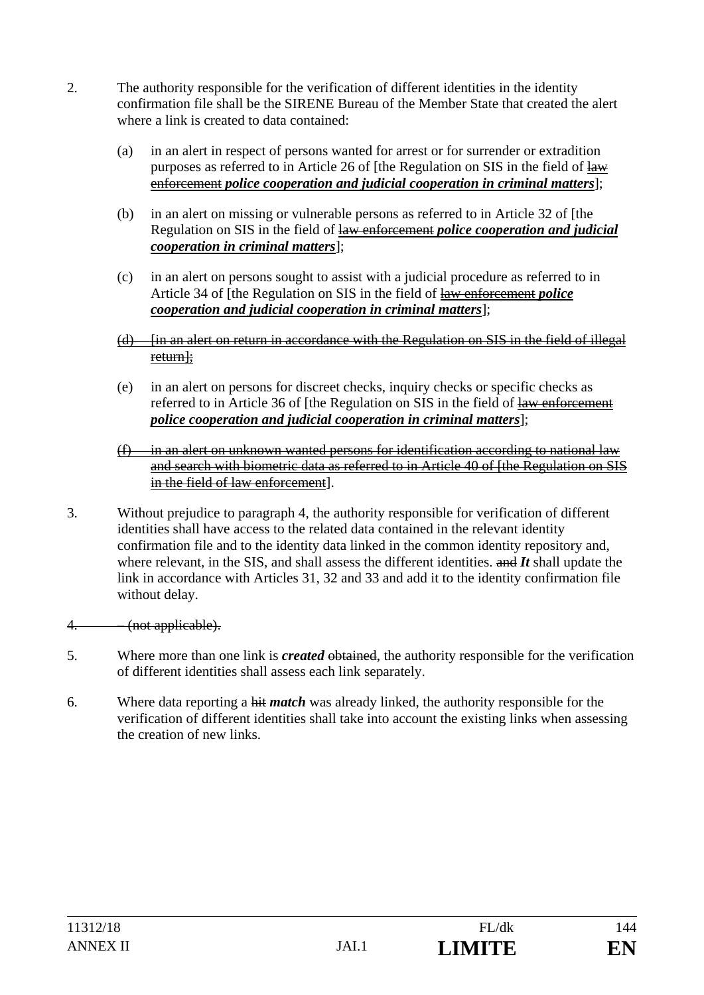- 2. The authority responsible for the verification of different identities in the identity confirmation file shall be the SIRENE Bureau of the Member State that created the alert where a link is created to data contained:
	- (a) in an alert in respect of persons wanted for arrest or for surrender or extradition purposes as referred to in Article 26 of [the Regulation on SIS in the field of law enforcement *police cooperation and judicial cooperation in criminal matters*];
	- (b) in an alert on missing or vulnerable persons as referred to in Article 32 of [the Regulation on SIS in the field of law enforcement *police cooperation and judicial cooperation in criminal matters*];
	- (c) in an alert on persons sought to assist with a judicial procedure as referred to in Article 34 of [the Regulation on SIS in the field of law enforcement *police cooperation and judicial cooperation in criminal matters*];
	- (d) [in an alert on return in accordance with the Regulation on SIS in the field of illegal return];
	- (e) in an alert on persons for discreet checks, inquiry checks or specific checks as referred to in Article 36 of [the Regulation on SIS in the field of law enforcement *police cooperation and judicial cooperation in criminal matters*];
	- $(f)$  in an alert on unknown wanted persons for identification according to national law and search with biometric data as referred to in Article 40 of [the Regulation on SIS in the field of law enforcement].
- 3. Without prejudice to paragraph 4, the authority responsible for verification of different identities shall have access to the related data contained in the relevant identity confirmation file and to the identity data linked in the common identity repository and, where relevant, in the SIS, and shall assess the different identities. and *It* shall update the link in accordance with Articles 31, 32 and 33 and add it to the identity confirmation file without delay.
- 4. (not applicable).
- 5. Where more than one link is *created* obtained, the authority responsible for the verification of different identities shall assess each link separately.
- 6. Where data reporting a hit *match* was already linked, the authority responsible for the verification of different identities shall take into account the existing links when assessing the creation of new links.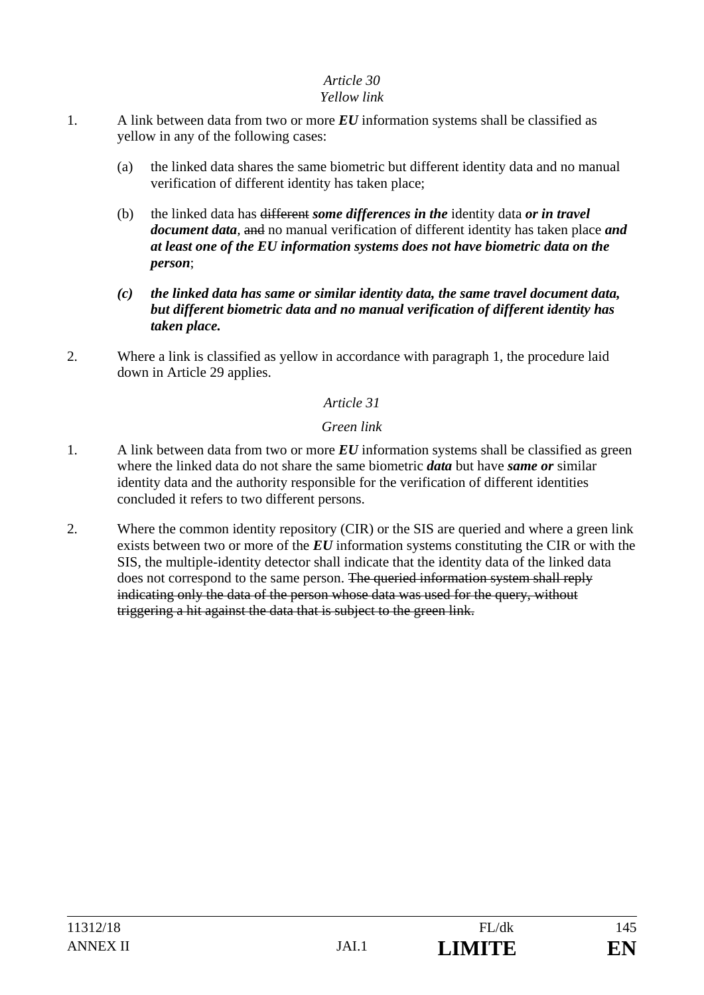### *Yellow link*

- 1. A link between data from two or more *EU* information systems shall be classified as yellow in any of the following cases:
	- (a) the linked data shares the same biometric but different identity data and no manual verification of different identity has taken place;
	- (b) the linked data has different *some differences in the* identity data *or in travel document data,* and no manual verification of different identity has taken place *and at least one of the EU information systems does not have biometric data on the person*;
	- *(c) the linked data has same or similar identity data, the same travel document data, but different biometric data and no manual verification of different identity has taken place.*
- 2. Where a link is classified as yellow in accordance with paragraph 1, the procedure laid down in Article 29 applies.

### *Article 31*

### *Green link*

- 1. A link between data from two or more *EU* information systems shall be classified as green where the linked data do not share the same biometric *data* but have *same or* similar identity data and the authority responsible for the verification of different identities concluded it refers to two different persons.
- 2. Where the common identity repository (CIR) or the SIS are queried and where a green link exists between two or more of the *EU* information systems constituting the CIR or with the SIS, the multiple-identity detector shall indicate that the identity data of the linked data does not correspond to the same person. The queried information system shall reply indicating only the data of the person whose data was used for the query, without triggering a hit against the data that is subject to the green link.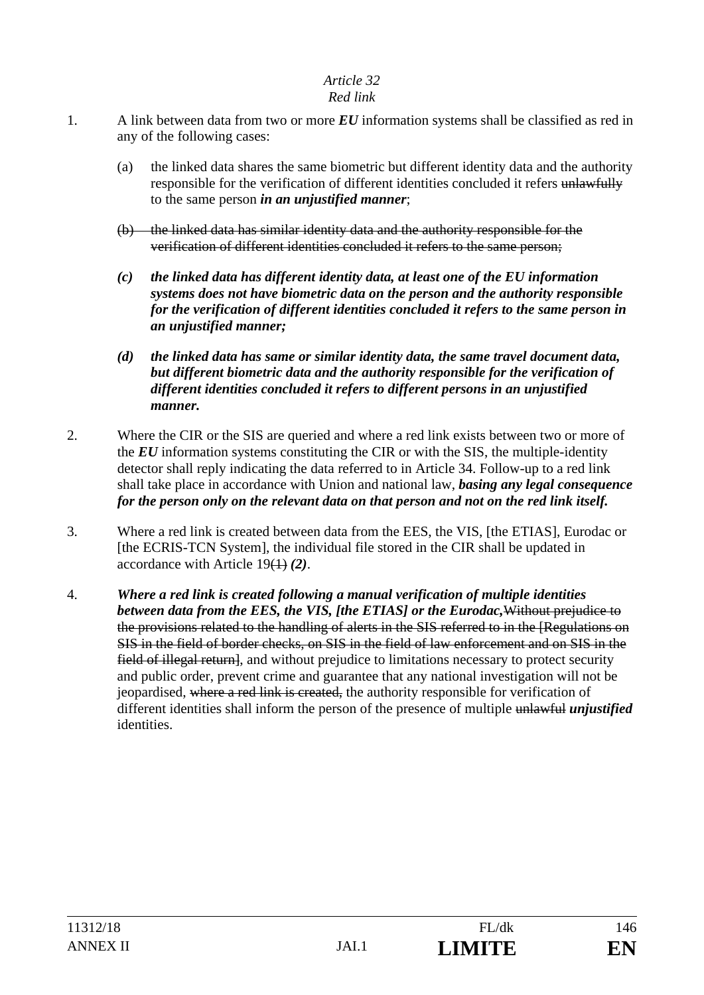### *Red link*

- 1. A link between data from two or more *EU* information systems shall be classified as red in any of the following cases:
	- (a) the linked data shares the same biometric but different identity data and the authority responsible for the verification of different identities concluded it refers unlawfully to the same person *in an unjustified manner*;
	- (b) the linked data has similar identity data and the authority responsible for the verification of different identities concluded it refers to the same person;
	- *(c) the linked data has different identity data, at least one of the EU information systems does not have biometric data on the person and the authority responsible for the verification of different identities concluded it refers to the same person in an unjustified manner;*
	- *(d) the linked data has same or similar identity data, the same travel document data, but different biometric data and the authority responsible for the verification of different identities concluded it refers to different persons in an unjustified manner.*
- 2. Where the CIR or the SIS are queried and where a red link exists between two or more of the *EU* information systems constituting the CIR or with the SIS, the multiple-identity detector shall reply indicating the data referred to in Article 34. Follow-up to a red link shall take place in accordance with Union and national law, *basing any legal consequence for the person only on the relevant data on that person and not on the red link itself.*
- 3. Where a red link is created between data from the EES, the VIS, [the ETIAS], Eurodac or [the ECRIS-TCN System], the individual file stored in the CIR shall be updated in accordance with Article 19(1) *(2)*.
- 4. *Where a red link is created following a manual verification of multiple identities between data from the EES, the VIS, [the ETIAS] or the Eurodac,*Without prejudice to the provisions related to the handling of alerts in the SIS referred to in the [Regulations on SIS in the field of border checks, on SIS in the field of law enforcement and on SIS in the field of illegal return, and without prejudice to limitations necessary to protect security and public order, prevent crime and guarantee that any national investigation will not be jeopardised, where a red link is created, the authority responsible for verification of different identities shall inform the person of the presence of multiple unlawful *unjustified*  identities.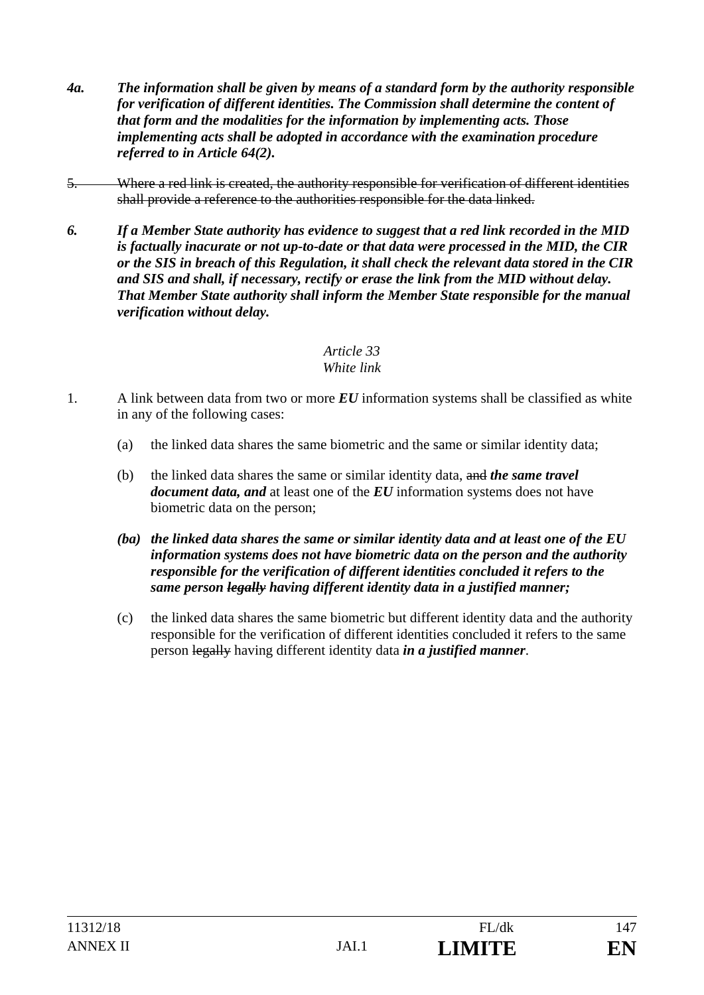- *4a. The information shall be given by means of a standard form by the authority responsible for verification of different identities. The Commission shall determine the content of that form and the modalities for the information by implementing acts. Those implementing acts shall be adopted in accordance with the examination procedure referred to in Article 64(2).*
- 5. Where a red link is created, the authority responsible for verification of different identities shall provide a reference to the authorities responsible for the data linked.
- *6. If a Member State authority has evidence to suggest that a red link recorded in the MID is factually inacurate or not up-to-date or that data were processed in the MID, the CIR or the SIS in breach of this Regulation, it shall check the relevant data stored in the CIR and SIS and shall, if necessary, rectify or erase the link from the MID without delay. That Member State authority shall inform the Member State responsible for the manual verification without delay.*

### *Article 33 White link*

- 1. A link between data from two or more *EU* information systems shall be classified as white in any of the following cases:
	- (a) the linked data shares the same biometric and the same or similar identity data;
	- (b) the linked data shares the same or similar identity data, and *the same travel document data, and* at least one of the *EU* information systems does not have biometric data on the person;
	- *(ba) the linked data shares the same or similar identity data and at least one of the EU information systems does not have biometric data on the person and the authority responsible for the verification of different identities concluded it refers to the same person legally having different identity data in a justified manner;*
	- (c) the linked data shares the same biometric but different identity data and the authority responsible for the verification of different identities concluded it refers to the same person legally having different identity data *in a justified manner*.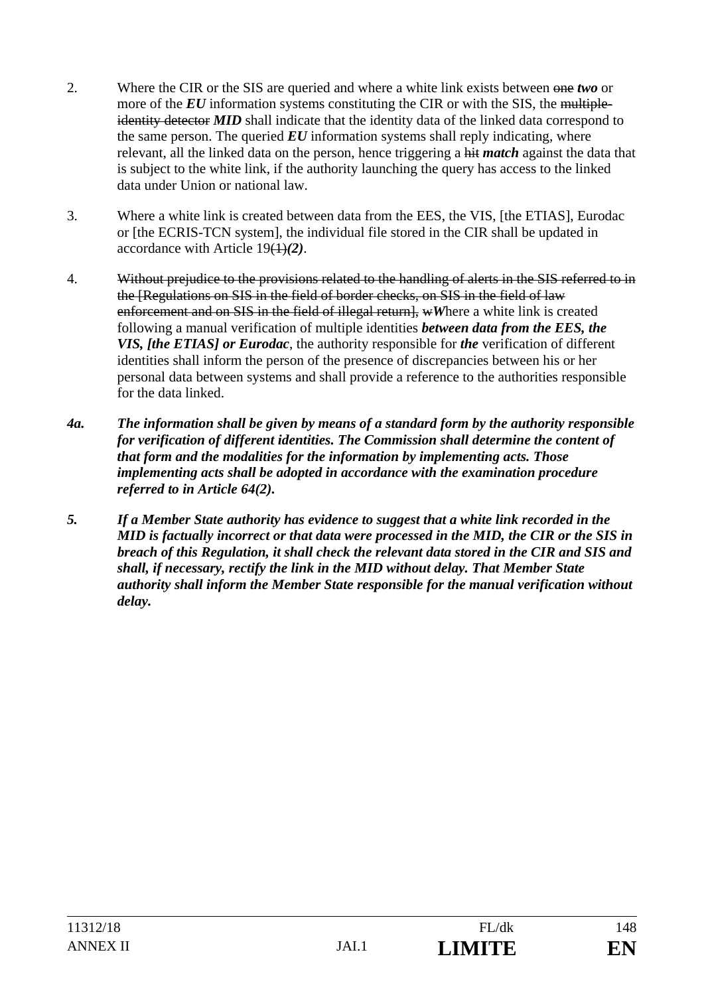- 2. Where the CIR or the SIS are queried and where a white link exists between one *two* or more of the *EU* information systems constituting the CIR or with the SIS, the multipleidentity detector **MID** shall indicate that the identity data of the linked data correspond to the same person. The queried  $EU$  information systems shall reply indicating, where relevant, all the linked data on the person, hence triggering a hit *match* against the data that is subject to the white link, if the authority launching the query has access to the linked data under Union or national law.
- 3. Where a white link is created between data from the EES, the VIS, [the ETIAS], Eurodac or [the ECRIS-TCN system], the individual file stored in the CIR shall be updated in accordance with Article 19(1)*(2)*.
- 4. Without prejudice to the provisions related to the handling of alerts in the SIS referred to in the [Regulations on SIS in the field of border checks, on SIS in the field of law enforcement and on SIS in the field of illegal return], wWhere a white link is created following a manual verification of multiple identities *between data from the EES, the VIS, [the ETIAS] or Eurodac*, the authority responsible for *the* verification of different identities shall inform the person of the presence of discrepancies between his or her personal data between systems and shall provide a reference to the authorities responsible for the data linked.
- *4a. The information shall be given by means of a standard form by the authority responsible for verification of different identities. The Commission shall determine the content of that form and the modalities for the information by implementing acts. Those implementing acts shall be adopted in accordance with the examination procedure referred to in Article 64(2).*
- *5. If a Member State authority has evidence to suggest that a white link recorded in the MID is factually incorrect or that data were processed in the MID, the CIR or the SIS in breach of this Regulation, it shall check the relevant data stored in the CIR and SIS and shall, if necessary, rectify the link in the MID without delay. That Member State authority shall inform the Member State responsible for the manual verification without delay.*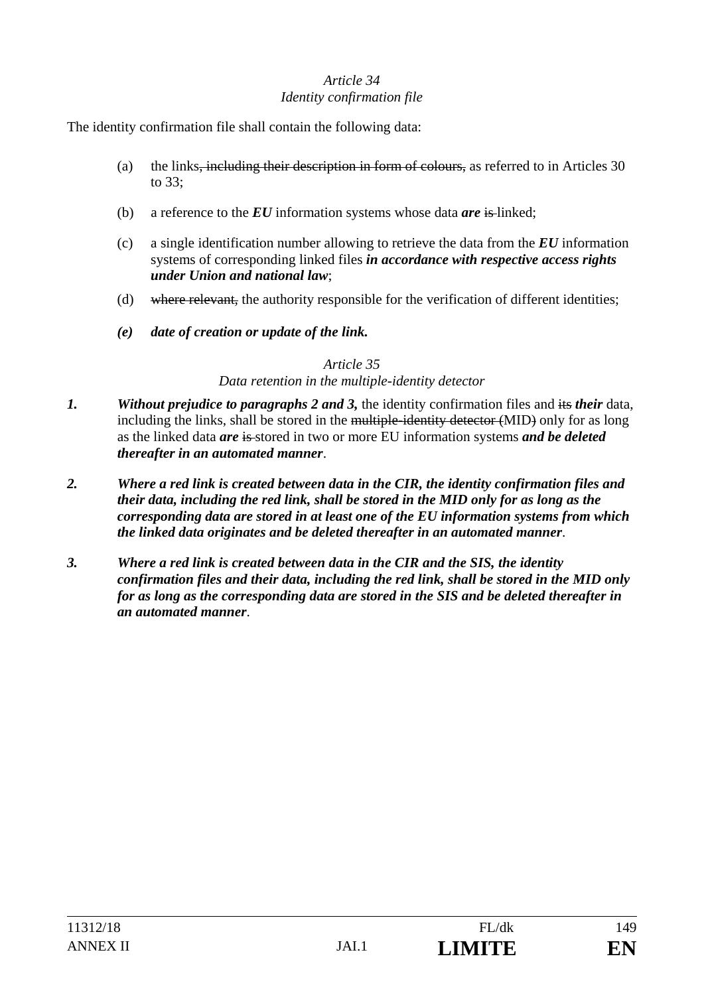### *Article 34 Identity confirmation file*

The identity confirmation file shall contain the following data:

- (a) the links, including their description in form of colours, as referred to in Articles 30 to 33;
- (b) a reference to the *EU* information systems whose data *are* is linked;
- (c) a single identification number allowing to retrieve the data from the *EU* information systems of corresponding linked files *in accordance with respective access rights under Union and national law*;
- (d) where relevant, the authority responsible for the verification of different identities;
- *(e) date of creation or update of the link.*

#### *Article 35*

### *Data retention in the multiple-identity detector*

- *1. Without prejudice to paragraphs 2 and 3,* the identity confirmation files and its *their* data, including the links, shall be stored in the multiple-identity detector (MID) only for as long as the linked data *are* is stored in two or more EU information systems *and be deleted thereafter in an automated manner*.
- *2. Where a red link is created between data in the CIR, the identity confirmation files and their data, including the red link, shall be stored in the MID only for as long as the corresponding data are stored in at least one of the EU information systems from which the linked data originates and be deleted thereafter in an automated manner*.
- *3. Where a red link is created between data in the CIR and the SIS, the identity confirmation files and their data, including the red link, shall be stored in the MID only for as long as the corresponding data are stored in the SIS and be deleted thereafter in an automated manner*.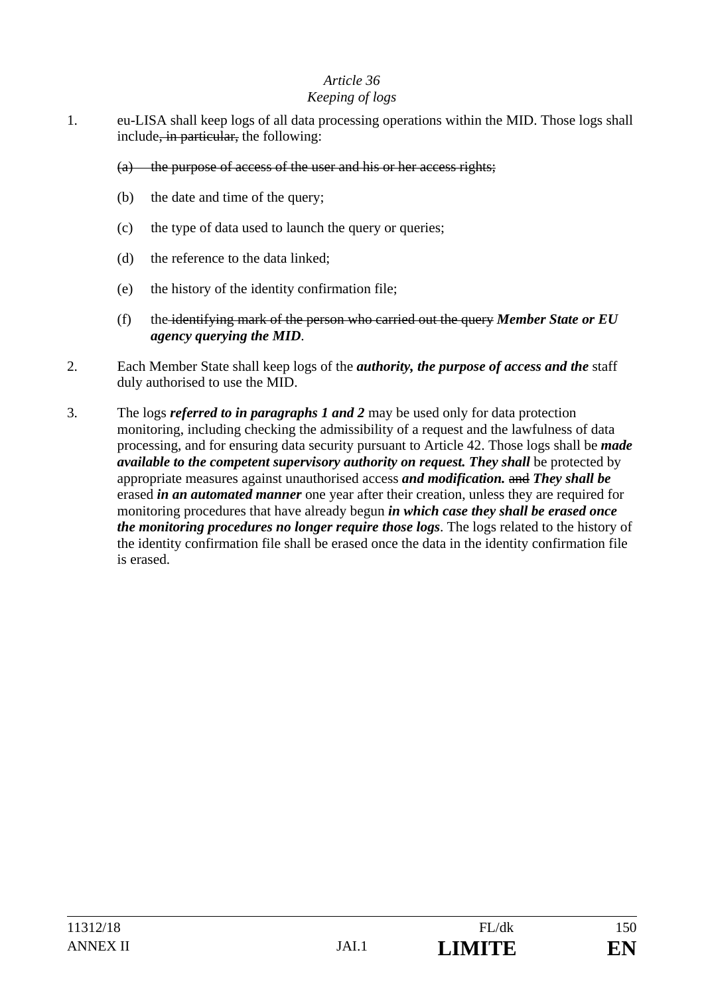### *Keeping of logs*

- 1. eu-LISA shall keep logs of all data processing operations within the MID. Those logs shall include<del>, in particular,</del> the following:
	- (a) the purpose of access of the user and his or her access rights;
	- (b) the date and time of the query;
	- (c) the type of data used to launch the query or queries;
	- (d) the reference to the data linked;
	- (e) the history of the identity confirmation file;
	- (f) the identifying mark of the person who carried out the query *Member State or EU agency querying the MID*.
- 2. Each Member State shall keep logs of the *authority, the purpose of access and the* staff duly authorised to use the MID.
- 3. The logs *referred to in paragraphs 1 and 2* may be used only for data protection monitoring, including checking the admissibility of a request and the lawfulness of data processing, and for ensuring data security pursuant to Article 42. Those logs shall be *made available to the competent supervisory authority on request. They shall be protected by* appropriate measures against unauthorised access *and modification.* and *They shall be* erased *in an automated manner* one year after their creation, unless they are required for monitoring procedures that have already begun *in which case they shall be erased once the monitoring procedures no longer require those logs*. The logs related to the history of the identity confirmation file shall be erased once the data in the identity confirmation file is erased.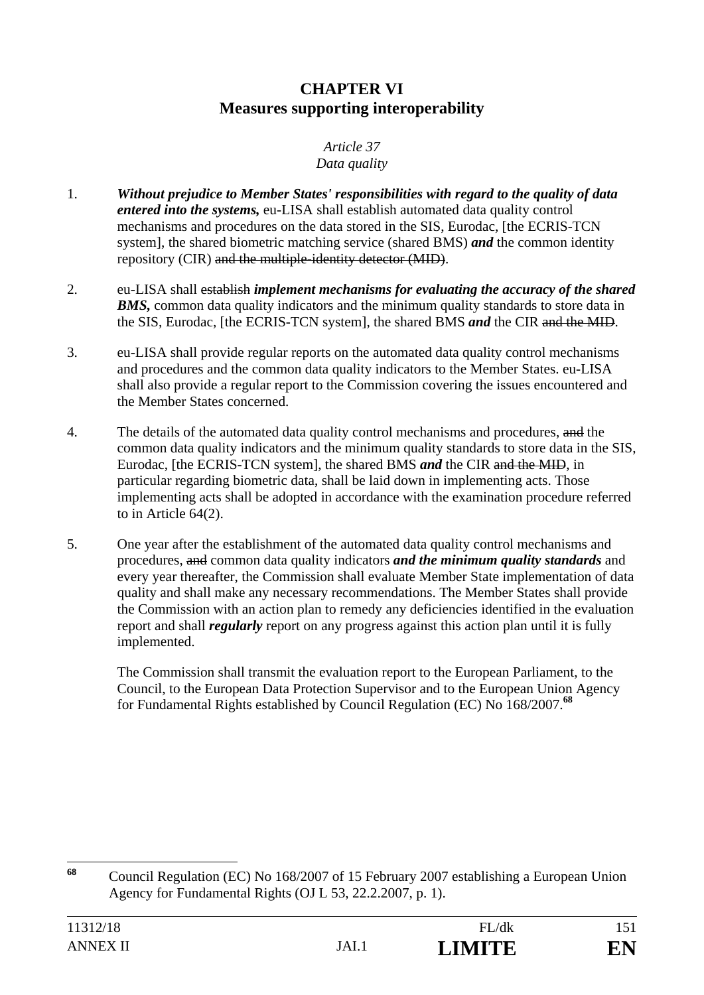# **CHAPTER VI Measures supporting interoperability**

# *Article 37*

### *Data quality*

- 1. *Without prejudice to Member States' responsibilities with regard to the quality of data entered into the systems,* eu-LISA shall establish automated data quality control mechanisms and procedures on the data stored in the SIS, Eurodac, [the ECRIS-TCN system], the shared biometric matching service (shared BMS) *and* the common identity repository (CIR) and the multiple-identity detector (MID).
- 2. eu-LISA shall establish *implement mechanisms for evaluating the accuracy of the shared*  **BMS**, common data quality indicators and the minimum quality standards to store data in the SIS, Eurodac, [the ECRIS-TCN system], the shared BMS *and* the CIR and the MID.
- 3. eu-LISA shall provide regular reports on the automated data quality control mechanisms and procedures and the common data quality indicators to the Member States. eu-LISA shall also provide a regular report to the Commission covering the issues encountered and the Member States concerned.
- 4. The details of the automated data quality control mechanisms and procedures, and the common data quality indicators and the minimum quality standards to store data in the SIS, Eurodac, [the ECRIS-TCN system], the shared BMS *and* the CIR and the MID, in particular regarding biometric data, shall be laid down in implementing acts. Those implementing acts shall be adopted in accordance with the examination procedure referred to in Article 64(2).
- 5. One year after the establishment of the automated data quality control mechanisms and procedures, and common data quality indicators *and the minimum quality standards* and every year thereafter, the Commission shall evaluate Member State implementation of data quality and shall make any necessary recommendations. The Member States shall provide the Commission with an action plan to remedy any deficiencies identified in the evaluation report and shall *regularly* report on any progress against this action plan until it is fully implemented.

 The Commission shall transmit the evaluation report to the European Parliament, to the Council, to the European Data Protection Supervisor and to the European Union Agency for Fundamental Rights established by Council Regulation (EC) No 168/2007.**<sup>68</sup>**

 $68$ **<sup>68</sup>** Council Regulation (EC) No 168/2007 of 15 February 2007 establishing a European Union Agency for Fundamental Rights (OJ L 53, 22.2.2007, p. 1).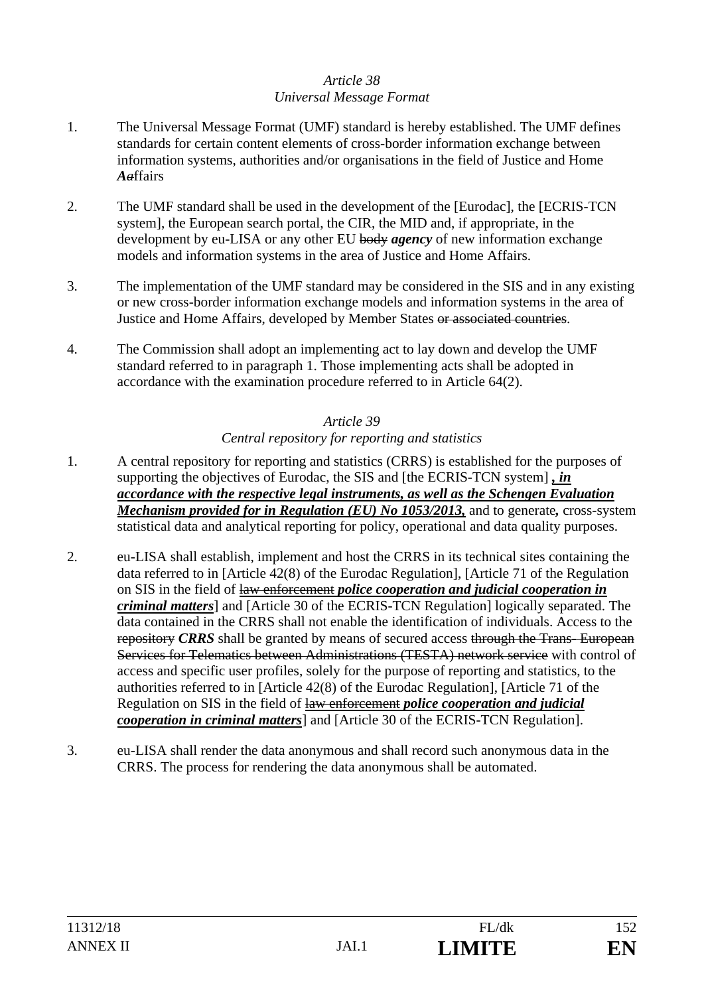### *Article 38 Universal Message Format*

- 1. The Universal Message Format (UMF) standard is hereby established. The UMF defines standards for certain content elements of cross-border information exchange between information systems, authorities and/or organisations in the field of Justice and Home *Aa*ffairs
- 2. The UMF standard shall be used in the development of the [Eurodac], the [ECRIS-TCN system], the European search portal, the CIR, the MID and, if appropriate, in the development by eu-LISA or any other EU body *agency* of new information exchange models and information systems in the area of Justice and Home Affairs.
- 3. The implementation of the UMF standard may be considered in the SIS and in any existing or new cross-border information exchange models and information systems in the area of Justice and Home Affairs, developed by Member States or associated countries.
- 4. The Commission shall adopt an implementing act to lay down and develop the UMF standard referred to in paragraph 1. Those implementing acts shall be adopted in accordance with the examination procedure referred to in Article 64(2).

### *Article 39 Central repository for reporting and statistics*

- 1. A central repository for reporting and statistics (CRRS) is established for the purposes of supporting the objectives of Eurodac, the SIS and [the ECRIS-TCN system] *, in accordance with the respective legal instruments, as well as the Schengen Evaluation Mechanism provided for in Regulation (EU) No 1053/2013,* and to generate*,* cross-system statistical data and analytical reporting for policy, operational and data quality purposes.
- 2. eu-LISA shall establish, implement and host the CRRS in its technical sites containing the data referred to in [Article 42(8) of the Eurodac Regulation], [Article 71 of the Regulation on SIS in the field of law enforcement *police cooperation and judicial cooperation in criminal matters*] and [Article 30 of the ECRIS-TCN Regulation] logically separated. The data contained in the CRRS shall not enable the identification of individuals. Access to the repository *CRRS* shall be granted by means of secured access through the Trans- European Services for Telematics between Administrations (TESTA) network service with control of access and specific user profiles, solely for the purpose of reporting and statistics, to the authorities referred to in [Article 42(8) of the Eurodac Regulation], [Article 71 of the Regulation on SIS in the field of law enforcement *police cooperation and judicial cooperation in criminal matters*] and [Article 30 of the ECRIS-TCN Regulation].
- 3. eu-LISA shall render the data anonymous and shall record such anonymous data in the CRRS. The process for rendering the data anonymous shall be automated.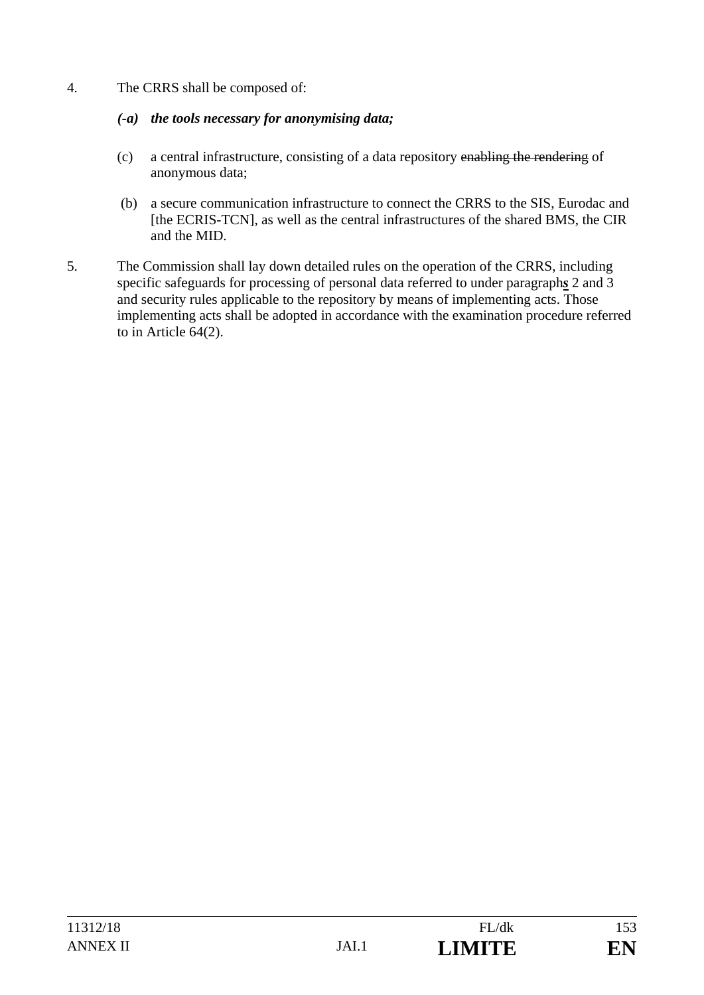4. The CRRS shall be composed of:

### *(-a) the tools necessary for anonymising data;*

- (c) a central infrastructure, consisting of a data repository enabling the rendering of anonymous data;
- (b) a secure communication infrastructure to connect the CRRS to the SIS, Eurodac and [the ECRIS-TCN], as well as the central infrastructures of the shared BMS, the CIR and the MID.
- 5. The Commission shall lay down detailed rules on the operation of the CRRS, including specific safeguards for processing of personal data referred to under paragraph*s* 2 and 3 and security rules applicable to the repository by means of implementing acts. Those implementing acts shall be adopted in accordance with the examination procedure referred to in Article 64(2).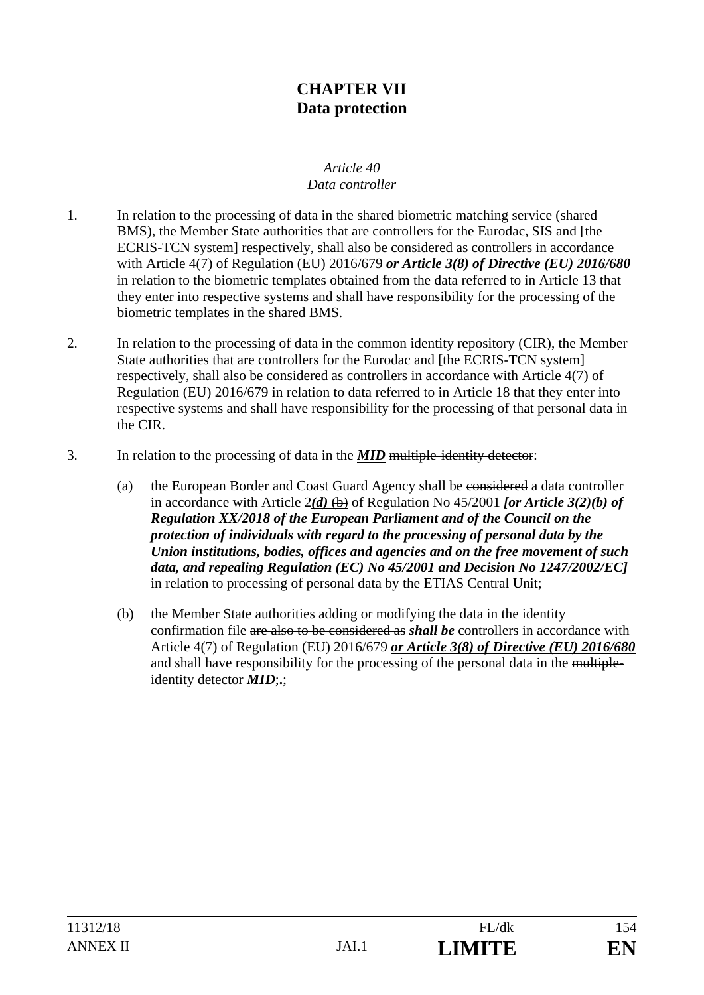# **CHAPTER VII Data protection**

#### *Article 40 Data controller*

- 1. In relation to the processing of data in the shared biometric matching service (shared BMS), the Member State authorities that are controllers for the Eurodac, SIS and [the ECRIS-TCN system] respectively, shall also be considered as controllers in accordance with Article 4(7) of Regulation (EU) 2016/679 *or Article 3(8) of Directive (EU) 2016/680*  in relation to the biometric templates obtained from the data referred to in Article 13 that they enter into respective systems and shall have responsibility for the processing of the biometric templates in the shared BMS.
- 2. In relation to the processing of data in the common identity repository (CIR), the Member State authorities that are controllers for the Eurodac and [the ECRIS-TCN system] respectively, shall also be considered as controllers in accordance with Article 4(7) of Regulation (EU) 2016/679 in relation to data referred to in Article 18 that they enter into respective systems and shall have responsibility for the processing of that personal data in the CIR.
- 3. In relation to the processing of data in the *MID* multiple-identity detector:
	- (a) the European Border and Coast Guard Agency shall be considered a data controller in accordance with Article  $2(d)$   $(b)$  of Regulation No 45/2001 *for Article 3(2)(b) of Regulation XX/2018 of the European Parliament and of the Council on the protection of individuals with regard to the processing of personal data by the Union institutions, bodies, offices and agencies and on the free movement of such data, and repealing Regulation (EC) No 45/2001 and Decision No 1247/2002/EC]* in relation to processing of personal data by the ETIAS Central Unit;
	- (b) the Member State authorities adding or modifying the data in the identity confirmation file are also to be considered as *shall be* controllers in accordance with Article 4(7) of Regulation (EU) 2016/679 *or Article 3(8) of Directive (EU) 2016/680*  and shall have responsibility for the processing of the personal data in the multipleidentity detector *MID*;**.**;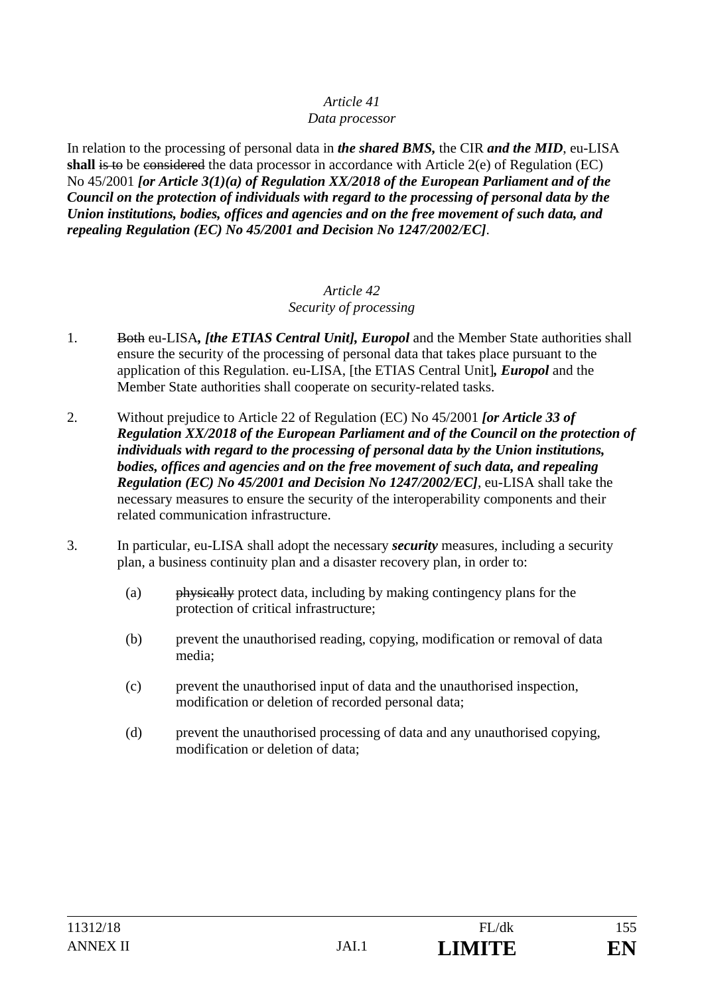#### *Data processor*

In relation to the processing of personal data in *the shared BMS,* the CIR *and the MID*, eu-LISA **shall** is to be considered the data processor in accordance with Article 2(e) of Regulation (EC) No 45/2001 *[or Article 3(1)(a) of Regulation XX/2018 of the European Parliament and of the Council on the protection of individuals with regard to the processing of personal data by the Union institutions, bodies, offices and agencies and on the free movement of such data, and repealing Regulation (EC) No 45/2001 and Decision No 1247/2002/EC]*.

#### *Article 42 Security of processing*

- 1. Both eu-LISA*, [the ETIAS Central Unit], Europol* and the Member State authorities shall ensure the security of the processing of personal data that takes place pursuant to the application of this Regulation. eu-LISA, [the ETIAS Central Unit]*, Europol* and the Member State authorities shall cooperate on security-related tasks.
- 2. Without prejudice to Article 22 of Regulation (EC) No 45/2001 *[or Article 33 of Regulation XX/2018 of the European Parliament and of the Council on the protection of individuals with regard to the processing of personal data by the Union institutions, bodies, offices and agencies and on the free movement of such data, and repealing Regulation (EC) No 45/2001 and Decision No 1247/2002/EC]*, eu-LISA shall take the necessary measures to ensure the security of the interoperability components and their related communication infrastructure.
- 3. In particular, eu-LISA shall adopt the necessary *security* measures, including a security plan, a business continuity plan and a disaster recovery plan, in order to:
	- (a) physically protect data, including by making contingency plans for the protection of critical infrastructure;
	- (b) prevent the unauthorised reading, copying, modification or removal of data media;
	- (c) prevent the unauthorised input of data and the unauthorised inspection, modification or deletion of recorded personal data;
	- (d) prevent the unauthorised processing of data and any unauthorised copying, modification or deletion of data;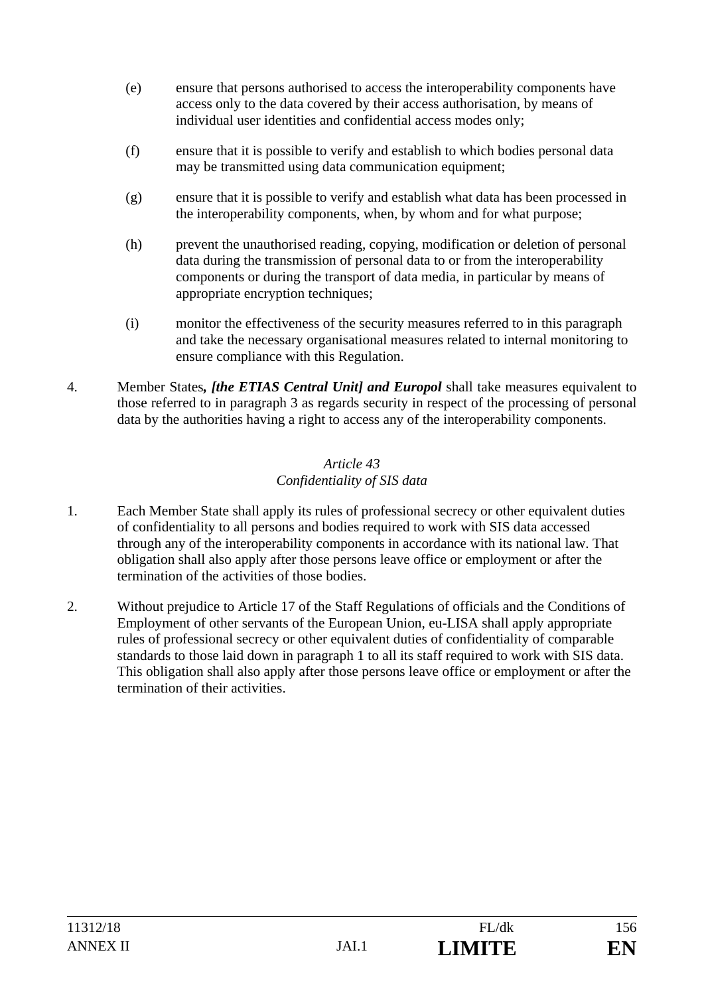- (e) ensure that persons authorised to access the interoperability components have access only to the data covered by their access authorisation, by means of individual user identities and confidential access modes only;
- (f) ensure that it is possible to verify and establish to which bodies personal data may be transmitted using data communication equipment;
- (g) ensure that it is possible to verify and establish what data has been processed in the interoperability components, when, by whom and for what purpose;
- (h) prevent the unauthorised reading, copying, modification or deletion of personal data during the transmission of personal data to or from the interoperability components or during the transport of data media, in particular by means of appropriate encryption techniques;
- (i) monitor the effectiveness of the security measures referred to in this paragraph and take the necessary organisational measures related to internal monitoring to ensure compliance with this Regulation.
- 4. Member States*, [the ETIAS Central Unit] and Europol* shall take measures equivalent to those referred to in paragraph 3 as regards security in respect of the processing of personal data by the authorities having a right to access any of the interoperability components.

### *Article 43 Confidentiality of SIS data*

- 1. Each Member State shall apply its rules of professional secrecy or other equivalent duties of confidentiality to all persons and bodies required to work with SIS data accessed through any of the interoperability components in accordance with its national law. That obligation shall also apply after those persons leave office or employment or after the termination of the activities of those bodies.
- 2. Without prejudice to Article 17 of the Staff Regulations of officials and the Conditions of Employment of other servants of the European Union, eu-LISA shall apply appropriate rules of professional secrecy or other equivalent duties of confidentiality of comparable standards to those laid down in paragraph 1 to all its staff required to work with SIS data. This obligation shall also apply after those persons leave office or employment or after the termination of their activities.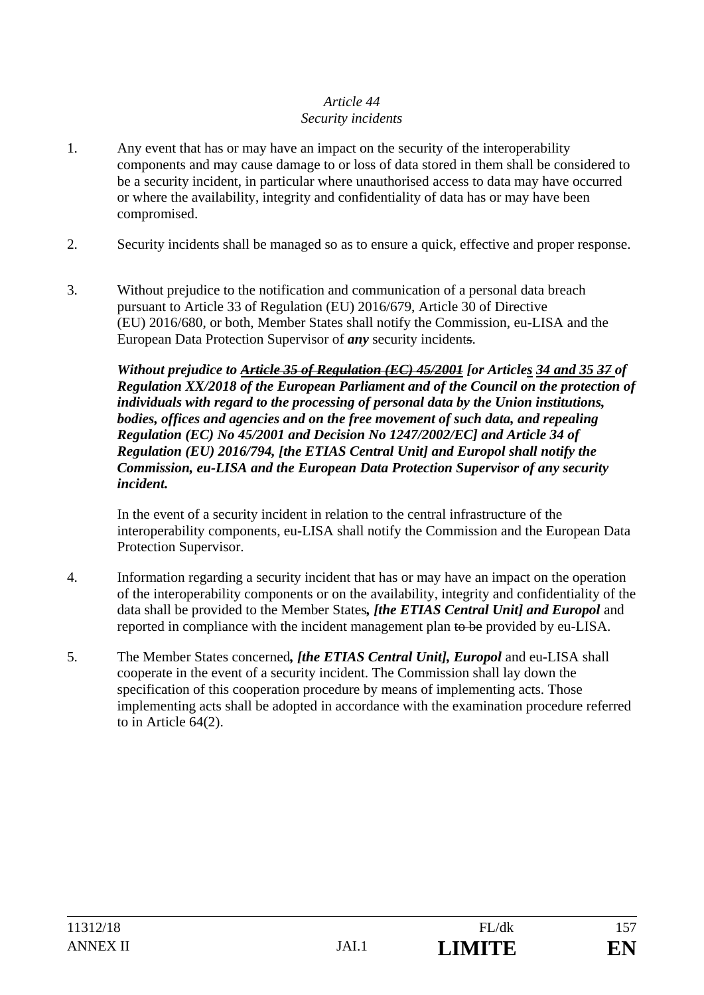### *Article 44 Security incidents*

- 1. Any event that has or may have an impact on the security of the interoperability components and may cause damage to or loss of data stored in them shall be considered to be a security incident, in particular where unauthorised access to data may have occurred or where the availability, integrity and confidentiality of data has or may have been compromised.
- 2. Security incidents shall be managed so as to ensure a quick, effective and proper response.
- 3. Without prejudice to the notification and communication of a personal data breach pursuant to Article 33 of Regulation (EU) 2016/679, Article 30 of Directive (EU) 2016/680, or both, Member States shall notify the Commission, eu-LISA and the European Data Protection Supervisor of *any* security incidents.

*Without prejudice to Article 35 of Regulation (EC) 45/2001 [or Articles 34 and 35 37 of Regulation XX/2018 of the European Parliament and of the Council on the protection of individuals with regard to the processing of personal data by the Union institutions, bodies, offices and agencies and on the free movement of such data, and repealing Regulation (EC) No 45/2001 and Decision No 1247/2002/EC] and Article 34 of Regulation (EU) 2016/794, [the ETIAS Central Unit] and Europol shall notify the Commission, eu-LISA and the European Data Protection Supervisor of any security incident.*

 In the event of a security incident in relation to the central infrastructure of the interoperability components, eu-LISA shall notify the Commission and the European Data Protection Supervisor.

- 4. Information regarding a security incident that has or may have an impact on the operation of the interoperability components or on the availability, integrity and confidentiality of the data shall be provided to the Member States*, [the ETIAS Central Unit] and Europol* and reported in compliance with the incident management plan to be provided by eu-LISA.
- 5. The Member States concerned*, [the ETIAS Central Unit], Europol* and eu-LISA shall cooperate in the event of a security incident. The Commission shall lay down the specification of this cooperation procedure by means of implementing acts. Those implementing acts shall be adopted in accordance with the examination procedure referred to in Article 64(2).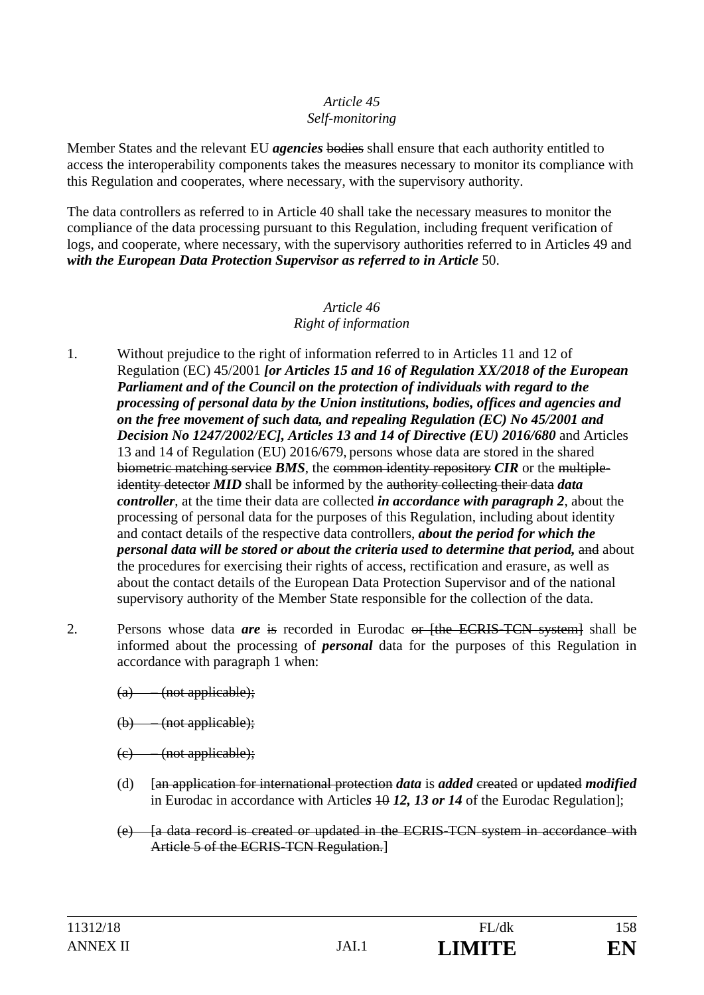#### *Article 45 Self-monitoring*

Member States and the relevant EU *agencies* bodies shall ensure that each authority entitled to access the interoperability components takes the measures necessary to monitor its compliance with this Regulation and cooperates, where necessary, with the supervisory authority.

The data controllers as referred to in Article 40 shall take the necessary measures to monitor the compliance of the data processing pursuant to this Regulation, including frequent verification of logs, and cooperate, where necessary, with the supervisory authorities referred to in Articles 49 and with the European Data Protection Supervisor as referred to in Article 50.

#### *Article 46 Right of information*

- 1. Without prejudice to the right of information referred to in Articles 11 and 12 of Regulation (EC) 45/2001 *[or Articles 15 and 16 of Regulation XX/2018 of the European Parliament and of the Council on the protection of individuals with regard to the processing of personal data by the Union institutions, bodies, offices and agencies and on the free movement of such data, and repealing Regulation (EC) No 45/2001 and Decision No 1247/2002/EC], Articles 13 and 14 of Directive (EU) 2016/680* and Articles 13 and 14 of Regulation (EU) 2016/679, persons whose data are stored in the shared biometric matching service *BMS*, the common identity repository *CIR* or the multipleidentity detector *MID* shall be informed by the authority collecting their data *data controller*, at the time their data are collected *in accordance with paragraph 2*, about the processing of personal data for the purposes of this Regulation, including about identity and contact details of the respective data controllers, *about the period for which the personal data will be stored or about the criteria used to determine that period, and about* the procedures for exercising their rights of access, rectification and erasure, as well as about the contact details of the European Data Protection Supervisor and of the national supervisory authority of the Member State responsible for the collection of the data.
- 2. Persons whose data *are* is recorded in Eurodac or [the ECRIS-TCN system] shall be informed about the processing of *personal* data for the purposes of this Regulation in accordance with paragraph 1 when:
	- (a) (not applicable);
	- (b) (not applicable);
	- $(e)$  (not applicable);
	- (d) [an application for international protection *data* is *added* created or updated *modified* in Eurodac in accordance with Articles 40 12, 13 or 14 of the Eurodac Regulation];
	- (e) [a data record is created or updated in the ECRIS-TCN system in accordance with Article 5 of the ECRIS-TCN Regulation.]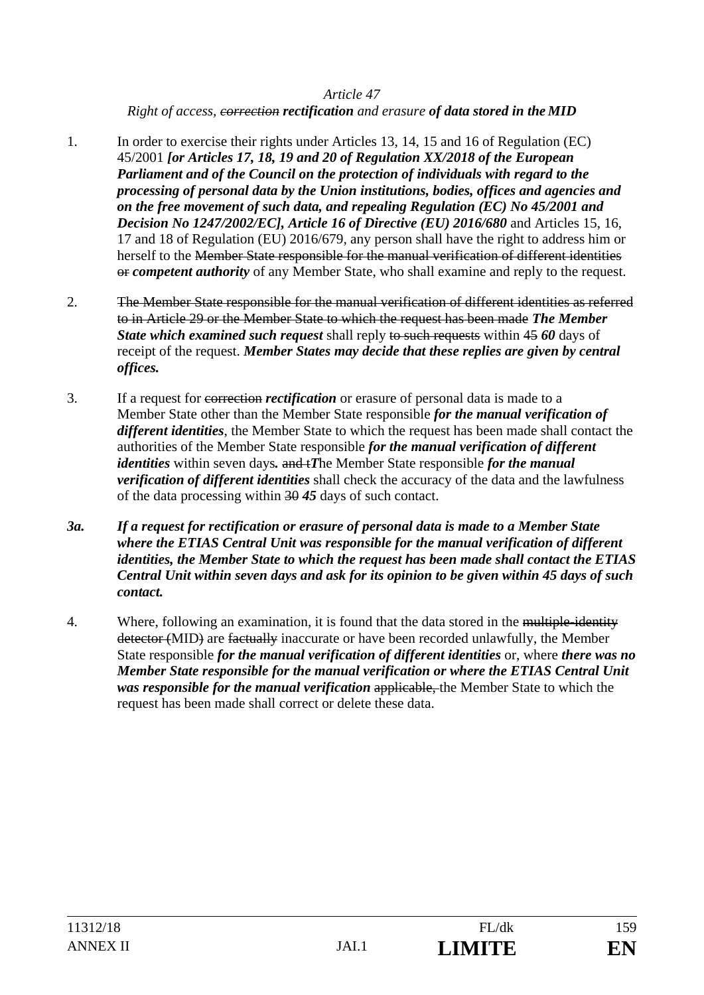*Right of access, correction rectification and erasure of data stored in the MID*

- 1. In order to exercise their rights under Articles 13, 14, 15 and 16 of Regulation (EC) 45/2001 *[or Articles 17, 18, 19 and 20 of Regulation XX/2018 of the European Parliament and of the Council on the protection of individuals with regard to the processing of personal data by the Union institutions, bodies, offices and agencies and on the free movement of such data, and repealing Regulation (EC) No 45/2001 and Decision No 1247/2002/EC], Article 16 of Directive (EU) 2016/680 and Articles 15, 16,* 17 and 18 of Regulation (EU) 2016/679, any person shall have the right to address him or herself to the Member State responsible for the manual verification of different identities or *competent authority* of any Member State, who shall examine and reply to the request.
- 2. The Member State responsible for the manual verification of different identities as referred to in Article 29 or the Member State to which the request has been made *The Member State which examined such request* shall reply to such requests within 45 60 days of receipt of the request. *Member States may decide that these replies are given by central offices.*
- 3. If a request for correction *rectification* or erasure of personal data is made to a Member State other than the Member State responsible *for the manual verification of different identities*, the Member State to which the request has been made shall contact the authorities of the Member State responsible *for the manual verification of different identities* within seven days. and *iThe Member State responsible for the manual verification of different identities* shall check the accuracy of the data and the lawfulness of the data processing within 30 *45* days of such contact.
- *3a. If a request for rectification or erasure of personal data is made to a Member State where the ETIAS Central Unit was responsible for the manual verification of different identities, the Member State to which the request has been made shall contact the ETIAS Central Unit within seven days and ask for its opinion to be given within 45 days of such contact.*
- 4. Where, following an examination, it is found that the data stored in the multiple-identity detector (MID) are factually inaccurate or have been recorded unlawfully, the Member State responsible *for the manual verification of different identities* or, where *there was no Member State responsible for the manual verification or where the ETIAS Central Unit was responsible for the manual verification* applicable, the Member State to which the request has been made shall correct or delete these data.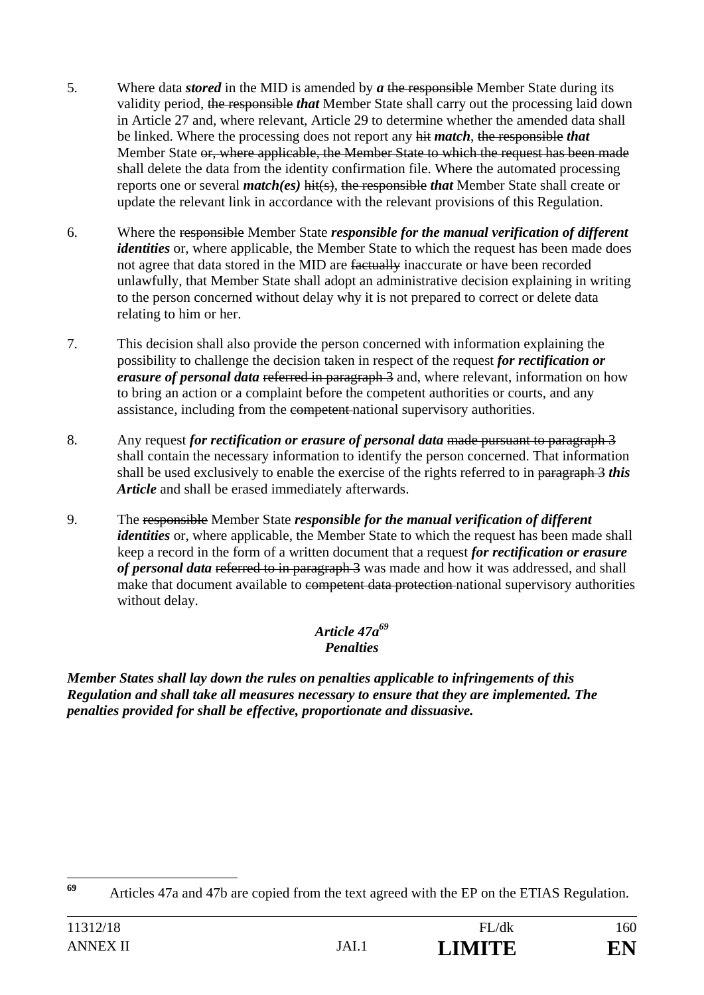- 5. Where data *stored* in the MID is amended by *a* the responsible Member State during its validity period, the responsible *that* Member State shall carry out the processing laid down in Article 27 and, where relevant, Article 29 to determine whether the amended data shall be linked. Where the processing does not report any hit *match*, the responsible *that* Member State or, where applicable, the Member State to which the request has been made shall delete the data from the identity confirmation file. Where the automated processing reports one or several *match(es)* hit(s), the responsible *that* Member State shall create or update the relevant link in accordance with the relevant provisions of this Regulation.
- 6. Where the responsible Member State *responsible for the manual verification of different identities* or, where applicable, the Member State to which the request has been made does not agree that data stored in the MID are factually inaccurate or have been recorded unlawfully, that Member State shall adopt an administrative decision explaining in writing to the person concerned without delay why it is not prepared to correct or delete data relating to him or her.
- 7. This decision shall also provide the person concerned with information explaining the possibility to challenge the decision taken in respect of the request *for rectification or erasure of personal data* referred in paragraph 3 and, where relevant, information on how to bring an action or a complaint before the competent authorities or courts, and any assistance, including from the competent national supervisory authorities.
- 8. Any request *for rectification or erasure of personal data* made pursuant to paragraph 3 shall contain the necessary information to identify the person concerned. That information shall be used exclusively to enable the exercise of the rights referred to in paragraph 3 *this Article* and shall be erased immediately afterwards.
- 9. The responsible Member State *responsible for the manual verification of different identities* or, where applicable, the Member State to which the request has been made shall keep a record in the form of a written document that a request *for rectification or erasure of personal data* referred to in paragraph 3 was made and how it was addressed, and shall make that document available to competent data protection national supervisory authorities without delay.

### *Article 47a69 Penalties*

*Member States shall lay down the rules on penalties applicable to infringements of this Regulation and shall take all measures necessary to ensure that they are implemented. The penalties provided for shall be effective, proportionate and dissuasive.* 

 $69$ **<sup>69</sup>** Articles 47a and 47b are copied from the text agreed with the EP on the ETIAS Regulation.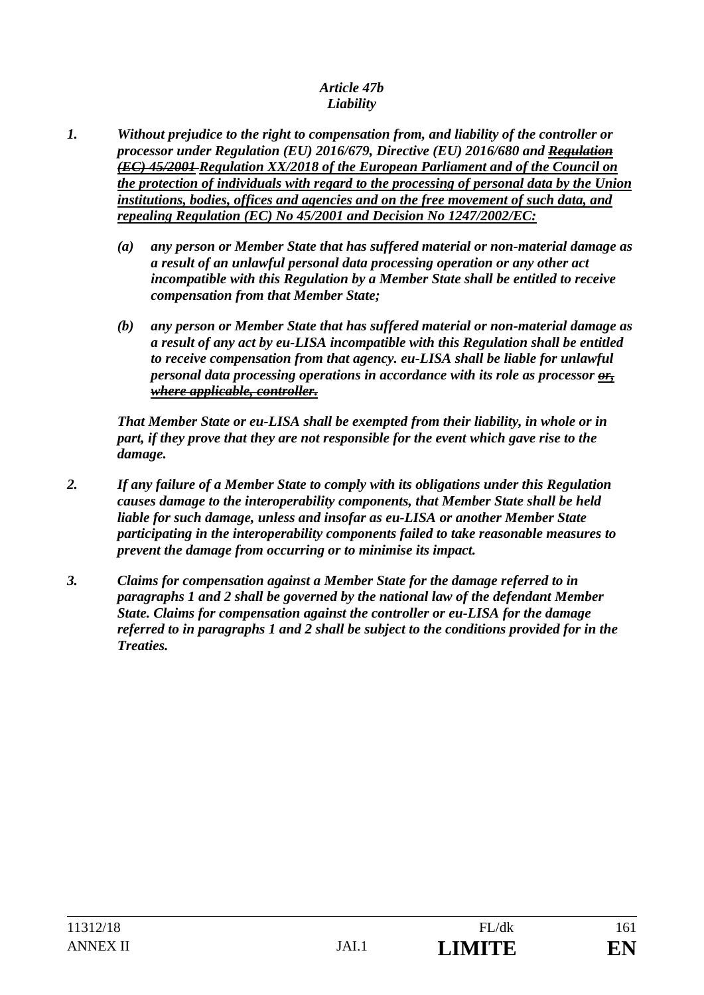#### *Article 47b Liability*

- *1. Without prejudice to the right to compensation from, and liability of the controller or processor under Regulation (EU) 2016/679, Directive (EU) 2016/680 and Regulation (EC) 45/2001 Regulation XX/2018 of the European Parliament and of the Council on the protection of individuals with regard to the processing of personal data by the Union institutions, bodies, offices and agencies and on the free movement of such data, and repealing Regulation (EC) No 45/2001 and Decision No 1247/2002/EC:* 
	- *(a) any person or Member State that has suffered material or non-material damage as a result of an unlawful personal data processing operation or any other act incompatible with this Regulation by a Member State shall be entitled to receive compensation from that Member State;*
	- *(b) any person or Member State that has suffered material or non-material damage as a result of any act by eu-LISA incompatible with this Regulation shall be entitled to receive compensation from that agency. eu-LISA shall be liable for unlawful personal data processing operations in accordance with its role as processor or, where applicable, controller.*

*That Member State or eu-LISA shall be exempted from their liability, in whole or in part, if they prove that they are not responsible for the event which gave rise to the damage.* 

- *2. If any failure of a Member State to comply with its obligations under this Regulation causes damage to the interoperability components, that Member State shall be held liable for such damage, unless and insofar as eu-LISA or another Member State participating in the interoperability components failed to take reasonable measures to prevent the damage from occurring or to minimise its impact.*
- *3. Claims for compensation against a Member State for the damage referred to in paragraphs 1 and 2 shall be governed by the national law of the defendant Member State. Claims for compensation against the controller or eu-LISA for the damage referred to in paragraphs 1 and 2 shall be subject to the conditions provided for in the Treaties.*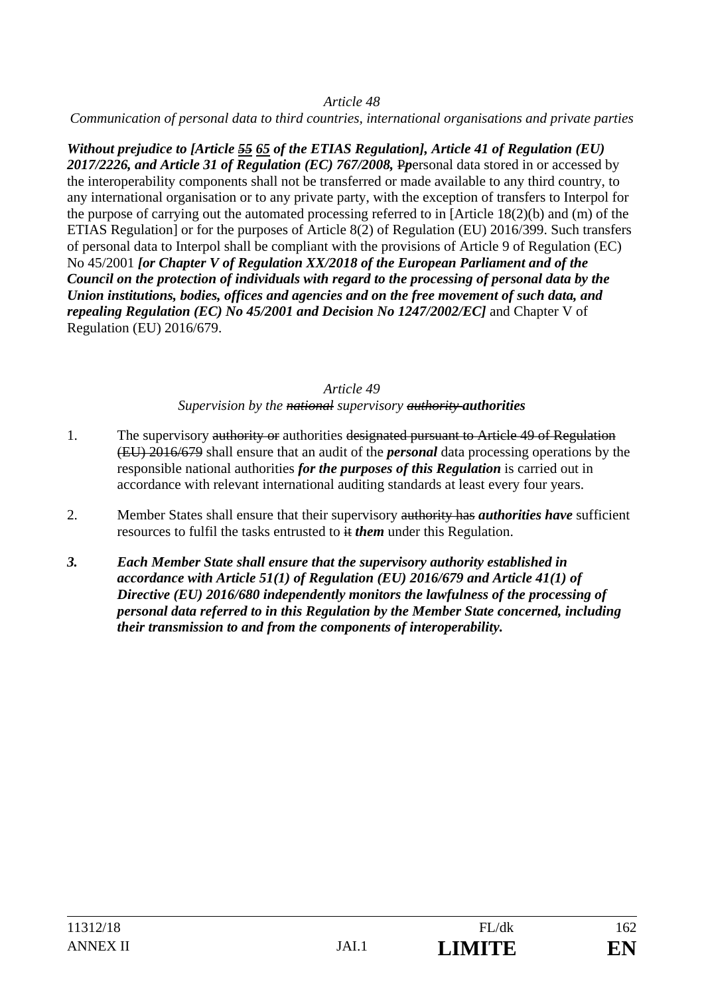*Communication of personal data to third countries, international organisations and private parties* 

*Without prejudice to [Article 55 65 of the ETIAS Regulation], Article 41 of Regulation (EU) 2017/2226, and Article 31 of Regulation (EC) 767/2008,* P*p*ersonal data stored in or accessed by the interoperability components shall not be transferred or made available to any third country, to any international organisation or to any private party, with the exception of transfers to Interpol for the purpose of carrying out the automated processing referred to in [Article 18(2)(b) and (m) of the ETIAS Regulation] or for the purposes of Article 8(2) of Regulation (EU) 2016/399. Such transfers of personal data to Interpol shall be compliant with the provisions of Article 9 of Regulation (EC) No 45/2001 *[or Chapter V of Regulation XX/2018 of the European Parliament and of the Council on the protection of individuals with regard to the processing of personal data by the Union institutions, bodies, offices and agencies and on the free movement of such data, and repealing Regulation (EC) No 45/2001 and Decision No 1247/2002/EC]* and Chapter V of Regulation (EU) 2016/679.

### *Article 49*

*Supervision by the national supervisory authority authorities*

- 1. The supervisory authority or authorities designated pursuant to Article 49 of Regulation (EU) 2016/679 shall ensure that an audit of the *personal* data processing operations by the responsible national authorities *for the purposes of this Regulation* is carried out in accordance with relevant international auditing standards at least every four years.
- 2. Member States shall ensure that their supervisory authority has *authorities have* sufficient resources to fulfil the tasks entrusted to  $\#$  *them* under this Regulation.
- *3. Each Member State shall ensure that the supervisory authority established in accordance with Article 51(1) of Regulation (EU) 2016/679 and Article 41(1) of Directive (EU) 2016/680 independently monitors the lawfulness of the processing of personal data referred to in this Regulation by the Member State concerned, including their transmission to and from the components of interoperability.*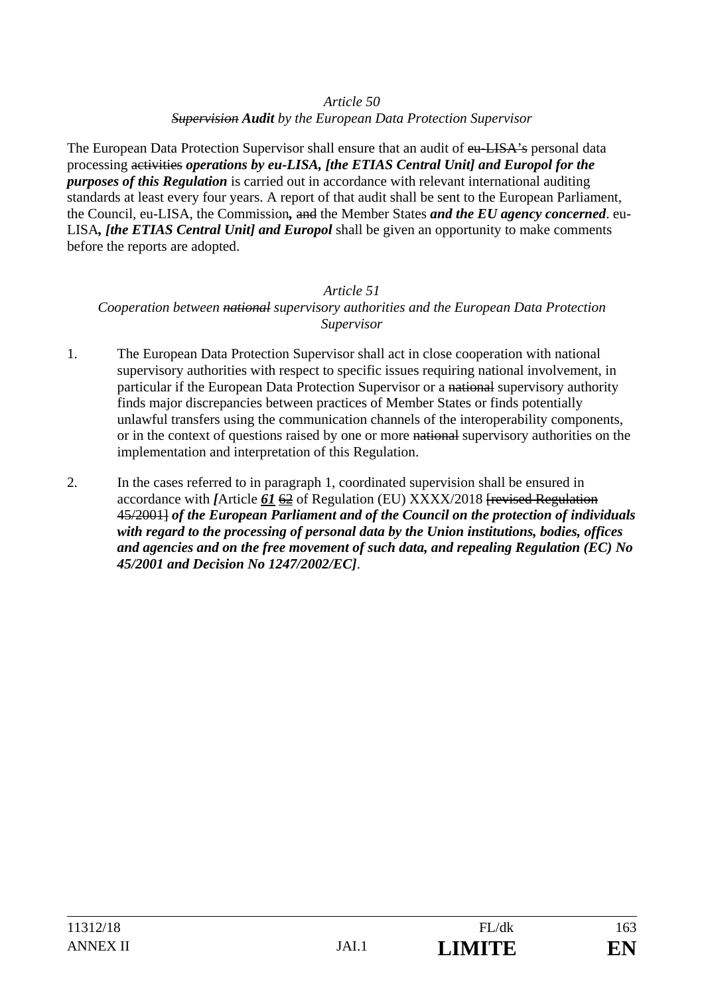*Supervision Audit by the European Data Protection Supervisor* 

The European Data Protection Supervisor shall ensure that an audit of eu-LISA's personal data processing activities *operations by eu-LISA, [the ETIAS Central Unit] and Europol for the purposes of this Regulation* is carried out in accordance with relevant international auditing standards at least every four years. A report of that audit shall be sent to the European Parliament, the Council, eu-LISA, the Commission*,* and the Member States *and the EU agency concerned*. eu-LISA*, [the ETIAS Central Unit] and Europol* shall be given an opportunity to make comments before the reports are adopted.

### *Article 51 Cooperation between national supervisory authorities and the European Data Protection Supervisor*

- 1. The European Data Protection Supervisor shall act in close cooperation with national supervisory authorities with respect to specific issues requiring national involvement, in particular if the European Data Protection Supervisor or a national supervisory authority finds major discrepancies between practices of Member States or finds potentially unlawful transfers using the communication channels of the interoperability components, or in the context of questions raised by one or more national supervisory authorities on the implementation and interpretation of this Regulation.
- 2. In the cases referred to in paragraph 1, coordinated supervision shall be ensured in accordance with *[*Article *61* 62 of Regulation (EU) XXXX/2018 [revised Regulation 45/2001] *of the European Parliament and of the Council on the protection of individuals with regard to the processing of personal data by the Union institutions, bodies, offices and agencies and on the free movement of such data, and repealing Regulation (EC) No 45/2001 and Decision No 1247/2002/EC]*.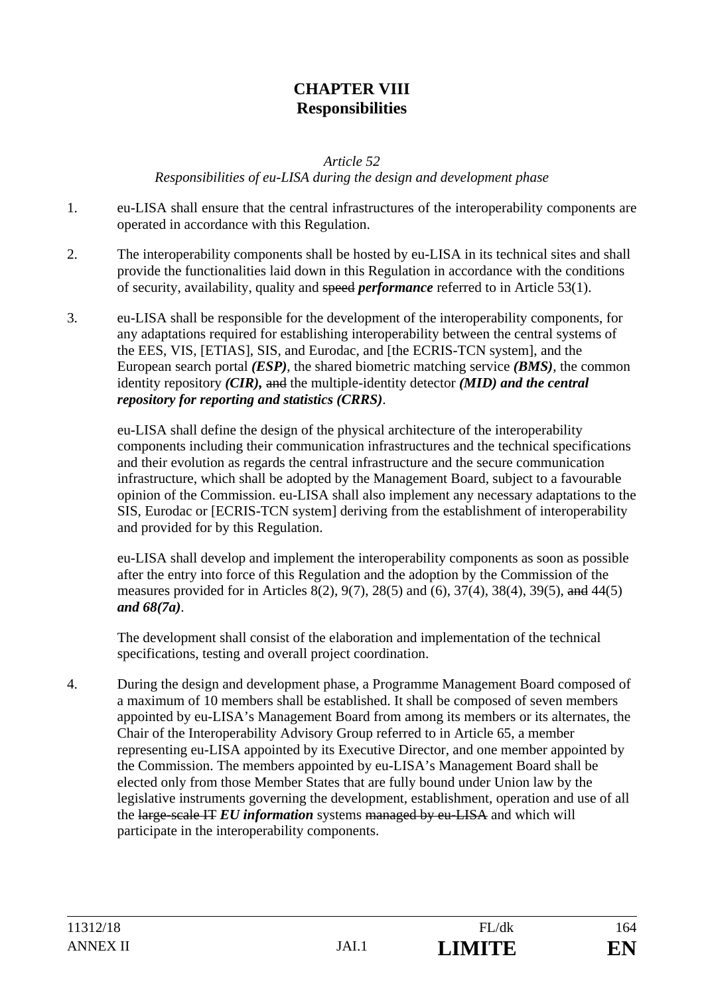## **CHAPTER VIII Responsibilities**

*Article 52* 

*Responsibilities of eu-LISA during the design and development phase* 

- 1. eu-LISA shall ensure that the central infrastructures of the interoperability components are operated in accordance with this Regulation.
- 2. The interoperability components shall be hosted by eu-LISA in its technical sites and shall provide the functionalities laid down in this Regulation in accordance with the conditions of security, availability, quality and speed *performance* referred to in Article 53(1).
- 3. eu-LISA shall be responsible for the development of the interoperability components, for any adaptations required for establishing interoperability between the central systems of the EES, VIS, [ETIAS], SIS, and Eurodac, and [the ECRIS-TCN system], and the European search portal *(ESP)*, the shared biometric matching service *(BMS)*, the common identity repository *(CIR),* and the multiple-identity detector *(MID) and the central repository for reporting and statistics (CRRS)*.

eu-LISA shall define the design of the physical architecture of the interoperability components including their communication infrastructures and the technical specifications and their evolution as regards the central infrastructure and the secure communication infrastructure, which shall be adopted by the Management Board, subject to a favourable opinion of the Commission. eu-LISA shall also implement any necessary adaptations to the SIS, Eurodac or [ECRIS-TCN system] deriving from the establishment of interoperability and provided for by this Regulation.

eu-LISA shall develop and implement the interoperability components as soon as possible after the entry into force of this Regulation and the adoption by the Commission of the measures provided for in Articles 8(2), 9(7), 28(5) and (6), 37(4), 38(4), 39(5), and 44(5) *and 68(7a)*.

The development shall consist of the elaboration and implementation of the technical specifications, testing and overall project coordination.

4. During the design and development phase, a Programme Management Board composed of a maximum of 10 members shall be established. It shall be composed of seven members appointed by eu-LISA's Management Board from among its members or its alternates, the Chair of the Interoperability Advisory Group referred to in Article 65, a member representing eu-LISA appointed by its Executive Director, and one member appointed by the Commission. The members appointed by eu-LISA's Management Board shall be elected only from those Member States that are fully bound under Union law by the legislative instruments governing the development, establishment, operation and use of all the large-scale IT *EU information* systems managed by eu-LISA and which will participate in the interoperability components.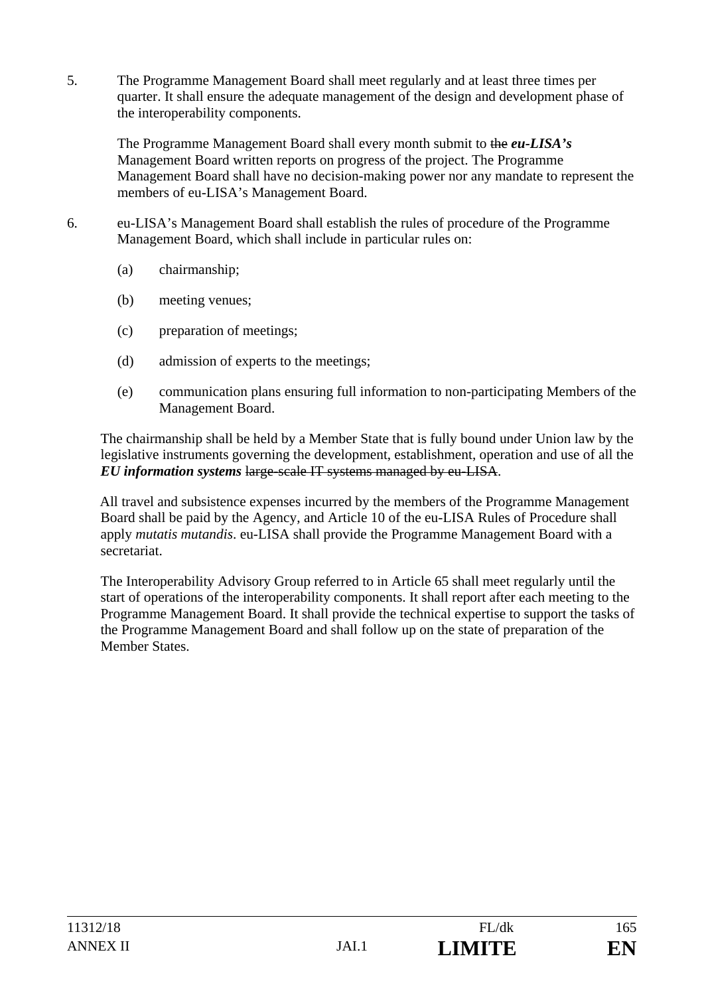5. The Programme Management Board shall meet regularly and at least three times per quarter. It shall ensure the adequate management of the design and development phase of the interoperability components.

The Programme Management Board shall every month submit to the *eu-LISA's* Management Board written reports on progress of the project. The Programme Management Board shall have no decision-making power nor any mandate to represent the members of eu-LISA's Management Board.

- 6. eu-LISA's Management Board shall establish the rules of procedure of the Programme Management Board, which shall include in particular rules on:
	- (a) chairmanship;
	- (b) meeting venues;
	- (c) preparation of meetings;
	- (d) admission of experts to the meetings;
	- (e) communication plans ensuring full information to non-participating Members of the Management Board.

The chairmanship shall be held by a Member State that is fully bound under Union law by the legislative instruments governing the development, establishment, operation and use of all the *EU information systems* large-scale IT systems managed by eu-LISA.

All travel and subsistence expenses incurred by the members of the Programme Management Board shall be paid by the Agency, and Article 10 of the eu-LISA Rules of Procedure shall apply *mutatis mutandis*. eu-LISA shall provide the Programme Management Board with a secretariat.

The Interoperability Advisory Group referred to in Article 65 shall meet regularly until the start of operations of the interoperability components. It shall report after each meeting to the Programme Management Board. It shall provide the technical expertise to support the tasks of the Programme Management Board and shall follow up on the state of preparation of the Member States.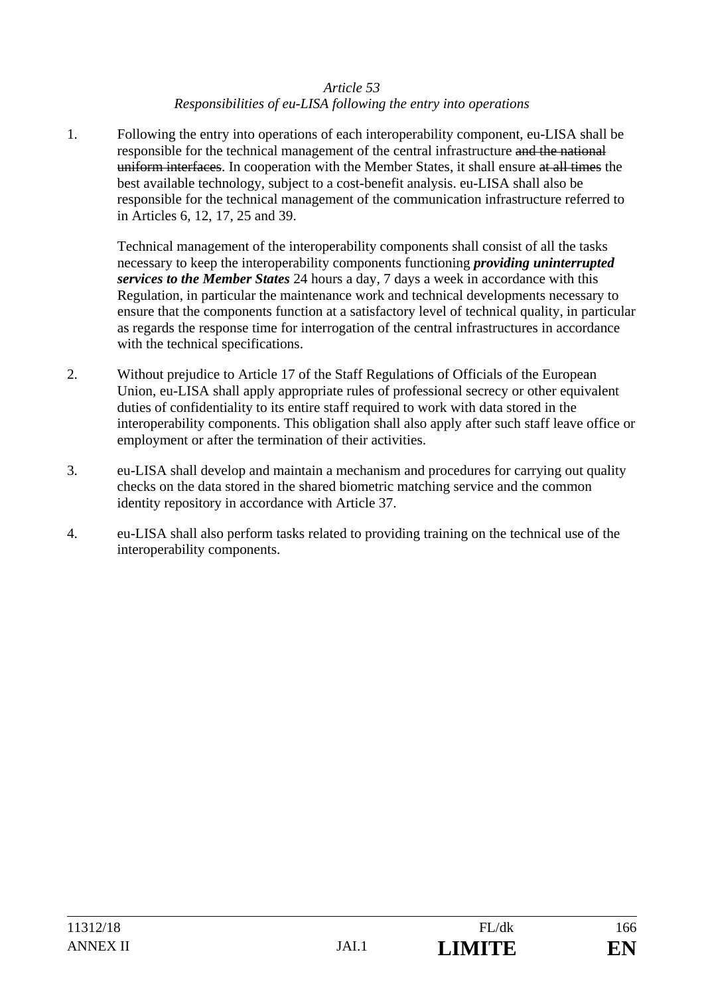### *Responsibilities of eu-LISA following the entry into operations*

1. Following the entry into operations of each interoperability component, eu-LISA shall be responsible for the technical management of the central infrastructure and the national uniform interfaces. In cooperation with the Member States, it shall ensure at all times the best available technology, subject to a cost-benefit analysis. eu-LISA shall also be responsible for the technical management of the communication infrastructure referred to in Articles 6, 12, 17, 25 and 39.

Technical management of the interoperability components shall consist of all the tasks necessary to keep the interoperability components functioning *providing uninterrupted services to the Member States* 24 hours a day, 7 days a week in accordance with this Regulation, in particular the maintenance work and technical developments necessary to ensure that the components function at a satisfactory level of technical quality, in particular as regards the response time for interrogation of the central infrastructures in accordance with the technical specifications.

- 2. Without prejudice to Article 17 of the Staff Regulations of Officials of the European Union, eu-LISA shall apply appropriate rules of professional secrecy or other equivalent duties of confidentiality to its entire staff required to work with data stored in the interoperability components. This obligation shall also apply after such staff leave office or employment or after the termination of their activities.
- 3. eu-LISA shall develop and maintain a mechanism and procedures for carrying out quality checks on the data stored in the shared biometric matching service and the common identity repository in accordance with Article 37.
- 4. eu-LISA shall also perform tasks related to providing training on the technical use of the interoperability components.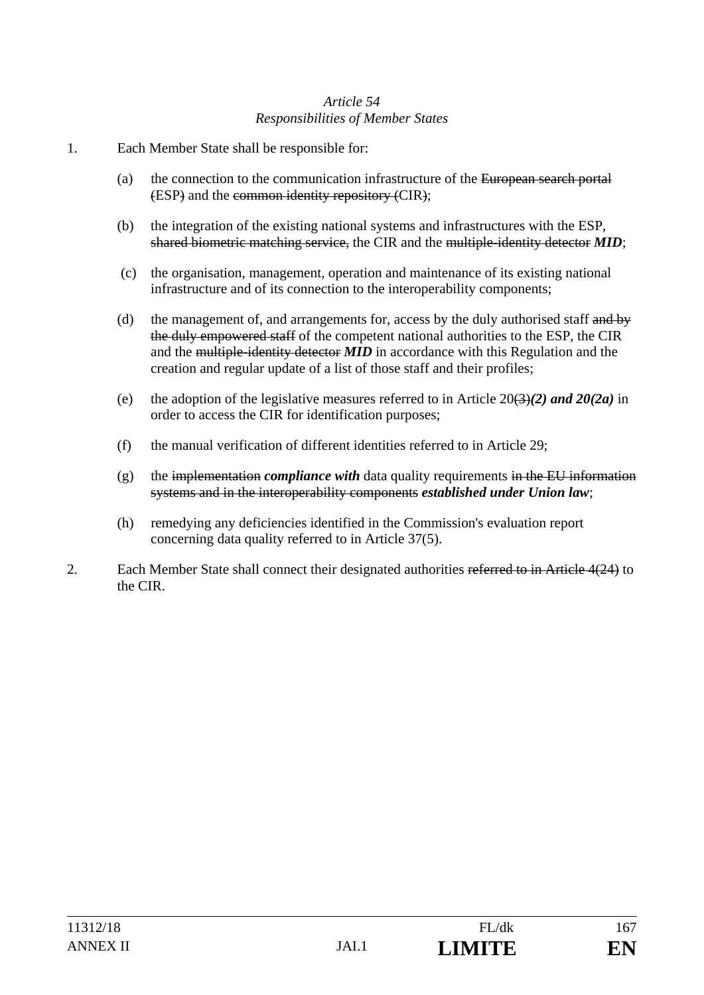### *Article 54 Responsibilities of Member States*

- 1. Each Member State shall be responsible for:
	- (a) the connection to the communication infrastructure of the European search portal (ESP) and the common identity repository (CIR);
	- (b) the integration of the existing national systems and infrastructures with the ESP, shared biometric matching service, the CIR and the multiple-identity detector *MID*;
	- (c) the organisation, management, operation and maintenance of its existing national infrastructure and of its connection to the interoperability components;
	- (d) the management of, and arrangements for, access by the duly authorised staff and by the duly empowered staff of the competent national authorities to the ESP, the CIR and the multiple-identity detector *MID* in accordance with this Regulation and the creation and regular update of a list of those staff and their profiles;
	- (e) the adoption of the legislative measures referred to in Article  $20(3)(2)$  and  $20(2a)$  in order to access the CIR for identification purposes;
	- (f) the manual verification of different identities referred to in Article 29;
	- $(g)$  the implementation *compliance with* data quality requirements in the EU information systems and in the interoperability components *established under Union law*;
	- (h) remedying any deficiencies identified in the Commission's evaluation report concerning data quality referred to in Article 37(5).
- 2. Each Member State shall connect their designated authorities referred to in Article 4(24) to the CIR.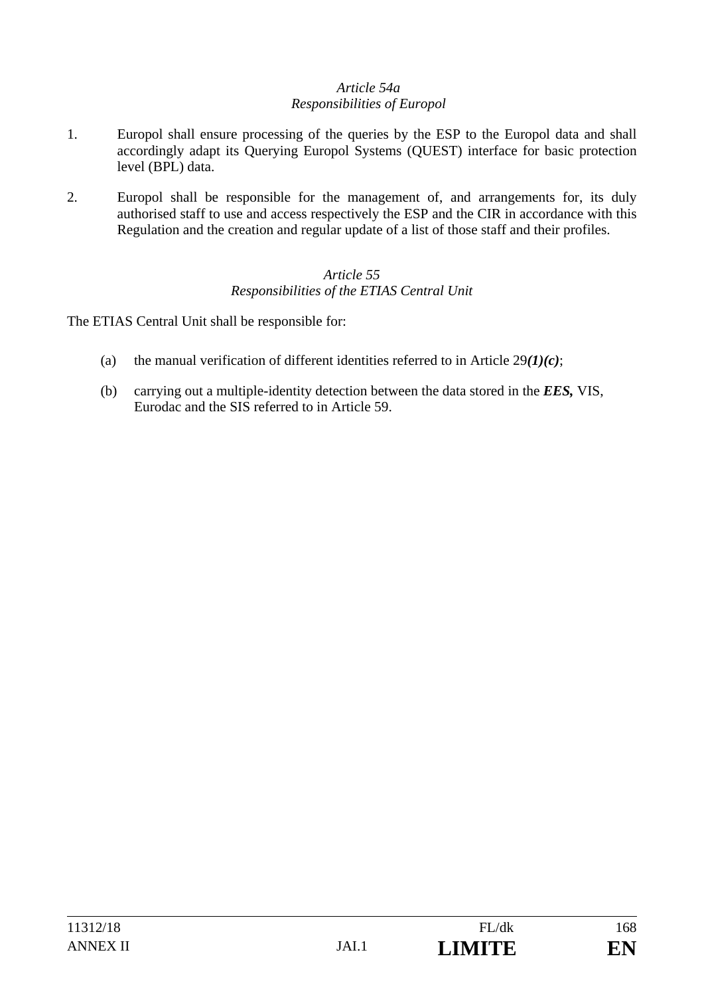### *Article 54a Responsibilities of Europol*

- 1. Europol shall ensure processing of the queries by the ESP to the Europol data and shall accordingly adapt its Querying Europol Systems (QUEST) interface for basic protection level (BPL) data.
- 2. Europol shall be responsible for the management of, and arrangements for, its duly authorised staff to use and access respectively the ESP and the CIR in accordance with this Regulation and the creation and regular update of a list of those staff and their profiles.

### *Article 55 Responsibilities of the ETIAS Central Unit*

The ETIAS Central Unit shall be responsible for:

- (a) the manual verification of different identities referred to in Article 29*(1)(c)*;
- (b) carrying out a multiple-identity detection between the data stored in the *EES,* VIS, Eurodac and the SIS referred to in Article 59.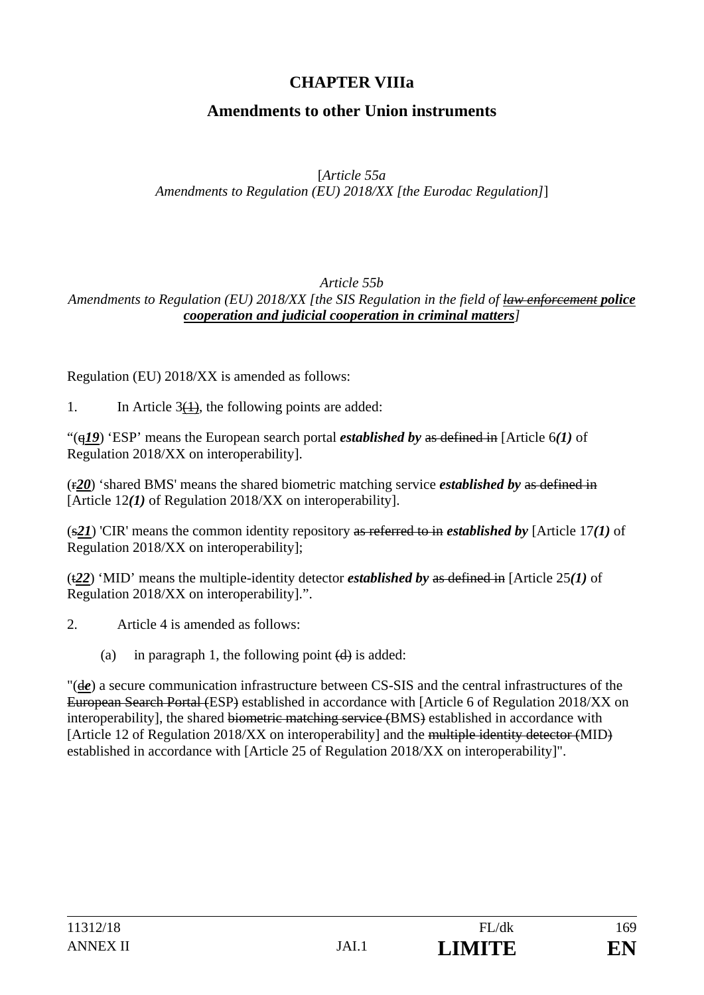# **CHAPTER VIIIa**

# **Amendments to other Union instruments**

### [*Article 55a*

*Amendments to Regulation (EU) 2018/XX [the Eurodac Regulation]*]

#### *Article 55b Amendments to Regulation (EU) 2018/XX [the SIS Regulation in the field of law enforcement police cooperation and judicial cooperation in criminal matters]*

Regulation (EU) 2018/XX is amended as follows:

1. In Article  $3(1)$ , the following points are added:

"(q*19*) 'ESP' means the European search portal *established by* as defined in [Article 6*(1)* of Regulation 2018/XX on interoperability].

(r*20*) 'shared BMS' means the shared biometric matching service *established by* as defined in [Article 12*(1)* of Regulation 2018/XX on interoperability].

(s*21*) 'CIR' means the common identity repository as referred to in *established by* [Article 17*(1)* of Regulation 2018/XX on interoperability];

(t*22*) 'MID' means the multiple-identity detector *established by* as defined in [Article 25*(1)* of Regulation 2018/XX on interoperability].".

- 2. Article 4 is amended as follows:
	- (a) in paragraph 1, the following point  $(d)$  is added:

"(d*e*) a secure communication infrastructure between CS-SIS and the central infrastructures of the European Search Portal (ESP) established in accordance with [Article 6 of Regulation 2018/XX on interoperability], the shared biometric matching service (BMS) established in accordance with [Article 12 of Regulation 2018/XX on interoperability] and the multiple identity detector (MID) established in accordance with [Article 25 of Regulation 2018/XX on interoperability]".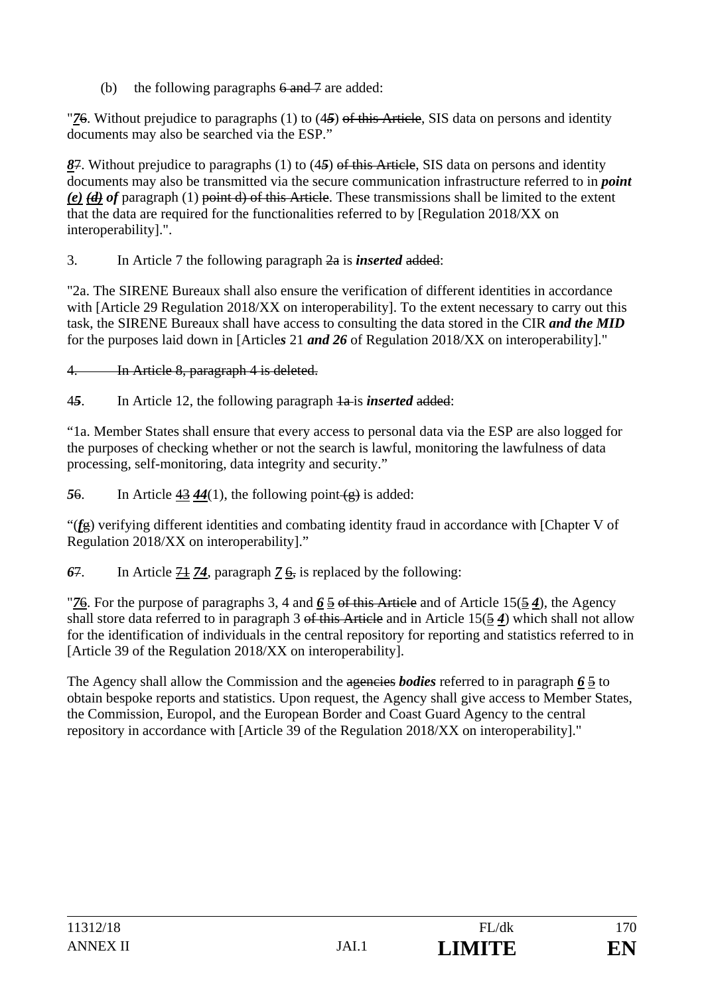(b) the following paragraphs  $6$  and  $7$  are added:

"*7*6. Without prejudice to paragraphs (1) to (4*5*) of this Article, SIS data on persons and identity documents may also be searched via the ESP."

*8*7. Without prejudice to paragraphs (1) to (4*5*) of this Article, SIS data on persons and identity documents may also be transmitted via the secure communication infrastructure referred to in *point (e) (d) of* paragraph (1) point d) of this Article. These transmissions shall be limited to the extent that the data are required for the functionalities referred to by [Regulation 2018/XX on interoperability].".

3. In Article 7 the following paragraph 2a is *inserted* added:

"2a. The SIRENE Bureaux shall also ensure the verification of different identities in accordance with [Article 29 Regulation 2018/XX on interoperability]. To the extent necessary to carry out this task, the SIRENE Bureaux shall have access to consulting the data stored in the CIR *and the MID* for the purposes laid down in [Article*s* 21 *and 26* of Regulation 2018/XX on interoperability]."

4. In Article 8, paragraph 4 is deleted.

4*5*. In Article 12, the following paragraph 1a is *inserted* added:

"1a. Member States shall ensure that every access to personal data via the ESP are also logged for the purposes of checking whether or not the search is lawful, monitoring the lawfulness of data processing, self-monitoring, data integrity and security."

56. In Article  $43\,44(1)$ , the following point  $\left(\frac{1}{2}\right)$  is added:

"(*f*g) verifying different identities and combating identity fraud in accordance with [Chapter V of Regulation 2018/XX on interoperability]."

*6*7. In Article 71 *74*, paragraph *7* 6, is replaced by the following:

"*7*6. For the purpose of paragraphs 3, 4 and *6* 5 of this Article and of Article 15(5 *4*), the Agency shall store data referred to in paragraph 3 of this Article and in Article 15(5 *4*) which shall not allow for the identification of individuals in the central repository for reporting and statistics referred to in [Article 39 of the Regulation 2018/XX on interoperability].

The Agency shall allow the Commission and the agencies *bodies* referred to in paragraph *6* 5 to obtain bespoke reports and statistics. Upon request, the Agency shall give access to Member States, the Commission, Europol, and the European Border and Coast Guard Agency to the central repository in accordance with [Article 39 of the Regulation 2018/XX on interoperability]."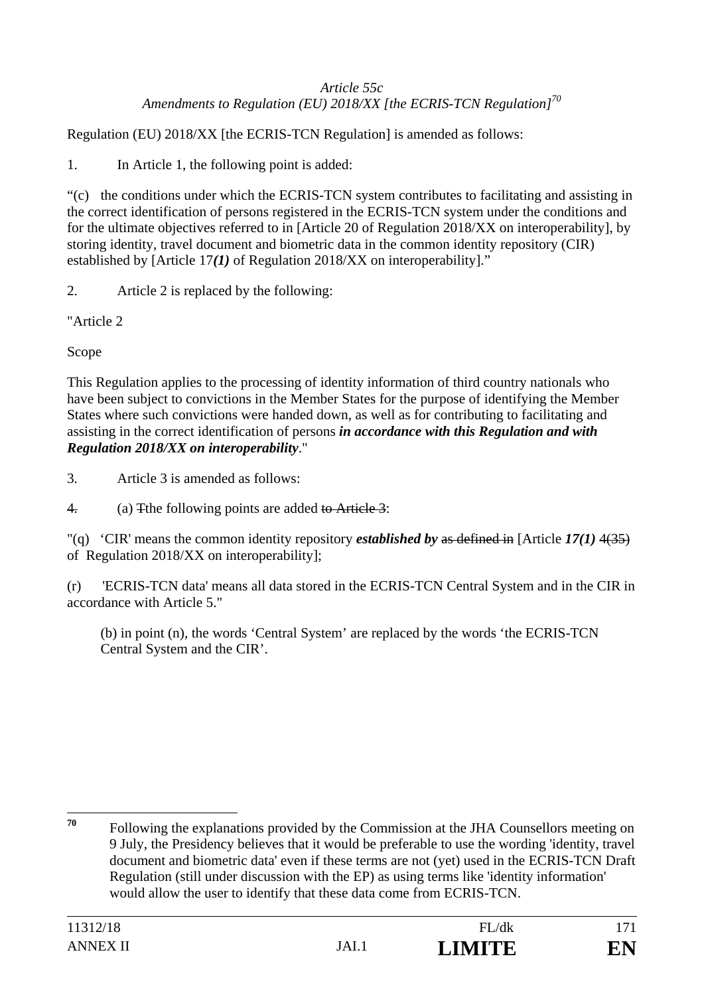### *Article 55c Amendments to Regulation (EU) 2018/XX [the ECRIS-TCN Regulation]<sup>70</sup>*

Regulation (EU) 2018/XX [the ECRIS-TCN Regulation] is amended as follows:

1. In Article 1, the following point is added:

"(c) the conditions under which the ECRIS-TCN system contributes to facilitating and assisting in the correct identification of persons registered in the ECRIS-TCN system under the conditions and for the ultimate objectives referred to in [Article 20 of Regulation 2018/XX on interoperability], by storing identity, travel document and biometric data in the common identity repository (CIR) established by [Article 17*(1)* of Regulation 2018/XX on interoperability]."

2. Article 2 is replaced by the following:

"Article 2

Scope

This Regulation applies to the processing of identity information of third country nationals who have been subject to convictions in the Member States for the purpose of identifying the Member States where such convictions were handed down, as well as for contributing to facilitating and assisting in the correct identification of persons *in accordance with this Regulation and with Regulation 2018/XX on interoperability*."

3. Article 3 is amended as follows:

4. (a) The following points are added to Article 3:

"(q) 'CIR' means the common identity repository *established by* as defined in [Article *17(1)* 4(35) of Regulation 2018/XX on interoperability];

(r) 'ECRIS-TCN data' means all data stored in the ECRIS-TCN Central System and in the CIR in accordance with Article 5."

(b) in point (n), the words 'Central System' are replaced by the words 'the ECRIS-TCN Central System and the CIR'.

<sup>70</sup> **<sup>70</sup>** Following the explanations provided by the Commission at the JHA Counsellors meeting on 9 July, the Presidency believes that it would be preferable to use the wording 'identity, travel document and biometric data' even if these terms are not (yet) used in the ECRIS-TCN Draft Regulation (still under discussion with the EP) as using terms like 'identity information' would allow the user to identify that these data come from ECRIS-TCN.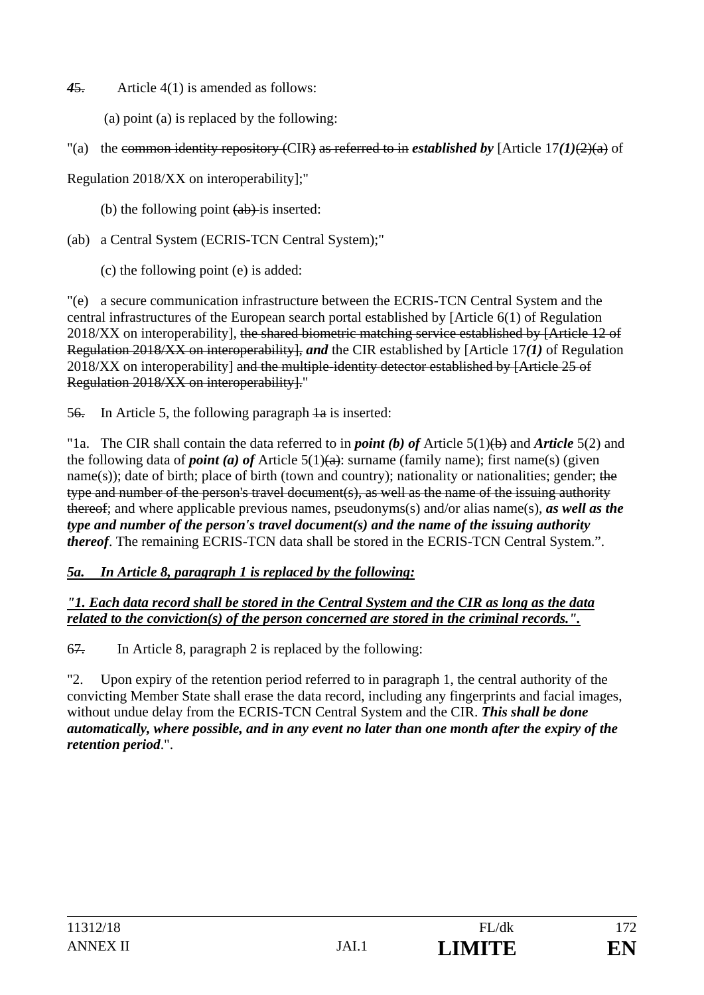*4*5. Article 4(1) is amended as follows:

- (a) point (a) is replaced by the following:
- "(a) the common identity repository (CIR) as referred to in *established by* [Article  $17(1)(2)(a)$  of

Regulation 2018/XX on interoperability];"

(b) the following point  $(a\bar{b})$ -is inserted:

(ab) a Central System (ECRIS-TCN Central System);"

(c) the following point (e) is added:

"(e) a secure communication infrastructure between the ECRIS-TCN Central System and the central infrastructures of the European search portal established by [Article 6(1) of Regulation 2018/XX on interoperability], the shared biometric matching service established by [Article 12 of Regulation 2018/XX on interoperability], *and* the CIR established by [Article 17*(1)* of Regulation 2018/XX on interoperability] and the multiple-identity detector established by [Article 25 of Regulation 2018/XX on interoperability]."

56. In Article 5, the following paragraph  $\frac{1}{4a}$  is inserted:

"1a. The CIR shall contain the data referred to in *point (b) of* Article 5(1)(b) and *Article* 5(2) and the following data of *point* (*a*) of Article  $5(1)(a)$ : surname (family name); first name(s) (given name(s)); date of birth; place of birth (town and country); nationality or nationalities; gender; the type and number of the person's travel document(s), as well as the name of the issuing authority thereof; and where applicable previous names, pseudonyms(s) and/or alias name(s), *as well as the type and number of the person's travel document(s) and the name of the issuing authority thereof*. The remaining ECRIS-TCN data shall be stored in the ECRIS-TCN Central System.".

### *5a. In Article 8, paragraph 1 is replaced by the following:*

*"1. Each data record shall be stored in the Central System and the CIR as long as the data related to the conviction(s) of the person concerned are stored in the criminal records.".*

67. In Article 8, paragraph 2 is replaced by the following:

"2. Upon expiry of the retention period referred to in paragraph 1, the central authority of the convicting Member State shall erase the data record, including any fingerprints and facial images, without undue delay from the ECRIS-TCN Central System and the CIR. *This shall be done automatically, where possible, and in any event no later than one month after the expiry of the retention period*.".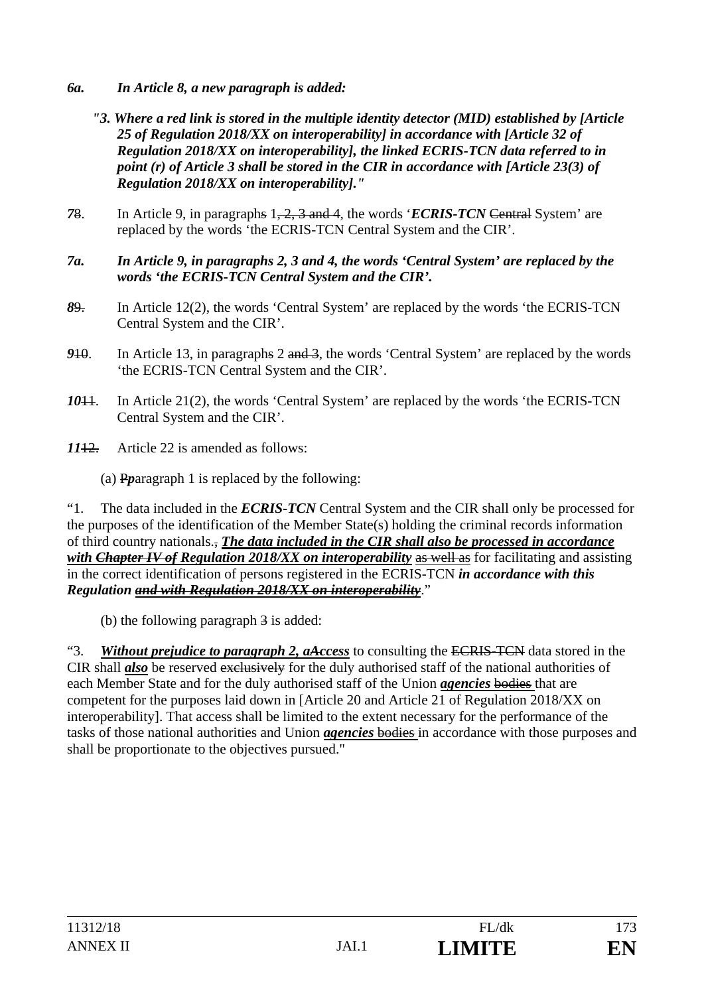- *6a. In Article 8, a new paragraph is added:* 
	- *"3. Where a red link is stored in the multiple identity detector (MID) established by [Article 25 of Regulation 2018/XX on interoperability] in accordance with [Article 32 of Regulation 2018/XX on interoperability], the linked ECRIS-TCN data referred to in point (r) of Article 3 shall be stored in the CIR in accordance with [Article 23(3) of Regulation 2018/XX on interoperability]."*
- *7*8. In Article 9, in paragraphs 1, 2, 3 and 4, the words '*ECRIS-TCN* Central System' are replaced by the words 'the ECRIS-TCN Central System and the CIR'.
- *7a. In Article 9, in paragraphs 2, 3 and 4, the words 'Central System' are replaced by the words 'the ECRIS-TCN Central System and the CIR'.*
- *8*9. In Article 12(2), the words 'Central System' are replaced by the words 'the ECRIS-TCN Central System and the CIR'.
- **910.** In Article 13, in paragraphs 2 and 3, the words 'Central System' are replaced by the words 'the ECRIS-TCN Central System and the CIR'.
- *10*11. In Article 21(2), the words 'Central System' are replaced by the words 'the ECRIS-TCN Central System and the CIR'.
- *11*12. Article 22 is amended as follows:
	- (a) P*p*aragraph 1 is replaced by the following:

"1. The data included in the *ECRIS-TCN* Central System and the CIR shall only be processed for the purposes of the identification of the Member State(s) holding the criminal records information of third country nationals., *The data included in the CIR shall also be processed in accordance with Chapter IV of Regulation 2018/XX on interoperability* as well as for facilitating and assisting in the correct identification of persons registered in the ECRIS-TCN *in accordance with this Regulation and with Regulation 2018/XX on interoperability*."

(b) the following paragraph 3 is added:

"3. *Without prejudice to paragraph 2, aAccess* to consulting the ECRIS-TCN data stored in the CIR shall *also* be reserved exclusively for the duly authorised staff of the national authorities of each Member State and for the duly authorised staff of the Union *agencies* bodies that are competent for the purposes laid down in [Article 20 and Article 21 of Regulation 2018/XX on interoperability]. That access shall be limited to the extent necessary for the performance of the tasks of those national authorities and Union *agencies* bodies in accordance with those purposes and shall be proportionate to the objectives pursued."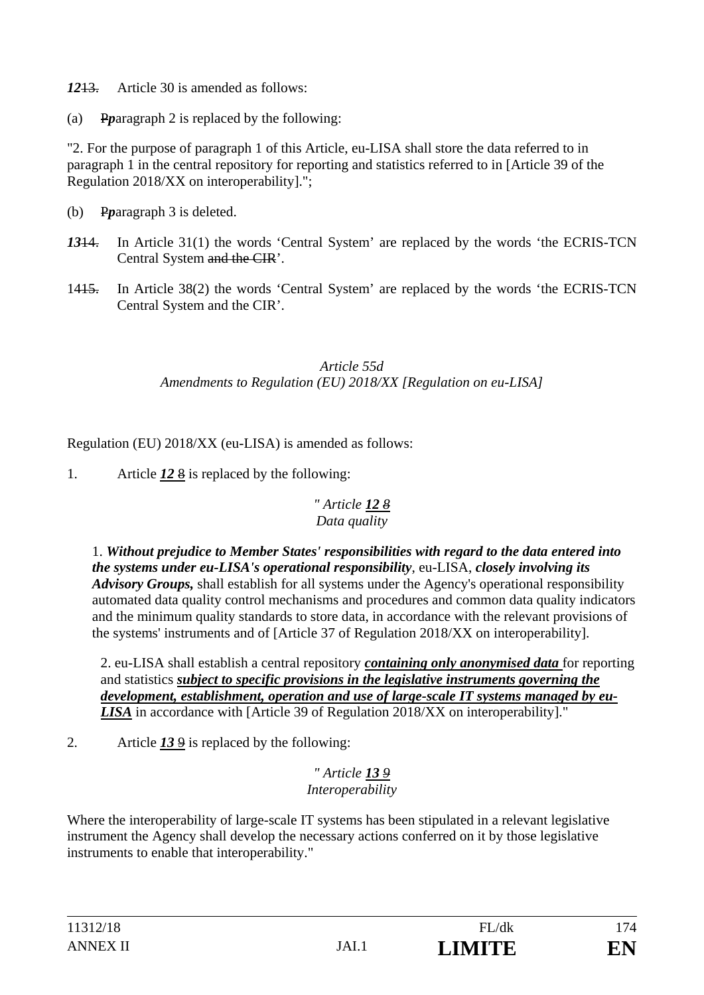*12*13. Article 30 is amended as follows:

(a) P*p*aragraph 2 is replaced by the following:

"2. For the purpose of paragraph 1 of this Article, eu-LISA shall store the data referred to in paragraph 1 in the central repository for reporting and statistics referred to in [Article 39 of the Regulation 2018/XX on interoperability].";

- (b) P*p*aragraph 3 is deleted.
- *13*14. In Article 31(1) the words 'Central System' are replaced by the words 'the ECRIS-TCN Central System and the CIR'.
- 1415. In Article 38(2) the words 'Central System' are replaced by the words 'the ECRIS-TCN Central System and the CIR'.

### *Article 55d Amendments to Regulation (EU) 2018/XX [Regulation on eu-LISA]*

Regulation (EU) 2018/XX (eu-LISA) is amended as follows:

1. Article *12* 8 is replaced by the following:

### *" Article 12 8 Data quality*

1. *Without prejudice to Member States' responsibilities with regard to the data entered into the systems under eu-LISA's operational responsibility*, eu-LISA, *closely involving its Advisory Groups,* shall establish for all systems under the Agency's operational responsibility automated data quality control mechanisms and procedures and common data quality indicators and the minimum quality standards to store data, in accordance with the relevant provisions of the systems' instruments and of [Article 37 of Regulation 2018/XX on interoperability].

2. eu-LISA shall establish a central repository *containing only anonymised data* for reporting and statistics *subject to specific provisions in the legislative instruments governing the development, establishment, operation and use of large-scale IT systems managed by eu-LISA* in accordance with [Article 39 of Regulation 2018/XX on interoperability]."

2. Article *13* 9 is replaced by the following:

### *" Article 13 9 Interoperability*

Where the interoperability of large-scale IT systems has been stipulated in a relevant legislative instrument the Agency shall develop the necessary actions conferred on it by those legislative instruments to enable that interoperability."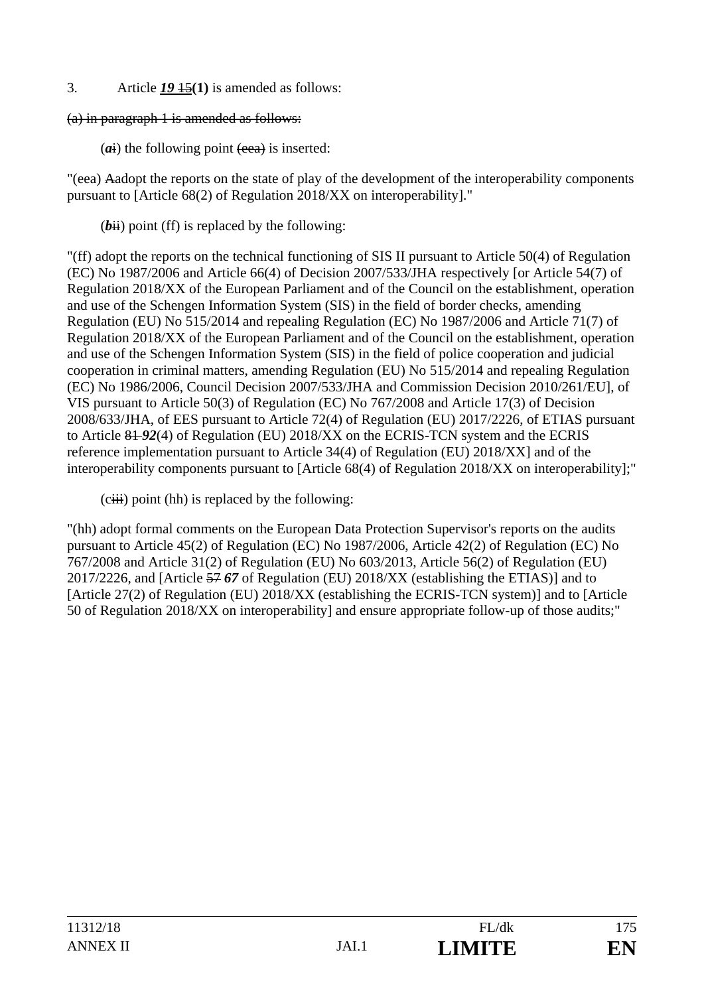3. Article *19* 15**(1)** is amended as follows:

### (a) in paragraph 1 is amended as follows:

 $(a<sub>i</sub>)$  the following point  $(e<sub>ea</sub>)$  is inserted:

"(eea) Aadopt the reports on the state of play of the development of the interoperability components pursuant to [Article 68(2) of Regulation 2018/XX on interoperability]."

 $(bii)$  point (ff) is replaced by the following:

"(ff) adopt the reports on the technical functioning of SIS II pursuant to Article 50(4) of Regulation (EC) No 1987/2006 and Article 66(4) of Decision 2007/533/JHA respectively [or Article 54(7) of Regulation 2018/XX of the European Parliament and of the Council on the establishment, operation and use of the Schengen Information System (SIS) in the field of border checks, amending Regulation (EU) No 515/2014 and repealing Regulation (EC) No 1987/2006 and Article 71(7) of Regulation 2018/XX of the European Parliament and of the Council on the establishment, operation and use of the Schengen Information System (SIS) in the field of police cooperation and judicial cooperation in criminal matters, amending Regulation (EU) No 515/2014 and repealing Regulation (EC) No 1986/2006, Council Decision 2007/533/JHA and Commission Decision 2010/261/EU], of VIS pursuant to Article 50(3) of Regulation (EC) No 767/2008 and Article 17(3) of Decision 2008/633/JHA, of EES pursuant to Article 72(4) of Regulation (EU) 2017/2226, of ETIAS pursuant to Article 81 *92*(4) of Regulation (EU) 2018/XX on the ECRIS-TCN system and the ECRIS reference implementation pursuant to Article 34(4) of Regulation (EU) 2018/XX] and of the interoperability components pursuant to [Article 68(4) of Regulation 2018/XX on interoperability];"

 $(ciii)$  point (hh) is replaced by the following:

"(hh) adopt formal comments on the European Data Protection Supervisor's reports on the audits pursuant to Article 45(2) of Regulation (EC) No 1987/2006, Article 42(2) of Regulation (EC) No 767/2008 and Article 31(2) of Regulation (EU) No 603/2013, Article 56(2) of Regulation (EU) 2017/2226, and [Article 57 *67* of Regulation (EU) 2018/XX (establishing the ETIAS)] and to [Article 27(2) of Regulation (EU) 2018/XX (establishing the ECRIS-TCN system)] and to [Article 50 of Regulation 2018/XX on interoperability] and ensure appropriate follow-up of those audits;"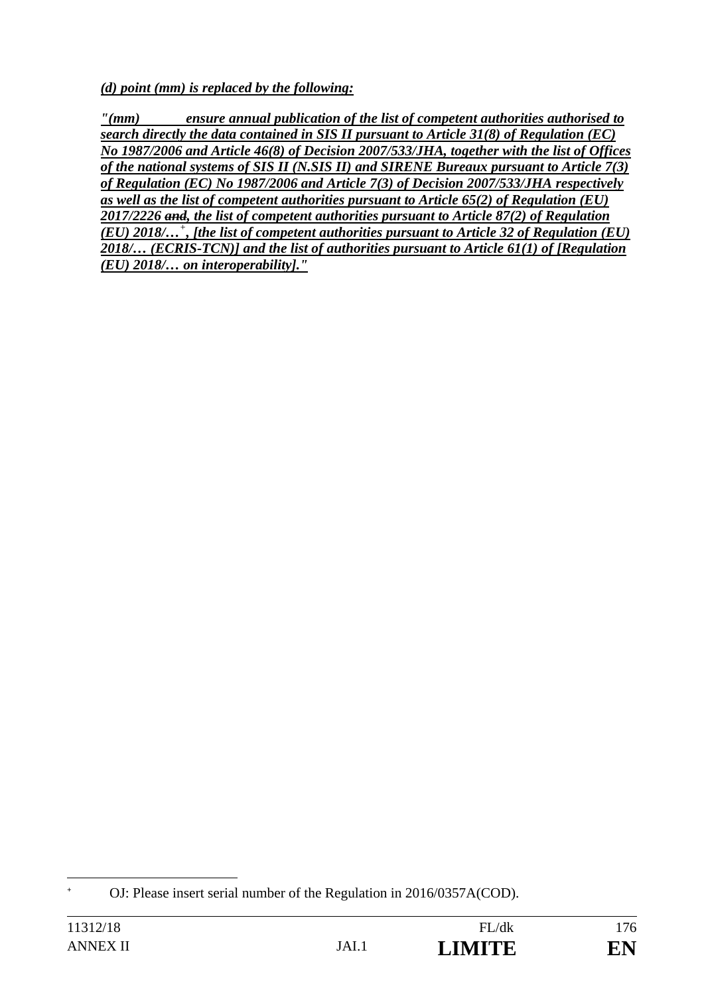*(d) point (mm) is replaced by the following:* 

*"(mm) ensure annual publication of the list of competent authorities authorised to search directly the data contained in SIS II pursuant to Article 31(8) of Regulation (EC) No 1987/2006 and Article 46(8) of Decision 2007/533/JHA, together with the list of Offices of the national systems of SIS II (N.SIS II) and SIRENE Bureaux pursuant to Article 7(3) of Regulation (EC) No 1987/2006 and Article 7(3) of Decision 2007/533/JHA respectively as well as the list of competent authorities pursuant to Article 65(2) of Regulation (EU) 2017/2226 and, the list of competent authorities pursuant to Article 87(2) of Regulation (EU) 2018/…<sup>+</sup> , [the list of competent authorities pursuant to Article 32 of Regulation (EU) 2018/… (ECRIS-TCN)] and the list of authorities pursuant to Article 61(1) of [Regulation (EU) 2018/… on interoperability]."* 

 $\overline{a}$ **+** OJ: Please insert serial number of the Regulation in 2016/0357A(COD).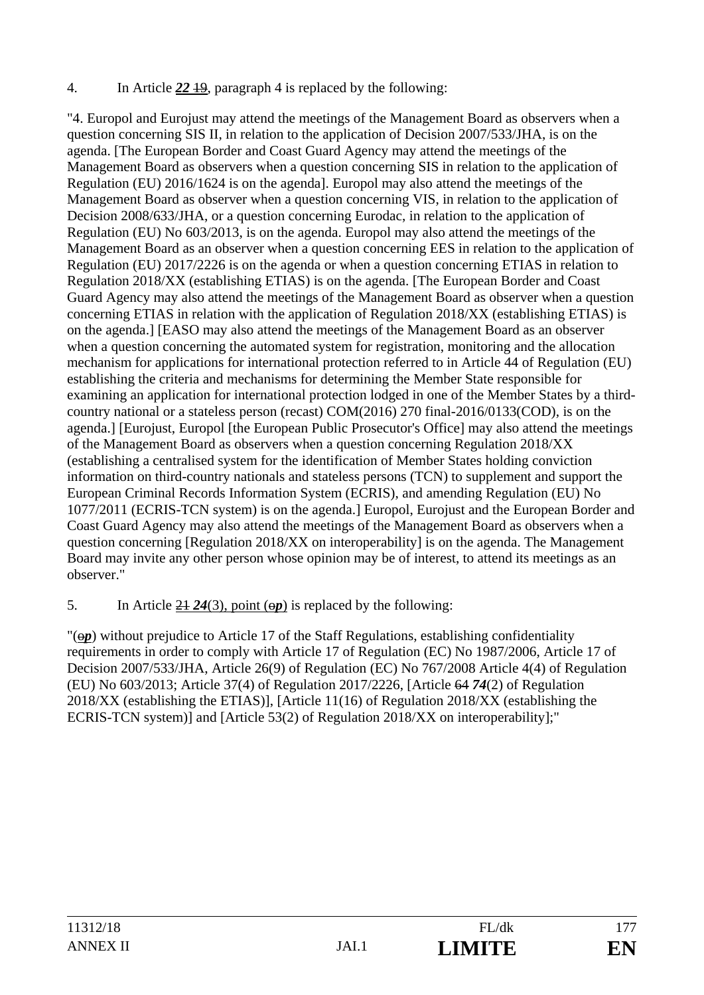### 4. In Article *22* 19, paragraph 4 is replaced by the following:

"4. Europol and Eurojust may attend the meetings of the Management Board as observers when a question concerning SIS II, in relation to the application of Decision 2007/533/JHA, is on the agenda. [The European Border and Coast Guard Agency may attend the meetings of the Management Board as observers when a question concerning SIS in relation to the application of Regulation (EU) 2016/1624 is on the agenda]. Europol may also attend the meetings of the Management Board as observer when a question concerning VIS, in relation to the application of Decision 2008/633/JHA, or a question concerning Eurodac, in relation to the application of Regulation (EU) No 603/2013, is on the agenda. Europol may also attend the meetings of the Management Board as an observer when a question concerning EES in relation to the application of Regulation (EU) 2017/2226 is on the agenda or when a question concerning ETIAS in relation to Regulation 2018/XX (establishing ETIAS) is on the agenda. [The European Border and Coast Guard Agency may also attend the meetings of the Management Board as observer when a question concerning ETIAS in relation with the application of Regulation 2018/XX (establishing ETIAS) is on the agenda.] [EASO may also attend the meetings of the Management Board as an observer when a question concerning the automated system for registration, monitoring and the allocation mechanism for applications for international protection referred to in Article 44 of Regulation (EU) establishing the criteria and mechanisms for determining the Member State responsible for examining an application for international protection lodged in one of the Member States by a thirdcountry national or a stateless person (recast) COM(2016) 270 final-2016/0133(COD), is on the agenda.] [Eurojust, Europol [the European Public Prosecutor's Office] may also attend the meetings of the Management Board as observers when a question concerning Regulation 2018/XX (establishing a centralised system for the identification of Member States holding conviction information on third-country nationals and stateless persons (TCN) to supplement and support the European Criminal Records Information System (ECRIS), and amending Regulation (EU) No 1077/2011 (ECRIS-TCN system) is on the agenda.] Europol, Eurojust and the European Border and Coast Guard Agency may also attend the meetings of the Management Board as observers when a question concerning [Regulation 2018/XX on interoperability] is on the agenda. The Management Board may invite any other person whose opinion may be of interest, to attend its meetings as an observer."

5. In Article  $24\,24(3)$ , point  $(\Theta p)$  is replaced by the following:

"(o*p*) without prejudice to Article 17 of the Staff Regulations, establishing confidentiality requirements in order to comply with Article 17 of Regulation (EC) No 1987/2006, Article 17 of Decision 2007/533/JHA, Article 26(9) of Regulation (EC) No 767/2008 Article 4(4) of Regulation (EU) No 603/2013; Article 37(4) of Regulation 2017/2226, [Article 64 *74*(2) of Regulation 2018/XX (establishing the ETIAS)], [Article 11(16) of Regulation 2018/XX (establishing the ECRIS-TCN system)] and [Article 53(2) of Regulation 2018/XX on interoperability];"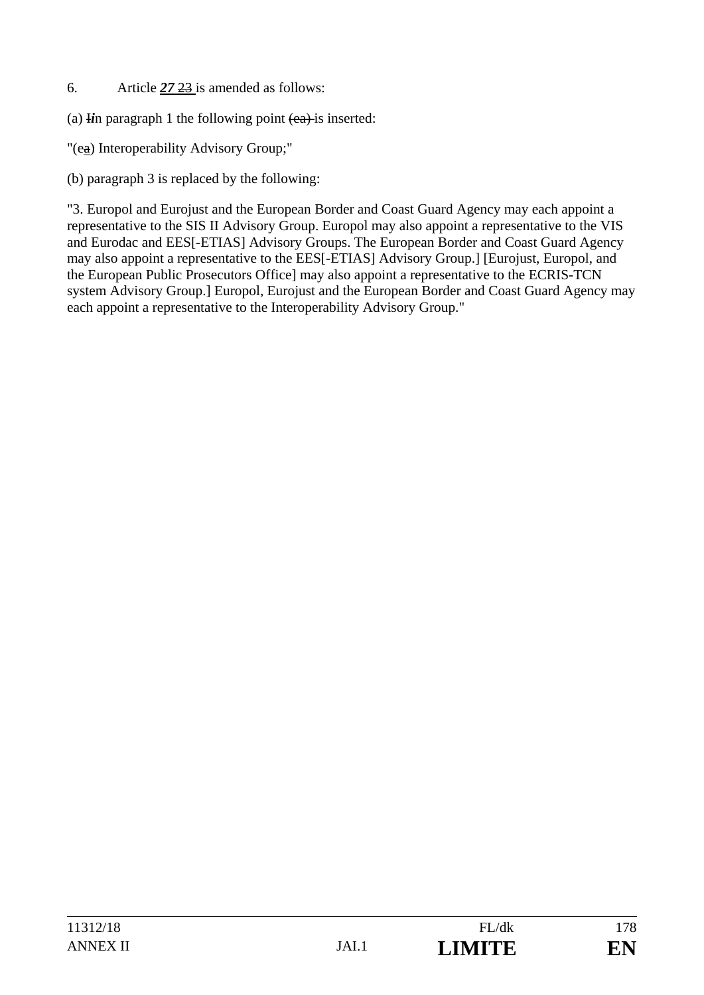- 6. Article *27* 23 is amended as follows:
- (a)  $\overline{u}$  in paragraph 1 the following point  $\overline{(ea)}$  is inserted:
- "(ea) Interoperability Advisory Group;"
- (b) paragraph 3 is replaced by the following:

"3. Europol and Eurojust and the European Border and Coast Guard Agency may each appoint a representative to the SIS II Advisory Group. Europol may also appoint a representative to the VIS and Eurodac and EES[-ETIAS] Advisory Groups. The European Border and Coast Guard Agency may also appoint a representative to the EES[-ETIAS] Advisory Group.] [Eurojust, Europol, and the European Public Prosecutors Office] may also appoint a representative to the ECRIS-TCN system Advisory Group.] Europol, Eurojust and the European Border and Coast Guard Agency may each appoint a representative to the Interoperability Advisory Group."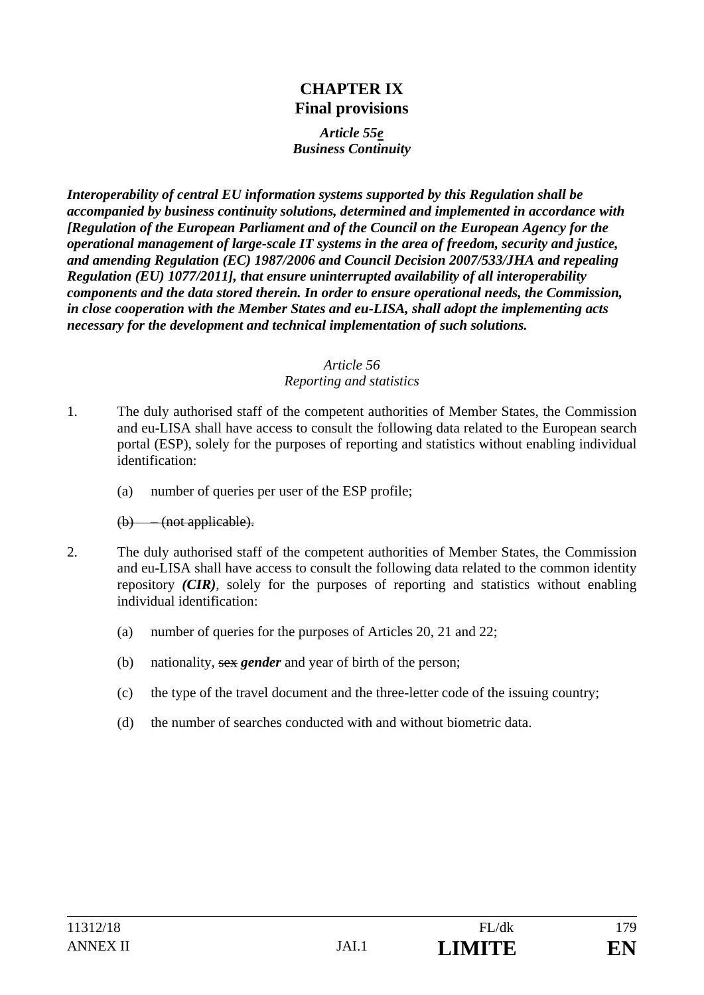### **CHAPTER IX Final provisions**

#### *Article 55e Business Continuity*

*Interoperability of central EU information systems supported by this Regulation shall be accompanied by business continuity solutions, determined and implemented in accordance with [Regulation of the European Parliament and of the Council on the European Agency for the operational management of large-scale IT systems in the area of freedom, security and justice, and amending Regulation (EC) 1987/2006 and Council Decision 2007/533/JHA and repealing Regulation (EU) 1077/2011], that ensure uninterrupted availability of all interoperability components and the data stored therein. In order to ensure operational needs, the Commission, in close cooperation with the Member States and eu-LISA, shall adopt the implementing acts necessary for the development and technical implementation of such solutions.* 

#### *Article 56*

#### *Reporting and statistics*

- 1. The duly authorised staff of the competent authorities of Member States, the Commission and eu-LISA shall have access to consult the following data related to the European search portal (ESP), solely for the purposes of reporting and statistics without enabling individual identification:
	- (a) number of queries per user of the ESP profile;

### (b) – (not applicable).

- 2. The duly authorised staff of the competent authorities of Member States, the Commission and eu-LISA shall have access to consult the following data related to the common identity repository *(CIR)*, solely for the purposes of reporting and statistics without enabling individual identification:
	- (a) number of queries for the purposes of Articles 20, 21 and 22;
	- (b) nationality, sex *gender* and year of birth of the person;
	- (c) the type of the travel document and the three-letter code of the issuing country;
	- (d) the number of searches conducted with and without biometric data.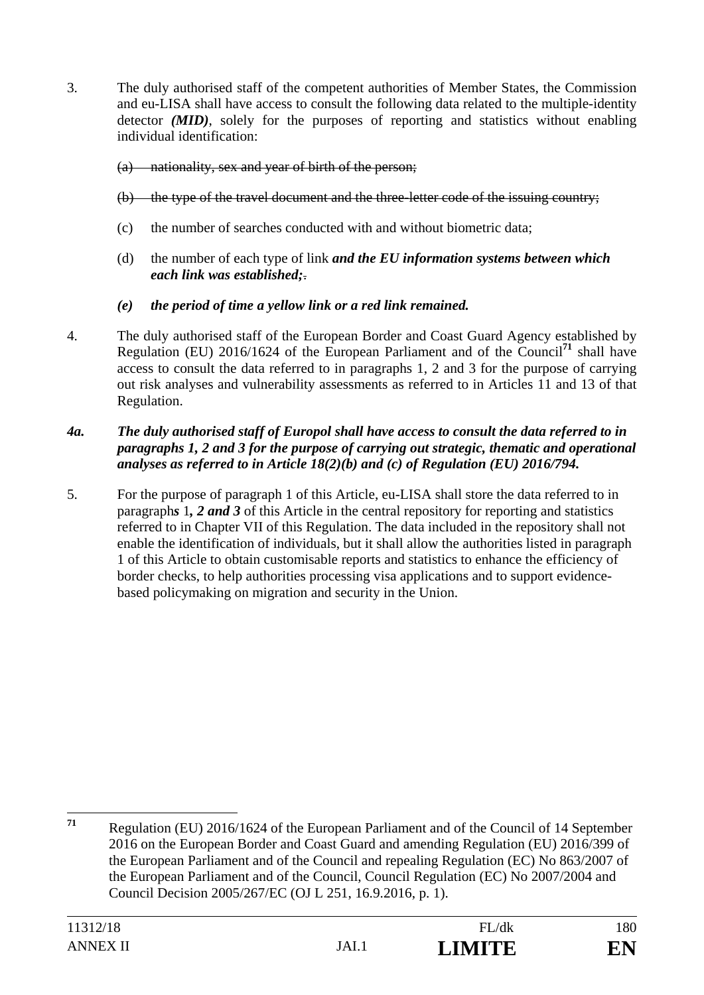3. The duly authorised staff of the competent authorities of Member States, the Commission and eu-LISA shall have access to consult the following data related to the multiple-identity detector *(MID)*, solely for the purposes of reporting and statistics without enabling individual identification:

### (a) nationality, sex and year of birth of the person;

### (b) the type of the travel document and the three-letter code of the issuing country;

- (c) the number of searches conducted with and without biometric data;
- (d) the number of each type of link *and the EU information systems between which each link was established;*.

### *(e) the period of time a yellow link or a red link remained.*

4. The duly authorised staff of the European Border and Coast Guard Agency established by Regulation (EU) 2016/1624 of the European Parliament and of the Council**<sup>71</sup>** shall have access to consult the data referred to in paragraphs 1, 2 and 3 for the purpose of carrying out risk analyses and vulnerability assessments as referred to in Articles 11 and 13 of that Regulation.

### *4a. The duly authorised staff of Europol shall have access to consult the data referred to in paragraphs 1, 2 and 3 for the purpose of carrying out strategic, thematic and operational analyses as referred to in Article 18(2)(b) and (c) of Regulation (EU) 2016/794.*

5. For the purpose of paragraph 1 of this Article, eu-LISA shall store the data referred to in paragraph*s* 1*, 2 and 3* of this Article in the central repository for reporting and statistics referred to in Chapter VII of this Regulation. The data included in the repository shall not enable the identification of individuals, but it shall allow the authorities listed in paragraph 1 of this Article to obtain customisable reports and statistics to enhance the efficiency of border checks, to help authorities processing visa applications and to support evidencebased policymaking on migration and security in the Union.

 $71$ **<sup>71</sup>** Regulation (EU) 2016/1624 of the European Parliament and of the Council of 14 September 2016 on the European Border and Coast Guard and amending Regulation (EU) 2016/399 of the European Parliament and of the Council and repealing Regulation (EC) No 863/2007 of the European Parliament and of the Council, Council Regulation (EC) No 2007/2004 and Council Decision 2005/267/EC (OJ L 251, 16.9.2016, p. 1).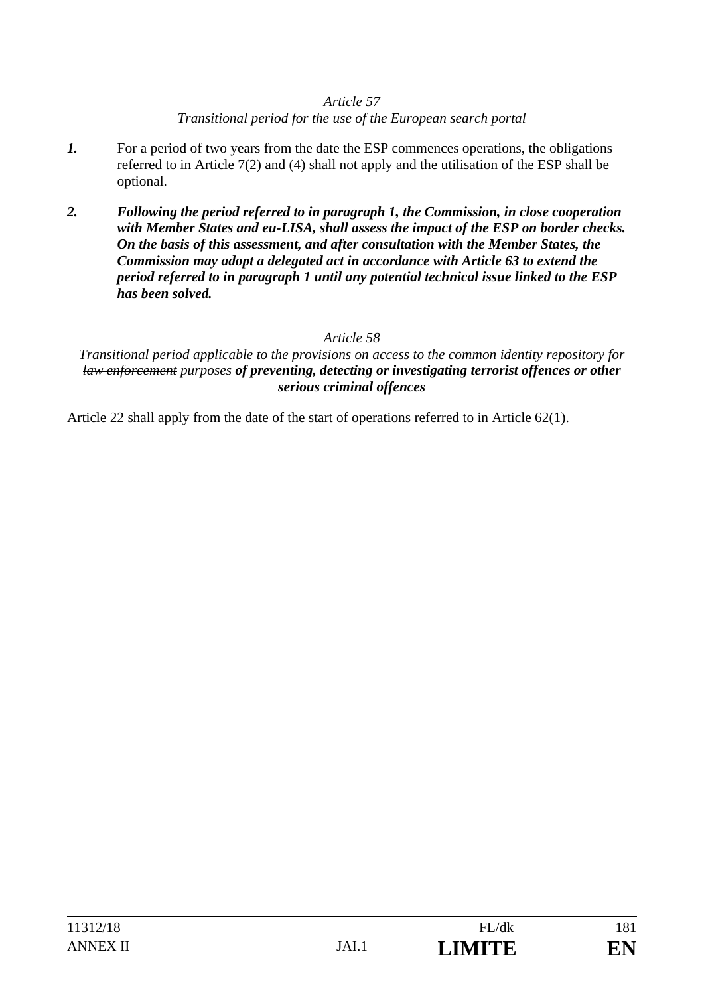## *Article 57*

# *Transitional period for the use of the European search portal*

- *1.* For a period of two years from the date the ESP commences operations, the obligations referred to in Article 7(2) and (4) shall not apply and the utilisation of the ESP shall be optional.
- *2. Following the period referred to in paragraph 1, the Commission, in close cooperation with Member States and eu-LISA, shall assess the impact of the ESP on border checks. On the basis of this assessment, and after consultation with the Member States, the Commission may adopt a delegated act in accordance with Article 63 to extend the period referred to in paragraph 1 until any potential technical issue linked to the ESP has been solved.*

## *Article 58*

*Transitional period applicable to the provisions on access to the common identity repository for law enforcement purposes of preventing, detecting or investigating terrorist offences or other serious criminal offences*

Article 22 shall apply from the date of the start of operations referred to in Article 62(1).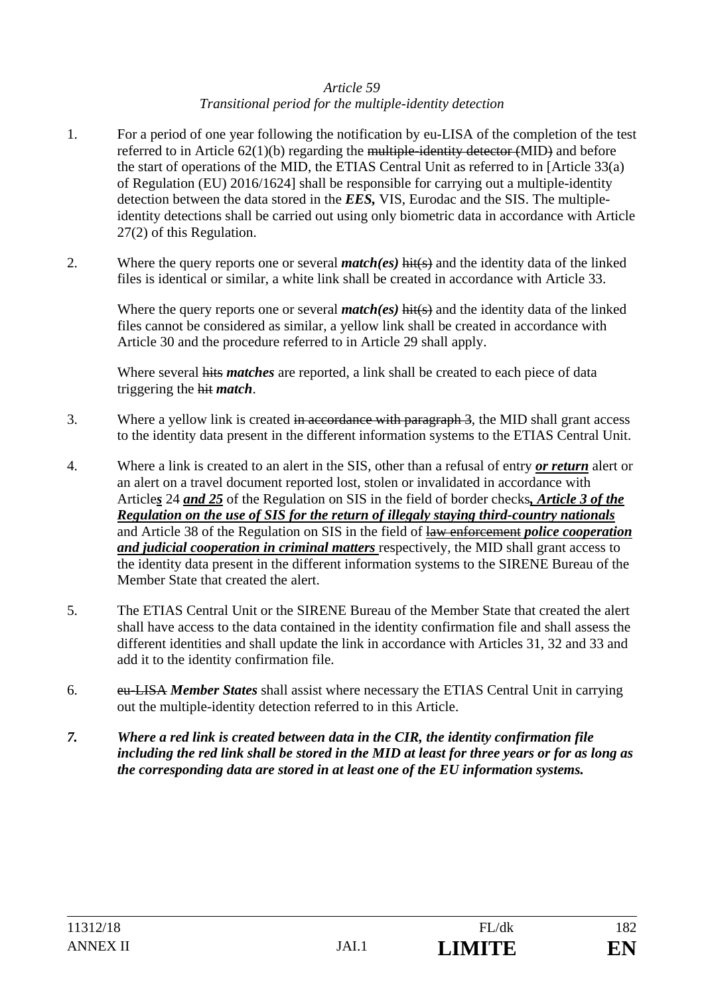#### *Article 59 Transitional period for the multiple-identity detection*

- 1. For a period of one year following the notification by eu-LISA of the completion of the test referred to in Article 62(1)(b) regarding the multiple-identity detector (MID) and before the start of operations of the MID, the ETIAS Central Unit as referred to in [Article 33(a) of Regulation (EU) 2016/1624] shall be responsible for carrying out a multiple-identity detection between the data stored in the *EES,* VIS, Eurodac and the SIS. The multipleidentity detections shall be carried out using only biometric data in accordance with Article 27(2) of this Regulation.
- 2. Where the query reports one or several *match(es)* hit(s) and the identity data of the linked files is identical or similar, a white link shall be created in accordance with Article 33.

Where the query reports one or several *match(es)* hit(s) and the identity data of the linked files cannot be considered as similar, a yellow link shall be created in accordance with Article 30 and the procedure referred to in Article 29 shall apply.

Where several hits *matches* are reported, a link shall be created to each piece of data triggering the hit *match*.

- 3. Where a yellow link is created in accordance with paragraph 3, the MID shall grant access to the identity data present in the different information systems to the ETIAS Central Unit.
- 4. Where a link is created to an alert in the SIS, other than a refusal of entry *or return* alert or an alert on a travel document reported lost, stolen or invalidated in accordance with Article*s* 24 *and 25* of the Regulation on SIS in the field of border checks*, Article 3 of the Regulation on the use of SIS for the return of illegaly staying third-country nationals* and Article 38 of the Regulation on SIS in the field of law enforcement *police cooperation and judicial cooperation in criminal matters* respectively, the MID shall grant access to the identity data present in the different information systems to the SIRENE Bureau of the Member State that created the alert.
- 5. The ETIAS Central Unit or the SIRENE Bureau of the Member State that created the alert shall have access to the data contained in the identity confirmation file and shall assess the different identities and shall update the link in accordance with Articles 31, 32 and 33 and add it to the identity confirmation file.
- 6. eu-LISA *Member States* shall assist where necessary the ETIAS Central Unit in carrying out the multiple-identity detection referred to in this Article.
- *7. Where a red link is created between data in the CIR, the identity confirmation file including the red link shall be stored in the MID at least for three years or for as long as the corresponding data are stored in at least one of the EU information systems.*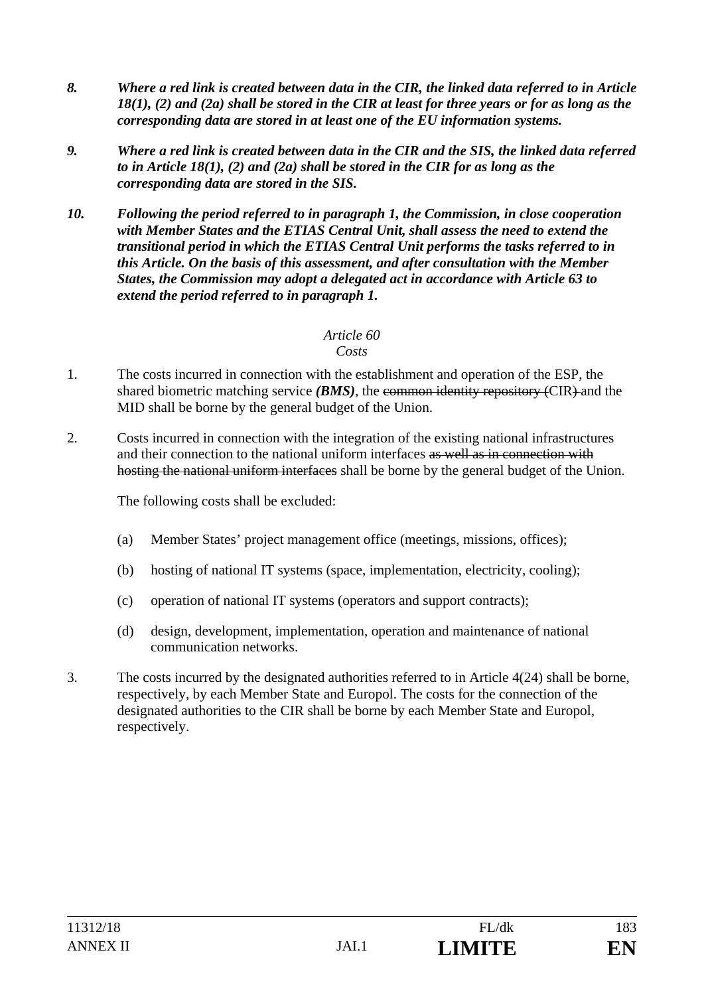- *8. Where a red link is created between data in the CIR, the linked data referred to in Article 18(1), (2) and (2a) shall be stored in the CIR at least for three years or for as long as the corresponding data are stored in at least one of the EU information systems.*
- *9. Where a red link is created between data in the CIR and the SIS, the linked data referred to in Article 18(1), (2) and (2a) shall be stored in the CIR for as long as the corresponding data are stored in the SIS.*
- *10. Following the period referred to in paragraph 1, the Commission, in close cooperation with Member States and the ETIAS Central Unit, shall assess the need to extend the transitional period in which the ETIAS Central Unit performs the tasks referred to in this Article. On the basis of this assessment, and after consultation with the Member States, the Commission may adopt a delegated act in accordance with Article 63 to extend the period referred to in paragraph 1.*

# *Article 60*

#### *Costs*

- 1. The costs incurred in connection with the establishment and operation of the ESP, the shared biometric matching service *(BMS)*, the common identity repository *(CIR)* and the MID shall be borne by the general budget of the Union.
- 2. Costs incurred in connection with the integration of the existing national infrastructures and their connection to the national uniform interfaces as well as in connection with hosting the national uniform interfaces shall be borne by the general budget of the Union.

The following costs shall be excluded:

- (a) Member States' project management office (meetings, missions, offices);
- (b) hosting of national IT systems (space, implementation, electricity, cooling);
- (c) operation of national IT systems (operators and support contracts);
- (d) design, development, implementation, operation and maintenance of national communication networks.
- 3. The costs incurred by the designated authorities referred to in Article 4(24) shall be borne, respectively, by each Member State and Europol. The costs for the connection of the designated authorities to the CIR shall be borne by each Member State and Europol, respectively.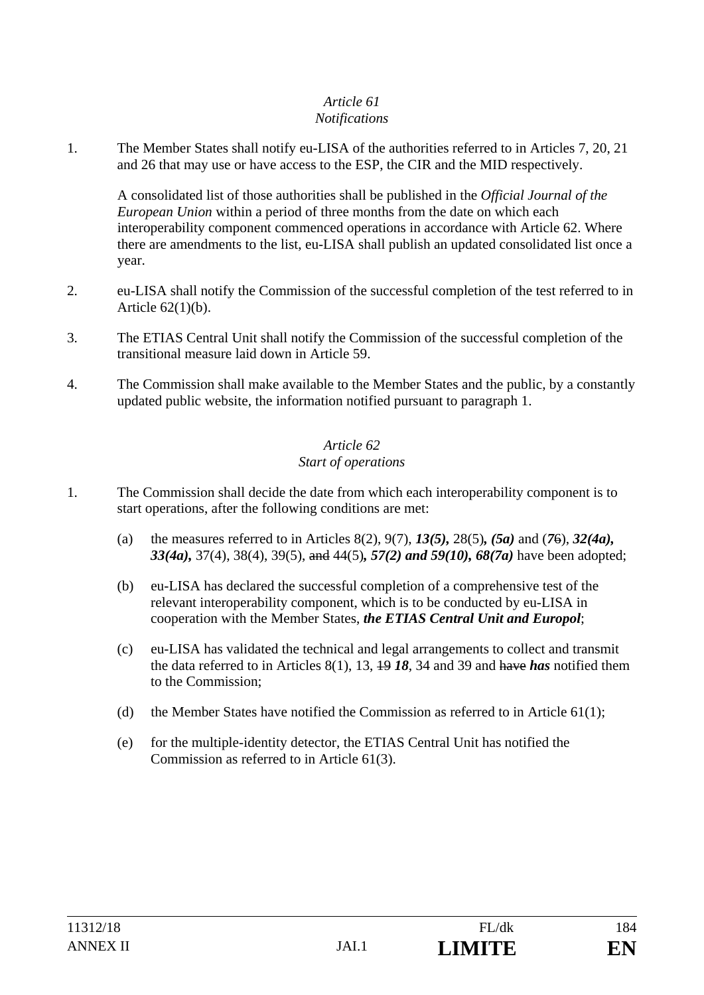#### *Article 61 Notifications*

1. The Member States shall notify eu-LISA of the authorities referred to in Articles 7, 20, 21 and 26 that may use or have access to the ESP, the CIR and the MID respectively.

A consolidated list of those authorities shall be published in the *Official Journal of the European Union* within a period of three months from the date on which each interoperability component commenced operations in accordance with Article 62. Where there are amendments to the list, eu-LISA shall publish an updated consolidated list once a year.

- 2. eu-LISA shall notify the Commission of the successful completion of the test referred to in Article 62(1)(b).
- 3. The ETIAS Central Unit shall notify the Commission of the successful completion of the transitional measure laid down in Article 59.
- 4. The Commission shall make available to the Member States and the public, by a constantly updated public website, the information notified pursuant to paragraph 1.

## *Article 62 Start of operations*

- 1. The Commission shall decide the date from which each interoperability component is to start operations, after the following conditions are met:
	- (a) the measures referred to in Articles 8(2), 9(7), *13(5),* 28(5)*, (5a)* and (*7*6), *32(4a), 33(4a),* 37(4), 38(4), 39(5), and 44(5)*, 57(2) and 59(10), 68(7a)* have been adopted;
	- (b) eu-LISA has declared the successful completion of a comprehensive test of the relevant interoperability component, which is to be conducted by eu-LISA in cooperation with the Member States, *the ETIAS Central Unit and Europol*;
	- (c) eu-LISA has validated the technical and legal arrangements to collect and transmit the data referred to in Articles 8(1), 13, 19 *18*, 34 and 39 and have *has* notified them to the Commission;
	- (d) the Member States have notified the Commission as referred to in Article  $61(1)$ ;
	- (e) for the multiple-identity detector, the ETIAS Central Unit has notified the Commission as referred to in Article 61(3).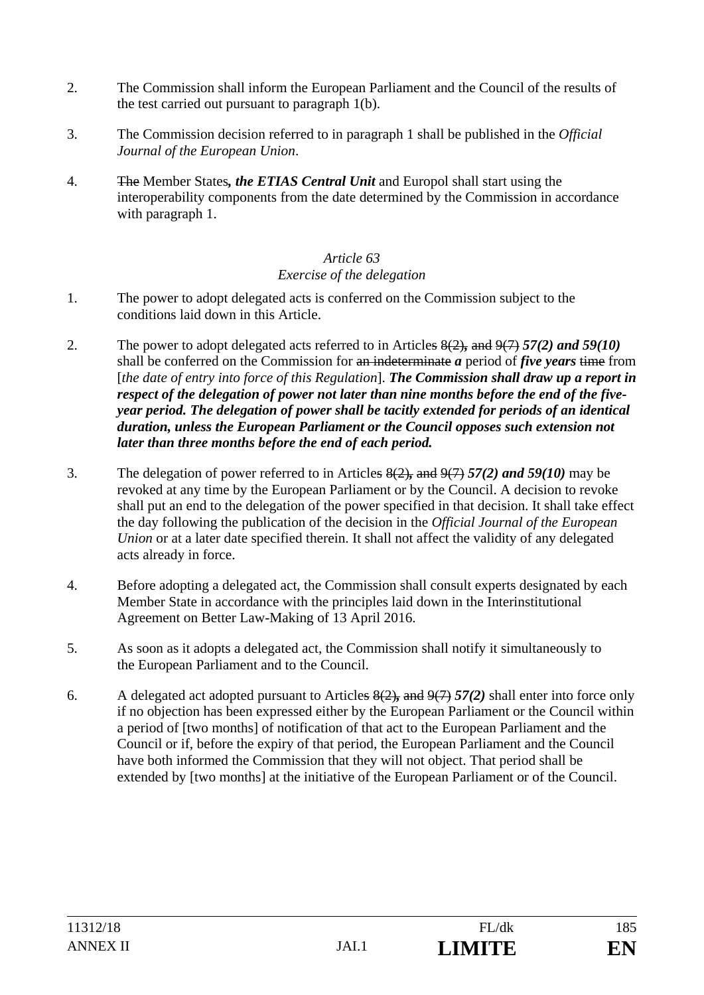- 2. The Commission shall inform the European Parliament and the Council of the results of the test carried out pursuant to paragraph 1(b).
- 3. The Commission decision referred to in paragraph 1 shall be published in the *Official Journal of the European Union*.
- 4. The Member States*, the ETIAS Central Unit* and Europol shall start using the interoperability components from the date determined by the Commission in accordance with paragraph 1.

## *Article 63 Exercise of the delegation*

- 1. The power to adopt delegated acts is conferred on the Commission subject to the conditions laid down in this Article.
- 2. The power to adopt delegated acts referred to in Articles 8(2)*,* and 9(7) *57(2) and 59(10)* shall be conferred on the Commission for an indeterminate *a* period of *five years* time from [*the date of entry into force of this Regulation*]. *The Commission shall draw up a report in respect of the delegation of power not later than nine months before the end of the fiveyear period. The delegation of power shall be tacitly extended for periods of an identical duration, unless the European Parliament or the Council opposes such extension not later than three months before the end of each period.*
- 3. The delegation of power referred to in Articles 8(2)*,* and 9(7) *57(2) and 59(10)* may be revoked at any time by the European Parliament or by the Council. A decision to revoke shall put an end to the delegation of the power specified in that decision. It shall take effect the day following the publication of the decision in the *Official Journal of the European Union* or at a later date specified therein. It shall not affect the validity of any delegated acts already in force.
- 4. Before adopting a delegated act, the Commission shall consult experts designated by each Member State in accordance with the principles laid down in the Interinstitutional Agreement on Better Law-Making of 13 April 2016.
- 5. As soon as it adopts a delegated act, the Commission shall notify it simultaneously to the European Parliament and to the Council.
- 6. A delegated act adopted pursuant to Articles 8(2)*,* and 9(7) *57(2)* shall enter into force only if no objection has been expressed either by the European Parliament or the Council within a period of [two months] of notification of that act to the European Parliament and the Council or if, before the expiry of that period, the European Parliament and the Council have both informed the Commission that they will not object. That period shall be extended by [two months] at the initiative of the European Parliament or of the Council.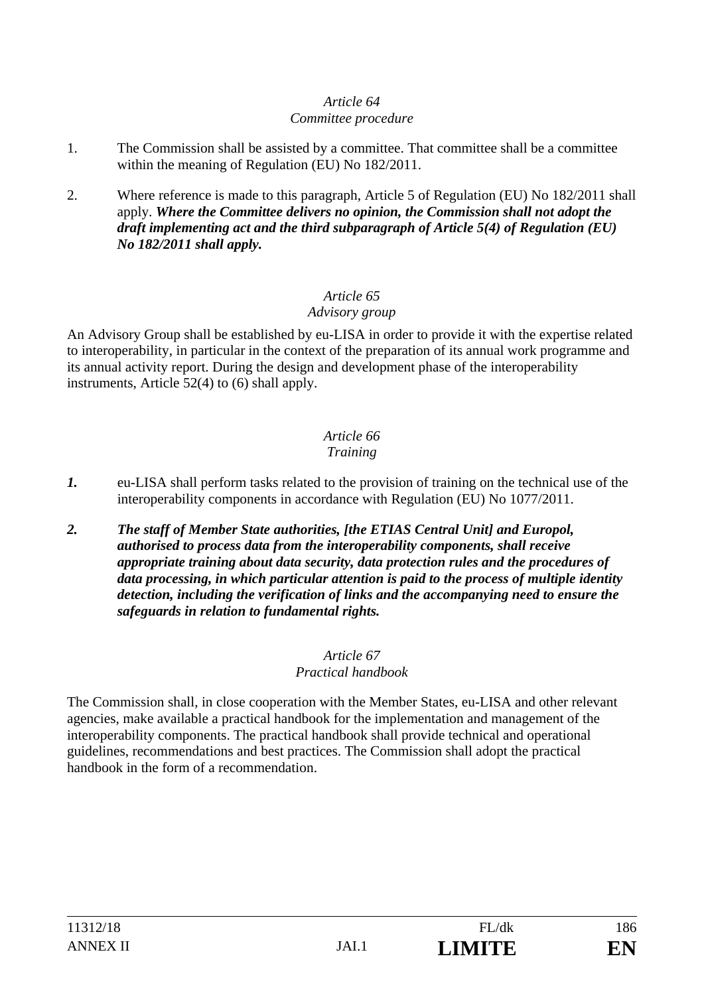# *Article 64*

### *Committee procedure*

- 1. The Commission shall be assisted by a committee. That committee shall be a committee within the meaning of Regulation (EU) No 182/2011.
- 2. Where reference is made to this paragraph, Article 5 of Regulation (EU) No 182/2011 shall apply. *Where the Committee delivers no opinion, the Commission shall not adopt the draft implementing act and the third subparagraph of Article 5(4) of Regulation (EU) No 182/2011 shall apply.*

# *Article 65*

# *Advisory group*

An Advisory Group shall be established by eu-LISA in order to provide it with the expertise related to interoperability, in particular in the context of the preparation of its annual work programme and its annual activity report. During the design and development phase of the interoperability instruments, Article 52(4) to (6) shall apply.

#### *Article 66 Training*

- *1.* eu-LISA shall perform tasks related to the provision of training on the technical use of the interoperability components in accordance with Regulation (EU) No 1077/2011.
- *2. The staff of Member State authorities, [the ETIAS Central Unit] and Europol, authorised to process data from the interoperability components, shall receive appropriate training about data security, data protection rules and the procedures of data processing, in which particular attention is paid to the process of multiple identity detection, including the verification of links and the accompanying need to ensure the safeguards in relation to fundamental rights.*

#### *Article 67 Practical handbook*

The Commission shall, in close cooperation with the Member States, eu-LISA and other relevant agencies, make available a practical handbook for the implementation and management of the interoperability components. The practical handbook shall provide technical and operational guidelines, recommendations and best practices. The Commission shall adopt the practical handbook in the form of a recommendation.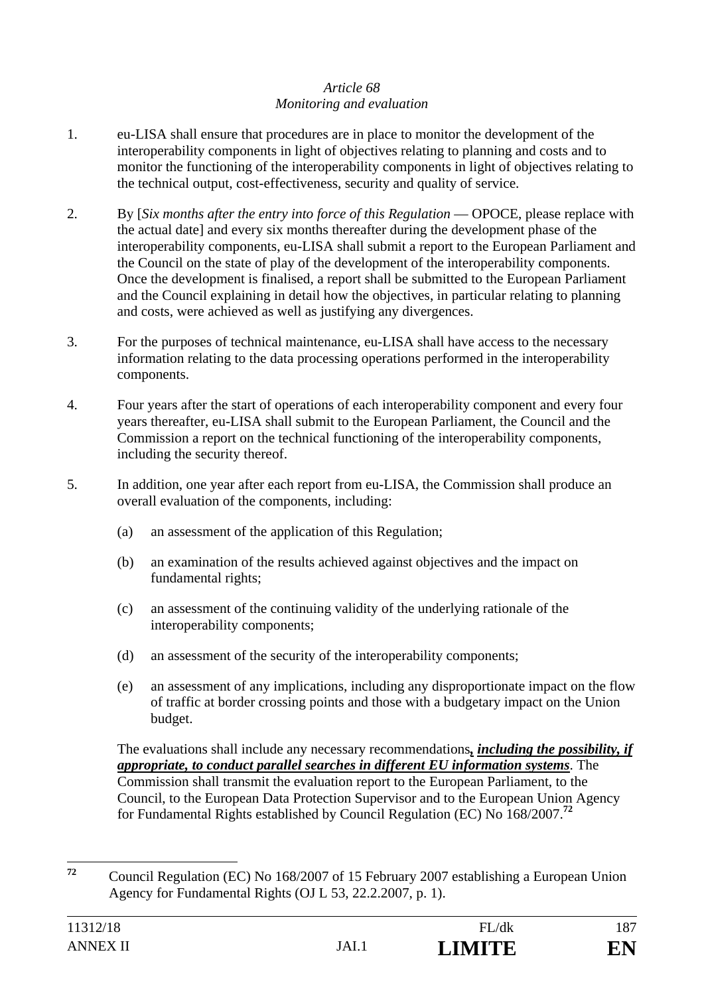## *Article 68 Monitoring and evaluation*

- 1. eu-LISA shall ensure that procedures are in place to monitor the development of the interoperability components in light of objectives relating to planning and costs and to monitor the functioning of the interoperability components in light of objectives relating to the technical output, cost-effectiveness, security and quality of service.
- 2. By [*Six months after the entry into force of this Regulation* OPOCE, please replace with the actual date] and every six months thereafter during the development phase of the interoperability components, eu-LISA shall submit a report to the European Parliament and the Council on the state of play of the development of the interoperability components. Once the development is finalised, a report shall be submitted to the European Parliament and the Council explaining in detail how the objectives, in particular relating to planning and costs, were achieved as well as justifying any divergences.
- 3. For the purposes of technical maintenance, eu-LISA shall have access to the necessary information relating to the data processing operations performed in the interoperability components.
- 4. Four years after the start of operations of each interoperability component and every four years thereafter, eu-LISA shall submit to the European Parliament, the Council and the Commission a report on the technical functioning of the interoperability components, including the security thereof.
- 5. In addition, one year after each report from eu-LISA, the Commission shall produce an overall evaluation of the components, including:
	- (a) an assessment of the application of this Regulation;
	- (b) an examination of the results achieved against objectives and the impact on fundamental rights;
	- (c) an assessment of the continuing validity of the underlying rationale of the interoperability components;
	- (d) an assessment of the security of the interoperability components;
	- (e) an assessment of any implications, including any disproportionate impact on the flow of traffic at border crossing points and those with a budgetary impact on the Union budget.

The evaluations shall include any necessary recommendations*, including the possibility, if appropriate, to conduct parallel searches in different EU information systems*. The Commission shall transmit the evaluation report to the European Parliament, to the Council, to the European Data Protection Supervisor and to the European Union Agency for Fundamental Rights established by Council Regulation (EC) No 168/2007.**<sup>72</sup>**

 $72$ **<sup>72</sup>** Council Regulation (EC) No 168/2007 of 15 February 2007 establishing a European Union Agency for Fundamental Rights (OJ L 53, 22.2.2007, p. 1).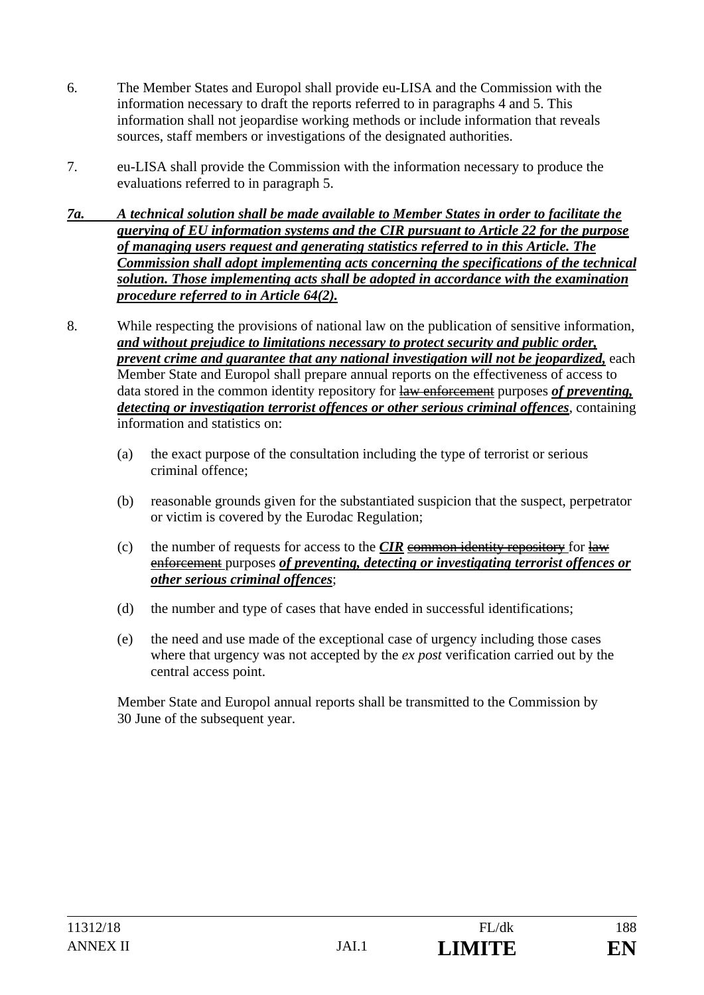- 6. The Member States and Europol shall provide eu-LISA and the Commission with the information necessary to draft the reports referred to in paragraphs 4 and 5. This information shall not jeopardise working methods or include information that reveals sources, staff members or investigations of the designated authorities.
- 7. eu-LISA shall provide the Commission with the information necessary to produce the evaluations referred to in paragraph 5.
- *7a. A technical solution shall be made available to Member States in order to facilitate the querying of EU information systems and the CIR pursuant to Article 22 for the purpose of managing users request and generating statistics referred to in this Article. The Commission shall adopt implementing acts concerning the specifications of the technical solution. Those implementing acts shall be adopted in accordance with the examination procedure referred to in Article 64(2).*
- 8. While respecting the provisions of national law on the publication of sensitive information, *and without prejudice to limitations necessary to protect security and public order, prevent crime and guarantee that any national investigation will not be jeopardized, each* Member State and Europol shall prepare annual reports on the effectiveness of access to data stored in the common identity repository for law enforcement purposes *of preventing, detecting or investigation terrorist offences or other serious criminal offences*, containing information and statistics on:
	- (a) the exact purpose of the consultation including the type of terrorist or serious criminal offence;
	- (b) reasonable grounds given for the substantiated suspicion that the suspect, perpetrator or victim is covered by the Eurodac Regulation;
	- (c) the number of requests for access to the  $CIR$  common identity repository for law enforcement purposes *of preventing, detecting or investigating terrorist offences or other serious criminal offences*;
	- (d) the number and type of cases that have ended in successful identifications;
	- (e) the need and use made of the exceptional case of urgency including those cases where that urgency was not accepted by the *ex post* verification carried out by the central access point.

Member State and Europol annual reports shall be transmitted to the Commission by 30 June of the subsequent year.